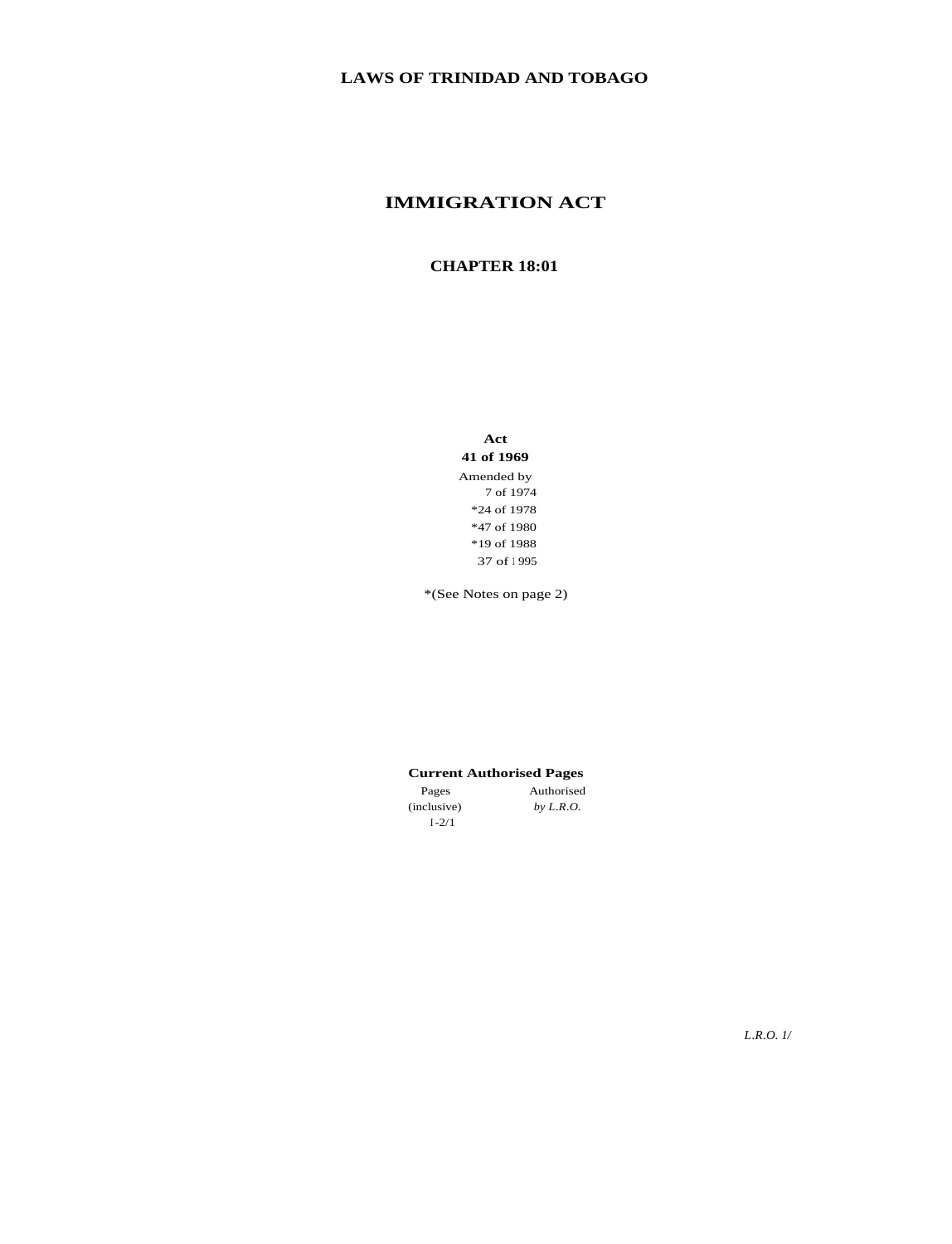## **IMMIGRATION ACT**

## **CHAPTER 18:01**

**Act 41 of 1969** Amended by 7 of 1974 \*24 of 1978 \*47 of 1980 \*19 of 1988 37 of <sup>1</sup> 995

\*(See Notes on page 2)

## **Current Authorised Pages**

*by L.R.O.*

Pages (inclusive) I-2/1 Authorised

*L.R.O. 1/*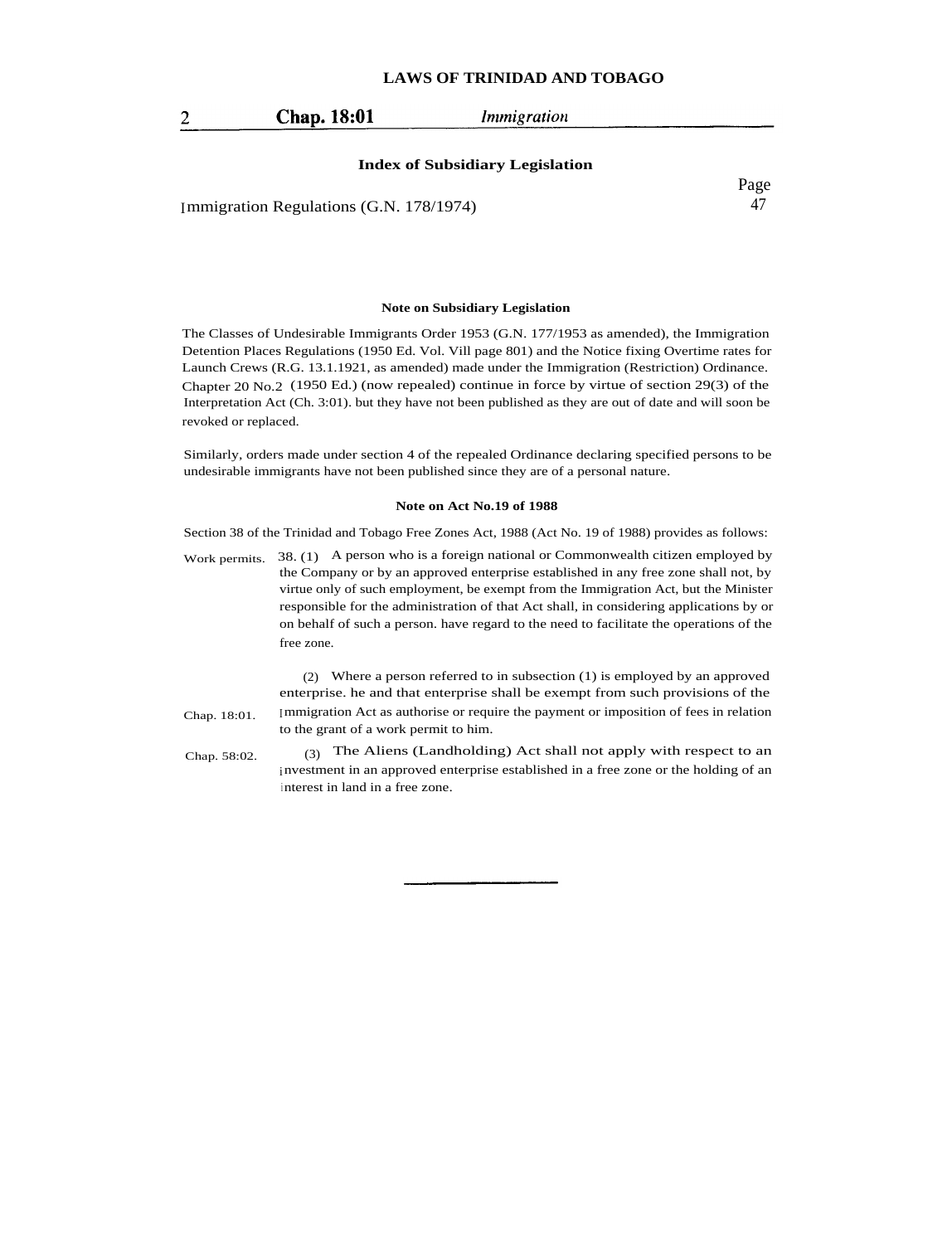| Chap. 18:01 | Immigration |
|-------------|-------------|
|             |             |

#### **Index of Subsidiary Legislation**

Immigration Regulations (G.N. 178/1974)

Page 47

#### **Note on Subsidiary Legislation**

The Classes of Undesirable Immigrants Order 1953 (G.N. 177/1953 as amended), the Immigration Detention Places Regulations (1950 Ed. Vol. Vill page 801) and the Notice fixing Overtime rates for Launch Crews (R.G. 13.1.1921, as amended) made under the Immigration (Restriction) Ordinance. Chapter 20 No.2 (1950 Ed.) (now repealed) continue in force by virtue of section 29(3) of the Interpretation Act (Ch. 3:01). but they have not been published as they are out of date and will soon be revoked or replaced.

Similarly, orders made under section 4 of the repealed Ordinance declaring specified persons to be undesirable immigrants have not been published since they are of a personal nature.

#### **Note on Act No.19 of 1988**

Section 38 of the Trinidad and Tobago Free Zones Act, 1988 (Act No. 19 of 1988) provides as follows:

Work permits. 38. (1) A person who is a foreign national or Commonwealth citizen employed by the Company or by an approved enterprise established in any free zone shall not, by virtue only of such employment, be exempt from the Immigration Act, but the Minister responsible for the administration of that Act shall, in considering applications by or on behalf of such a person. have regard to the need to facilitate the operations of the free zone.

(2) Where a person referred to in subsection (1) is employed by an approved enterprise. he and that enterprise shall be exempt from such provisions of the Immigration Act as authorise or require the payment or imposition of fees in relation to the grant of a work permit to him.

Chap. 18:01.

(3) The Aliens (Landholding) Act shall not apply with respect to an investment in an approved enterprise established in a free zone or the holding of an interest in land in a free zone. Chap. 58:02.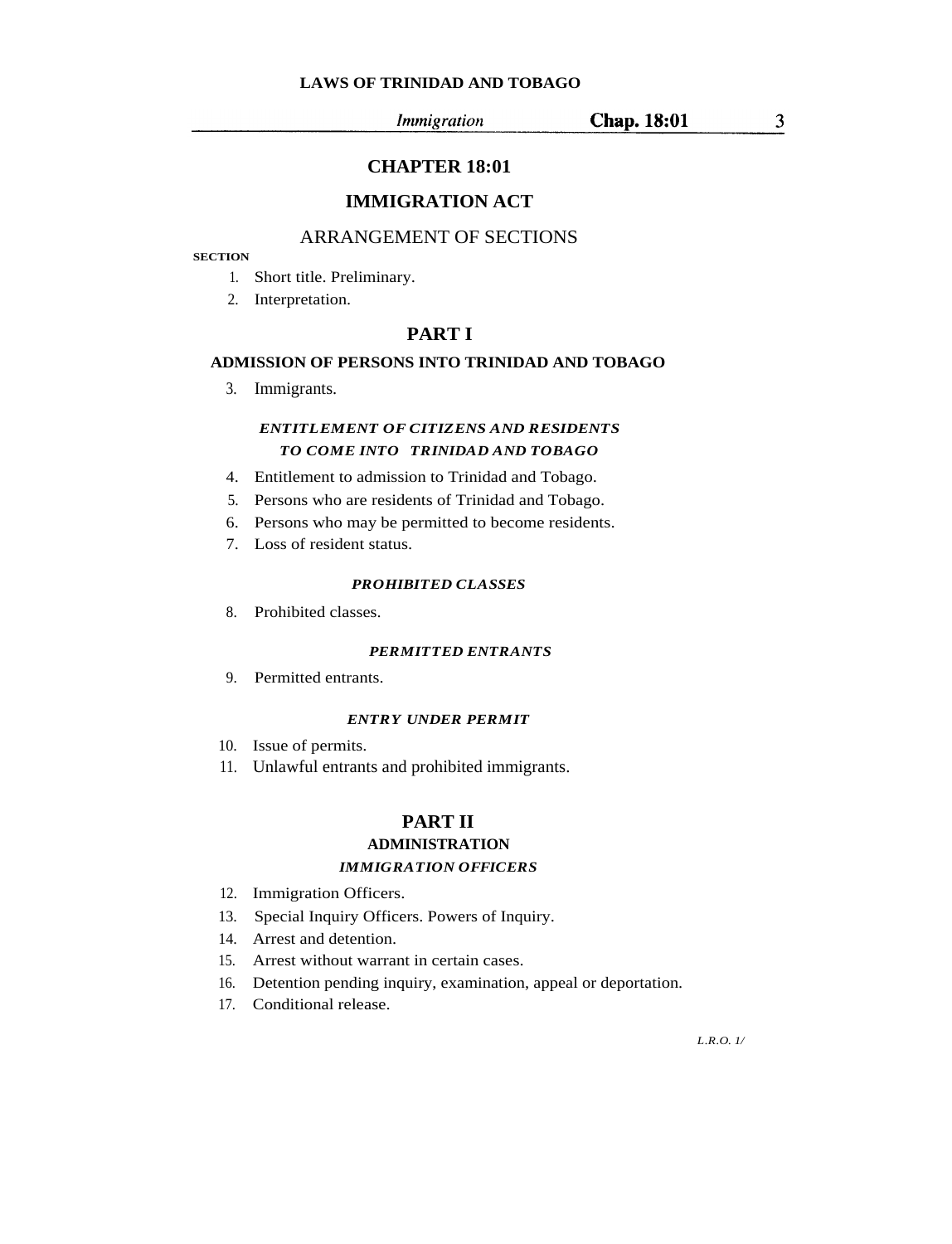$\mathfrak{Z}$ 

**Chap. 18:01** 

## **CHAPTER 18:01**

## **IMMIGRATION ACT**

## ARRANGEMENT OF SECTIONS

## **SECTION**

- 1. Short title. Preliminary.
- 2. Interpretation.

## **PART I**

## **ADMISSION OF PERSONS INTO TRINIDAD AND TOBAGO**

3. Immigrants.

## *ENTITLEMENT OF CITIZENS AND RESIDENTS TO COME INTO TRINIDAD AND TOBAGO*

- 4. Entitlement to admission to Trinidad and Tobago.
- 5. Persons who are residents of Trinidad and Tobago.
- 6. Persons who may be permitted to become residents.
- 7. Loss of resident status.

#### *PROHIBITED CLASSES*

8. Prohibited classes.

#### *PERMITTED ENTRANTS*

9. Permitted entrants.

## *ENTRY UNDER PERMIT*

- 10. Issue of permits.
- 11. Unlawful entrants and prohibited immigrants.

## **PART II**

## **ADMINISTRATION** *IMMIGRATION OFFICERS*

- 12. Immigration Officers.
- 13. Special Inquiry Officers. Powers of Inquiry.
- 14. Arrest and detention.
- 15. Arrest without warrant in certain cases.
- 16. Detention pending inquiry, examination, appeal or deportation.
- 17. Conditional release.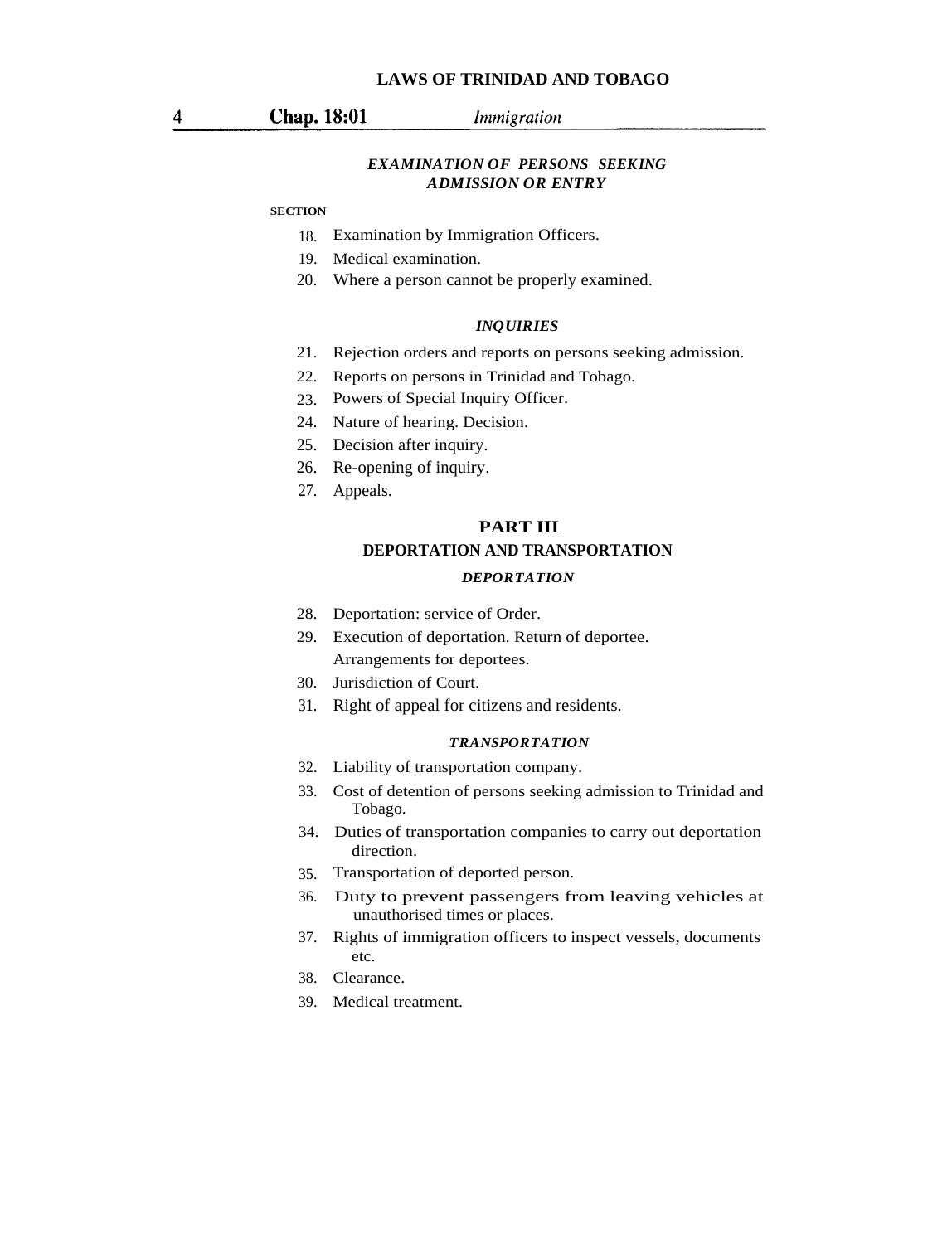## *EXAMINATION OF PERSONS SEEKING ADMISSION OR ENTRY*

#### **SECTION**

- 18. Examination by Immigration Officers.
- 19. Medical examination.
- 20. Where a person cannot be properly examined.

#### *INQUIRIES*

- 21. Rejection orders and reports on persons seeking admission.
- 22. Reports on persons in Trinidad and Tobago.
- 23. Powers of Special Inquiry Officer.
- 24. Nature of hearing. Decision.
- 25. Decision after inquiry.
- 26. Re-opening of inquiry.
- 27. Appeals.

# **DEPORTATION AND TRANSPORTATION PART III**

## *DEPORTATION*

- 28. Deportation: service of Order.
- 29. Execution of deportation. Return of deportee. Arrangements for deportees.
- 30. Jurisdiction of Court.
- 31. Right of appeal for citizens and residents.

#### *TRANSPORTATION*

- 32. Liability of transportation company.
- 33. Cost of detention of persons seeking admission to Trinidad and Tobago.
- 34. Duties of transportation companies to carry out deportation direction.
- 35. Transportation of deported person.
- 36. Duty to prevent passengers from leaving vehicles at unauthorised times or places.
- 37. Rights of immigration officers to inspect vessels, documents etc.
- 38. Clearance.
- 39. Medical treatment.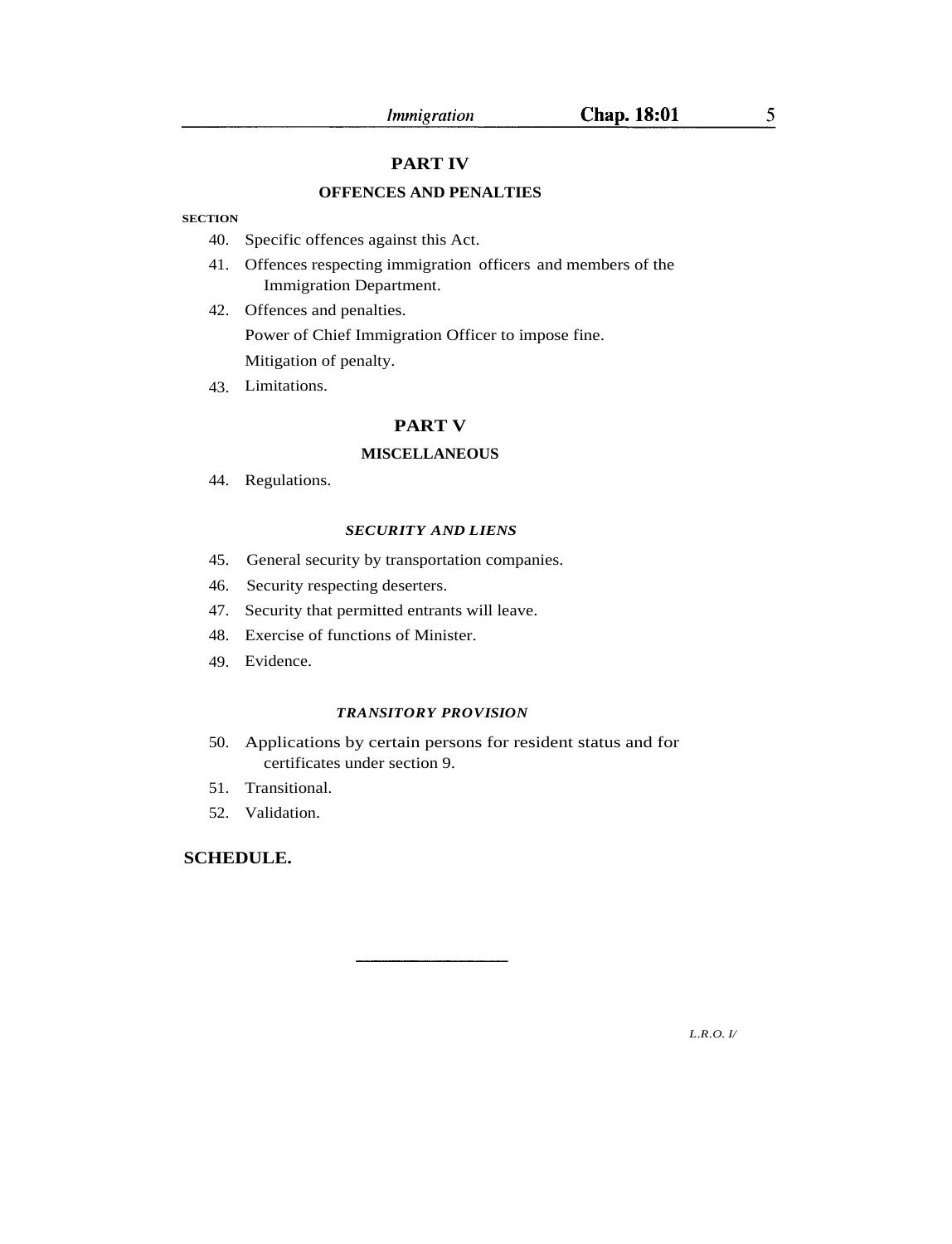5

## **PART IV**

## **OFFENCES AND PENALTIES**

## **SECTION**

- 40. Specific offences against this Act.
- 41. Offences respecting immigration officers and members of the Immigration Department.
- 42. Offences and penalties. Power of Chief Immigration Officer to impose fine. Mitigation of penalty.
- 43. Limitations.

## **PART V**

#### **MISCELLANEOUS**

44. Regulations.

#### *SECURITY AND LIENS*

- 45. General security by transportation companies.
- 46. Security respecting deserters.
- 47. Security that permitted entrants will leave.
- 48. Exercise of functions of Minister.
- 49. Evidence.

## *TRANSITORY PROVISION*

- 50. Applications by certain persons for resident status and for certificates under section 9.
- 51. Transitional.
- 52. Validation.

## **SCHEDULE.**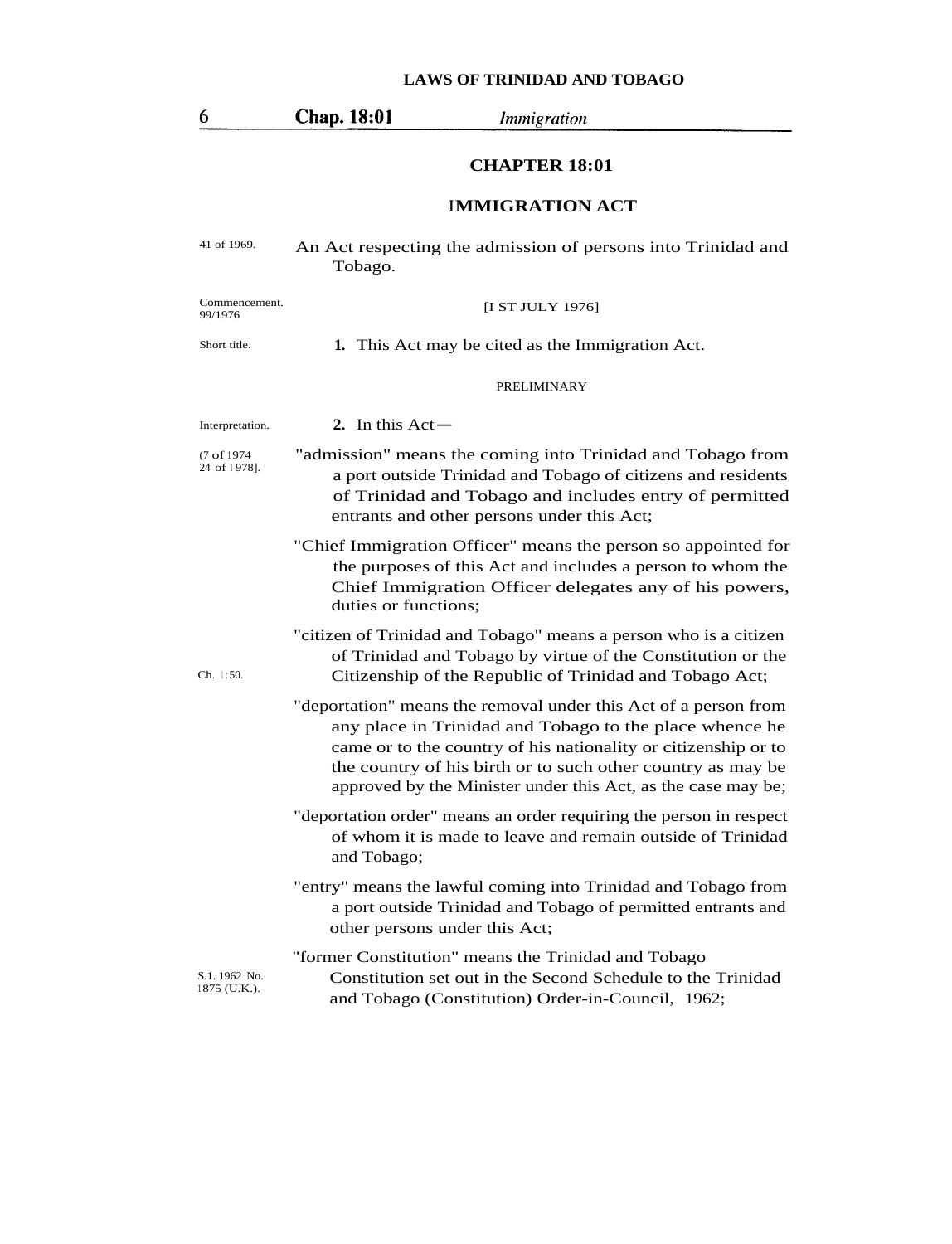| 0                             | <b>Chap.</b> 18:01<br><i>Immigration</i>                                                                                                                                                                                                                                                                                    |
|-------------------------------|-----------------------------------------------------------------------------------------------------------------------------------------------------------------------------------------------------------------------------------------------------------------------------------------------------------------------------|
|                               | <b>CHAPTER 18:01</b>                                                                                                                                                                                                                                                                                                        |
|                               | <b>IMMIGRATION ACT</b>                                                                                                                                                                                                                                                                                                      |
| 41 of 1969.                   | An Act respecting the admission of persons into Trinidad and<br>Tobago.                                                                                                                                                                                                                                                     |
| Commencement.<br>99/1976      | [I ST JULY 1976]                                                                                                                                                                                                                                                                                                            |
| Short title.                  | 1. This Act may be cited as the Immigration Act.                                                                                                                                                                                                                                                                            |
|                               | PRELIMINARY                                                                                                                                                                                                                                                                                                                 |
| Interpretation.               | 2. In this $Act -$                                                                                                                                                                                                                                                                                                          |
| (7 of 1974)<br>24 of 1978].   | "admission" means the coming into Trinidad and Tobago from<br>a port outside Trinidad and Tobago of citizens and residents<br>of Trinidad and Tobago and includes entry of permitted<br>entrants and other persons under this Act;                                                                                          |
|                               | "Chief Immigration Officer" means the person so appointed for<br>the purposes of this Act and includes a person to whom the<br>Chief Immigration Officer delegates any of his powers,<br>duties or functions;                                                                                                               |
| Ch. 1:50.                     | "citizen of Trinidad and Tobago" means a person who is a citizen<br>of Trinidad and Tobago by virtue of the Constitution or the<br>Citizenship of the Republic of Trinidad and Tobago Act;                                                                                                                                  |
|                               | "deportation" means the removal under this Act of a person from<br>any place in Trinidad and Tobago to the place whence he<br>came or to the country of his nationality or citizenship or to<br>the country of his birth or to such other country as may be<br>approved by the Minister under this Act, as the case may be; |
|                               | "deportation order" means an order requiring the person in respect<br>of whom it is made to leave and remain outside of Trinidad<br>and Tobago;                                                                                                                                                                             |
|                               | "entry" means the lawful coming into Trinidad and Tobago from<br>a port outside Trinidad and Tobago of permitted entrants and<br>other persons under this Act;                                                                                                                                                              |
| S.1. 1962 No.<br>1875 (U.K.). | "former Constitution" means the Trinidad and Tobago<br>Constitution set out in the Second Schedule to the Trinidad<br>and Tobago (Constitution) Order-in-Council, 1962;                                                                                                                                                     |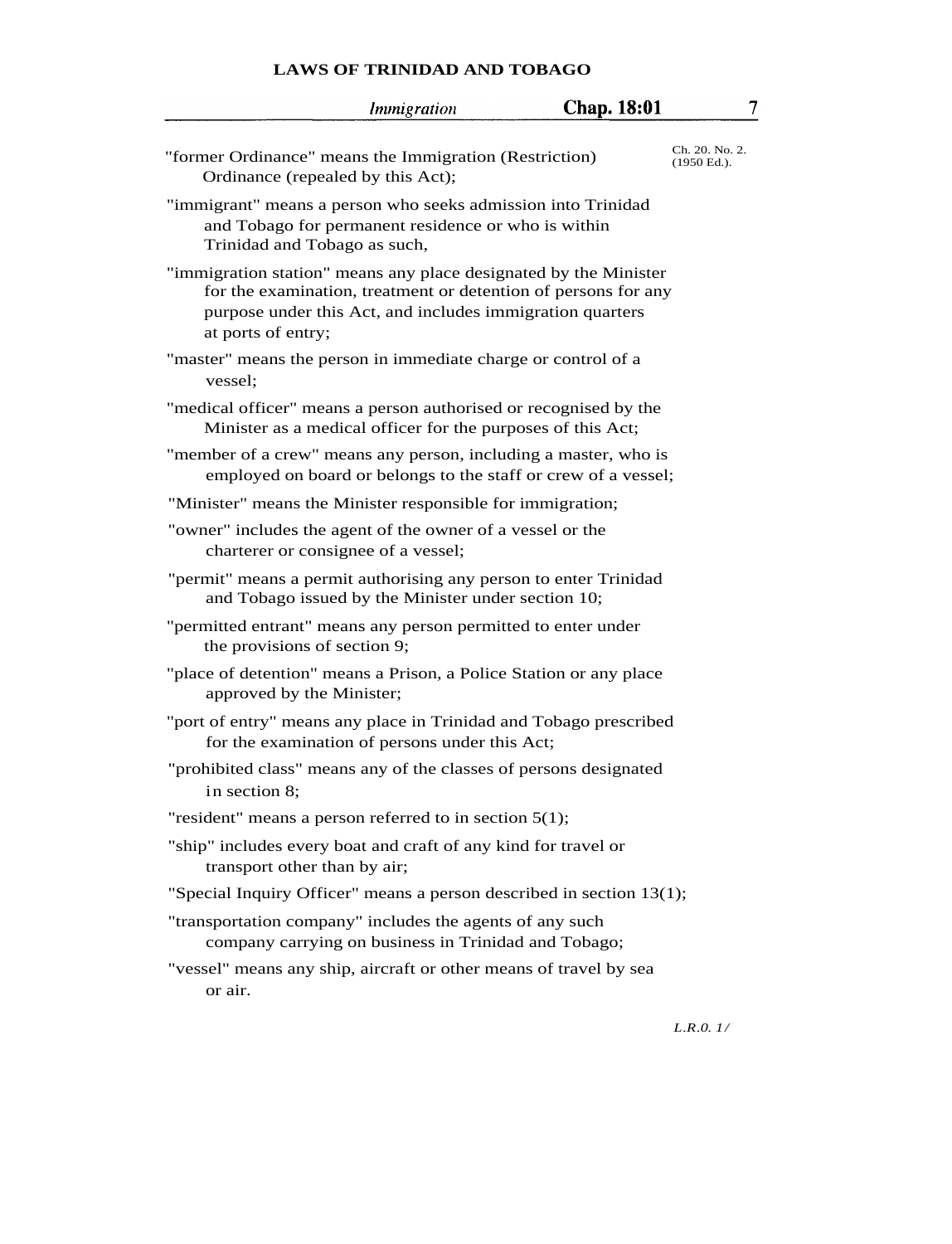|                                                                                                   | <i>Immigration</i>                                                                                                          | <b>Chap. 18:01</b> | 7                                |
|---------------------------------------------------------------------------------------------------|-----------------------------------------------------------------------------------------------------------------------------|--------------------|----------------------------------|
| "former Ordinance" means the Immigration (Restriction)<br>Ordinance (repealed by this Act);       |                                                                                                                             |                    | Ch. 20. No. 2.<br>$(1950)$ Ed.). |
| "immigrant" means a person who seeks admission into Trinidad<br>Trinidad and Tobago as such,      | and Tobago for permanent residence or who is within                                                                         |                    |                                  |
| "immigration station" means any place designated by the Minister<br>at ports of entry;            | for the examination, treatment or detention of persons for any<br>purpose under this Act, and includes immigration quarters |                    |                                  |
| "master" means the person in immediate charge or control of a<br>vessel;                          |                                                                                                                             |                    |                                  |
| "medical officer" means a person authorised or recognised by the                                  | Minister as a medical officer for the purposes of this Act;                                                                 |                    |                                  |
| "member of a crew" means any person, including a master, who is                                   | employed on board or belongs to the staff or crew of a vessel;                                                              |                    |                                  |
| "Minister" means the Minister responsible for immigration;                                        |                                                                                                                             |                    |                                  |
| "owner" includes the agent of the owner of a vessel or the<br>charterer or consignee of a vessel; |                                                                                                                             |                    |                                  |
| "permit" means a permit authorising any person to enter Trinidad                                  | and Tobago issued by the Minister under section 10;                                                                         |                    |                                  |
| "permitted entrant" means any person permitted to enter under<br>the provisions of section 9;     |                                                                                                                             |                    |                                  |
| "place of detention" means a Prison, a Police Station or any place<br>approved by the Minister;   |                                                                                                                             |                    |                                  |
| "port of entry" means any place in Trinidad and Tobago prescribed                                 | for the examination of persons under this Act;                                                                              |                    |                                  |
| "prohibited class" means any of the classes of persons designated<br>in section 8;                |                                                                                                                             |                    |                                  |
| "resident" means a person referred to in section $5(1)$ ;                                         |                                                                                                                             |                    |                                  |
| "ship" includes every boat and craft of any kind for travel or<br>transport other than by air;    |                                                                                                                             |                    |                                  |
| "Special Inquiry Officer" means a person described in section 13(1);                              |                                                                                                                             |                    |                                  |
| "transportation company" includes the agents of any such                                          | company carrying on business in Trinidad and Tobago;                                                                        |                    |                                  |
| "vessel" means any ship, aircraft or other means of travel by sea<br>or air.                      |                                                                                                                             |                    |                                  |
|                                                                                                   |                                                                                                                             |                    | L.R.0.1/                         |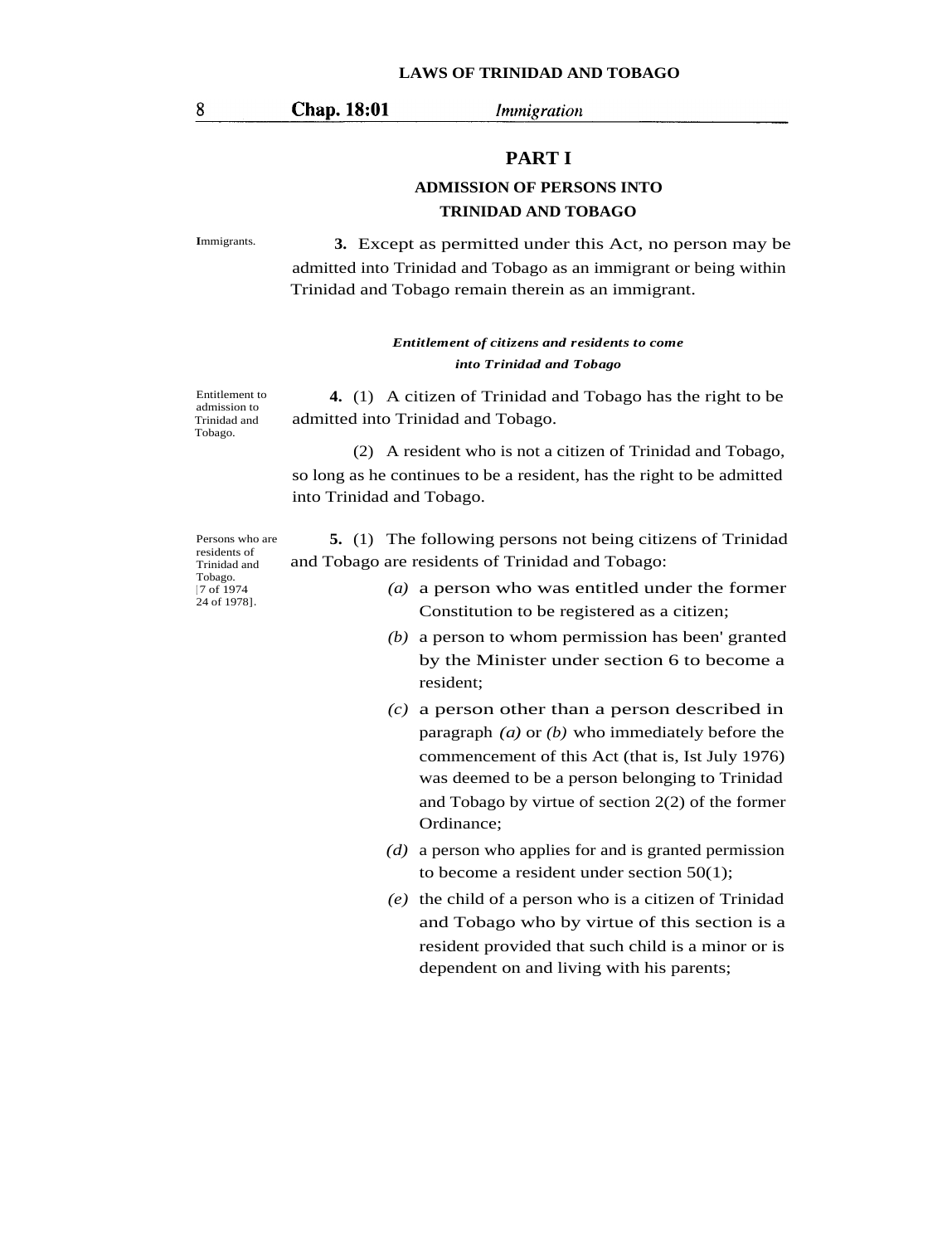## Chap. 18:01

*Immigration* 

## **PART I**

## **ADMISSION OF PERSONS INTO TRINIDAD AND TOBAGO**

**<sup>I</sup>**mmigrants. **3.** Except as permitted under this Act, no person may be admitted into Trinidad and Tobago as an immigrant or being within Trinidad and Tobago remain therein as an immigrant.

## *Entitlement of citizens and residents to come into Trinidad and Tobago*

Entitlement to admission to Trinidad and Tobago.

**4.** (1) A citizen of Trinidad and Tobago has the right to be admitted into Trinidad and Tobago.

(2) A resident who is not a citizen of Trinidad and Tobago, so long as he continues to be a resident, has the right to be admitted into Trinidad and Tobago.

Persons who are residents of Trinidad and Tobago. [ 7 of 1974 24 of 1978]**.**

**5.** (1) The following persons not being citizens of Trinidad and Tobago are residents of Trinidad and Tobago:

- *(a)* a person who was entitled under the former Constitution to be registered as a citizen;
- *(b)* a person to whom permission has been' granted by the Minister under section 6 to become a resident;
- *(c)* a person other than a person described in paragraph *(a)* or *(b)* who immediately before the commencement of this Act (that is, Ist July 1976) was deemed to be a person belonging to Trinidad and Tobago by virtue of section 2(2) of the former Ordinance;
- *(d)* a person who applies for and is granted permission to become a resident under section 50(1);
- *(e)* the child of a person who is a citizen of Trinidad and Tobago who by virtue of this section is a resident provided that such child is a minor or is dependent on and living with his parents;

8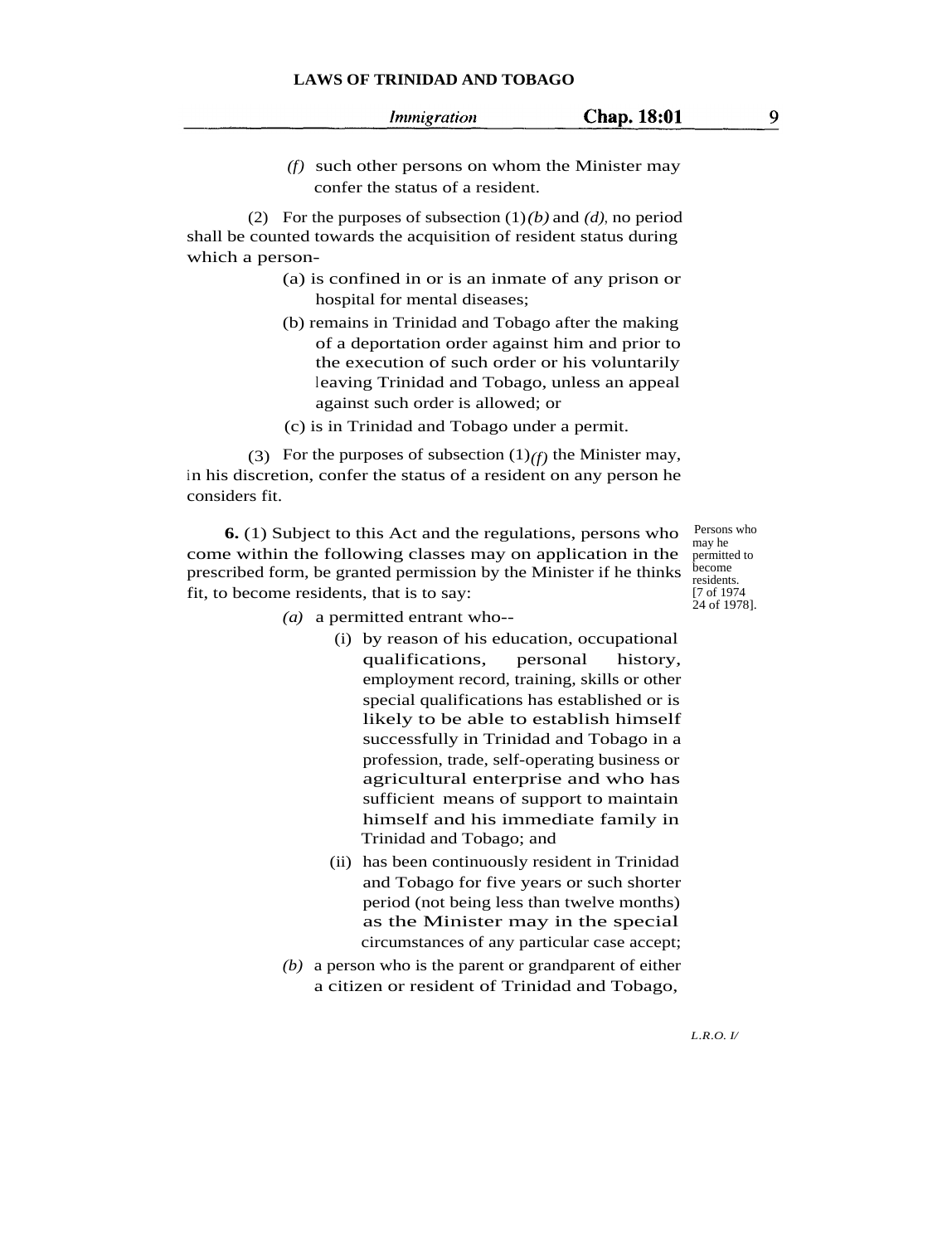*(f)* such other persons on whom the Minister may confer the status of a resident.

**Chap. 18:01** 

(2) For the purposes of subsection (1)*(b)* and *(d)*, no period shall be counted towards the acquisition of resident status during which a person-

- (a) is confined in or is an inmate of any prison or hospital for mental diseases;
- (b) remains in Trinidad and Tobago after the making of a deportation order against him and prior to the execution of such order or his voluntarily leaving Trinidad and Tobago, unless an appeal against such order is allowed; or
- (c) is in Trinidad and Tobago under a permit.

(3) For the purposes of subsection  $(1)_{(f)}$  the Minister may, in his discretion, confer the status of a resident on any person he considers fit.

**6.** (1) Subject to this Act and the regulations, persons who come within the following classes may on application in the prescribed form, be granted permission by the Minister if he thinks fit, to become residents, that is to say:

Persons who may he permitted to become residents. [7 of 1974 24 of 1978].

- *(a)* a permitted entrant who--
	- (i) by reason of his education, occupational qualifications, personal history, employment record, training, skills or other special qualifications has established or is likely to be able to establish himself successfully in Trinidad and Tobago in a profession, trade, self-operating business or agricultural enterprise and who has sufficient means of support to maintain himself and his immediate family in Trinidad and Tobago; and
	- (ii) has been continuously resident in Trinidad and Tobago for five years or such shorter period (not being less than twelve months) as the Minister may in the special circumstances of any particular case accept;
- *(b)* a person who is the parent or grandparent of either a citizen or resident of Trinidad and Tobago,

9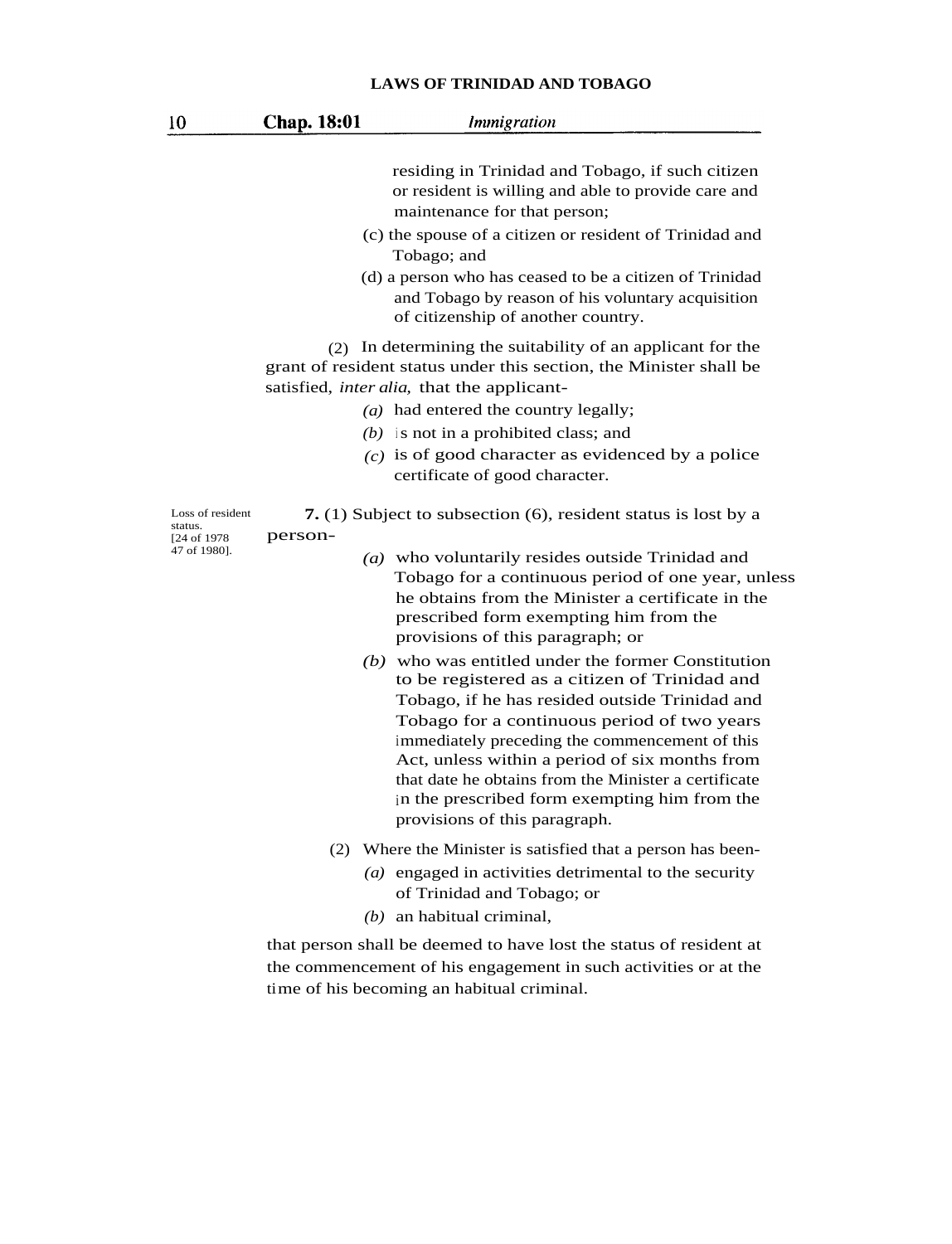| 10                                                          | Chap. 18:01 | <i>Immigration</i>                                                                                                                                                                                                                                                                                                                                                                                                                                                                                                                                                                                                                                                                                                                                                    |
|-------------------------------------------------------------|-------------|-----------------------------------------------------------------------------------------------------------------------------------------------------------------------------------------------------------------------------------------------------------------------------------------------------------------------------------------------------------------------------------------------------------------------------------------------------------------------------------------------------------------------------------------------------------------------------------------------------------------------------------------------------------------------------------------------------------------------------------------------------------------------|
|                                                             |             | residing in Trinidad and Tobago, if such citizen<br>or resident is willing and able to provide care and<br>maintenance for that person;<br>(c) the spouse of a citizen or resident of Trinidad and<br>Tobago; and<br>(d) a person who has ceased to be a citizen of Trinidad<br>and Tobago by reason of his voluntary acquisition<br>of citizenship of another country.                                                                                                                                                                                                                                                                                                                                                                                               |
|                                                             |             | (2) In determining the suitability of an applicant for the<br>grant of resident status under this section, the Minister shall be<br>satisfied, <i>inter alia</i> , that the applicant-<br>( <i>a</i> ) had entered the country legally;<br>$(b)$ is not in a prohibited class; and<br>$(c)$ is of good character as evidenced by a police<br>certificate of good character.                                                                                                                                                                                                                                                                                                                                                                                           |
| Loss of resident<br>status.<br>[24 of 1978]<br>47 of 1980]. | person-     | 7. (1) Subject to subsection (6), resident status is lost by a<br>$(a)$ who voluntarily resides outside Trinidad and<br>Tobago for a continuous period of one year, unless<br>he obtains from the Minister a certificate in the<br>prescribed form exempting him from the<br>provisions of this paragraph; or<br>$(b)$ who was entitled under the former Constitution<br>to be registered as a citizen of Trinidad and<br>Tobago, if he has resided outside Trinidad and<br>Tobago for a continuous period of two years<br>immediately preceding the commencement of this<br>Act, unless within a period of six months from<br>that date he obtains from the Minister a certificate<br>in the prescribed form exempting him from the<br>provisions of this paragraph. |
|                                                             |             | (2) Where the Minister is satisfied that a person has been-<br>$(a)$ engaged in activities detrimental to the security<br>of Trinidad and Tobago; or<br>$(b)$ an habitual criminal,                                                                                                                                                                                                                                                                                                                                                                                                                                                                                                                                                                                   |

that person shall be deemed to have lost the status of resident at the commencement of his engagement in such activities or at the time of his becoming an habitual criminal.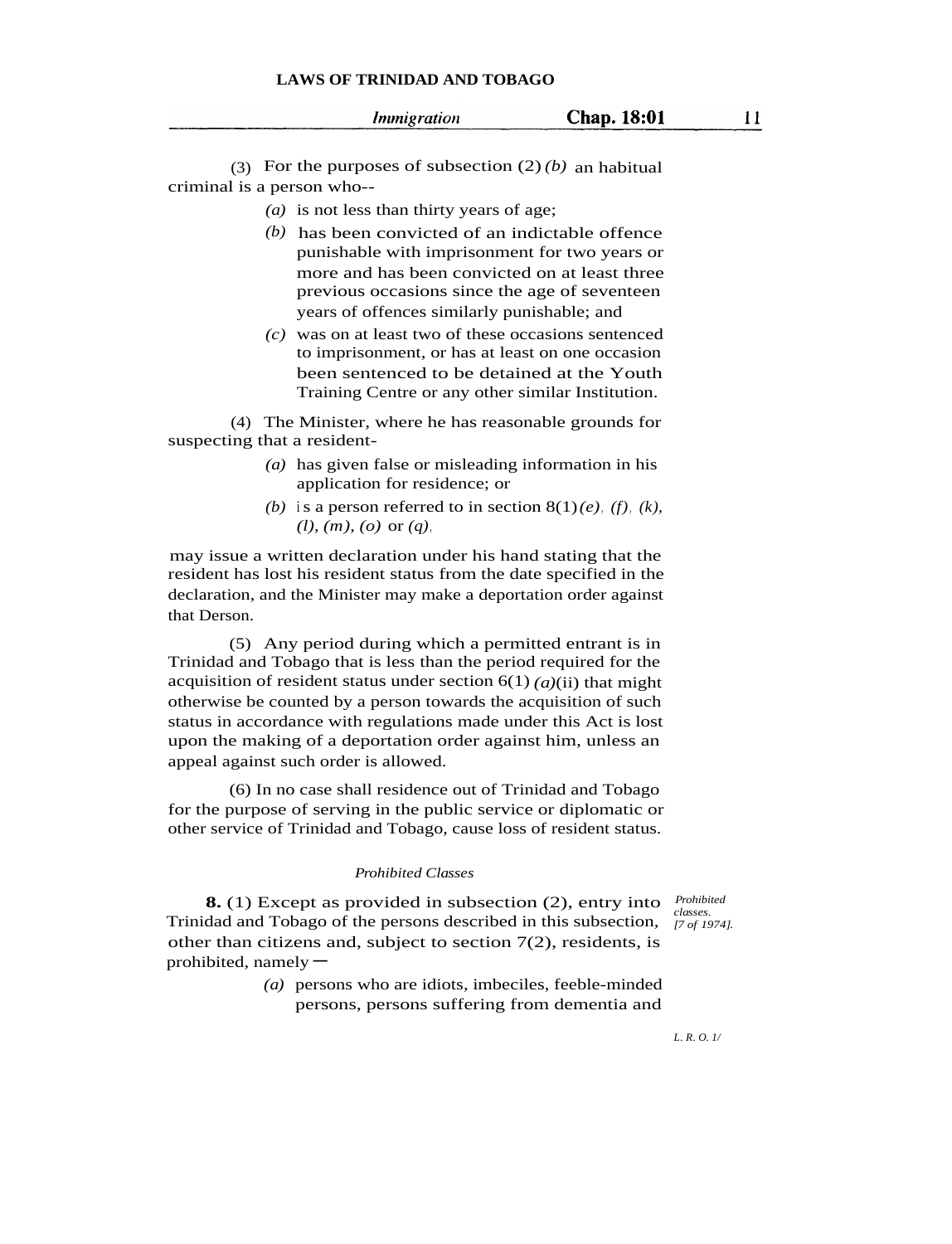(3) For the purposes of subsection (2)*(b)* an habitual criminal is a person who--

- *(a)* is not less than thirty years of age;
- *(b)* has been convicted of an indictable offence punishable with imprisonment for two years or more and has been convicted on at least three previous occasions since the age of seventeen years of offences similarly punishable; and
- *(c)* was on at least two of these occasions sentenced to imprisonment, or has at least on one occasion been sentenced to be detained at the Youth Training Centre or any other similar Institution.

(4) The Minister, where he has reasonable grounds for suspecting that a resident-

- *(a)* has given false or misleading information in his application for residence; or
- *(b)* is a person referred to in section  $8(1)(e)$ , *(f)*, *(k)*, *(l), (m), (o)* or *(q)*,

may issue a written declaration under his hand stating that the resident has lost his resident status from the date specified in the declaration, and the Minister may make a deportation order against that Derson.

(5) Any period during which a permitted entrant is in Trinidad and Tobago that is less than the period required for the acquisition of resident status under section  $6(1)$   $(a)$ (ii) that might otherwise be counted by a person towards the acquisition of such status in accordance with regulations made under this Act is lost upon the making of a deportation order against him, unless an appeal against such order is allowed.

(6) In no case shall residence out of Trinidad and Tobago for the purpose of serving in the public service or diplomatic or other service of Trinidad and Tobago, cause loss of resident status.

### *Prohibited Classes*

*classes.*

**8.** (1) Except as provided in subsection (2), entry into *Prohibited* Trinidad and Tobago of the persons described in this subsection, *[7 of 1974].* other than citizens and, subject to section  $7(2)$ , residents, is prohibited, namely  $-$ 

*(a)* persons who are idiots, imbeciles, feeble-minded persons, persons suffering from dementia and

*L. R. O. 1/*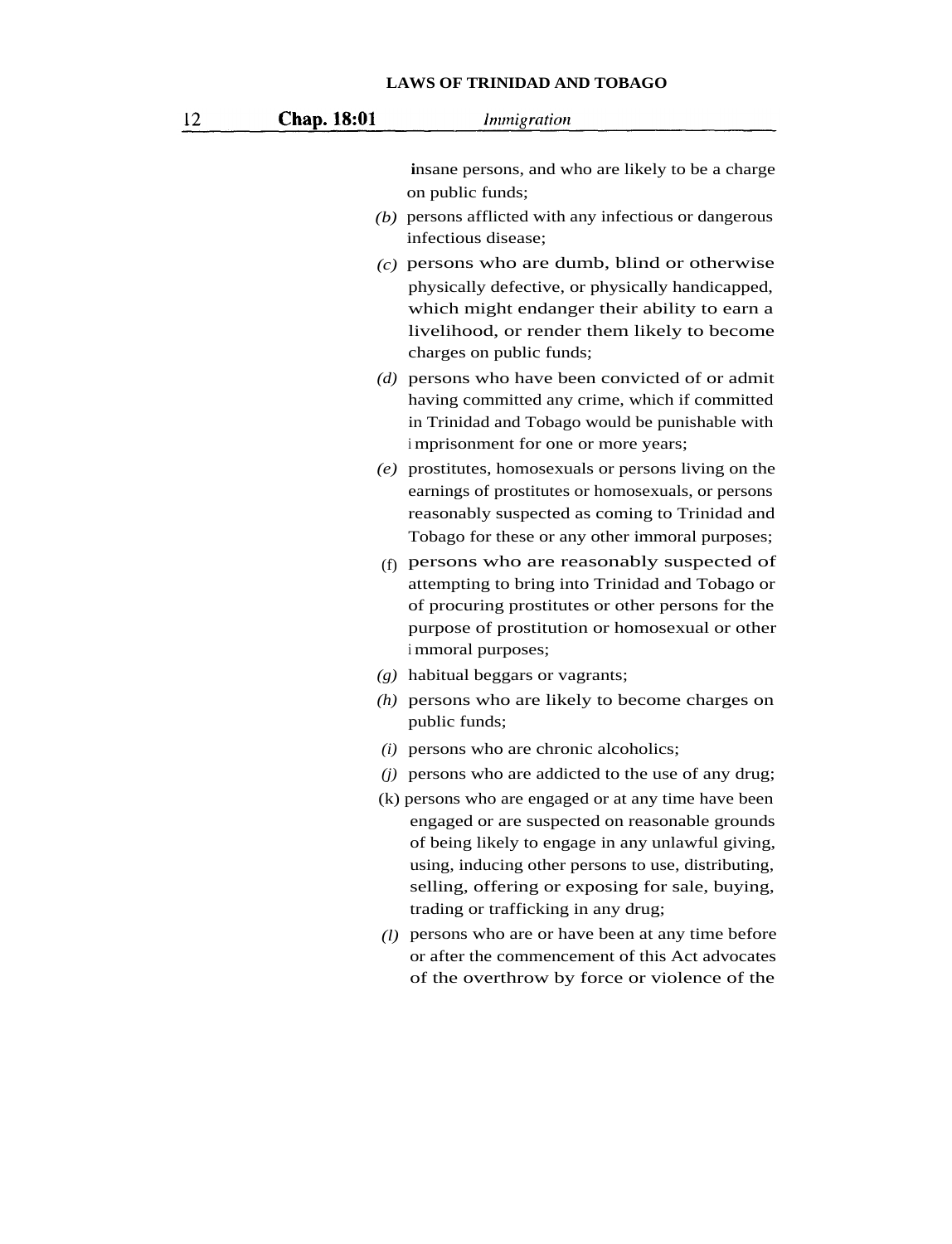| 12 | Chap. 18:01 | <i>Immigration</i>                                                                                                                                                                                                                                                                                           |
|----|-------------|--------------------------------------------------------------------------------------------------------------------------------------------------------------------------------------------------------------------------------------------------------------------------------------------------------------|
|    |             | insane persons, and who are likely to be a charge<br>on public funds;<br>$(b)$ persons afflicted with any infectious or dangerous<br>infectious disease;                                                                                                                                                     |
|    |             | $(c)$ persons who are dumb, blind or otherwise<br>physically defective, or physically handicapped,<br>which might endanger their ability to earn a<br>livelihood, or render them likely to become<br>charges on public funds;                                                                                |
|    |             | $(d)$ persons who have been convicted of or admit<br>having committed any crime, which if committed<br>in Trinidad and Tobago would be punishable with<br>imprisonment for one or more years;                                                                                                                |
|    |             | $(e)$ prostitutes, homosexuals or persons living on the<br>earnings of prostitutes or homosexuals, or persons<br>reasonably suspected as coming to Trinidad and<br>Tobago for these or any other immoral purposes;                                                                                           |
|    |             | (f) persons who are reasonably suspected of<br>attempting to bring into Trinidad and Tobago or<br>of procuring prostitutes or other persons for the<br>purpose of prostitution or homosexual or other<br>i mmoral purposes;                                                                                  |
|    |             | $(g)$ habitual beggars or vagrants;                                                                                                                                                                                                                                                                          |
|    | (h)         | persons who are likely to become charges on<br>public funds;                                                                                                                                                                                                                                                 |
|    |             | $(i)$ persons who are chronic alcoholics;                                                                                                                                                                                                                                                                    |
|    |             | $(i)$ persons who are addicted to the use of any drug;                                                                                                                                                                                                                                                       |
|    |             | (k) persons who are engaged or at any time have been<br>engaged or are suspected on reasonable grounds<br>of being likely to engage in any unlawful giving,<br>using, inducing other persons to use, distributing,<br>selling, offering or exposing for sale, buying,<br>trading or trafficking in any drug; |
|    |             | (1) persons who are or have been at any time before<br>or after the commencement of this Act advocates<br>of the overthrow by force or violence of the                                                                                                                                                       |
|    |             |                                                                                                                                                                                                                                                                                                              |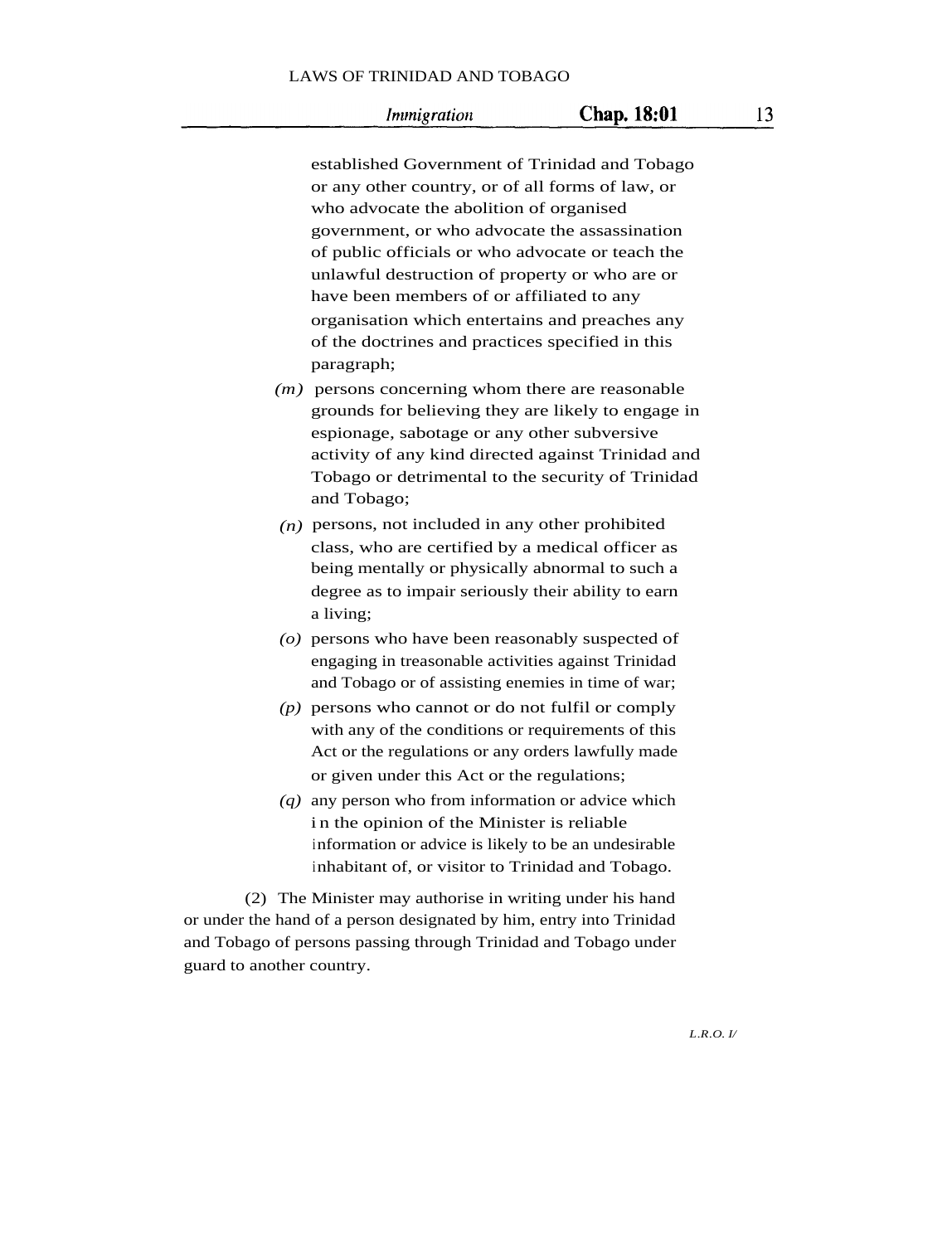|                           | established Government of Trinidad and Tobago                                                                                           |
|---------------------------|-----------------------------------------------------------------------------------------------------------------------------------------|
|                           | or any other country, or of all forms of law, or                                                                                        |
|                           | who advocate the abolition of organised                                                                                                 |
|                           | government, or who advocate the assassination                                                                                           |
|                           | of public officials or who advocate or teach the                                                                                        |
|                           | unlawful destruction of property or who are or                                                                                          |
|                           | have been members of or affiliated to any                                                                                               |
|                           | organisation which entertains and preaches any                                                                                          |
|                           | of the doctrines and practices specified in this                                                                                        |
|                           | paragraph;                                                                                                                              |
|                           | $(m)$ persons concerning whom there are reasonable                                                                                      |
|                           | grounds for believing they are likely to engage in                                                                                      |
|                           | espionage, sabotage or any other subversive                                                                                             |
|                           | activity of any kind directed against Trinidad and                                                                                      |
|                           | Tobago or detrimental to the security of Trinidad                                                                                       |
|                           | and Tobago;                                                                                                                             |
|                           | $(n)$ persons, not included in any other prohibited                                                                                     |
|                           | class, who are certified by a medical officer as                                                                                        |
|                           | being mentally or physically abnormal to such a                                                                                         |
|                           | degree as to impair seriously their ability to earn                                                                                     |
|                           | a living;                                                                                                                               |
|                           | $(o)$ persons who have been reasonably suspected of                                                                                     |
|                           | engaging in treasonable activities against Trinidad                                                                                     |
|                           | and Tobago or of assisting enemies in time of war;                                                                                      |
|                           | $(p)$ persons who cannot or do not fulfil or comply                                                                                     |
|                           | with any of the conditions or requirements of this                                                                                      |
|                           | Act or the regulations or any orders lawfully made                                                                                      |
|                           | or given under this Act or the regulations;                                                                                             |
|                           | $(q)$ any person who from information or advice which                                                                                   |
|                           | in the opinion of the Minister is reliable                                                                                              |
|                           | information or advice is likely to be an undesirable                                                                                    |
|                           | inhabitant of, or visitor to Trinidad and Tobago.                                                                                       |
|                           |                                                                                                                                         |
|                           | (2) The Minister may authorise in writing under his hand                                                                                |
|                           | or under the hand of a person designated by him, entry into Trinidad<br>and Tobago of persons passing through Trinidad and Tobago under |
|                           |                                                                                                                                         |
| guard to another country. |                                                                                                                                         |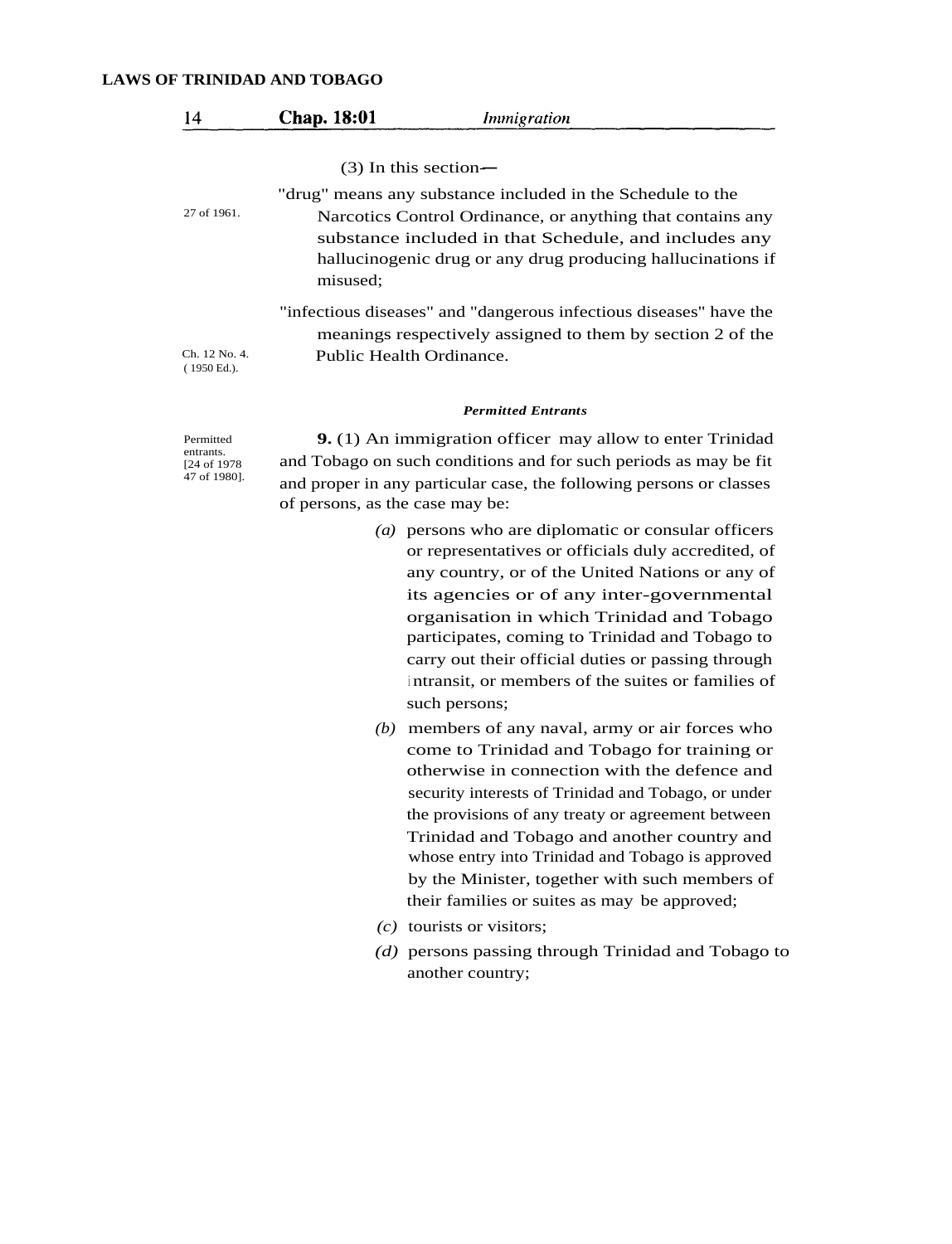| 14 | Chap. 18:01 | Immigration |  |
|----|-------------|-------------|--|
|----|-------------|-------------|--|

 $(3)$  In this section-

"drug" means any substance included in the Schedule to the

Narcotics Control Ordinance, or anything that contains any substance included in that Schedule, and includes any hallucinogenic drug or any drug producing hallucinations if misused;

"infectious diseases" and "dangerous infectious diseases" have the meanings respectively assigned to them by section 2 of the Public Health Ordinance.

Ch. 12 No. 4. ( 1950 Ed.).

27 of 1961.

#### *Permitted Entrants*

Permitted entrants. [24 of 1978 47 of 1980].

**9.** (1) An immigration officer may allow to enter Trinidad and Tobago on such conditions and for such periods as may be fit and proper in any particular case, the following persons or classes of persons, as the case may be:

- *(a)* persons who are diplomatic or consular officers or representatives or officials duly accredited, of any country, or of the United Nations or any of its agencies or of any inter-governmental organisation in which Trinidad and Tobago participates, coming to Trinidad and Tobago to carry out their official duties or passing through <sup>i</sup> ntransit, or members of the suites or families of such persons;
- *(b)* members of any naval, army or air forces who come to Trinidad and Tobago for training or otherwise in connection with the defence and security interests of Trinidad and Tobago, or under the provisions of any treaty or agreement between Trinidad and Tobago and another country and whose entry into Trinidad and Tobago is approved by the Minister, together with such members of their families or suites as may be approved;
- *(c)* tourists or visitors;
- *(d)* persons passing through Trinidad and Tobago to another country;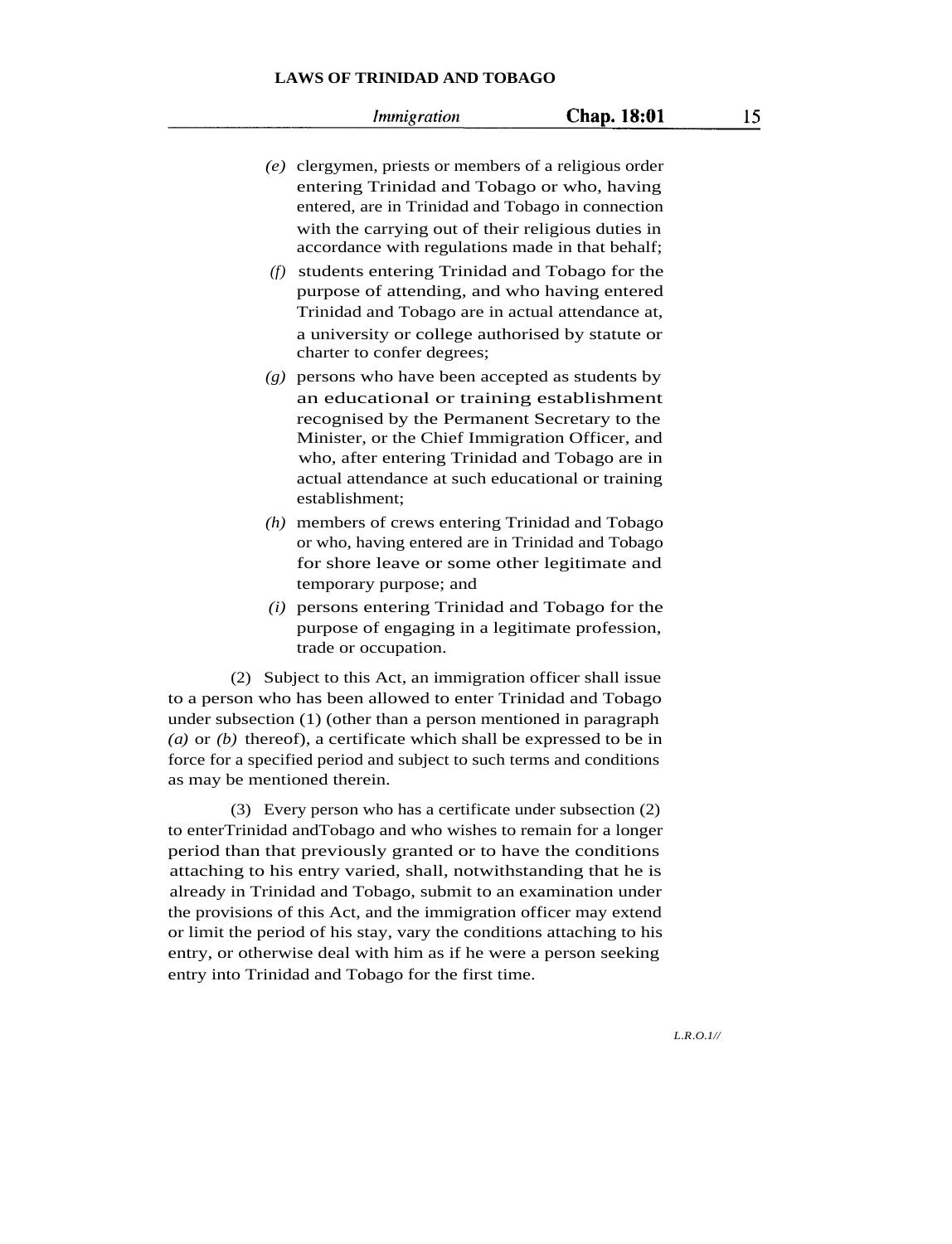*Immigration* 

- *(e)* clergymen, priests or members of a religious order entering Trinidad and Tobago or who, having entered, are in Trinidad and Tobago in connection with the carrying out of their religious duties in accordance with regulations made in that behalf;
	- *(f)* students entering Trinidad and Tobago for the purpose of attending, and who having entered Trinidad and Tobago are in actual attendance at, a university or college authorised by statute or charter to confer degrees;
- *(g)* persons who have been accepted as students by an educational or training establishment recognised by the Permanent Secretary to the Minister, or the Chief Immigration Officer, and who, after entering Trinidad and Tobago are in actual attendance at such educational or training establishment;
- *(h)* members of crews entering Trinidad and Tobago or who, having entered are in Trinidad and Tobago for shore leave or some other legitimate and temporary purpose; and
- *(i)* persons entering Trinidad and Tobago for the purpose of engaging in a legitimate profession, trade or occupation.

(2) Subject to this Act, an immigration officer shall issue to a person who has been allowed to enter Trinidad and Tobago under subsection (1) (other than a person mentioned in paragraph *(a)* or *(b)* thereof), a certificate which shall be expressed to be in force for a specified period and subject to such terms and conditions as may be mentioned therein.

(3) Every person who has a certificate under subsection (2) to enterTrinidad andTobago and who wishes to remain for a longer period than that previously granted or to have the conditions attaching to his entry varied, shall, notwithstanding that he is already in Trinidad and Tobago, submit to an examination under the provisions of this Act, and the immigration officer may extend or limit the period of his stay, vary the conditions attaching to his entry, or otherwise deal with him as if he were a person seeking entry into Trinidad and Tobago for the first time.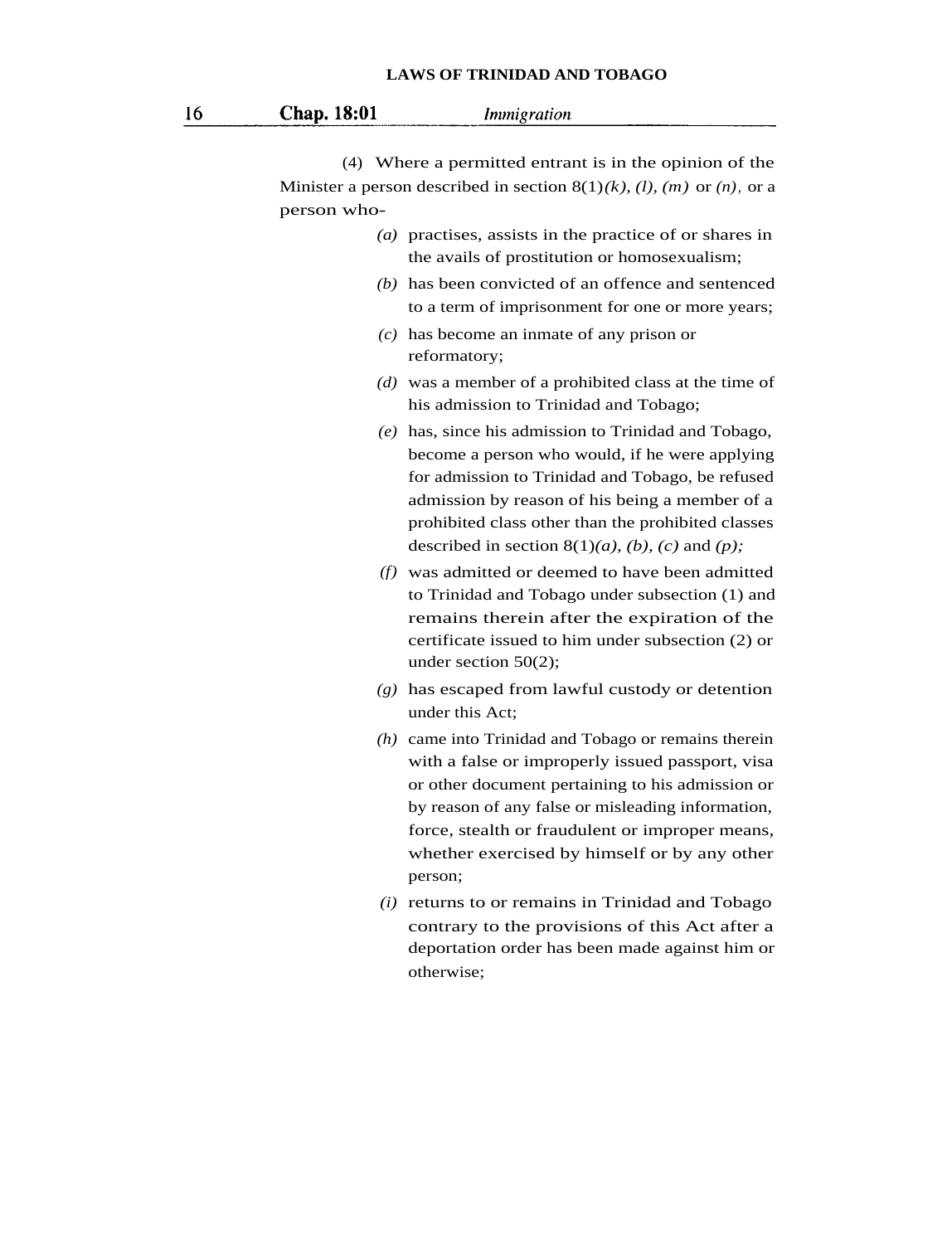|  |  |  |  |  |  | <b>LAWS OF TRINIDAD AND TOBAGO</b> |  |
|--|--|--|--|--|--|------------------------------------|--|
|--|--|--|--|--|--|------------------------------------|--|

| Chap. 18:01 | Immigration |
|-------------|-------------|
|             |             |

(4) Where a permitted entrant is in the opinion of the Minister a person described in section 8(1)*(k), (l), (m)* or *(n)*, or a person who-

- *(a)* practises, assists in the practice of or shares in the avails of prostitution or homosexualism;
- *(b)* has been convicted of an offence and sentenced to a term of imprisonment for one or more years;
- *(c)* has become an inmate of any prison or reformatory;
- *(d)* was a member of a prohibited class at the time of his admission to Trinidad and Tobago;
- *(e)* has, since his admission to Trinidad and Tobago, become a person who would, if he were applying for admission to Trinidad and Tobago, be refused admission by reason of his being a member of a prohibited class other than the prohibited classes described in section  $8(1)(a)$ , *(b)*, *(c)* and *(p)*;
- *(f)* was admitted or deemed to have been admitted to Trinidad and Tobago under subsection (1) and remains therein after the expiration of the certificate issued to him under subsection (2) or under section 50(2);
- *(g)* has escaped from lawful custody or detention under this Act;
- *(h)* came into Trinidad and Tobago or remains therein with a false or improperly issued passport, visa or other document pertaining to his admission or by reason of any false or misleading information, force, stealth or fraudulent or improper means, whether exercised by himself or by any other person;
- *(i)* returns to or remains in Trinidad and Tobago contrary to the provisions of this Act after a deportation order has been made against him or otherwise;

16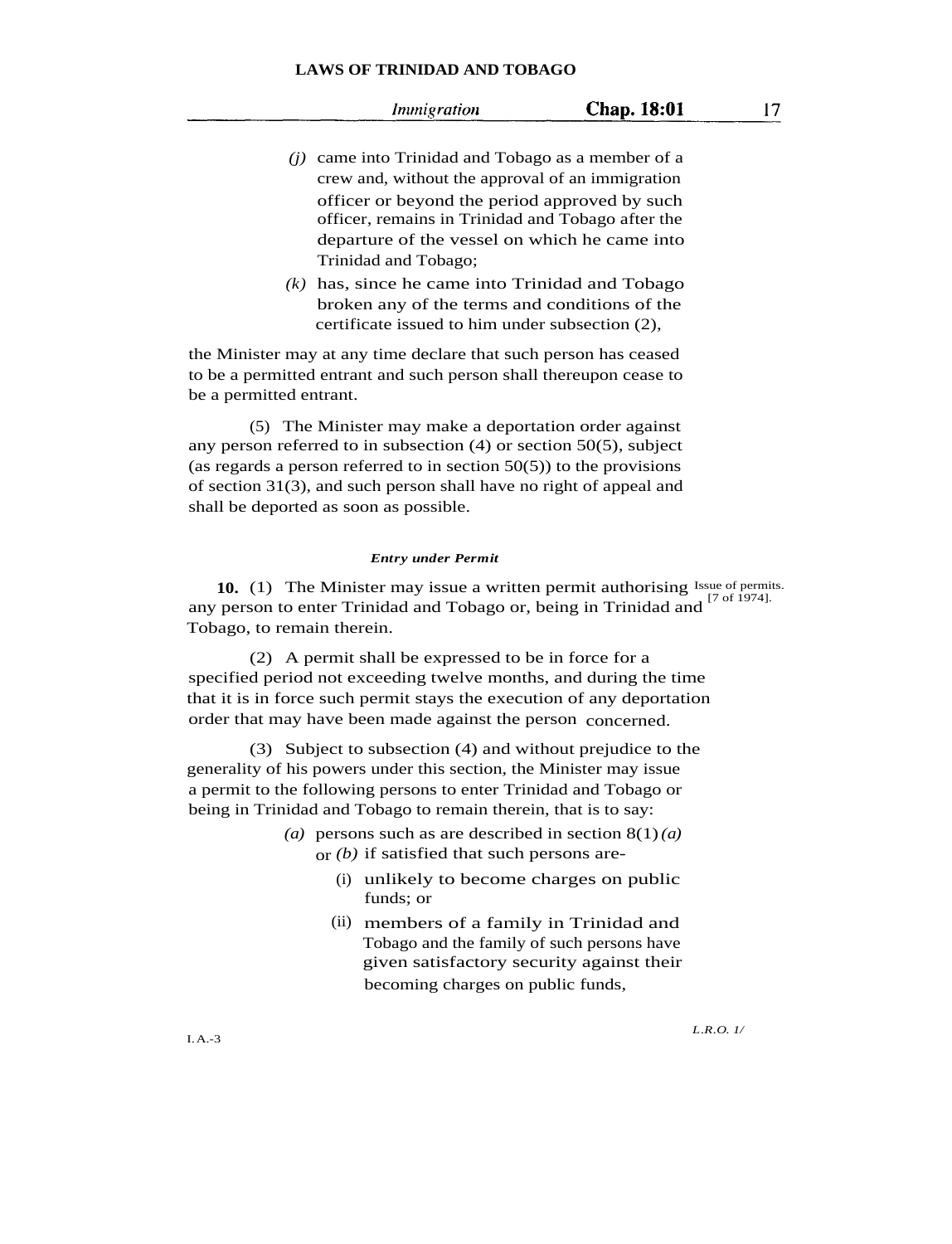17

- *(j)* came into Trinidad and Tobago as a member of a crew and, without the approval of an immigration officer or beyond the period approved by such officer, remains in Trinidad and Tobago after the departure of the vessel on which he came into Trinidad and Tobago;
- *(k)* has, since he came into Trinidad and Tobago broken any of the terms and conditions of the certificate issued to him under subsection (2),

the Minister may at any time declare that such person has ceased to be a permitted entrant and such person shall thereupon cease to be a permitted entrant.

(5) The Minister may make a deportation order against any person referred to in subsection (4) or section 50(5), subject (as regards a person referred to in section  $50(5)$ ) to the provisions of section 31(3), and such person shall have no right of appeal and shall be deported as soon as possible.

#### *Entry under Permit*

**10.** (1) The Minister may issue a written permit authorising  $\frac{I_{S}}{17.5640741}$ any person to enter Trinidad and Tobago or, being in Trinidad and <sup>[7 of 1974]</sup>. Tobago, to remain therein.

(2) A permit shall be expressed to be in force for a specified period not exceeding twelve months, and during the time that it is in force such permit stays the execution of any deportation order that may have been made against the person concerned.

(3) Subject to subsection (4) and without prejudice to the generality of his powers under this section, the Minister may issue a permit to the following persons to enter Trinidad and Tobago or being in Trinidad and Tobago to remain therein, that is to say:

- *(a)* persons such as are described in section 8(1)*(a)*
	- or *(b)* if satisfied that such persons are-
		- (i) unlikely to become charges on public funds; or
		- (ii) members of a family in Trinidad and Tobago and the family of such persons have given satisfactory security against their becoming charges on public funds,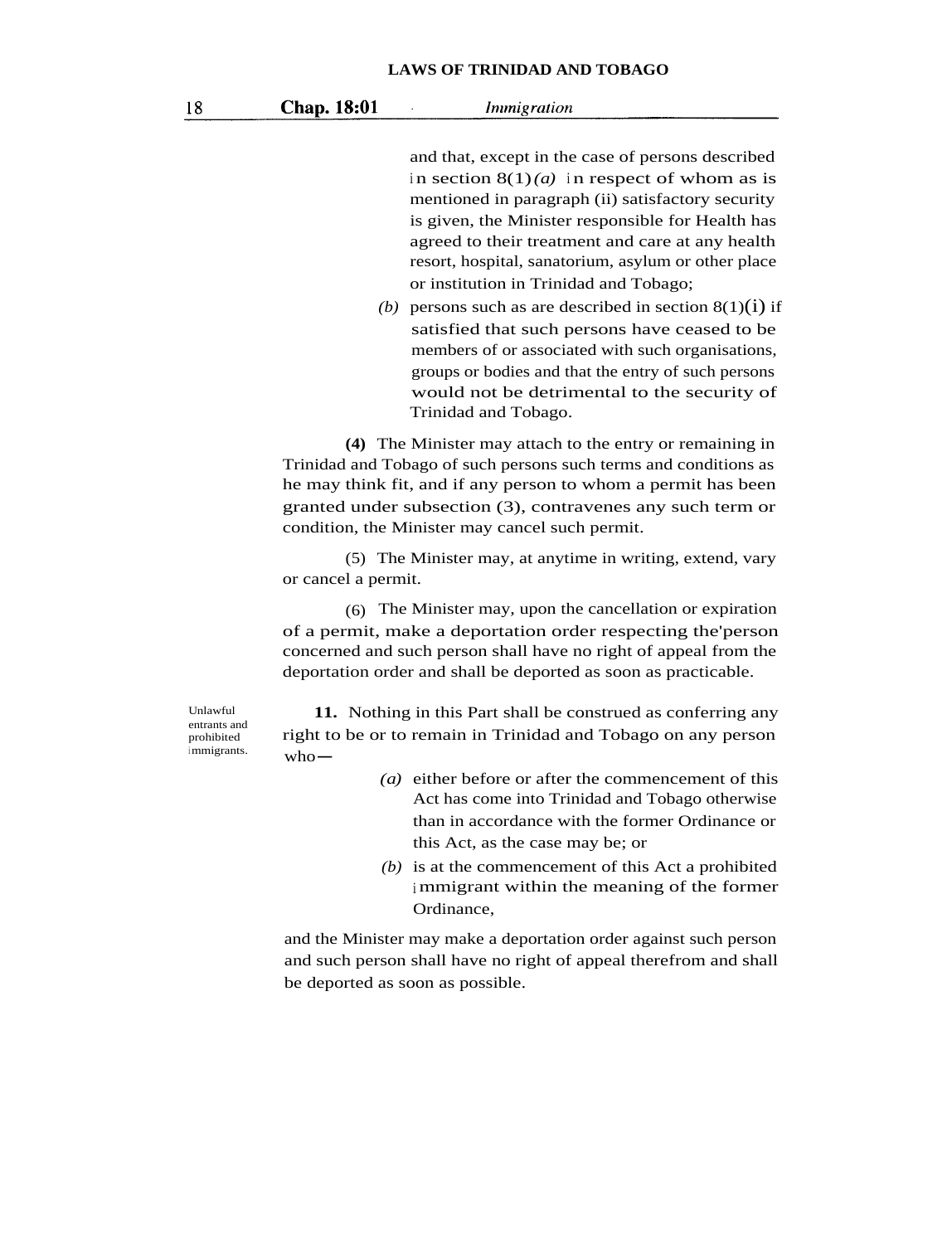and that, except in the case of persons described in section  $8(1)(a)$  in respect of whom as is mentioned in paragraph (ii) satisfactory security is given, the Minister responsible for Health has agreed to their treatment and care at any health resort, hospital, sanatorium, asylum or other place or institution in Trinidad and Tobago;

(b) persons such as are described in section  $8(1)(i)$  if satisfied that such persons have ceased to be members of or associated with such organisations, groups or bodies and that the entry of such persons would not be detrimental to the security of Trinidad and Tobago.

**(4)** The Minister may attach to the entry or remaining in Trinidad and Tobago of such persons such terms and conditions as he may think fit, and if any person to whom a permit has been granted under subsection (3), contravenes any such term or condition, the Minister may cancel such permit.

(5) The Minister may, at anytime in writing, extend, vary or cancel a permit.

(6) The Minister may, upon the cancellation or expiration of a permit, make a deportation order respecting the'person concerned and such person shall have no right of appeal from the deportation order and shall be deported as soon as practicable.

Unlawful entrants and prohibited immigrants.

**11.** Nothing in this Part shall be construed as conferring any right to be or to remain in Trinidad and Tobago on any person<br>who-

- *(a)* either before or after the commencement of this Act has come into Trinidad and Tobago otherwise than in accordance with the former Ordinance or this Act, as the case may be; or
- *(b)* is at the commencement of this Act a prohibited <sup>i</sup> mmigrant within the meaning of the former Ordinance,

and the Minister may make a deportation order against such person and such person shall have no right of appeal therefrom and shall be deported as soon as possible.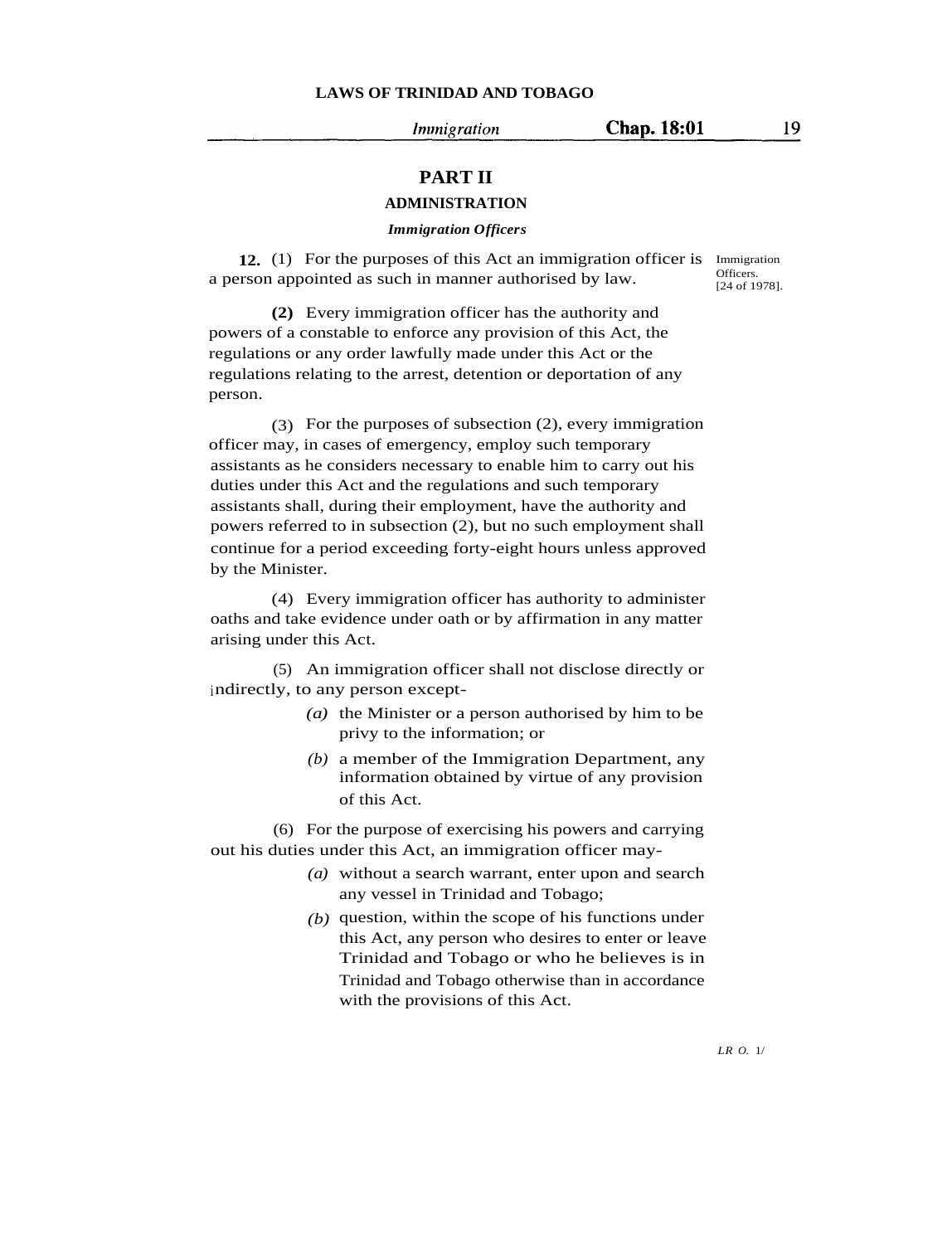Immigration

## **PART II**

### **ADMINISTRATION**

#### *Immigration Officers*

**12.** (1) For the purposes of this Act an immigration officer is Immigration a person appointed as such in manner authorised by law.

Officers. [24 of 1978].

**(2)** Every immigration officer has the authority and powers of a constable to enforce any provision of this Act, the regulations or any order lawfully made under this Act or the regulations relating to the arrest, detention or deportation of any person.

(3) For the purposes of subsection (2), every immigration officer may, in cases of emergency, employ such temporary assistants as he considers necessary to enable him to carry out his duties under this Act and the regulations and such temporary assistants shall, during their employment, have the authority and powers referred to in subsection (2), but no such employment shall continue for a period exceeding forty-eight hours unless approved by the Minister.

(4) Every immigration officer has authority to administer oaths and take evidence under oath or by affirmation in any matter arising under this Act.

(5) An immigration officer shall not disclose directly or indirectly, to any person except-

- *(a)* the Minister or a person authorised by him to be privy to the information; or
- *(b)* a member of the Immigration Department, any information obtained by virtue of any provision of this Act.

(6) For the purpose of exercising his powers and carrying out his duties under this Act, an immigration officer may-

- *(a)* without a search warrant, enter upon and search any vessel in Trinidad and Tobago;
- *(b)* question, within the scope of his functions under this Act, any person who desires to enter or leave Trinidad and Tobago or who he believes is in Trinidad and Tobago otherwise than in accordance with the provisions of this Act.

*LR O.* 1/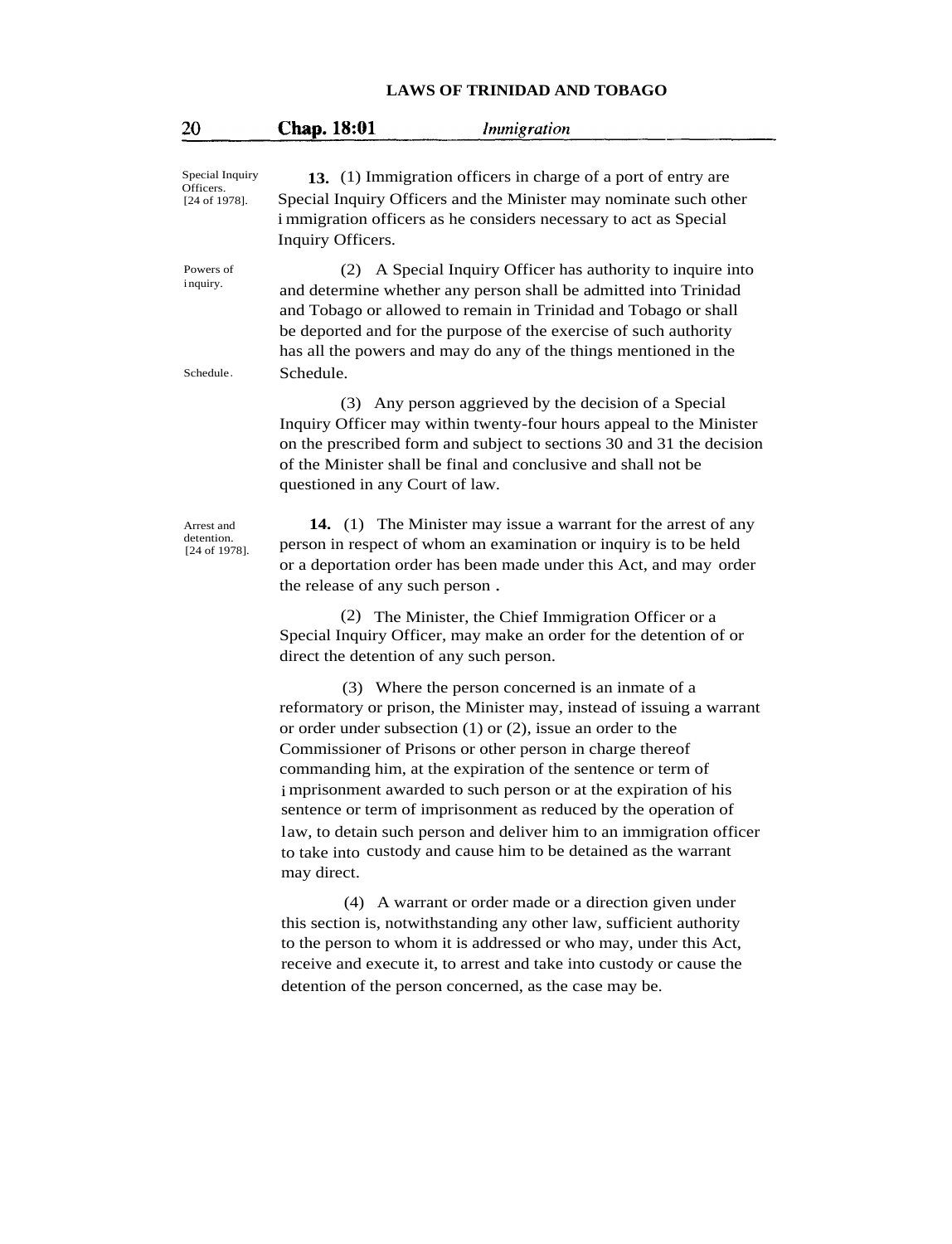| 20                                            | Chap. 18:01<br>Inunigration                                                                                                                                                                                                                                                                                                                                                                                                                                                                                                                                                                                                  |
|-----------------------------------------------|------------------------------------------------------------------------------------------------------------------------------------------------------------------------------------------------------------------------------------------------------------------------------------------------------------------------------------------------------------------------------------------------------------------------------------------------------------------------------------------------------------------------------------------------------------------------------------------------------------------------------|
| Special Inquiry<br>Officers.<br>[24 of 1978]. | 13. (1) Immigration officers in charge of a port of entry are<br>Special Inquiry Officers and the Minister may nominate such other<br>i mmigration officers as he considers necessary to act as Special<br>Inquiry Officers.                                                                                                                                                                                                                                                                                                                                                                                                 |
| Powers of<br>inquiry.<br>Schedule.            | A Special Inquiry Officer has authority to inquire into<br>(2)<br>and determine whether any person shall be admitted into Trinidad<br>and Tobago or allowed to remain in Trinidad and Tobago or shall<br>be deported and for the purpose of the exercise of such authority<br>has all the powers and may do any of the things mentioned in the<br>Schedule.                                                                                                                                                                                                                                                                  |
|                                               | (3) Any person aggrieved by the decision of a Special<br>Inquiry Officer may within twenty-four hours appeal to the Minister<br>on the prescribed form and subject to sections 30 and 31 the decision<br>of the Minister shall be final and conclusive and shall not be<br>questioned in any Court of law.                                                                                                                                                                                                                                                                                                                   |
| Arrest and<br>detention.<br>[24 of 1978].     | 14. (1) The Minister may issue a warrant for the arrest of any<br>person in respect of whom an examination or inquiry is to be held<br>or a deportation order has been made under this Act, and may order<br>the release of any such person.                                                                                                                                                                                                                                                                                                                                                                                 |
|                                               | (2) The Minister, the Chief Immigration Officer or a<br>Special Inquiry Officer, may make an order for the detention of or<br>direct the detention of any such person.                                                                                                                                                                                                                                                                                                                                                                                                                                                       |
|                                               | (3) Where the person concerned is an inmate of a<br>reformatory or prison, the Minister may, instead of issuing a warrant<br>or order under subsection $(1)$ or $(2)$ , issue an order to the<br>Commissioner of Prisons or other person in charge thereof<br>commanding him, at the expiration of the sentence or term of<br>i mprisonment awarded to such person or at the expiration of his<br>sentence or term of imprisonment as reduced by the operation of<br>law, to detain such person and deliver him to an immigration officer<br>to take into custody and cause him to be detained as the warrant<br>may direct. |
|                                               | (4) A warrant or order made or a direction given under<br>this section is, notwithstanding any other law, sufficient authority<br>to the person to whom it is addressed or who may, under this Act,<br>receive and execute it, to arrest and take into custody or cause the<br>detention of the person concerned, as the case may be.                                                                                                                                                                                                                                                                                        |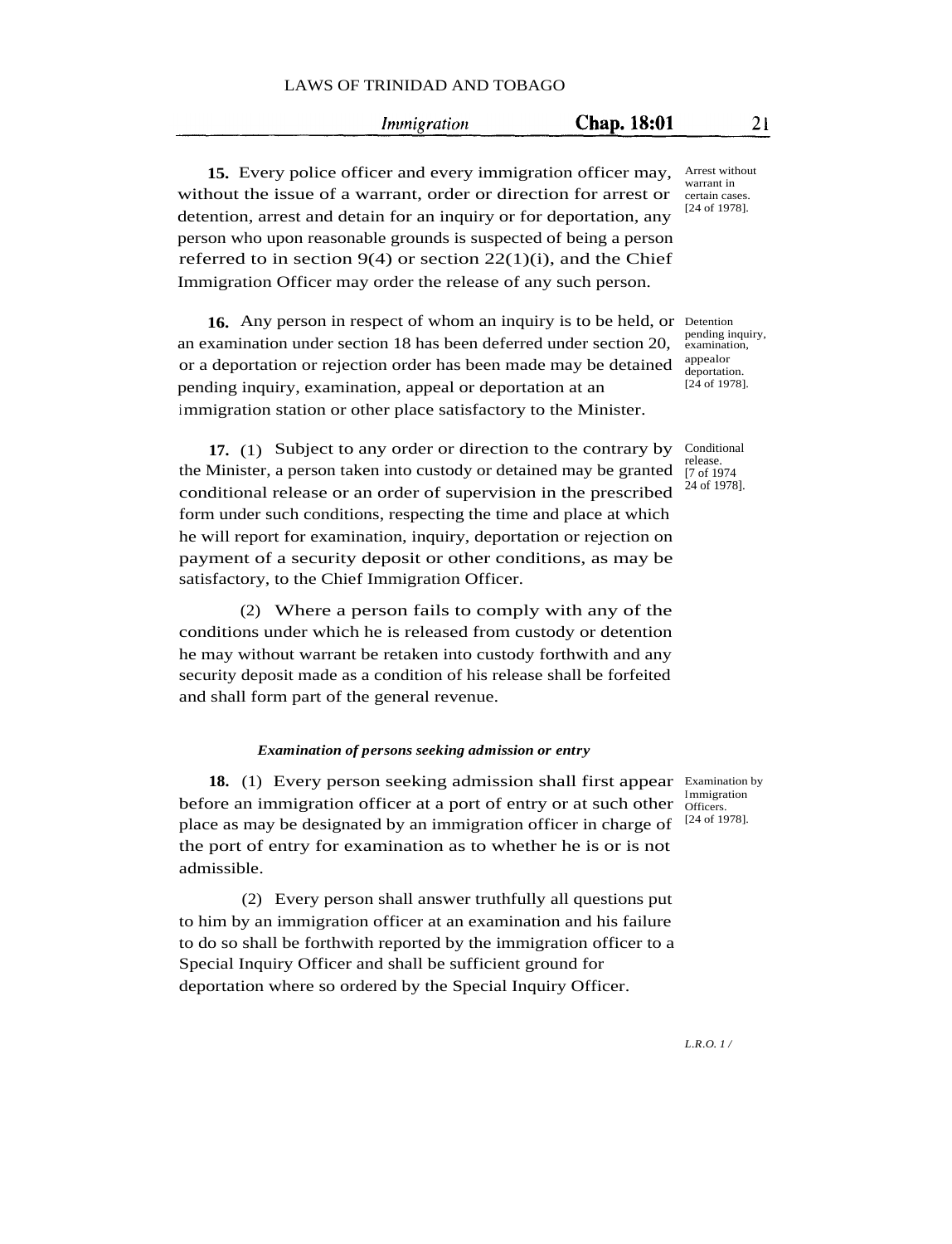*Immigration* 

**15.** Every police officer and every immigration officer may, without the issue of a warrant, order or direction for arrest or detention, arrest and detain for an inquiry or for deportation, any person who upon reasonable grounds is suspected of being a person referred to in section  $9(4)$  or section  $22(1)(i)$ , and the Chief Immigration Officer may order the release of any such person.

16. Any person in respect of whom an inquiry is to be held, or Detention an examination under section 18 has been deferred under section 20, or a deportation or rejection order has been made may be detained pending inquiry, examination, appeal or deportation at an immigration station or other place satisfactory to the Minister.

**17.** (1) Subject to any order or direction to the contrary by the Minister, a person taken into custody or detained may be granted conditional release or an order of supervision in the prescribed form under such conditions, respecting the time and place at which he will report for examination, inquiry, deportation or rejection on payment of a security deposit or other conditions, as may be satisfactory, to the Chief Immigration Officer.

(2) Where a person fails to comply with any of the conditions under which he is released from custody or detention he may without warrant be retaken into custody forthwith and any security deposit made as a condition of his release shall be forfeited and shall form part of the general revenue.

#### *Examination of persons seeking admission or entry*

18. (1) Every person seeking admission shall first appear Examination by before an immigration officer at a port of entry or at such other place as may be designated by an immigration officer in charge of the port of entry for examination as to whether he is or is not admissible.

(2) Every person shall answer truthfully all questions put to him by an immigration officer at an examination and his failure to do so shall be forthwith reported by the immigration officer to a Special Inquiry Officer and shall be sufficient ground for deportation where so ordered by the Special Inquiry Officer.

pending inquiry,

examination, appealor deportation [24 of 1978].

Conditional release. [7 of 1974 24 of 1978].

Immigration Officers. [24 of 1978].

Arrest without warrant in certain cases. [24 of 1978].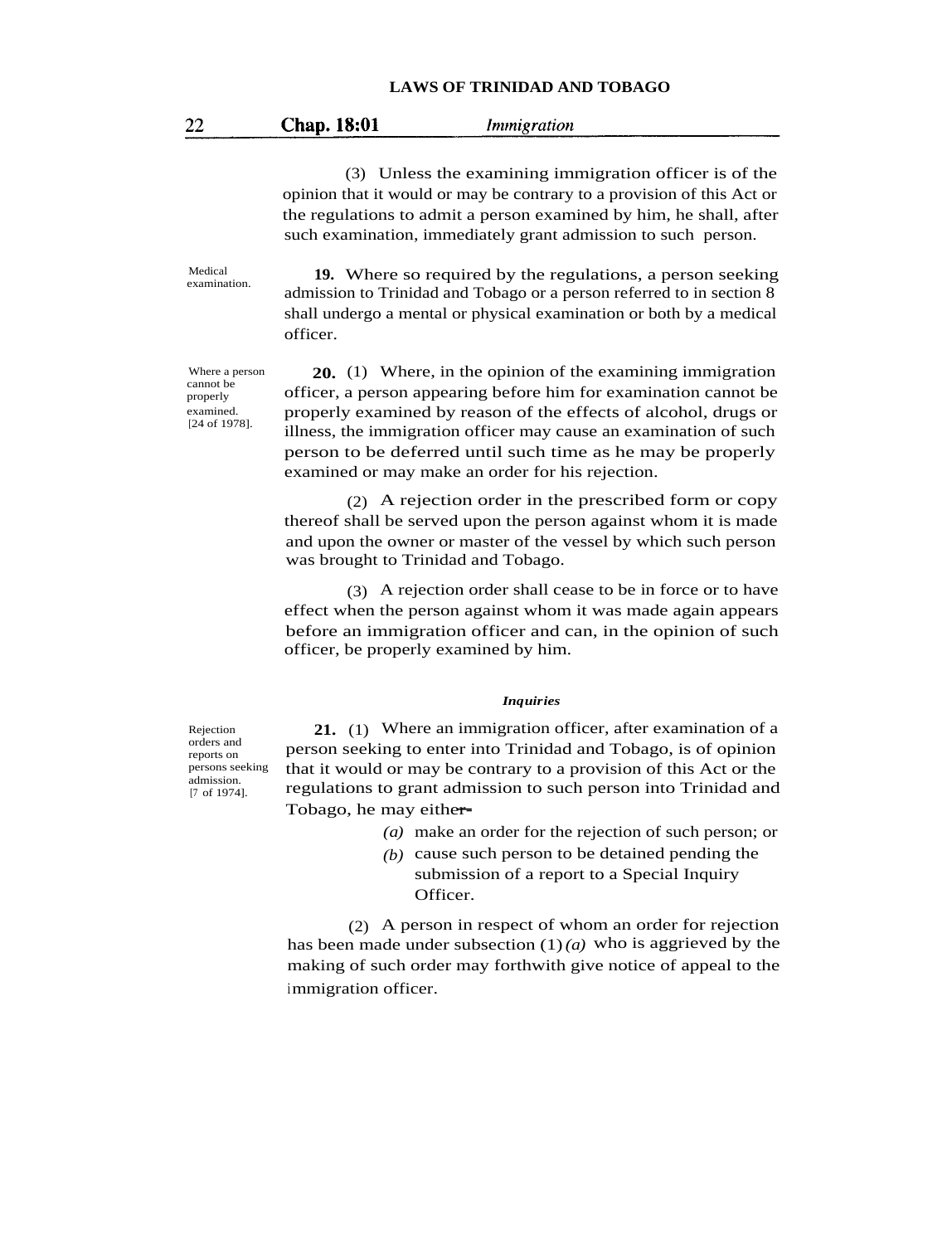| 22 | <b>Chap.</b> 18:01 | Immigration |  |
|----|--------------------|-------------|--|
|----|--------------------|-------------|--|

(3) Unless the examining immigration officer is of the opinion that it would or may be contrary to a provision of this Act or the regulations to admit a person examined by him, he shall, after such examination, immediately grant admission to such person.

**19.** Where so required by the regulations, a person seeking admission to Trinidad and Tobago or a person referred to in section 8 shall undergo a mental or physical examination or both by a medical officer.

Where a person cannot be properly examined. [24 of 1978].

Medical examination.

> **20.** (1) Where, in the opinion of the examining immigration officer, a person appearing before him for examination cannot be properly examined by reason of the effects of alcohol, drugs or illness, the immigration officer may cause an examination of such person to be deferred until such time as he may be properly examined or may make an order for his rejection.

> (2) A rejection order in the prescribed form or copy thereof shall be served upon the person against whom it is made and upon the owner or master of the vessel by which such person was brought to Trinidad and Tobago.

> (3) A rejection order shall cease to be in force or to have effect when the person against whom it was made again appears before an immigration officer and can, in the opinion of such officer, be properly examined by him.

#### *Inquiries*

**21.** (1) Where an immigration officer, after examination of a person seeking to enter into Trinidad and Tobago, is of opinion that it would or may be contrary to a provision of this Act or the regulations to grant admission to such person into Trinidad and<br>Tobago, he may either-

- *(a)* make an order for the rejection of such person; or
- *(b)* cause such person to be detained pending the submission of a report to a Special Inquiry Officer.

(2) A person in respect of whom an order for rejection has been made under subsection (1)*(a)* who is aggrieved by the making of such order may forthwith give notice of appeal to the immigration officer.

Rejection orders and reports on persons seeking admission. [7 of 1974].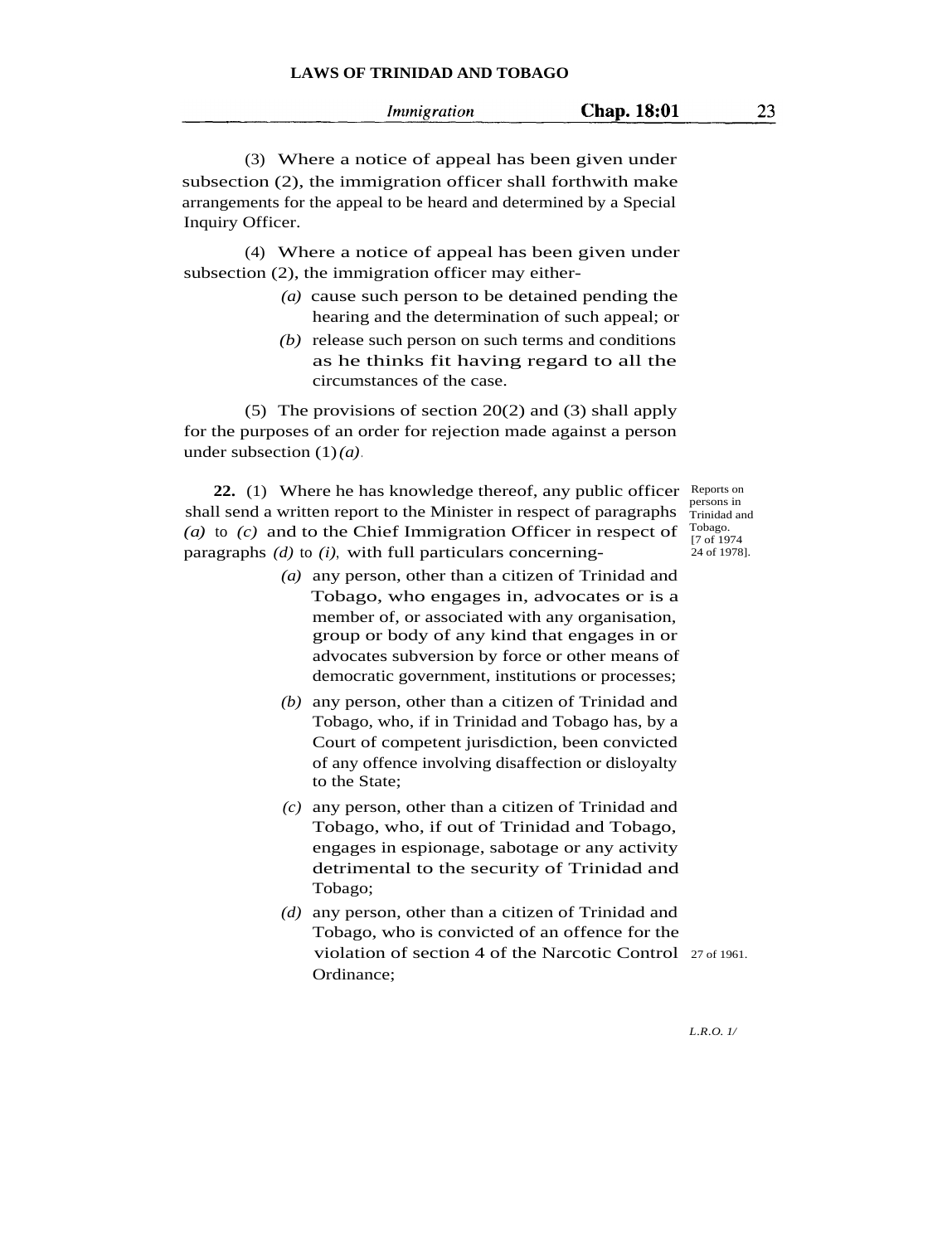| Immigration | Chap. 18:01 | 23. |
|-------------|-------------|-----|
|             |             |     |

(3) Where a notice of appeal has been given under subsection (2), the immigration officer shall forthwith make arrangements for the appeal to be heard and determined by a Special Inquiry Officer.

(4) Where a notice of appeal has been given under subsection (2), the immigration officer may either-

- *(a)* cause such person to be detained pending the hearing and the determination of such appeal; or
- *(b)* release such person on such terms and conditions as he thinks fit having regard to all the circumstances of the case.

(5) The provisions of section 20(2) and (3) shall apply for the purposes of an order for rejection made against a person under subsection (1)*(a)*.

22. (1) Where he has knowledge thereof, any public officer Reports on shall send a written report to the Minister in respect of paragraphs *(a)* to *(c)* and to the Chief Immigration Officer in respect of paragraphs *(d)* to *(i)*, with full particulars concerning-

- *(a)* any person, other than a citizen of Trinidad and Tobago, who engages in, advocates or is a member of, or associated with any organisation, group or body of any kind that engages in or advocates subversion by force or other means of democratic government, institutions or processes;
- *(b)* any person, other than a citizen of Trinidad and Tobago, who, if in Trinidad and Tobago has, by a Court of competent jurisdiction, been convicted of any offence involving disaffection or disloyalty to the State;
- *(c)* any person, other than a citizen of Trinidad and Tobago, who, if out of Trinidad and Tobago, engages in espionage, sabotage or any activity detrimental to the security of Trinidad and Tobago;
- *(d)* any person, other than a citizen of Trinidad and Tobago, who is convicted of an offence for the violation of section 4 of the Narcotic Control 27 of 1961. Ordinance;

persons in Trinidad and Tobago. [7 of 1974 24 of 1978].

*L.R.O. 1/*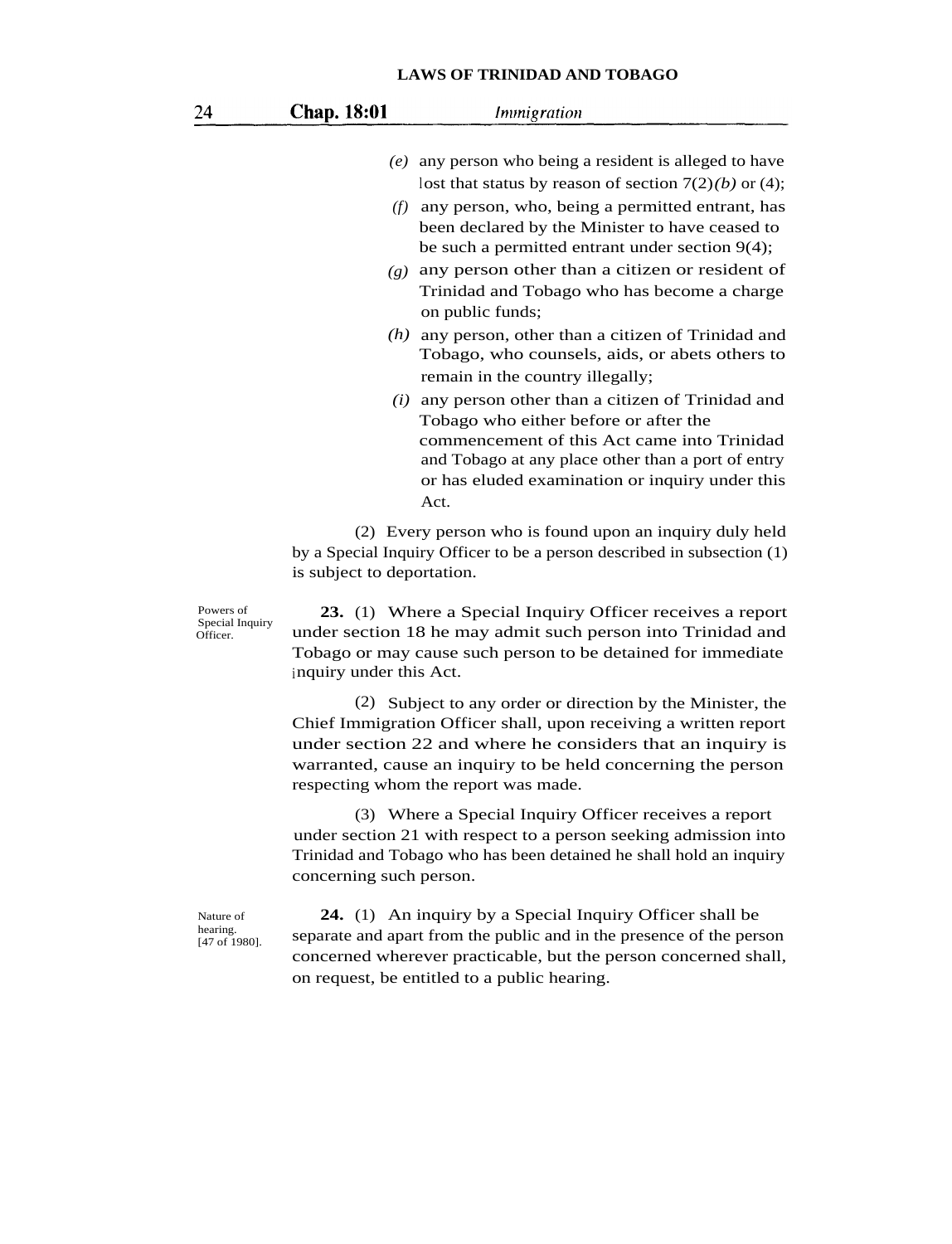| 24                                       | <b>Chap. 18:01</b>                                                                                                                                                                                                         | Immigration                                                                                                                                                                                                                                                                                      |  |
|------------------------------------------|----------------------------------------------------------------------------------------------------------------------------------------------------------------------------------------------------------------------------|--------------------------------------------------------------------------------------------------------------------------------------------------------------------------------------------------------------------------------------------------------------------------------------------------|--|
|                                          |                                                                                                                                                                                                                            | $(e)$ any person who being a resident is alleged to have<br>lost that status by reason of section $7(2)(b)$ or (4);                                                                                                                                                                              |  |
|                                          |                                                                                                                                                                                                                            | $(f)$ any person, who, being a permitted entrant, has<br>been declared by the Minister to have ceased to<br>be such a permitted entrant under section $9(4)$ ;                                                                                                                                   |  |
|                                          | (g)                                                                                                                                                                                                                        | any person other than a citizen or resident of<br>Trinidad and Tobago who has become a charge<br>on public funds;                                                                                                                                                                                |  |
|                                          |                                                                                                                                                                                                                            | $(h)$ any person, other than a citizen of Trinidad and<br>Tobago, who counsels, aids, or abets others to<br>remain in the country illegally;                                                                                                                                                     |  |
|                                          |                                                                                                                                                                                                                            | $(i)$ any person other than a citizen of Trinidad and<br>Tobago who either before or after the<br>commencement of this Act came into Trinidad<br>and Tobago at any place other than a port of entry<br>or has eluded examination or inquiry under this<br>Act.                                   |  |
|                                          | is subject to deportation.                                                                                                                                                                                                 | (2) Every person who is found upon an inquiry duly held<br>by a Special Inquiry Officer to be a person described in subsection (1)                                                                                                                                                               |  |
| Powers of<br>Special Inquiry<br>Officer. | 23. (1) Where a Special Inquiry Officer receives a report<br>under section 18 he may admit such person into Trinidad and<br>Tobago or may cause such person to be detained for immediate<br>inquiry under this Act.        |                                                                                                                                                                                                                                                                                                  |  |
|                                          | (2)                                                                                                                                                                                                                        | Subject to any order or direction by the Minister, the<br>Chief Immigration Officer shall, upon receiving a written report<br>under section 22 and where he considers that an inquiry is<br>warranted, cause an inquiry to be held concerning the person<br>respecting whom the report was made. |  |
|                                          | (3) Where a Special Inquiry Officer receives a report<br>under section 21 with respect to a person seeking admission into<br>Trinidad and Tobago who has been detained he shall hold an inquiry<br>concerning such person. |                                                                                                                                                                                                                                                                                                  |  |
| Nature of<br>hearing.<br>[47 of 1980].   |                                                                                                                                                                                                                            | 24. (1) An inquiry by a Special Inquiry Officer shall be<br>separate and apart from the public and in the presence of the person<br>concerned wherever practicable, but the person concerned shall,<br>on request, be entitled to a public hearing.                                              |  |
|                                          |                                                                                                                                                                                                                            |                                                                                                                                                                                                                                                                                                  |  |
|                                          |                                                                                                                                                                                                                            |                                                                                                                                                                                                                                                                                                  |  |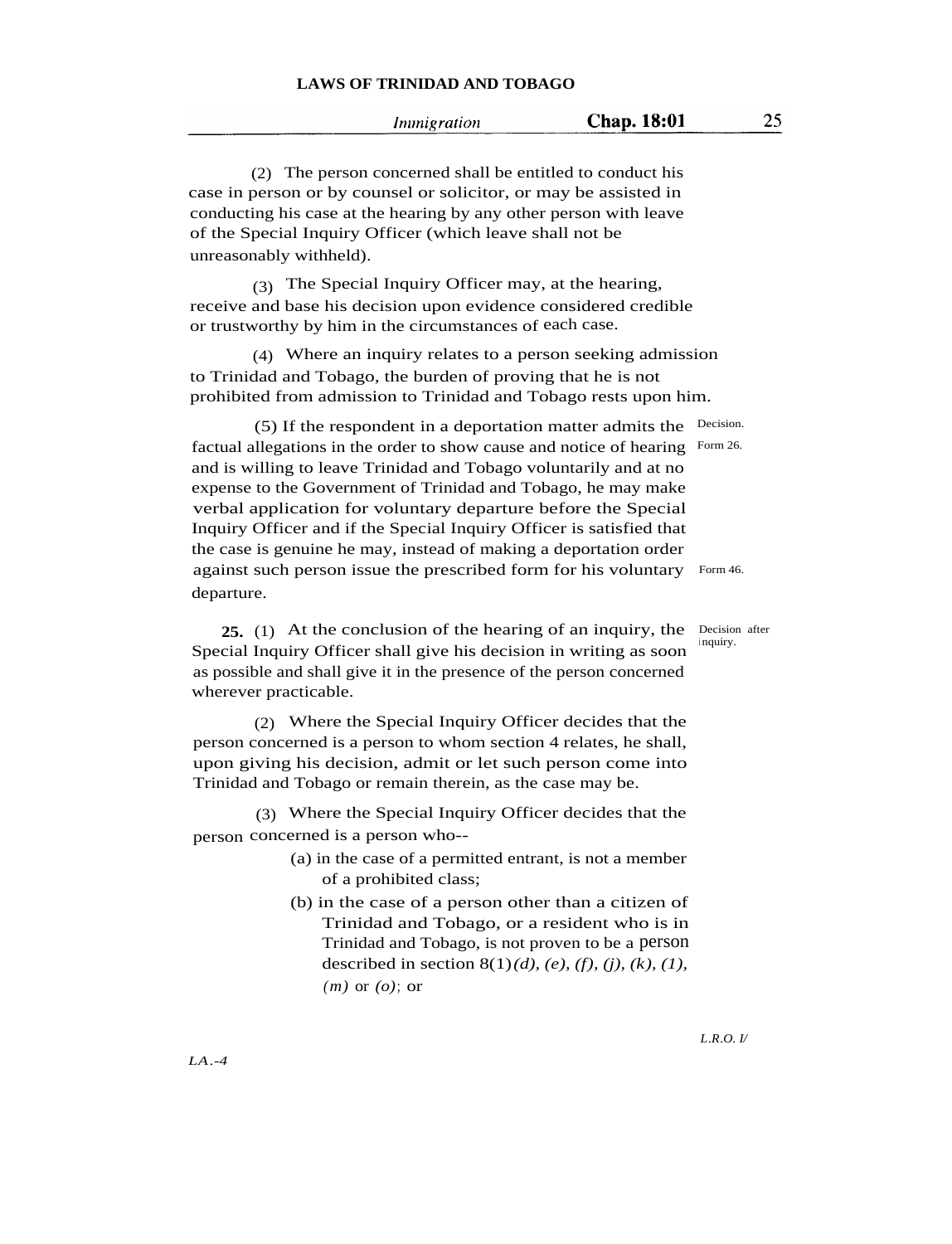|  | Immigration |
|--|-------------|

25

(2) The person concerned shall be entitled to conduct his case in person or by counsel or solicitor, or may be assisted in conducting his case at the hearing by any other person with leave of the Special Inquiry Officer (which leave shall not be unreasonably withheld).

(3) The Special Inquiry Officer may, at the hearing, receive and base his decision upon evidence considered credible or trustworthy by him in the circumstances of each case.

(4) Where an inquiry relates to a person seeking admission to Trinidad and Tobago, the burden of proving that he is not prohibited from admission to Trinidad and Tobago rests upon him.

(5) If the respondent in a deportation matter admits the Decision. factual allegations in the order to show cause and notice of hearing Form 26. and is willing to leave Trinidad and Tobago voluntarily and at no expense to the Government of Trinidad and Tobago, he may make verbal application for voluntary departure before the Special Inquiry Officer and if the Special Inquiry Officer is satisfied that the case is genuine he may, instead of making a deportation order against such person issue the prescribed form for his voluntary Form 46. departure.

**25.** (1) At the conclusion of the hearing of an inquiry, the Decision after Special Inquiry Officer shall give his decision in writing as soon as possible and shall give it in the presence of the person concerned wherever practicable.

(2) Where the Special Inquiry Officer decides that the person concerned is a person to whom section 4 relates, he shall, upon giving his decision, admit or let such person come into Trinidad and Tobago or remain therein, as the case may be.

person concerned is a person who-- (3) Where the Special Inquiry Officer decides that the

- (a) in the case of a permitted entrant, is not a member of a prohibited class;
- (b) in the case of a person other than a citizen of Trinidad and Tobago, or a resident who is in Trinidad and Tobago, is not proven to be a person described in section 8(1)*(d), (e), (f), (j), (k), (1), (m)* or *(o)*; or

<sup>i</sup> nquiry.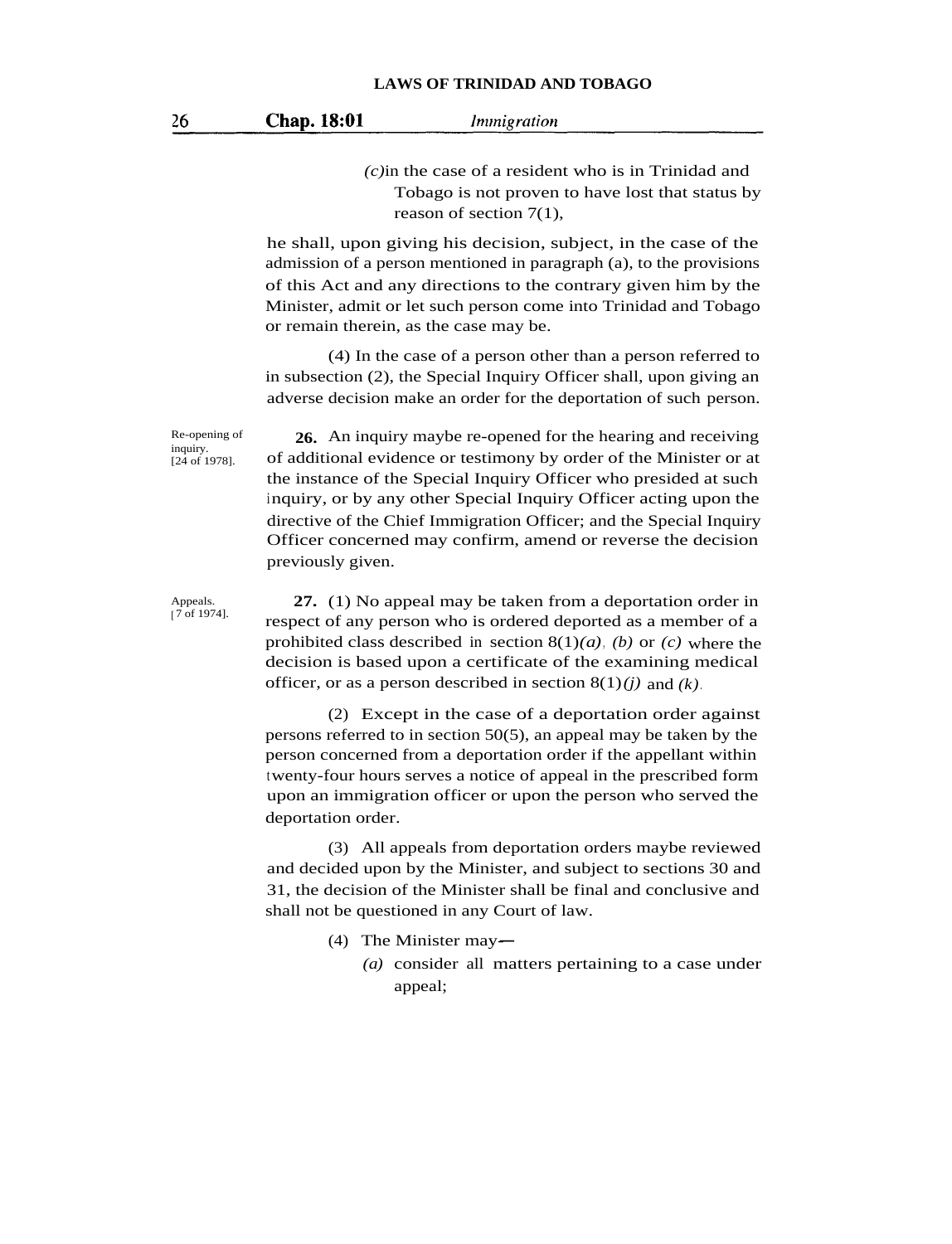*(c)*in the case of a resident who is in Trinidad and Tobago is not proven to have lost that status by reason of section 7(1),

he shall, upon giving his decision, subject, in the case of the admission of a person mentioned in paragraph (a), to the provisions of this Act and any directions to the contrary given him by the Minister, admit or let such person come into Trinidad and Tobago or remain therein, as the case may be.

(4) In the case of a person other than a person referred to in subsection (2), the Special Inquiry Officer shall, upon giving an adverse decision make an order for the deportation of such person.

**26.** An inquiry maybe re-opened for the hearing and receiving of additional evidence or testimony by order of the Minister or at the instance of the Special Inquiry Officer who presided at such inquiry, or by any other Special Inquiry Officer acting upon the directive of the Chief Immigration Officer; and the Special Inquiry Officer concerned may confirm, amend or reverse the decision previously given.

Appeals.  $\int$  7 of 1974].

Re-opening of inquiry. [24 of 1978].

> **27.** (1) No appeal may be taken from a deportation order in respect of any person who is ordered deported as a member of a prohibited class described in section 8(1)*(a)*, *(b)* or *(c)* where the decision is based upon a certificate of the examining medical officer, or as a person described in section 8(1)*(j)* and *(k)*.

> (2) Except in the case of a deportation order against persons referred to in section 50(5), an appeal may be taken by the person concerned from a deportation order if the appellant within twenty-four hours serves a notice of appeal in the prescribed form upon an immigration officer or upon the person who served the deportation order.

> (3) All appeals from deportation orders maybe reviewed and decided upon by the Minister, and subject to sections 30 and 31, the decision of the Minister shall be final and conclusive and shall not be questioned in any Court of law.

- (4) The Minister may-
	- *(a)* consider all matters pertaining to a case under appeal;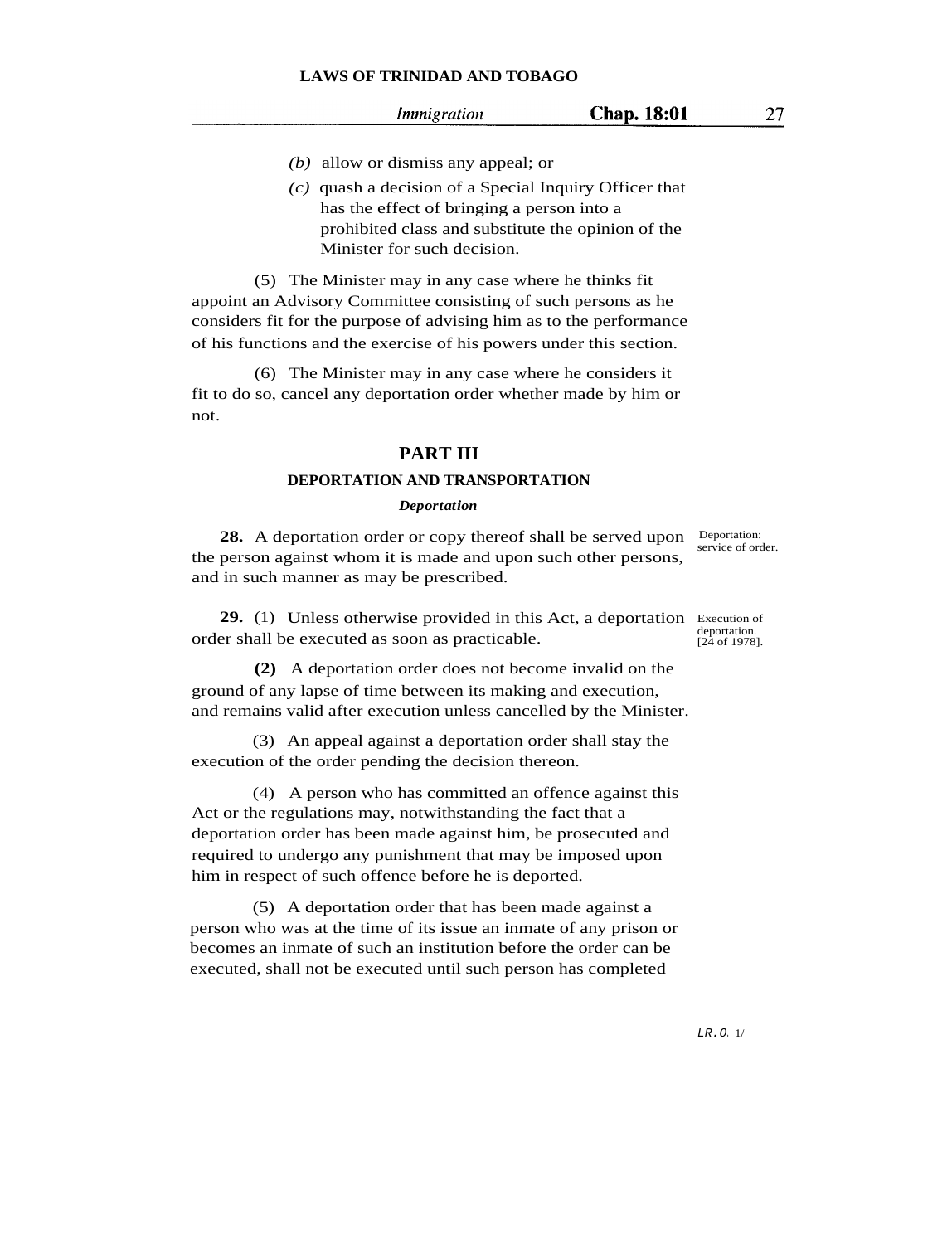- *(b)* allow or dismiss any appeal; or
- *(c)* quash a decision of a Special Inquiry Officer that has the effect of bringing a person into a prohibited class and substitute the opinion of the Minister for such decision.

(5) The Minister may in any case where he thinks fit appoint an Advisory Committee consisting of such persons as he considers fit for the purpose of advising him as to the performance of his functions and the exercise of his powers under this section.

(6) The Minister may in any case where he considers it fit to do so, cancel any deportation order whether made by him or not.

## **PART III**

### **DEPORTATION AND TRANSPORTATION**

#### *Deportation*

28. A deportation order or copy thereof shall be served upon Deportation: the person against whom it is made and upon such other persons, and in such manner as may be prescribed.

29. (1) Unless otherwise provided in this Act, a deportation Execution of order shall be executed as soon as practicable.

**(2)** A deportation order does not become invalid on the ground of any lapse of time between its making and execution, and remains valid after execution unless cancelled by the Minister.

(3) An appeal against a deportation order shall stay the execution of the order pending the decision thereon.

(4) A person who has committed an offence against this Act or the regulations may, notwithstanding the fact that a deportation order has been made against him, be prosecuted and required to undergo any punishment that may be imposed upon him in respect of such offence before he is deported.

(5) A deportation order that has been made against a person who was at the time of its issue an inmate of any prison or becomes an inmate of such an institution before the order can be executed, shall not be executed until such person has completed

service of order.

27

deportation. [24 of 1978].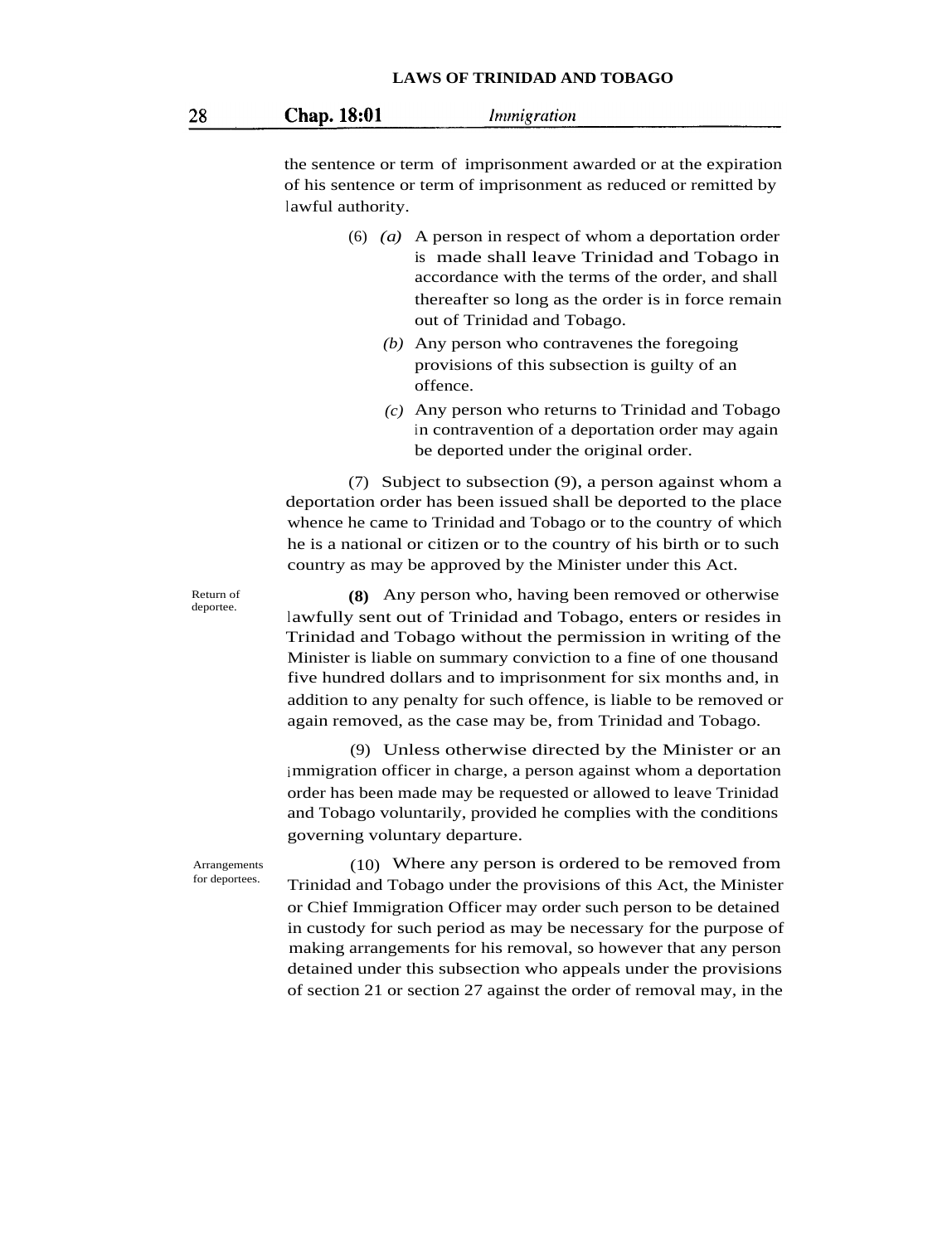| 28 | Chap. 18:01 | Immigration |
|----|-------------|-------------|
|    |             |             |

the sentence or term of imprisonment awarded or at the expiration of his sentence or term of imprisonment as reduced or remitted by lawful authority.

- (6) *(a)* A person in respect of whom a deportation order is made shall leave Trinidad and Tobago in accordance with the terms of the order, and shall thereafter so long as the order is in force remain out of Trinidad and Tobago.
	- *(b)* Any person who contravenes the foregoing provisions of this subsection is guilty of an offence.
	- *(c)* Any person who returns to Trinidad and Tobago in contravention of a deportation order may again be deported under the original order.

(7) Subject to subsection (9), a person against whom a deportation order has been issued shall be deported to the place whence he came to Trinidad and Tobago or to the country of which he is a national or citizen or to the country of his birth or to such country as may be approved by the Minister under this Act.

Return of deportee.

Arrangements for deportees.

**(8)** Any person who, having been removed or otherwise lawfully sent out of Trinidad and Tobago, enters or resides in Trinidad and Tobago without the permission in writing of the Minister is liable on summary conviction to a fine of one thousand five hundred dollars and to imprisonment for six months and, in addition to any penalty for such offence, is liable to be removed or again removed, as the case may be, from Trinidad and Tobago.

(9) Unless otherwise directed by the Minister or an immigration officer in charge, a person against whom a deportation order has been made may be requested or allowed to leave Trinidad and Tobago voluntarily, provided he complies with the conditions governing voluntary departure.

(10) Where any person is ordered to be removed from Trinidad and Tobago under the provisions of this Act, the Minister or Chief Immigration Officer may order such person to be detained in custody for such period as may be necessary for the purpose of making arrangements for his removal, so however that any person detained under this subsection who appeals under the provisions of section 21 or section 27 against the order of removal may, in the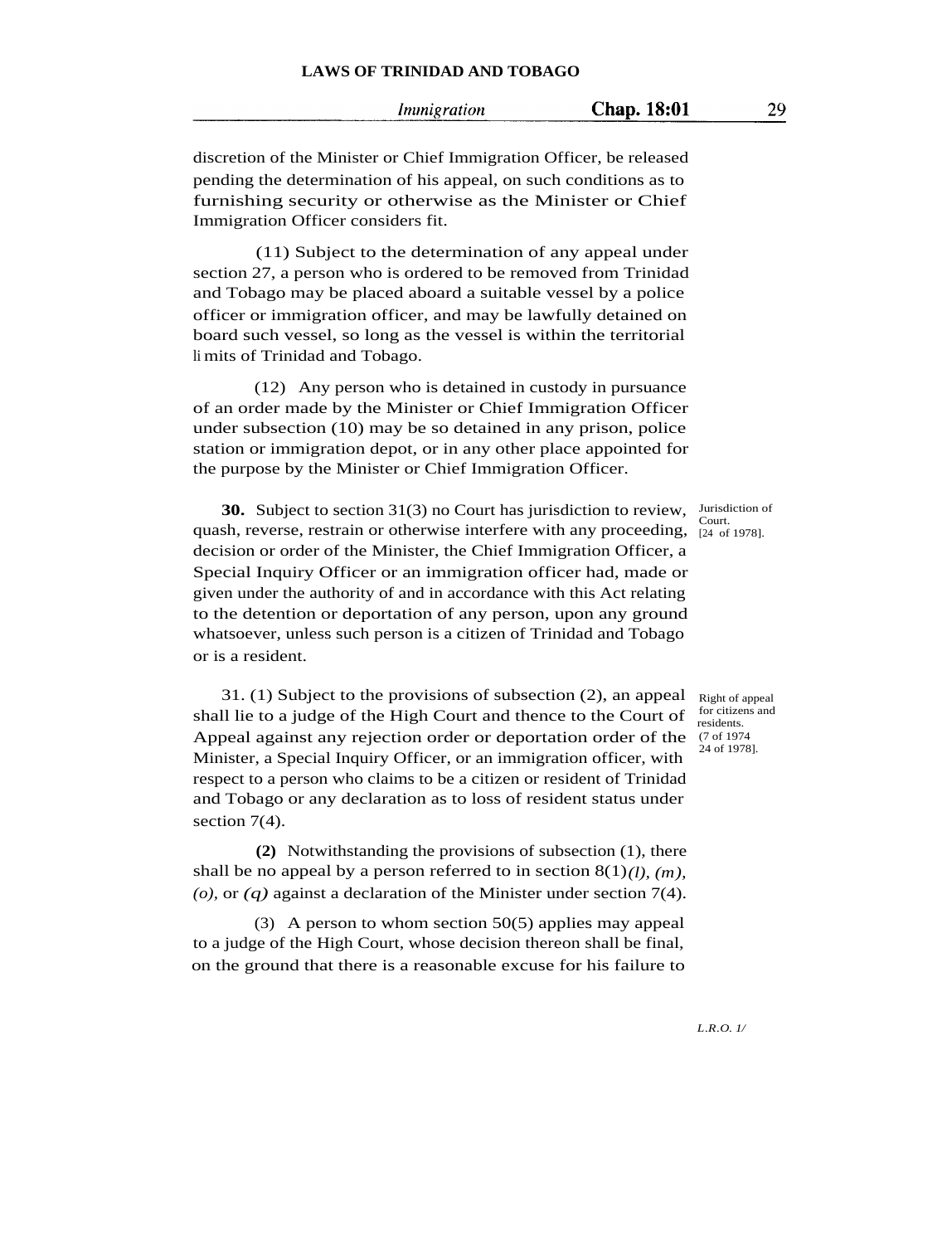29

discretion of the Minister or Chief Immigration Officer, be released pending the determination of his appeal, on such conditions as to furnishing security or otherwise as the Minister or Chief Immigration Officer considers fit.

(11) Subject to the determination of any appeal under section 27, a person who is ordered to be removed from Trinidad and Tobago may be placed aboard a suitable vessel by a police officer or immigration officer, and may be lawfully detained on board such vessel, so long as the vessel is within the territorial li mits of Trinidad and Tobago.

(12) Any person who is detained in custody in pursuance of an order made by the Minister or Chief Immigration Officer under subsection (10) may be so detained in any prison, police station or immigration depot, or in any other place appointed for the purpose by the Minister or Chief Immigration Officer.

**30.** Subject to section 31(3) no Court has jurisdiction to review, Jurisdiction of quash, reverse, restrain or otherwise interfere with any proceeding,  $\frac{\text{coul.}}{24 \text{ of } 1978}$ . decision or order of the Minister, the Chief Immigration Officer, a Special Inquiry Officer or an immigration officer had, made or given under the authority of and in accordance with this Act relating to the detention or deportation of any person, upon any ground whatsoever, unless such person is a citizen of Trinidad and Tobago or is a resident.

31. (1) Subject to the provisions of subsection (2), an appeal shall lie to a judge of the High Court and thence to the Court of Appeal against any rejection order or deportation order of the Minister, a Special Inquiry Officer, or an immigration officer, with respect to a person who claims to be a citizen or resident of Trinidad and Tobago or any declaration as to loss of resident status under section 7(4).

**(2)** Notwithstanding the provisions of subsection (1), there shall be no appeal by a person referred to in section  $8(1)$ *(l), (m)*, *(o),* or *(q)* against a declaration of the Minister under section 7(4).

(3) A person to whom section 50(5) applies may appeal to a judge of the High Court, whose decision thereon shall be final, on the ground that there is a reasonable excuse for his failure to

Court.

Right of appeal for citizens and residents. (7 of 1974 24 of 1978].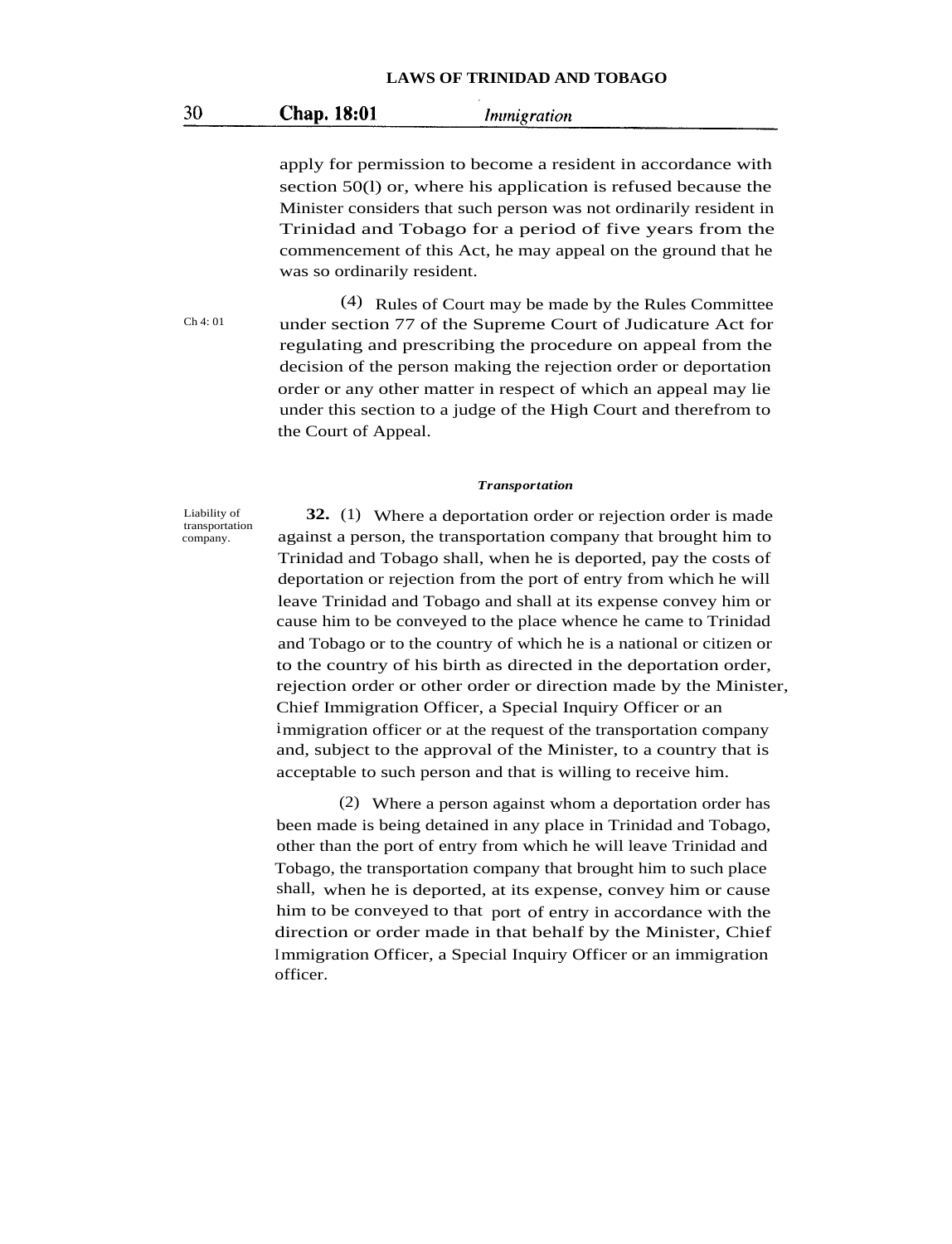#### 30 **Chap. 18:01** Immigration

apply for permission to become a resident in accordance with section 50(l) or, where his application is refused because the Minister considers that such person was not ordinarily resident in Trinidad and Tobago for a period of five years from the commencement of this Act, he may appeal on the ground that he was so ordinarily resident.

 $Ch 4: 01$ 

(4) Rules of Court may be made by the Rules Committee under section 77 of the Supreme Court of Judicature Act for regulating and prescribing the procedure on appeal from the decision of the person making the rejection order or deportation order or any other matter in respect of which an appeal may lie under this section to a judge of the High Court and therefrom to the Court of Appeal.

#### *Transportation*

Liability of transportation company.

**32.** (1) Where a deportation order or rejection order is made against a person, the transportation company that brought him to Trinidad and Tobago shall, when he is deported, pay the costs of deportation or rejection from the port of entry from which he will leave Trinidad and Tobago and shall at its expense convey him or cause him to be conveyed to the place whence he came to Trinidad and Tobago or to the country of which he is a national or citizen or to the country of his birth as directed in the deportation order, rejection order or other order or direction made by the Minister, Chief Immigration Officer, a Special Inquiry Officer or an immigration officer or at the request of the transportation company and, subject to the approval of the Minister, to a country that is acceptable to such person and that is willing to receive him.

(2) Where a person against whom a deportation order has been made is being detained in any place in Trinidad and Tobago, other than the port of entry from which he will leave Trinidad and Tobago, the transportation company that brought him to such place shall, when he is deported, at its expense, convey him or cause him to be conveyed to that port of entry in accordance with the direction or order made in that behalf by the Minister, Chief Immigration Officer, a Special Inquiry Officer or an immigration officer.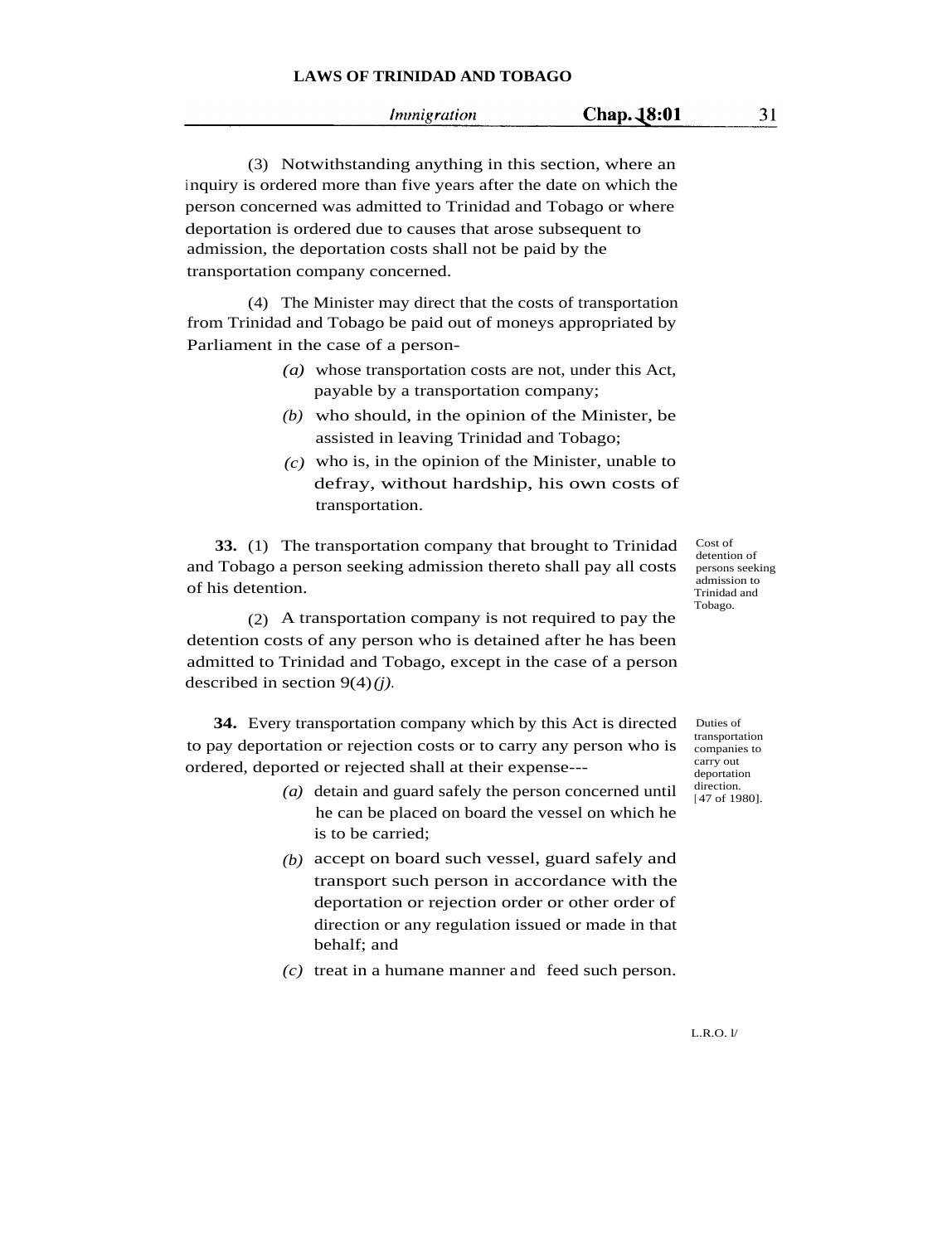|  | Immigration |
|--|-------------|
|  |             |

Chap. 18:01

(3) Notwithstanding anything in this section, where an inquiry is ordered more than five years after the date on which the person concerned was admitted to Trinidad and Tobago or where deportation is ordered due to causes that arose subsequent to admission, the deportation costs shall not be paid by the transportation company concerned.

(4) The Minister may direct that the costs of transportation from Trinidad and Tobago be paid out of moneys appropriated by Parliament in the case of a person-

- *(a)* whose transportation costs are not, under this Act, payable by a transportation company;
- *(b)* who should, in the opinion of the Minister, be assisted in leaving Trinidad and Tobago;
- *(c)* who is, in the opinion of the Minister, unable to defray, without hardship, his own costs of transportation.

**33.** (1) The transportation company that brought to Trinidad and Tobago a person seeking admission thereto shall pay all costs of his detention.

(2) A transportation company is not required to pay the detention costs of any person who is detained after he has been admitted to Trinidad and Tobago, except in the case of a person described in section 9(4)*(j)*.

**34.** Every transportation company which by this Act is directed to pay deportation or rejection costs or to carry any person who is ordered, deported or rejected shall at their expense---

- *(a)* detain and guard safely the person concerned until he can be placed on board the vessel on which he is to be carried;
- *(b)* accept on board such vessel, guard safely and transport such person in accordance with the deportation or rejection order or other order of direction or any regulation issued or made in that behalf; and
- *(c)* treat in a humane manner and feed such person.

Cost of detention of persons seeking admission to Trinidad and Tobago.

Duties of transportation companies to carry out deportation direction. [ 47 of 1980].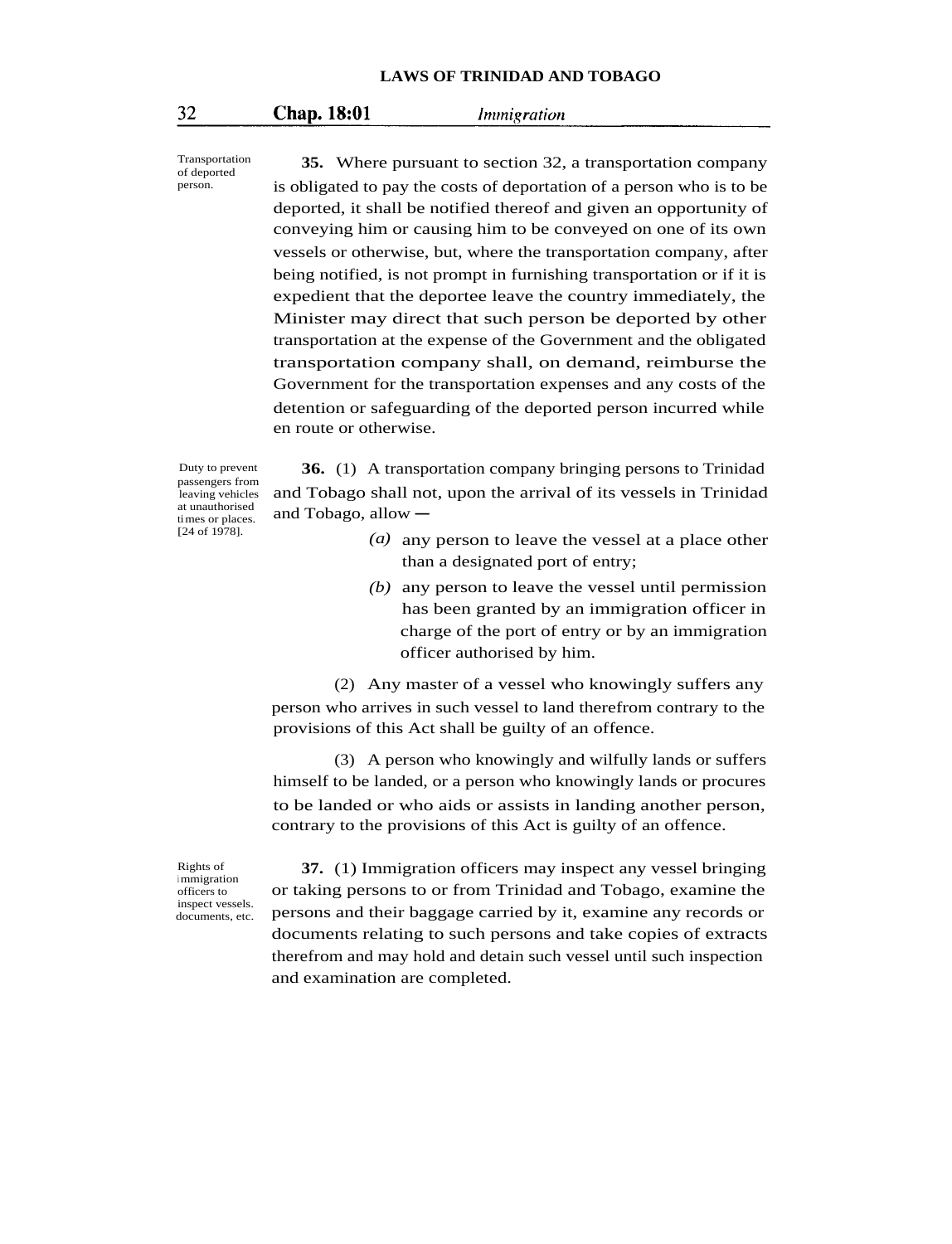#### **Chap. 18:01** *Immigration*

Transportation of deported person.

**35.** Where pursuant to section 32, a transportation company is obligated to pay the costs of deportation of a person who is to be deported, it shall be notified thereof and given an opportunity of conveying him or causing him to be conveyed on one of its own vessels or otherwise, but, where the transportation company, after being notified, is not prompt in furnishing transportation or if it is expedient that the deportee leave the country immediately, the Minister may direct that such person be deported by other transportation at the expense of the Government and the obligated transportation company shall, on demand, reimburse the Government for the transportation expenses and any costs of the detention or safeguarding of the deported person incurred while en route or otherwise.

Duty to prevent passengers from leaving vehicles at unauthorised times or places. [24 of 1978].

**36.** (1) A transportation company bringing persons to Trinidad and Tobago shall not, upon the arrival of its vessels in Trinidad and Tobago, allow  $-$ 

- *(a)* any person to leave the vessel at a place other than a designated port of entry;
- *(b)* any person to leave the vessel until permission has been granted by an immigration officer in charge of the port of entry or by an immigration officer authorised by him.

(2) Any master of a vessel who knowingly suffers any person who arrives in such vessel to land therefrom contrary to the provisions of this Act shall be guilty of an offence.

(3) A person who knowingly and wilfully lands or suffers himself to be landed, or a person who knowingly lands or procures to be landed or who aids or assists in landing another person, contrary to the provisions of this Act is guilty of an offence.

Rights of <sup>i</sup> mmigration officers to inspect vessels. documents, etc.

**37.** (1) Immigration officers may inspect any vessel bringing or taking persons to or from Trinidad and Tobago, examine the persons and their baggage carried by it, examine any records or documents relating to such persons and take copies of extracts therefrom and may hold and detain such vessel until such inspection and examination are completed.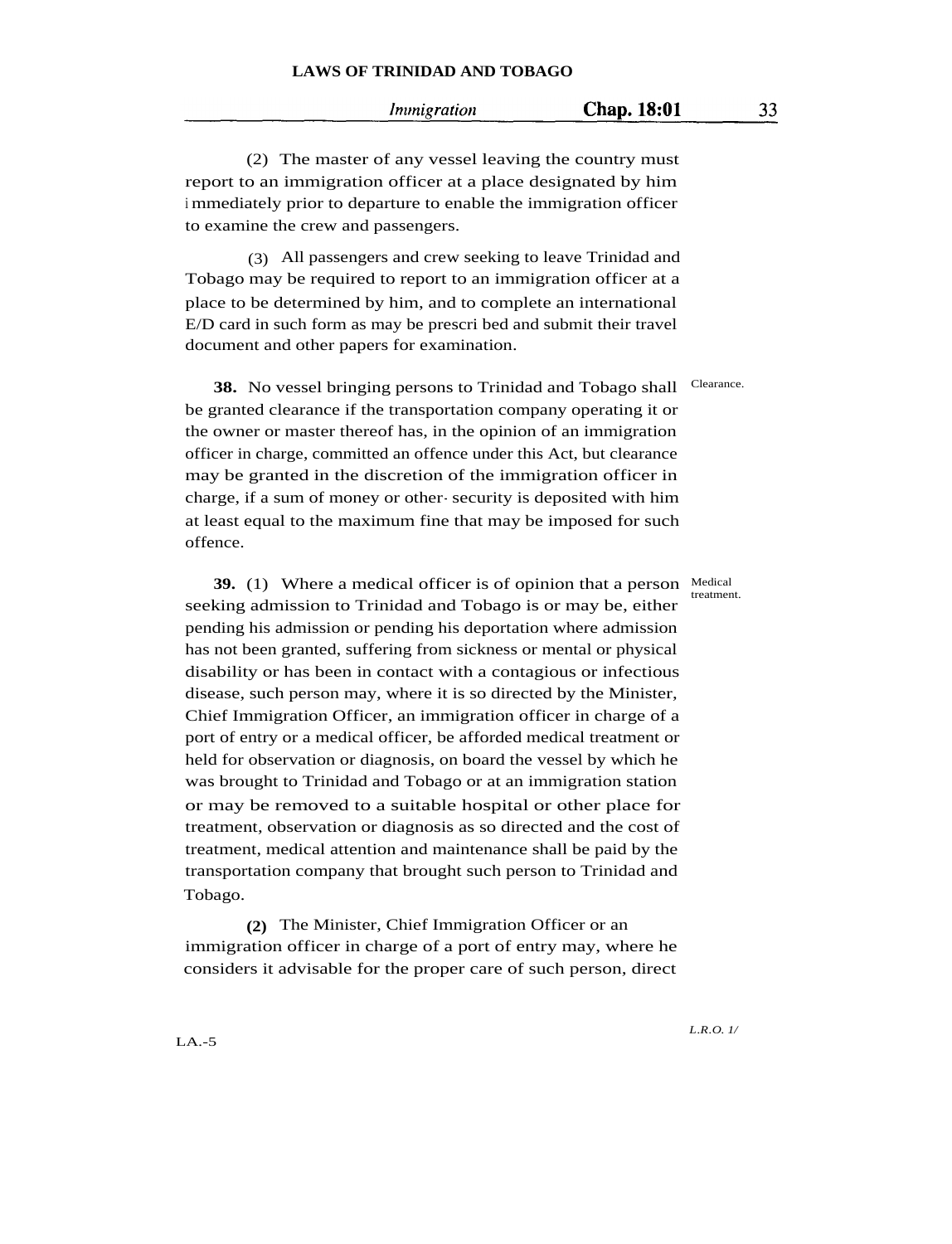#### *Immigration*

(2) The master of any vessel leaving the country must report to an immigration officer at a place designated by him <sup>i</sup> mmediately prior to departure to enable the immigration officer to examine the crew and passengers.

(3) All passengers and crew seeking to leave Trinidad and Tobago may be required to report to an immigration officer at a place to be determined by him, and to complete an international E/D card in such form as may be prescri bed and submit their travel document and other papers for examination.

**38.** No vessel bringing persons to Trinidad and Tobago shall be granted clearance if the transportation company operating it or the owner or master thereof has, in the opinion of an immigration officer in charge, committed an offence under this Act, but clearance may be granted in the discretion of the immigration officer in charge, if a sum of money or other- security is deposited with him at least equal to the maximum fine that may be imposed for such offence.

**39.** (1) Where a medical officer is of opinion that a person Medical seeking admission to Trinidad and Tobago is or may be, either pending his admission or pending his deportation where admission has not been granted, suffering from sickness or mental or physical disability or has been in contact with a contagious or infectious disease, such person may, where it is so directed by the Minister, Chief Immigration Officer, an immigration officer in charge of a port of entry or a medical officer, be afforded medical treatment or held for observation or diagnosis, on board the vessel by which he was brought to Trinidad and Tobago or at an immigration station or may be removed to a suitable hospital or other place for treatment, observation or diagnosis as so directed and the cost of treatment, medical attention and maintenance shall be paid by the transportation company that brought such person to Trinidad and Tobago.

**(2)** The Minister, Chief Immigration Officer or an immigration officer in charge of a port of entry may, where he considers it advisable for the proper care of such person, direct

Clearance.

treatment.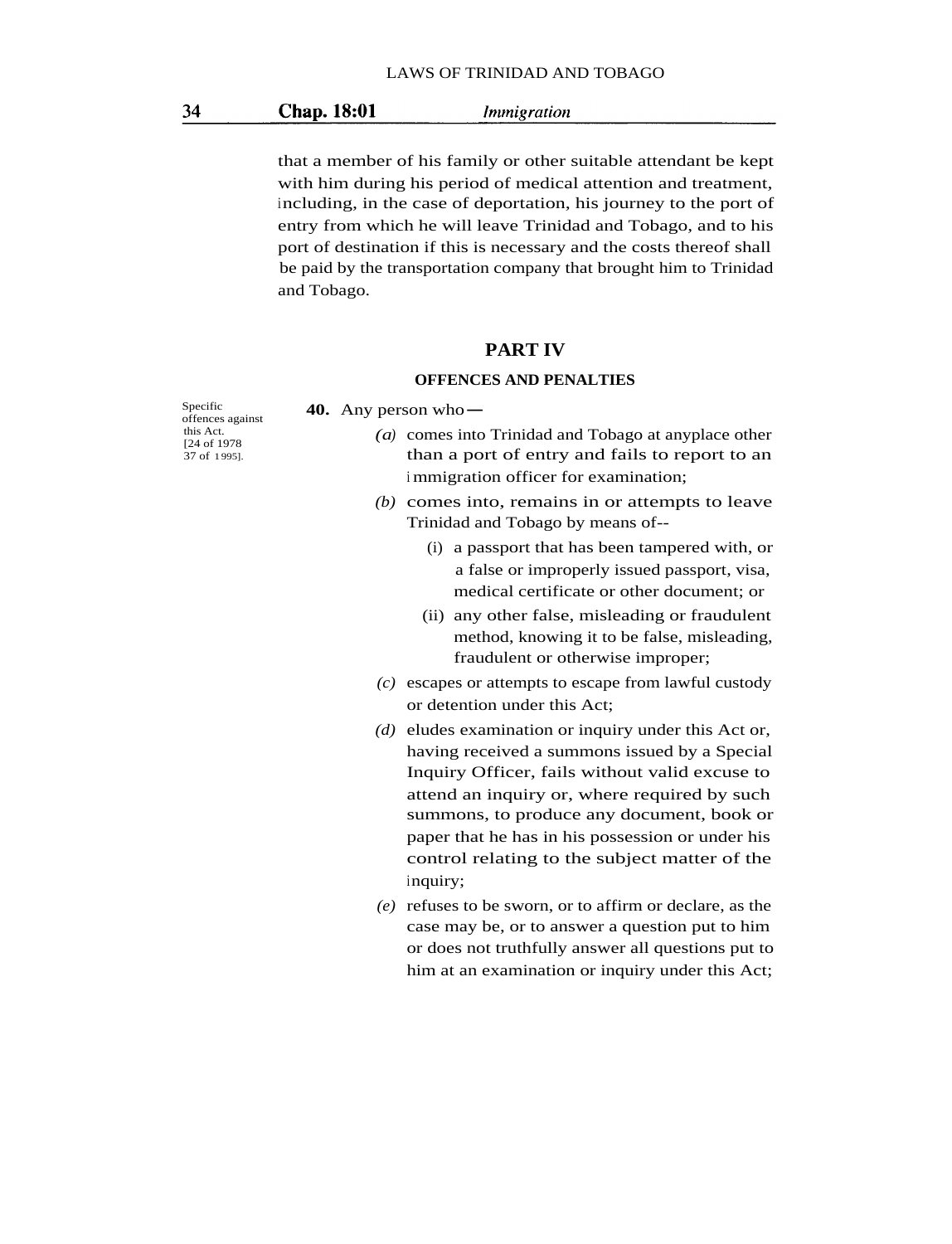#### Chap. 18:01 *Immigration*

that a member of his family or other suitable attendant be kept with him during his period of medical attention and treatment, including, in the case of deportation, his journey to the port of entry from which he will leave Trinidad and Tobago, and to his port of destination if this is necessary and the costs thereof shall be paid by the transportation company that brought him to Trinidad and Tobago.

## **PART IV**

#### **OFFENCES AND PENALTIES**

Specific **40.** Any person whooffences against this Act. [24 of 1978 37 of 1 995].

- *(a)* comes into Trinidad and Tobago at anyplace other than a port of entry and fails to report to an <sup>i</sup> mmigration officer for examination;
- *(b)* comes into, remains in or attempts to leave Trinidad and Tobago by means of--
	- (i) a passport that has been tampered with, or a false or improperly issued passport, visa, medical certificate or other document; or
	- (ii) any other false, misleading or fraudulent method, knowing it to be false, misleading, fraudulent or otherwise improper;
- *(c)* escapes or attempts to escape from lawful custody or detention under this Act;
- *(d)* eludes examination or inquiry under this Act or, having received a summons issued by a Special Inquiry Officer, fails without valid excuse to attend an inquiry or, where required by such summons, to produce any document, book or paper that he has in his possession or under his control relating to the subject matter of the inquiry;
- *(e)* refuses to be sworn, or to affirm or declare, as the case may be, or to answer a question put to him or does not truthfully answer all questions put to him at an examination or inquiry under this Act;

34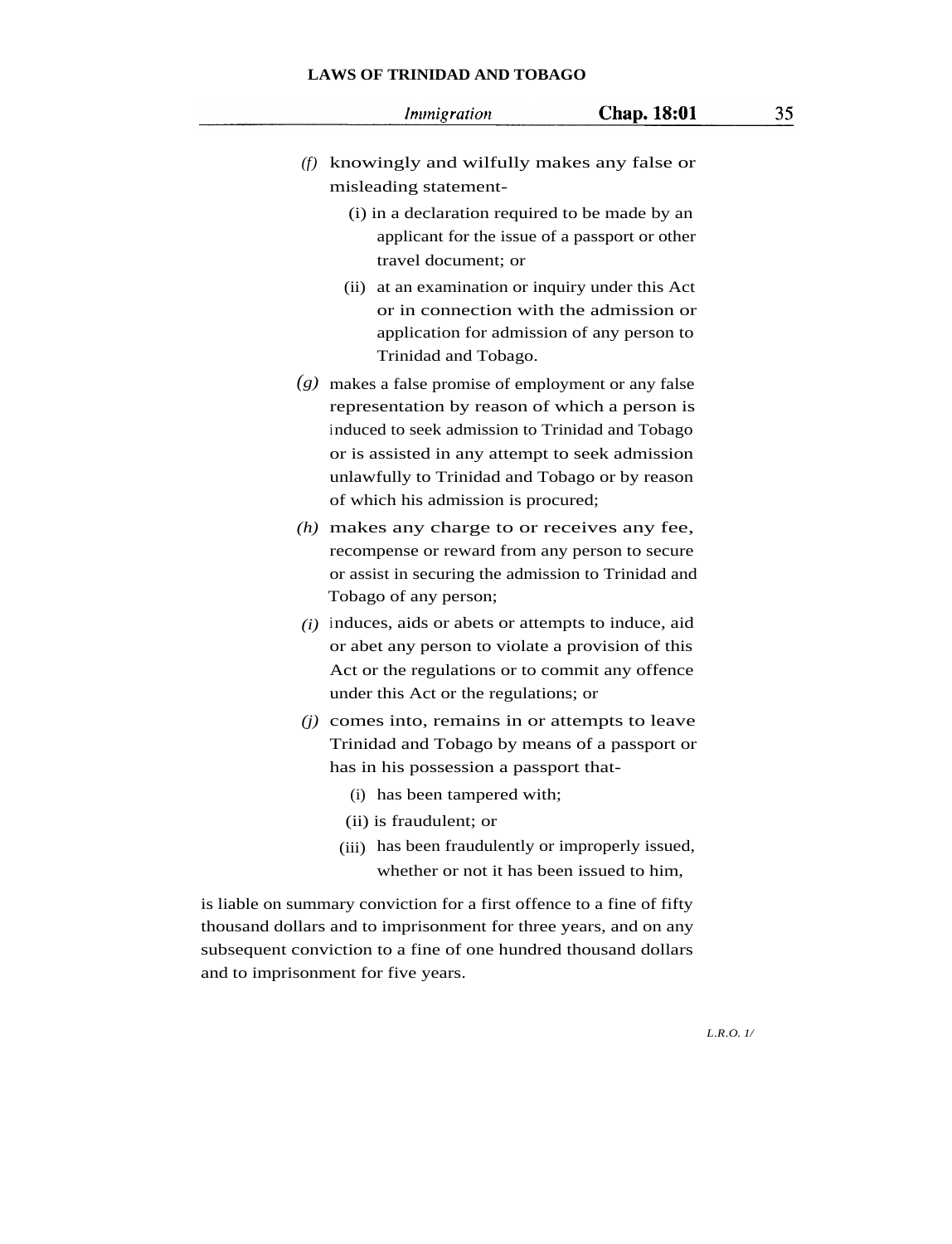Immigration

- *(f)* knowingly and wilfully makes any false or misleading statement-
	- (i) in a declaration required to be made by an applicant for the issue of a passport or other travel document; or
	- (ii) at an examination or inquiry under this Act or in connection with the admission or application for admission of any person to Trinidad and Tobago.
- *(g)* makes a false promise of employment or any false representation by reason of which a person is induced to seek admission to Trinidad and Tobago or is assisted in any attempt to seek admission unlawfully to Trinidad and Tobago or by reason of which his admission is procured;
- *(h)* makes any charge to or receives any fee, recompense or reward from any person to secure or assist in securing the admission to Trinidad and Tobago of any person;
- *(i)* induces, aids or abets or attempts to induce, aid or abet any person to violate a provision of this Act or the regulations or to commit any offence under this Act or the regulations; or
- *(j)* comes into, remains in or attempts to leave Trinidad and Tobago by means of a passport or has in his possession a passport that-
	- (i) has been tampered with;
	- (ii) is fraudulent; or
	- (iii) has been fraudulently or improperly issued, whether or not it has been issued to him,

is liable on summary conviction for a first offence to a fine of fifty thousand dollars and to imprisonment for three years, and on any subsequent conviction to a fine of one hundred thousand dollars and to imprisonment for five years.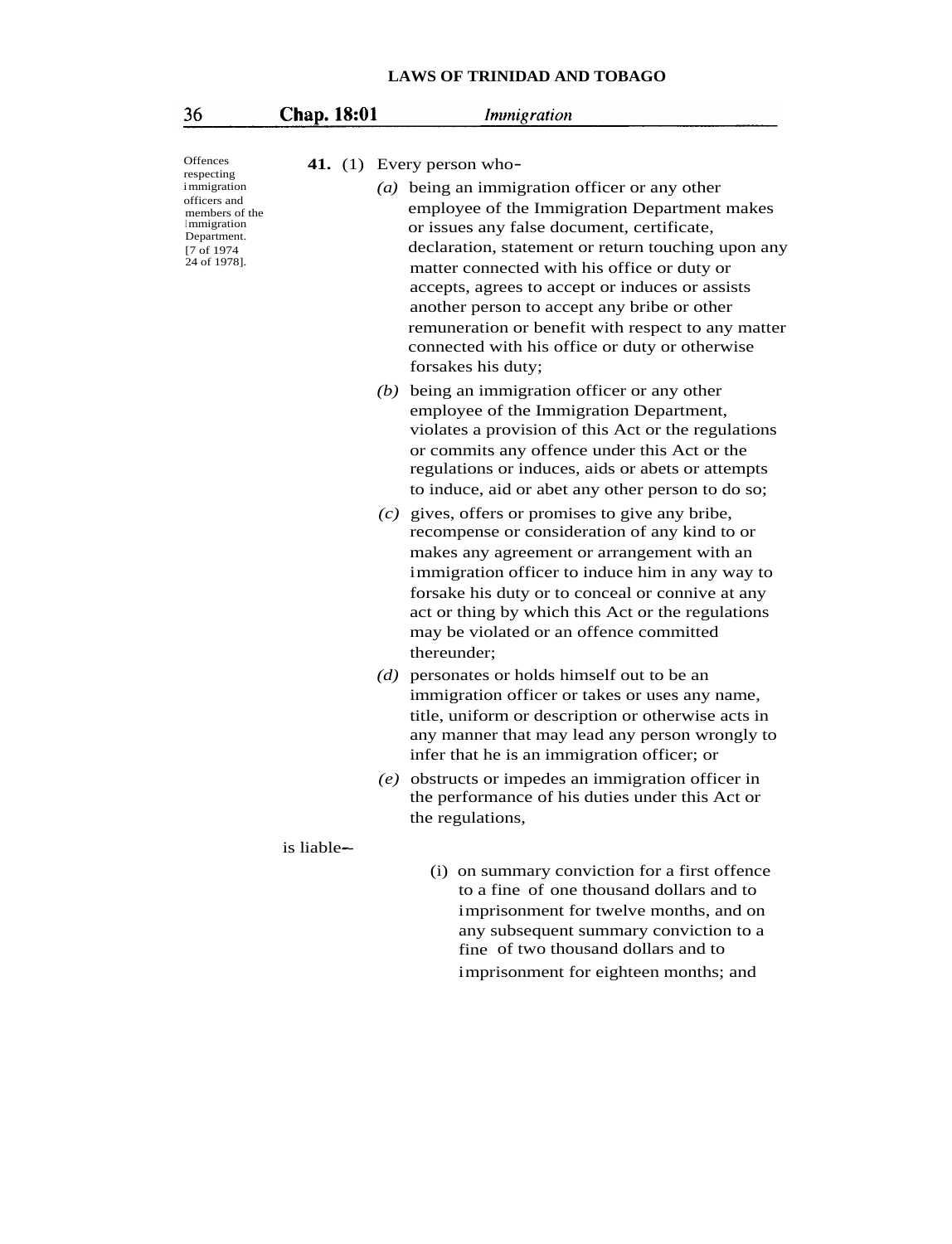| 36                                                                                                                               | Chap. 18:01 | Immigration                                                                                                                                                                                                                                                                                                                                                                                                                                                                      |
|----------------------------------------------------------------------------------------------------------------------------------|-------------|----------------------------------------------------------------------------------------------------------------------------------------------------------------------------------------------------------------------------------------------------------------------------------------------------------------------------------------------------------------------------------------------------------------------------------------------------------------------------------|
| Offences                                                                                                                         |             | 41. (1) Every person who-                                                                                                                                                                                                                                                                                                                                                                                                                                                        |
| respecting<br><i>i</i> mmigration<br>officers and<br>members of the<br>Immigration<br>Department.<br>[7 of 1974]<br>24 of 1978]. |             | (a) being an immigration officer or any other<br>employee of the Immigration Department makes<br>or issues any false document, certificate,<br>declaration, statement or return touching upon any<br>matter connected with his office or duty or<br>accepts, agrees to accept or induces or assists<br>another person to accept any bribe or other<br>remuneration or benefit with respect to any matter<br>connected with his office or duty or otherwise<br>forsakes his duty; |
|                                                                                                                                  |             | $(b)$ being an immigration officer or any other<br>employee of the Immigration Department,<br>violates a provision of this Act or the regulations<br>or commits any offence under this Act or the<br>regulations or induces, aids or abets or attempts<br>to induce, aid or abet any other person to do so;                                                                                                                                                                      |
|                                                                                                                                  |             | $(c)$ gives, offers or promises to give any bribe,<br>recompense or consideration of any kind to or<br>makes any agreement or arrangement with an<br>immigration officer to induce him in any way to<br>forsake his duty or to conceal or connive at any<br>act or thing by which this Act or the regulations<br>may be violated or an offence committed<br>thereunder;                                                                                                          |
|                                                                                                                                  |             | (d) personates or holds himself out to be an<br>immigration officer or takes or uses any name,<br>title, uniform or description or otherwise acts in<br>any manner that may lead any person wrongly to<br>infer that he is an immigration officer; or                                                                                                                                                                                                                            |
|                                                                                                                                  |             | $(e)$ obstructs or impedes an immigration officer in<br>the performance of his duties under this Act or<br>the regulations,                                                                                                                                                                                                                                                                                                                                                      |
|                                                                                                                                  | is liable—  | (i) on summary conviction for a first offence<br>to a fine of one thousand dollars and to<br>imprisonment for twelve months, and on<br>any subsequent summary conviction to a<br>fine of two thousand dollars and to<br>imprisonment for eighteen months; and                                                                                                                                                                                                                    |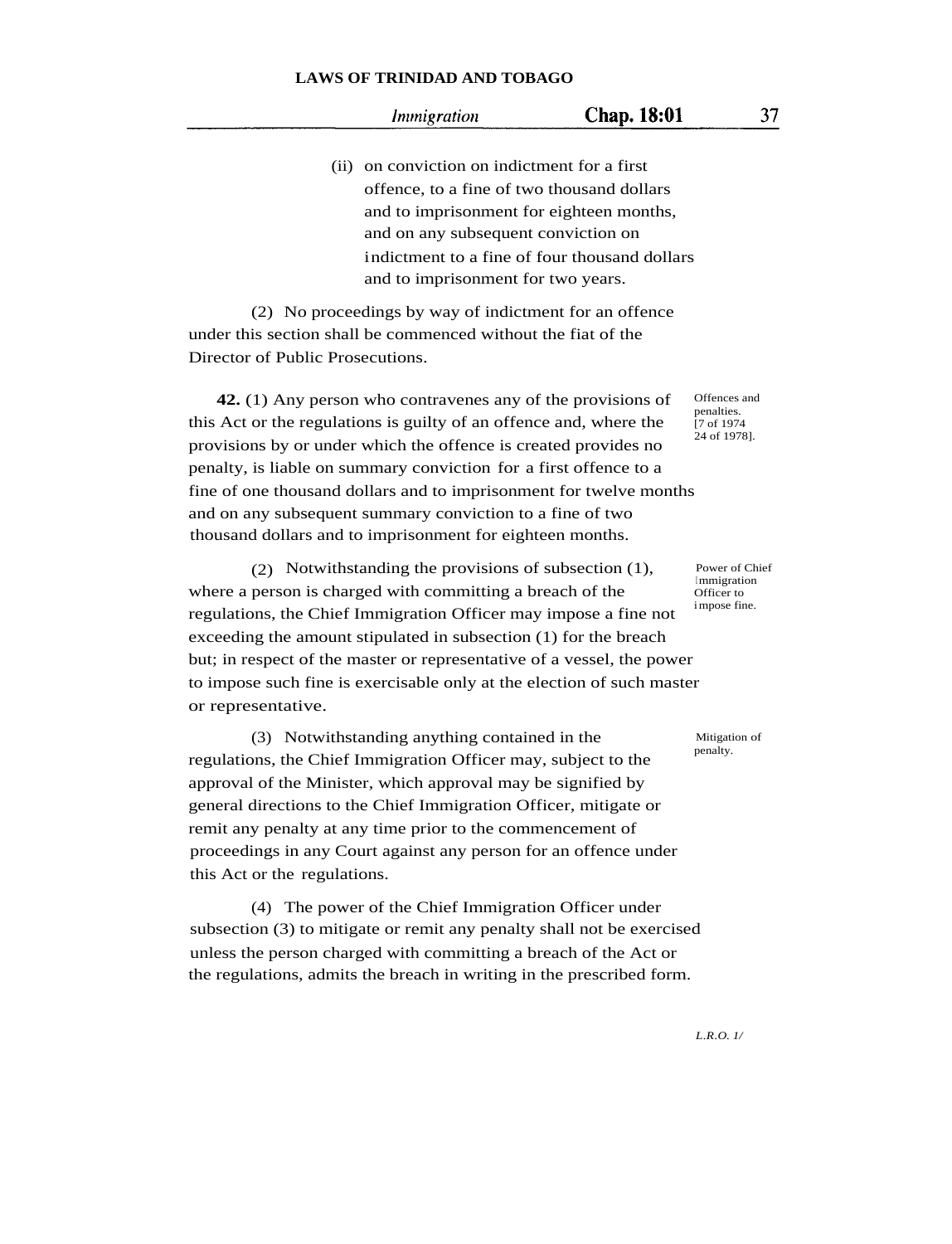#### Immigration

(ii) on conviction on indictment for a first offence, to a fine of two thousand dollars and to imprisonment for eighteen months, and on any subsequent conviction on indictment to a fine of four thousand dollars and to imprisonment for two years.

(2) No proceedings by way of indictment for an offence under this section shall be commenced without the fiat of the Director of Public Prosecutions.

**42.** (1) Any person who contravenes any of the provisions of this Act or the regulations is guilty of an offence and, where the provisions by or under which the offence is created provides no penalty, is liable on summary conviction for a first offence to a fine of one thousand dollars and to imprisonment for twelve months and on any subsequent summary conviction to a fine of two thousand dollars and to imprisonment for eighteen months.

(2) Notwithstanding the provisions of subsection (1), where a person is charged with committing a breach of the regulations, the Chief Immigration Officer may impose a fine not exceeding the amount stipulated in subsection (1) for the breach but; in respect of the master or representative of a vessel, the power to impose such fine is exercisable only at the election of such master or representative.

(3) Notwithstanding anything contained in the regulations, the Chief Immigration Officer may, subject to the approval of the Minister, which approval may be signified by general directions to the Chief Immigration Officer, mitigate or remit any penalty at any time prior to the commencement of proceedings in any Court against any person for an offence under this Act or the regulations.

(4) The power of the Chief Immigration Officer under subsection (3) to mitigate or remit any penalty shall not be exercised unless the person charged with committing a breach of the Act or the regulations, admits the breach in writing in the prescribed form.

Offences and penalties. [7 of 1974 24 of 1978].

Power of Chief <sup>I</sup> mmigration Officer to impose fine.

Mitigation of penalty.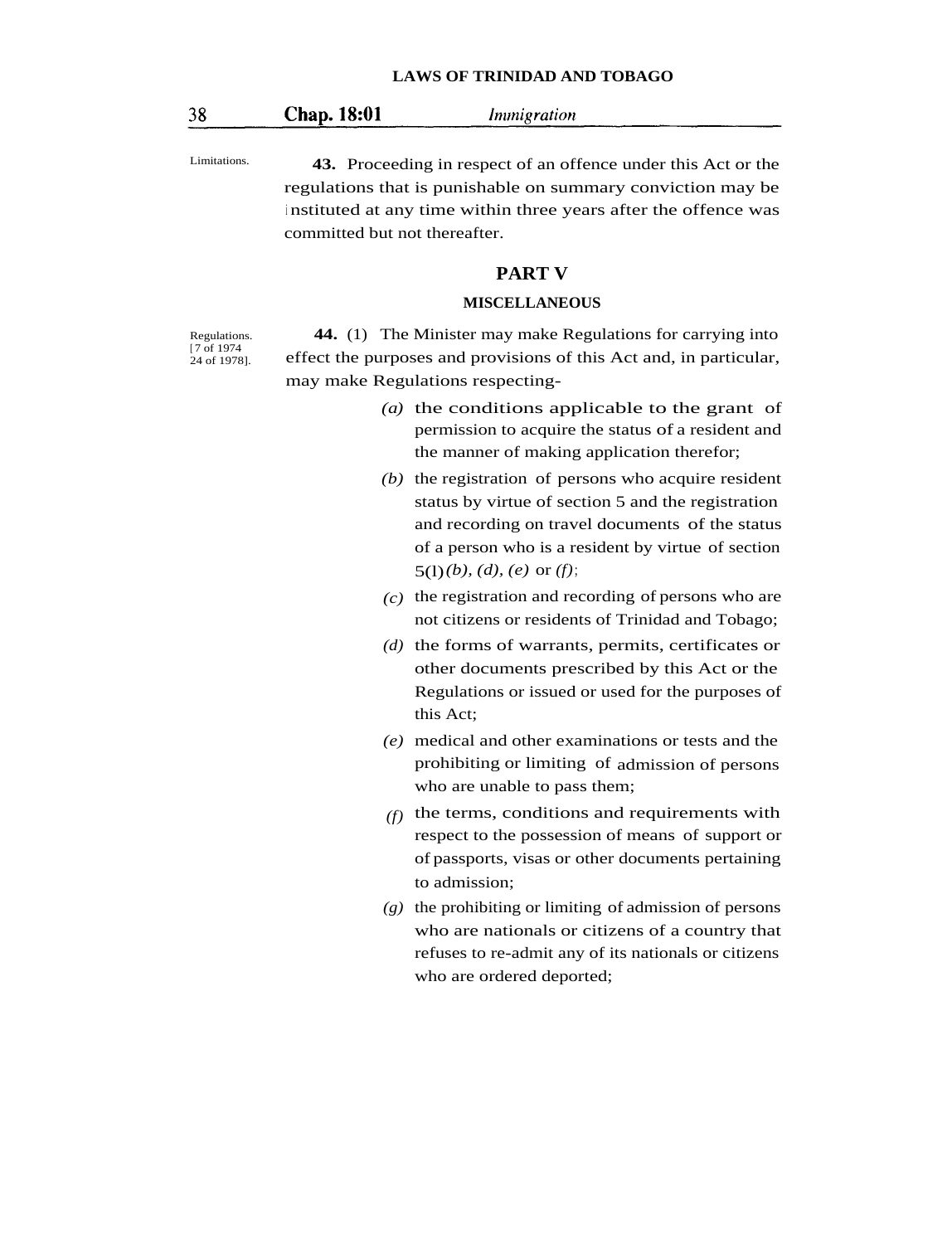#### Chap. 18:01

Immigration

Regulations. [ 7 of 1974 24 of 1978].

Limitations. **43.** Proceeding in respect of an offence under this Act or the regulations that is punishable on summary conviction may be <sup>i</sup> nstituted at any time within three years after the offence was committed but not thereafter.

### **PART V**

#### **MISCELLANEOUS**

**44.** (1) The Minister may make Regulations for carrying into effect the purposes and provisions of this Act and, in particular, may make Regulations respecting-

- *(a)* the conditions applicable to the grant of permission to acquire the status of a resident and the manner of making application therefor;
- *(b)* the registration of persons who acquire resident status by virtue of section 5 and the registration and recording on travel documents of the status of a person who is a resident by virtue of section 5(l)*(b), (d), (e)* or *(f)*;
- *(c)* the registration and recording of persons who are not citizens or residents of Trinidad and Tobago;
- *(d)* the forms of warrants, permits, certificates or other documents prescribed by this Act or the Regulations or issued or used for the purposes of this Act;
- *(e)* medical and other examinations or tests and the prohibiting or limiting of admission of persons who are unable to pass them;
- *(f)* the terms, conditions and requirements with respect to the possession of means of support or of passports, visas or other documents pertaining to admission;
- *(g)* the prohibiting or limiting of admission of persons who are nationals or citizens of a country that refuses to re-admit any of its nationals or citizens who are ordered deported;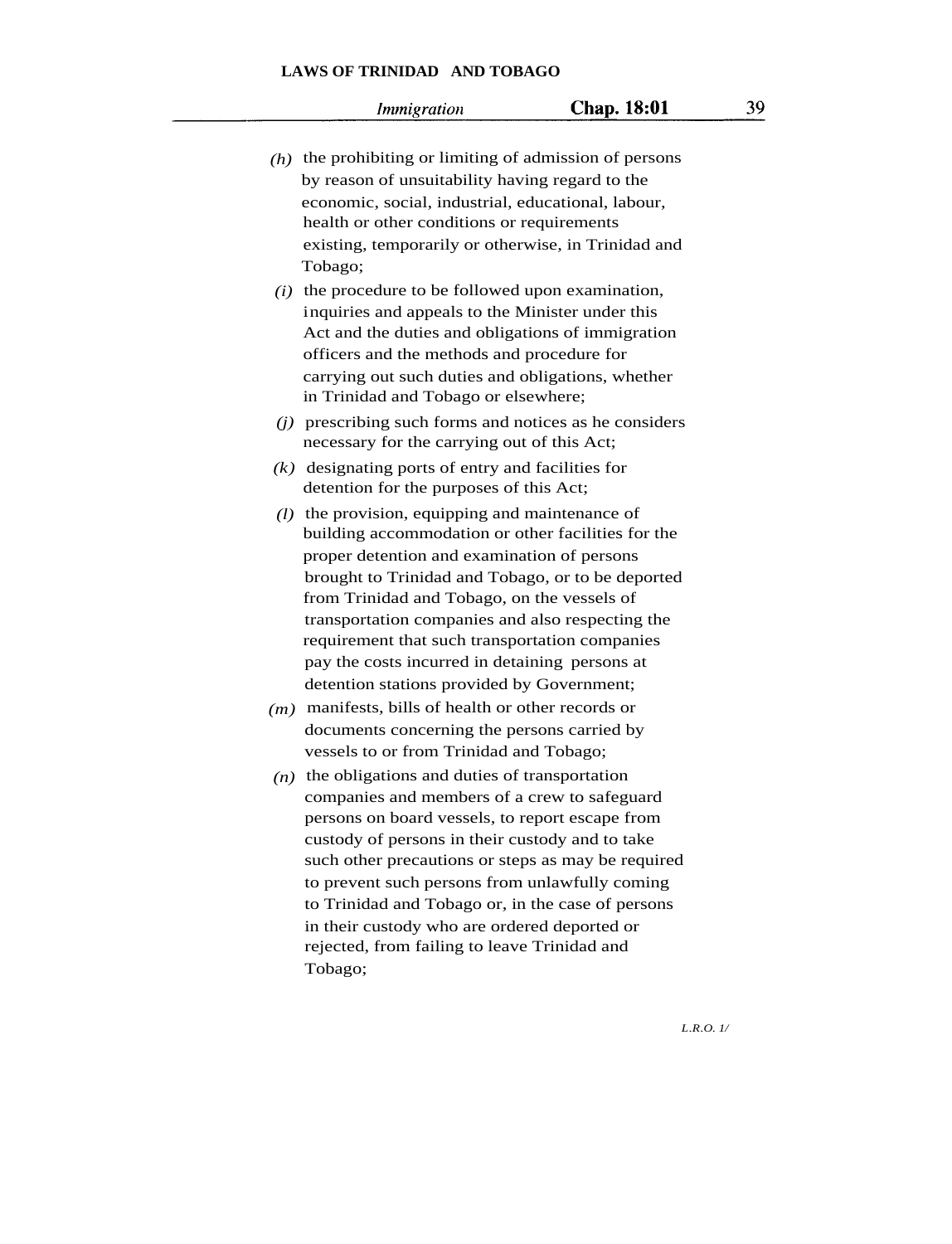- *(h)* the prohibiting or limiting of admission of persons by reason of unsuitability having regard to the economic, social, industrial, educational, labour, health or other conditions or requirements existing, temporarily or otherwise, in Trinidad and Tobago;
- *(i)* the procedure to be followed upon examination, inquiries and appeals to the Minister under this Act and the duties and obligations of immigration officers and the methods and procedure for carrying out such duties and obligations, whether in Trinidad and Tobago or elsewhere;
- *(j)* prescribing such forms and notices as he considers necessary for the carrying out of this Act;
- *(k)* designating ports of entry and facilities for detention for the purposes of this Act;
- *(l)* the provision, equipping and maintenance of building accommodation or other facilities for the proper detention and examination of persons brought to Trinidad and Tobago, or to be deported from Trinidad and Tobago, on the vessels of transportation companies and also respecting the requirement that such transportation companies pay the costs incurred in detaining persons at detention stations provided by Government;
- *(m)* manifests, bills of health or other records or documents concerning the persons carried by vessels to or from Trinidad and Tobago;
- *(n)* the obligations and duties of transportation companies and members of a crew to safeguard persons on board vessels, to report escape from custody of persons in their custody and to take such other precautions or steps as may be required to prevent such persons from unlawfully coming to Trinidad and Tobago or, in the case of persons in their custody who are ordered deported or rejected, from failing to leave Trinidad and Tobago;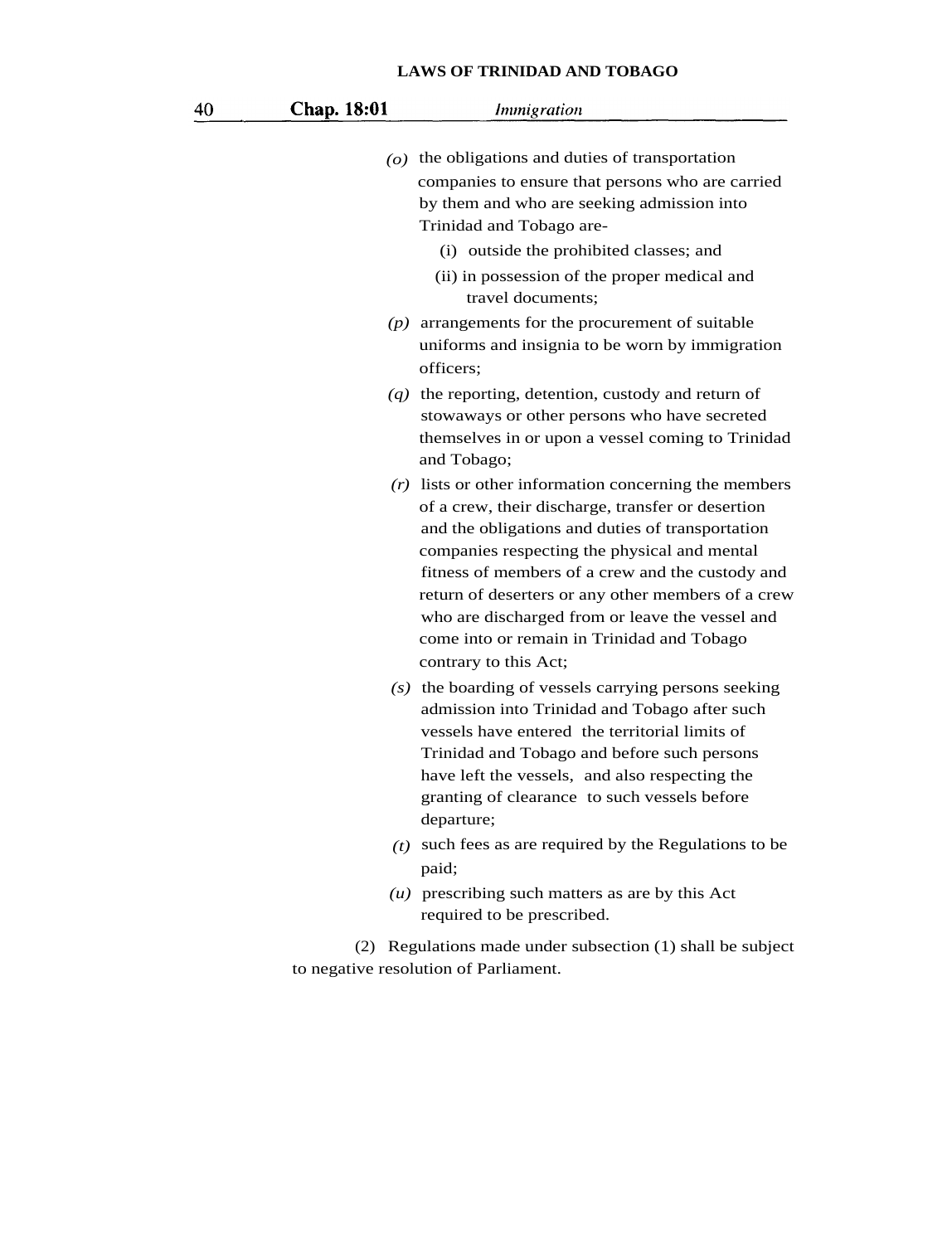| 40 | Chap. 18:01 | Immigration                                                                                                                                                                                                                                                                                                                                                                                                                                          |
|----|-------------|------------------------------------------------------------------------------------------------------------------------------------------------------------------------------------------------------------------------------------------------------------------------------------------------------------------------------------------------------------------------------------------------------------------------------------------------------|
|    |             | $(o)$ the obligations and duties of transportation<br>companies to ensure that persons who are carried<br>by them and who are seeking admission into<br>Trinidad and Tobago are-<br>(i) outside the prohibited classes; and<br>(ii) in possession of the proper medical and<br>travel documents;                                                                                                                                                     |
|    |             | $(p)$ arrangements for the procurement of suitable<br>uniforms and insignia to be worn by immigration<br>officers;                                                                                                                                                                                                                                                                                                                                   |
|    |             | $(q)$ the reporting, detention, custody and return of<br>stowaways or other persons who have secreted<br>themselves in or upon a vessel coming to Trinidad<br>and Tobago;                                                                                                                                                                                                                                                                            |
|    |             | $(r)$ lists or other information concerning the members<br>of a crew, their discharge, transfer or desertion<br>and the obligations and duties of transportation<br>companies respecting the physical and mental<br>fitness of members of a crew and the custody and<br>return of deserters or any other members of a crew<br>who are discharged from or leave the vessel and<br>come into or remain in Trinidad and Tobago<br>contrary to this Act; |
|    |             | $(s)$ the boarding of vessels carrying persons seeking<br>admission into Trinidad and Tobago after such<br>vessels have entered the territorial limits of<br>Trinidad and Tobago and before such persons<br>have left the vessels, and also respecting the<br>granting of clearance to such vessels before<br>departure;                                                                                                                             |
|    |             | $(t)$ such fees as are required by the Regulations to be<br>paid;                                                                                                                                                                                                                                                                                                                                                                                    |
|    |             | $(u)$ prescribing such matters as are by this Act<br>required to be prescribed.                                                                                                                                                                                                                                                                                                                                                                      |
|    | (2)         | Regulations made under subsection (1) shall be subject<br>to negative resolution of Parliament.                                                                                                                                                                                                                                                                                                                                                      |
|    |             |                                                                                                                                                                                                                                                                                                                                                                                                                                                      |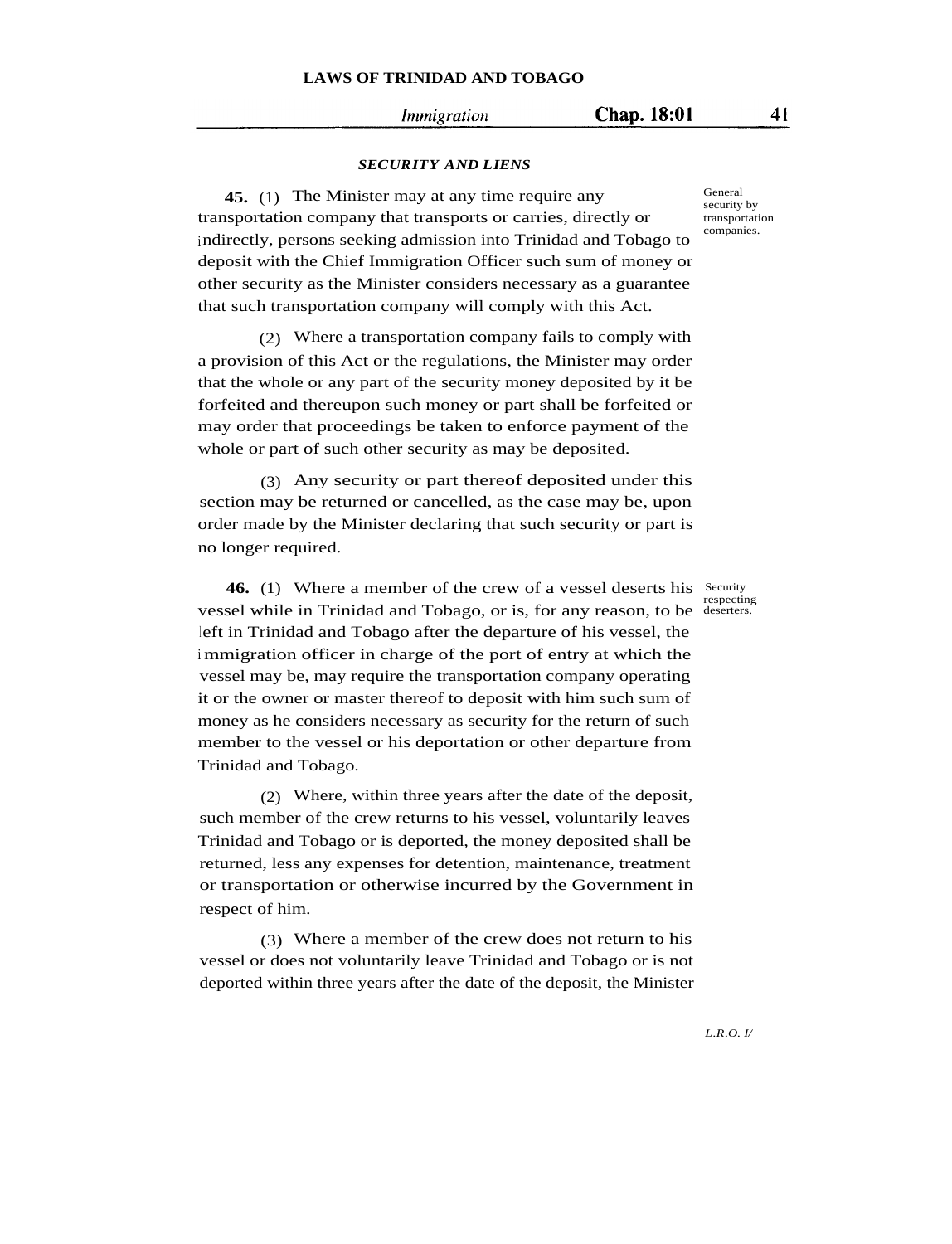#### *Immigration*

Chap. 18:01

#### *SECURITY AND LIENS*

**45.** (1) The Minister may at any time require any transportation company that transports or carries, directly or indirectly, persons seeking admission into Trinidad and Tobago to deposit with the Chief Immigration Officer such sum of money or other security as the Minister considers necessary as a guarantee that such transportation company will comply with this Act.

(2) Where a transportation company fails to comply with a provision of this Act or the regulations, the Minister may order that the whole or any part of the security money deposited by it be forfeited and thereupon such money or part shall be forfeited or may order that proceedings be taken to enforce payment of the whole or part of such other security as may be deposited.

(3) Any security or part thereof deposited under this section may be returned or cancelled, as the case may be, upon order made by the Minister declaring that such security or part is no longer required.

**46.** (1) Where a member of the crew of a vessel deserts his Security vessel while in Trinidad and Tobago, or is, for any reason, to be deserters. left in Trinidad and Tobago after the departure of his vessel, the <sup>i</sup> mmigration officer in charge of the port of entry at which the vessel may be, may require the transportation company operating it or the owner or master thereof to deposit with him such sum of money as he considers necessary as security for the return of such member to the vessel or his deportation or other departure from Trinidad and Tobago.

(2) Where, within three years after the date of the deposit, such member of the crew returns to his vessel, voluntarily leaves Trinidad and Tobago or is deported, the money deposited shall be returned, less any expenses for detention, maintenance, treatment or transportation or otherwise incurred by the Government in respect of him.

(3) Where a member of the crew does not return to his vessel or does not voluntarily leave Trinidad and Tobago or is not deported within three years after the date of the deposit, the Minister

General security by transportation companies.

respecting

*L.R.O. I/*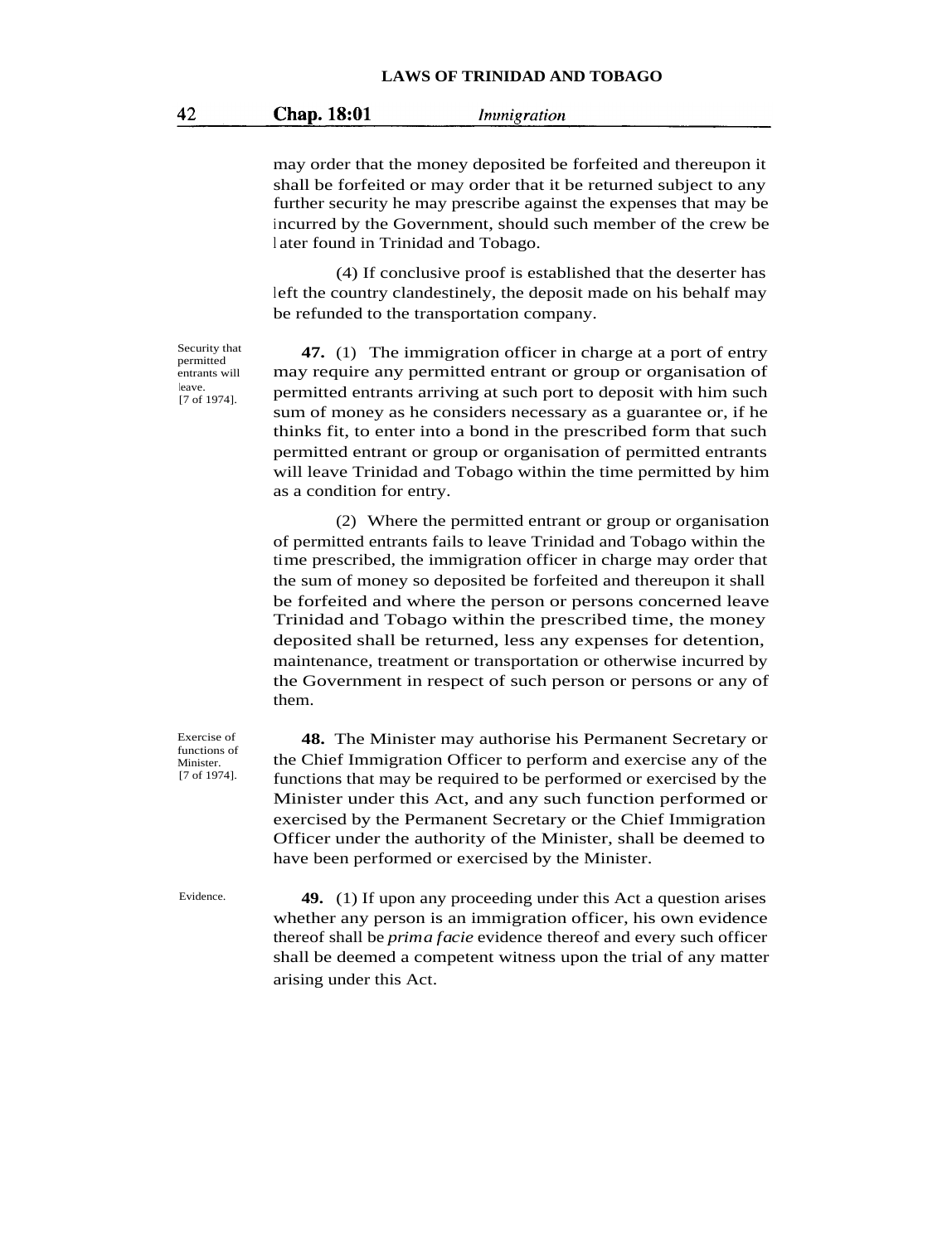#### Chap. 18:01 Immigration

may order that the money deposited be forfeited and thereupon it shall be forfeited or may order that it be returned subject to any further security he may prescribe against the expenses that may be incurred by the Government, should such member of the crew be <sup>l</sup> ater found in Trinidad and Tobago.

(4) If conclusive proof is established that the deserter has left the country clandestinely, the deposit made on his behalf may be refunded to the transportation company.

Security that permitted entrants will leave. [7 of 1974].

**47.** (1) The immigration officer in charge at a port of entry may require any permitted entrant or group or organisation of permitted entrants arriving at such port to deposit with him such sum of money as he considers necessary as a guarantee or, if he thinks fit, to enter into a bond in the prescribed form that such permitted entrant or group or organisation of permitted entrants will leave Trinidad and Tobago within the time permitted by him as a condition for entry.

(2) Where the permitted entrant or group or organisation of permitted entrants fails to leave Trinidad and Tobago within the time prescribed, the immigration officer in charge may order that the sum of money so deposited be forfeited and thereupon it shall be forfeited and where the person or persons concerned leave Trinidad and Tobago within the prescribed time, the money deposited shall be returned, less any expenses for detention, maintenance, treatment or transportation or otherwise incurred by the Government in respect of such person or persons or any of them.

**48.** The Minister may authorise his Permanent Secretary or the Chief Immigration Officer to perform and exercise any of the functions that may be required to be performed or exercised by the Minister under this Act, and any such function performed or exercised by the Permanent Secretary or the Chief Immigration Officer under the authority of the Minister, shall be deemed to have been performed or exercised by the Minister.

Exercise of functions of Minister. [7 of 1974].

Evidence. **49.** (1) If upon any proceeding under this Act a question arises whether any person is an immigration officer, his own evidence thereof shall be *prima facie* evidence thereof and every such officer shall be deemed a competent witness upon the trial of any matter arising under this Act.

42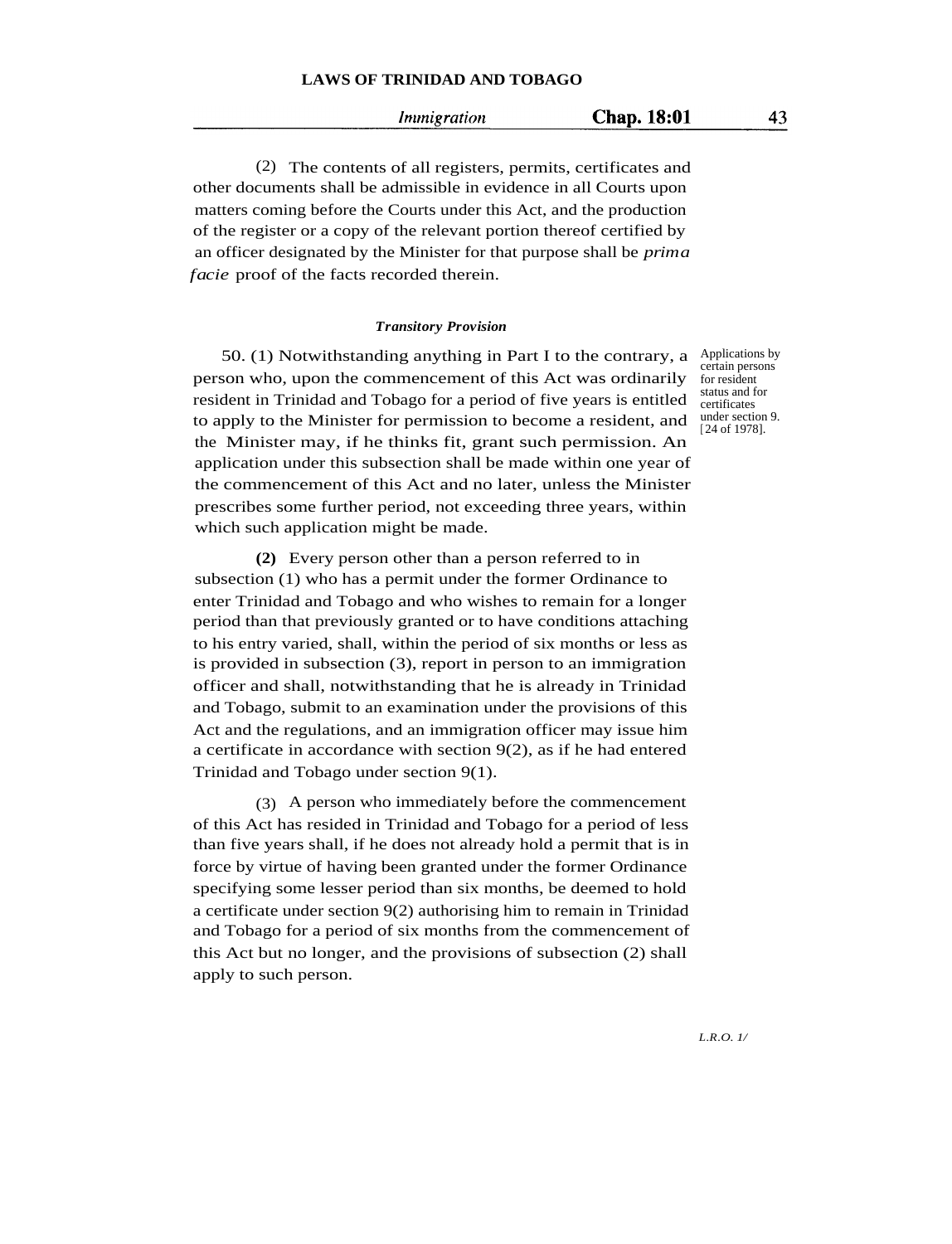Immigration

(2) The contents of all registers, permits, certificates and other documents shall be admissible in evidence in all Courts upon matters coming before the Courts under this Act, and the production of the register or a copy of the relevant portion thereof certified by an officer designated by the Minister for that purpose shall be *prima facie* proof of the facts recorded therein.

#### *Transitory Provision*

50. (1) Notwithstanding anything in Part I to the contrary, a Applications by person who, upon the commencement of this Act was ordinarily resident in Trinidad and Tobago for a period of five years is entitled to apply to the Minister for permission to become a resident, and the Minister may, if he thinks fit, grant such permission. An application under this subsection shall be made within one year of the commencement of this Act and no later, unless the Minister prescribes some further period, not exceeding three years, within which such application might be made.

**(2)** Every person other than a person referred to in subsection (1) who has a permit under the former Ordinance to enter Trinidad and Tobago and who wishes to remain for a longer period than that previously granted or to have conditions attaching to his entry varied, shall, within the period of six months or less as is provided in subsection (3), report in person to an immigration officer and shall, notwithstanding that he is already in Trinidad and Tobago, submit to an examination under the provisions of this Act and the regulations, and an immigration officer may issue him a certificate in accordance with section 9(2), as if he had entered Trinidad and Tobago under section 9(1).

(3) A person who immediately before the commencement of this Act has resided in Trinidad and Tobago for a period of less than five years shall, if he does not already hold a permit that is in force by virtue of having been granted under the former Ordinance specifying some lesser period than six months, be deemed to hold a certificate under section 9(2) authorising him to remain in Trinidad and Tobago for a period of six months from the commencement of this Act but no longer, and the provisions of subsection (2) shall apply to such person.

certain persons for resident status and for certificates under section 9. [ 24 of 1978].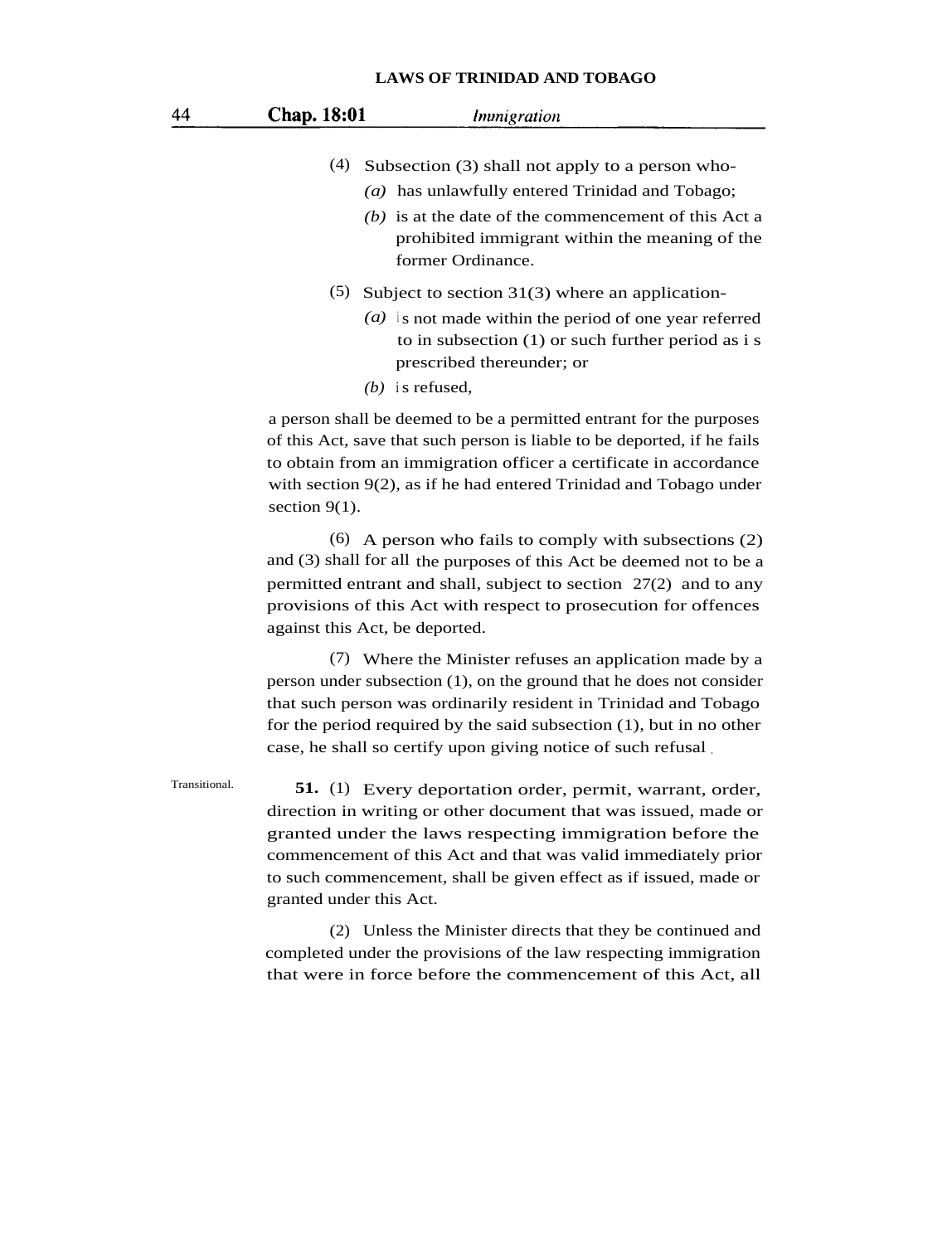| <b>Chap.</b> 18:01 | Immigration                                                                                                                                                                                                                         |
|--------------------|-------------------------------------------------------------------------------------------------------------------------------------------------------------------------------------------------------------------------------------|
| (4)                | Subsection (3) shall not apply to a person who-<br>(a) has unlawfully entered Trinidad and Tobago;<br>$(b)$ is at the date of the commencement of this Act a<br>prohibited immigrant within the meaning of the<br>former Ordinance. |
| (5)                | Subject to section $31(3)$ where an application-<br>$(a)$ is not made within the period of one year referred<br>to in subsection $(1)$ or such further period as i s<br>prescribed thereunder; or<br>$(b)$ is refused.              |
|                    |                                                                                                                                                                                                                                     |

a person shall be deemed to be a permitted entrant for the purposes of this Act, save that such person is liable to be deported, if he fails to obtain from an immigration officer a certificate in accordance with section 9(2), as if he had entered Trinidad and Tobago under section 9(1).

(6) A person who fails to comply with subsections (2) and (3) shall for all the purposes of this Act be deemed not to be a permitted entrant and shall, subject to section 27(2) and to any provisions of this Act with respect to prosecution for offences against this Act, be deported.

(7) Where the Minister refuses an application made by a person under subsection (1), on the ground that he does not consider that such person was ordinarily resident in Trinidad and Tobago for the period required by the said subsection (1), but in no other case, he shall so certify upon giving notice of such refusal .

Transitional. **51.** (1) Every deportation order, permit, warrant, order, direction in writing or other document that was issued, made or granted under the laws respecting immigration before the commencement of this Act and that was valid immediately prior to such commencement, shall be given effect as if issued, made or granted under this Act.

> (2) Unless the Minister directs that they be continued and completed under the provisions of the law respecting immigration that were in force before the commencement of this Act, all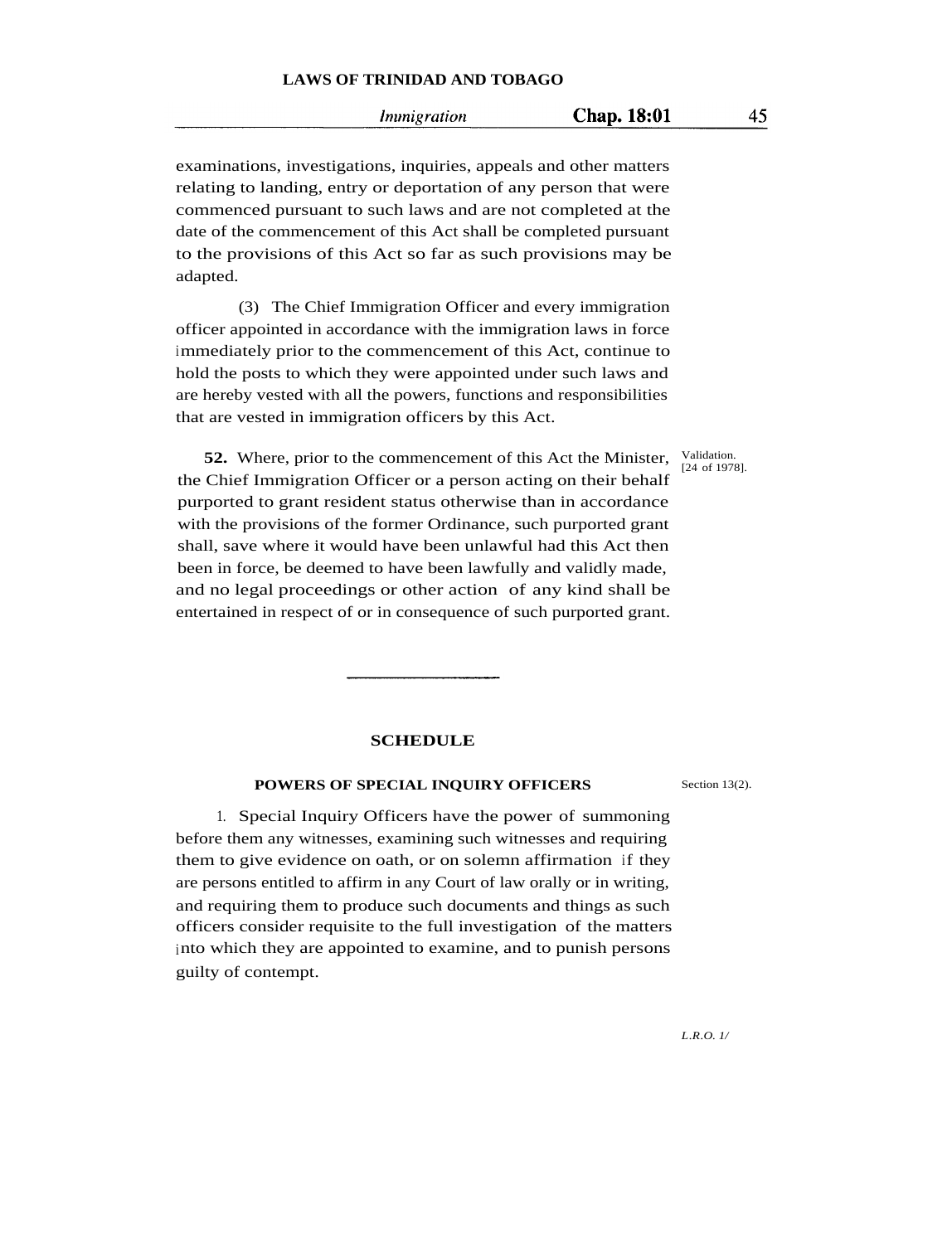*Inunigration* 

examinations, investigations, inquiries, appeals and other matters relating to landing, entry or deportation of any person that were commenced pursuant to such laws and are not completed at the date of the commencement of this Act shall be completed pursuant to the provisions of this Act so far as such provisions may be adapted.

(3) The Chief Immigration Officer and every immigration officer appointed in accordance with the immigration laws in force immediately prior to the commencement of this Act, continue to hold the posts to which they were appointed under such laws and are hereby vested with all the powers, functions and responsibilities that are vested in immigration officers by this Act.

**52.** Where, prior to the commencement of this Act the Minister, the Chief Immigration Officer or a person acting on their behalf purported to grant resident status otherwise than in accordance with the provisions of the former Ordinance, such purported grant shall, save where it would have been unlawful had this Act then been in force, be deemed to have been lawfully and validly made, and no legal proceedings or other action of any kind shall be

#### Validation. [24 of 1978].

#### **SCHEDULE**

entertained in respect of or in consequence of such purported grant.

#### **POWERS OF SPECIAL INQUIRY OFFICERS**

1. Special Inquiry Officers have the power of summoning before them any witnesses, examining such witnesses and requiring them to give evidence on oath, or on solemn affirmation if they are persons entitled to affirm in any Court of law orally or in writing, and requiring them to produce such documents and things as such officers consider requisite to the full investigation of the matters into which they are appointed to examine, and to punish persons guilty of contempt.

Section 13(2).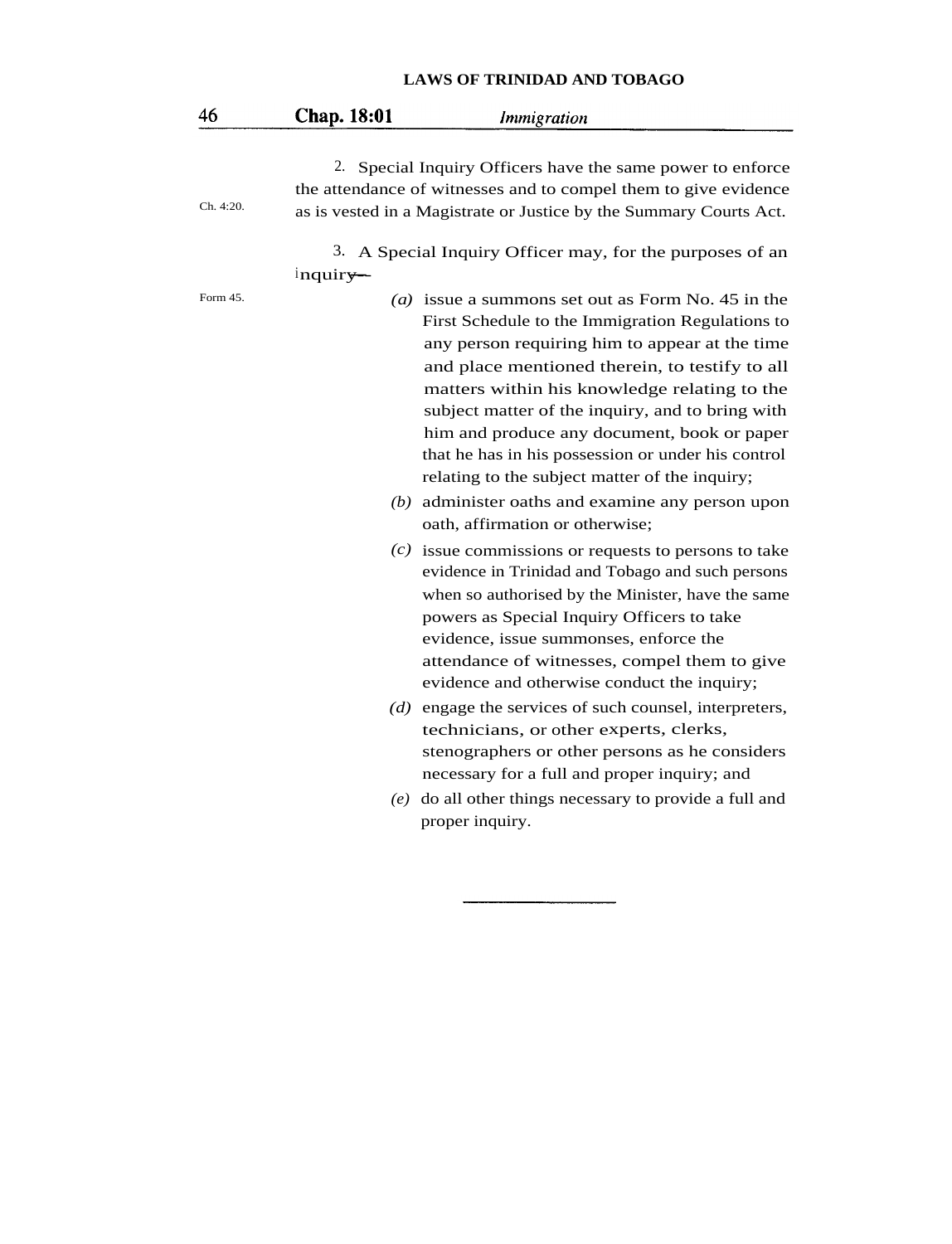| 46        | Chap. 18:01 | <i>Immigration</i>                                                                                                                                                                                                                                                                                                                                                                                                                                                                                                                                            |
|-----------|-------------|---------------------------------------------------------------------------------------------------------------------------------------------------------------------------------------------------------------------------------------------------------------------------------------------------------------------------------------------------------------------------------------------------------------------------------------------------------------------------------------------------------------------------------------------------------------|
| Ch. 4:20. |             | 2. Special Inquiry Officers have the same power to enforce<br>the attendance of witnesses and to compel them to give evidence<br>as is vested in a Magistrate or Justice by the Summary Courts Act.                                                                                                                                                                                                                                                                                                                                                           |
|           | $inquiry$ — | 3. A Special Inquiry Officer may, for the purposes of an                                                                                                                                                                                                                                                                                                                                                                                                                                                                                                      |
| Form 45.  |             | (a) issue a summons set out as Form No. 45 in the<br>First Schedule to the Immigration Regulations to<br>any person requiring him to appear at the time<br>and place mentioned therein, to testify to all<br>matters within his knowledge relating to the<br>subject matter of the inquiry, and to bring with<br>him and produce any document, book or paper<br>that he has in his possession or under his control<br>relating to the subject matter of the inquiry;<br>$(b)$ administer oaths and examine any person upon<br>oath, affirmation or otherwise; |
|           |             | $(c)$ issue commissions or requests to persons to take<br>evidence in Trinidad and Tobago and such persons<br>when so authorised by the Minister, have the same<br>powers as Special Inquiry Officers to take<br>evidence, issue summonses, enforce the<br>attendance of witnesses, compel them to give<br>evidence and otherwise conduct the inquiry;                                                                                                                                                                                                        |
|           |             | $(d)$ engage the services of such counsel, interpreters,<br>technicians, or other experts, clerks,<br>stenographers or other persons as he considers<br>necessary for a full and proper inquiry; and<br>$(e)$ do all other things necessary to provide a full and                                                                                                                                                                                                                                                                                             |
|           |             | proper inquiry.                                                                                                                                                                                                                                                                                                                                                                                                                                                                                                                                               |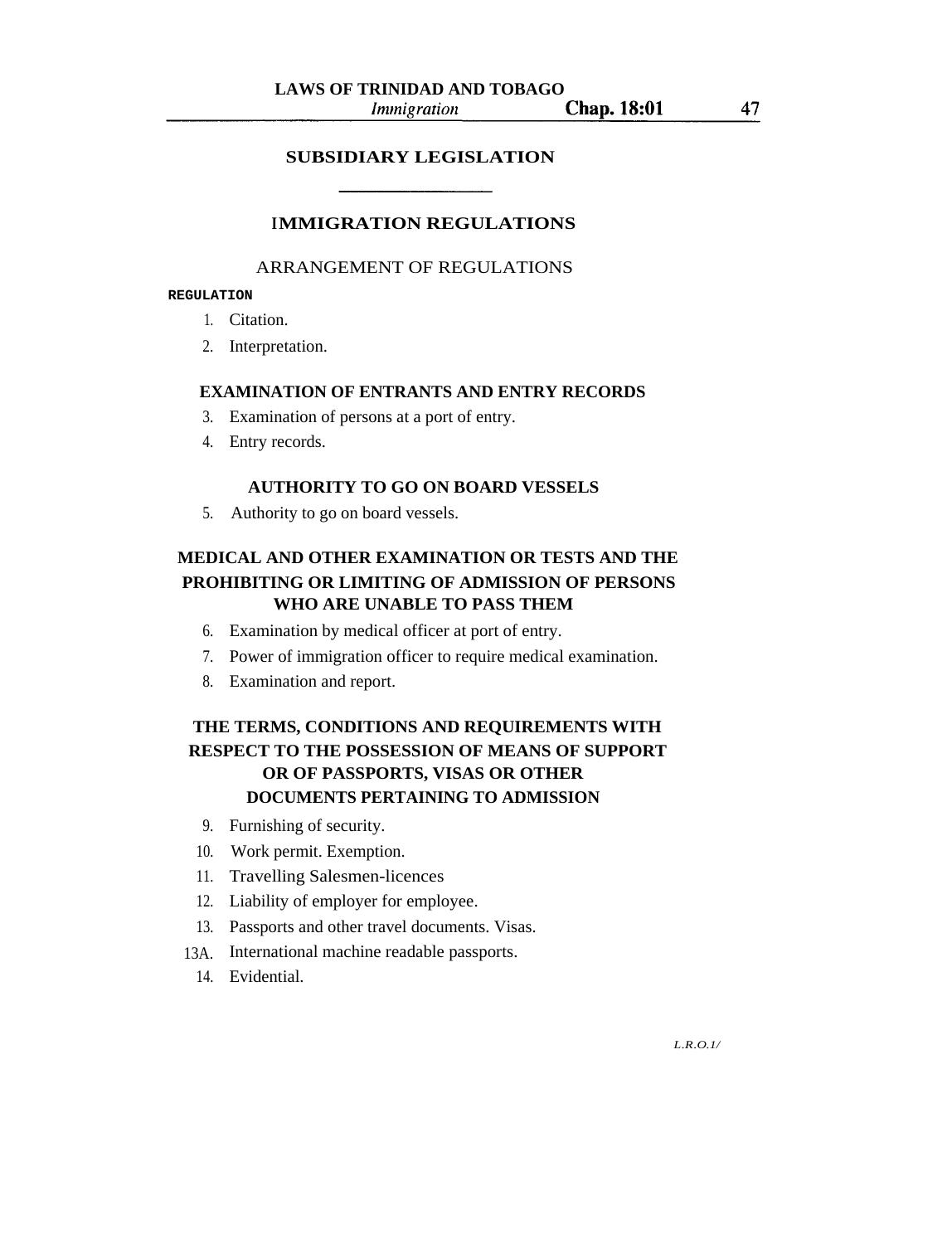### **SUBSIDIARY LEGISLATION**

### **IMMIGRATION REGULATIONS**

### ARRANGEMENT OF REGULATIONS

### **REGULATION**

- 1. Citation.
- 2. Interpretation.

### **EXAMINATION OF ENTRANTS AND ENTRY RECORDS**

- 3. Examination of persons at a port of entry.
- 4. Entry records.

### **AUTHORITY TO GO ON BOARD VESSELS**

5. Authority to go on board vessels.

### **MEDICAL AND OTHER EXAMINATION OR TESTS AND THE PROHIBITING OR LIMITING OF ADMISSION OF PERSONS WHO ARE UNABLE TO PASS THEM**

- 6. Examination by medical officer at port of entry.
- 7. Power of immigration officer to require medical examination.
- 8. Examination and report.

# **THE TERMS, CONDITIONS AND REQUIREMENTS WITH RESPECT TO THE POSSESSION OF MEANS OF SUPPORT OR OF PASSPORTS, VISAS OR OTHER DOCUMENTS PERTAINING TO ADMISSION**

- 9. Furnishing of security.
- 10. Work permit. Exemption.
- 11. Travelling Salesmen-licences
- 12. Liability of employer for employee.
- 13. Passports and other travel documents. Visas.
- 13A. International machine readable passports.
	- 14. Evidential.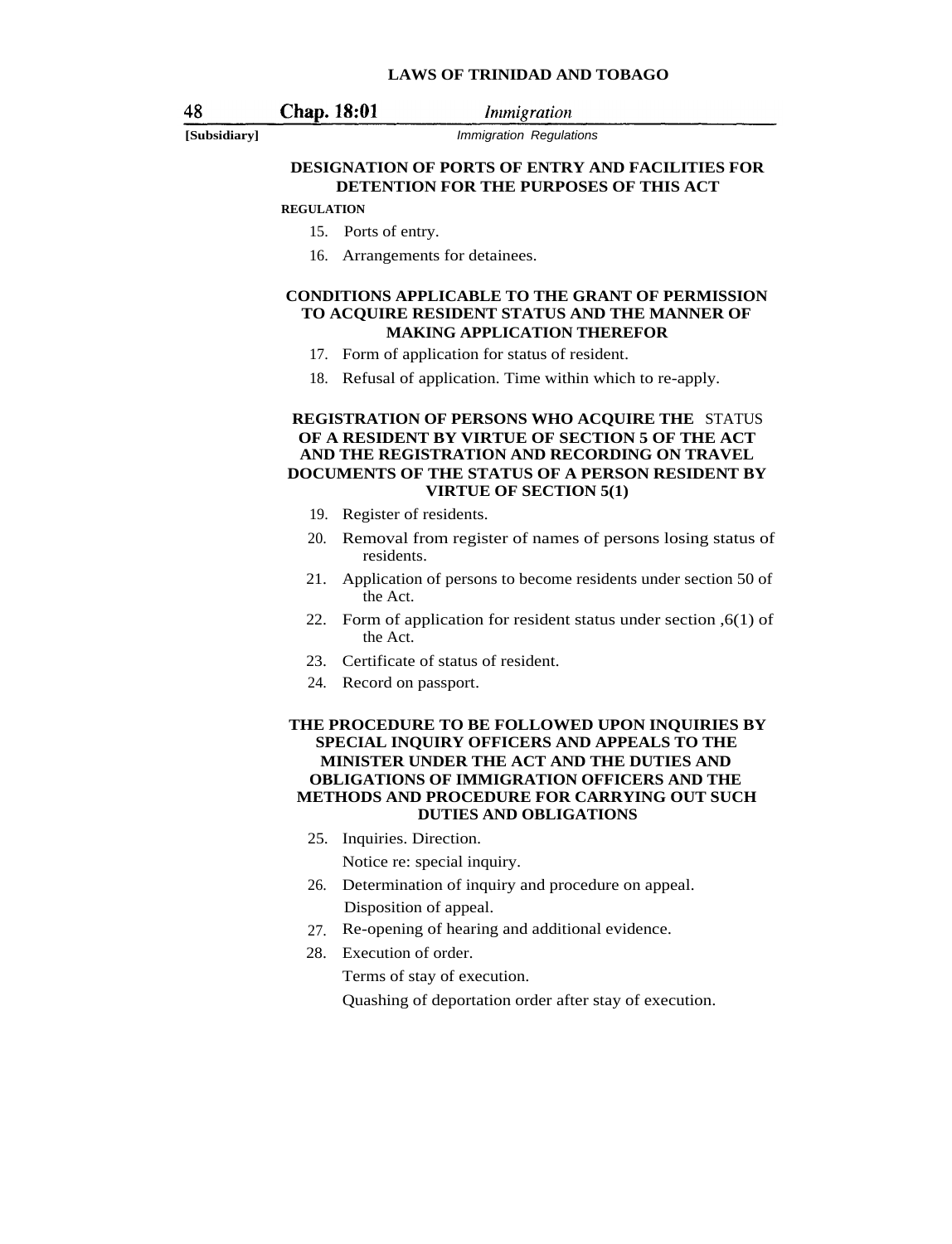*Immigration* 

[Subsidiary] **Immigration Regulations** 

### **DESIGNATION OF PORTS OF ENTRY AND FACILITIES FOR DETENTION FOR THE PURPOSES OF THIS ACT**

#### **REGULATION**

Chap. 18:01

- 15. Ports of entry.
- 16. Arrangements for detainees.

#### **CONDITIONS APPLICABLE TO THE GRANT OF PERMISSION TO ACQUIRE RESIDENT STATUS AND THE MANNER OF MAKING APPLICATION THEREFOR**

- 17. Form of application for status of resident.
- 18. Refusal of application. Time within which to re-apply.

#### **REGISTRATION OF PERSONS WHO ACQUIRE THE** STATUS **OF A RESIDENT BY VIRTUE OF SECTION 5 OF THE ACT AND THE REGISTRATION AND RECORDING ON TRAVEL DOCUMENTS OF THE STATUS OF A PERSON RESIDENT BY VIRTUE OF SECTION 5(1)**

- 19. Register of residents.
- 20. Removal from register of names of persons losing status of residents.
- 21. Application of persons to become residents under section 50 of the Act.
- 22. Form of application for resident status under section ,6(1) of the Act.
- 23. Certificate of status of resident.
- 24. Record on passport.

#### **THE PROCEDURE TO BE FOLLOWED UPON INQUIRIES BY SPECIAL INQUIRY OFFICERS AND APPEALS TO THE MINISTER UNDER THE ACT AND THE DUTIES AND OBLIGATIONS OF IMMIGRATION OFFICERS AND THE METHODS AND PROCEDURE FOR CARRYING OUT SUCH DUTIES AND OBLIGATIONS**

25. Inquiries. Direction.

Notice re: special inquiry.

- 26. Determination of inquiry and procedure on appeal. Disposition of appeal.
- 27. Re-opening of hearing and additional evidence.
- 28. Execution of order.

Terms of stay of execution.

Quashing of deportation order after stay of execution.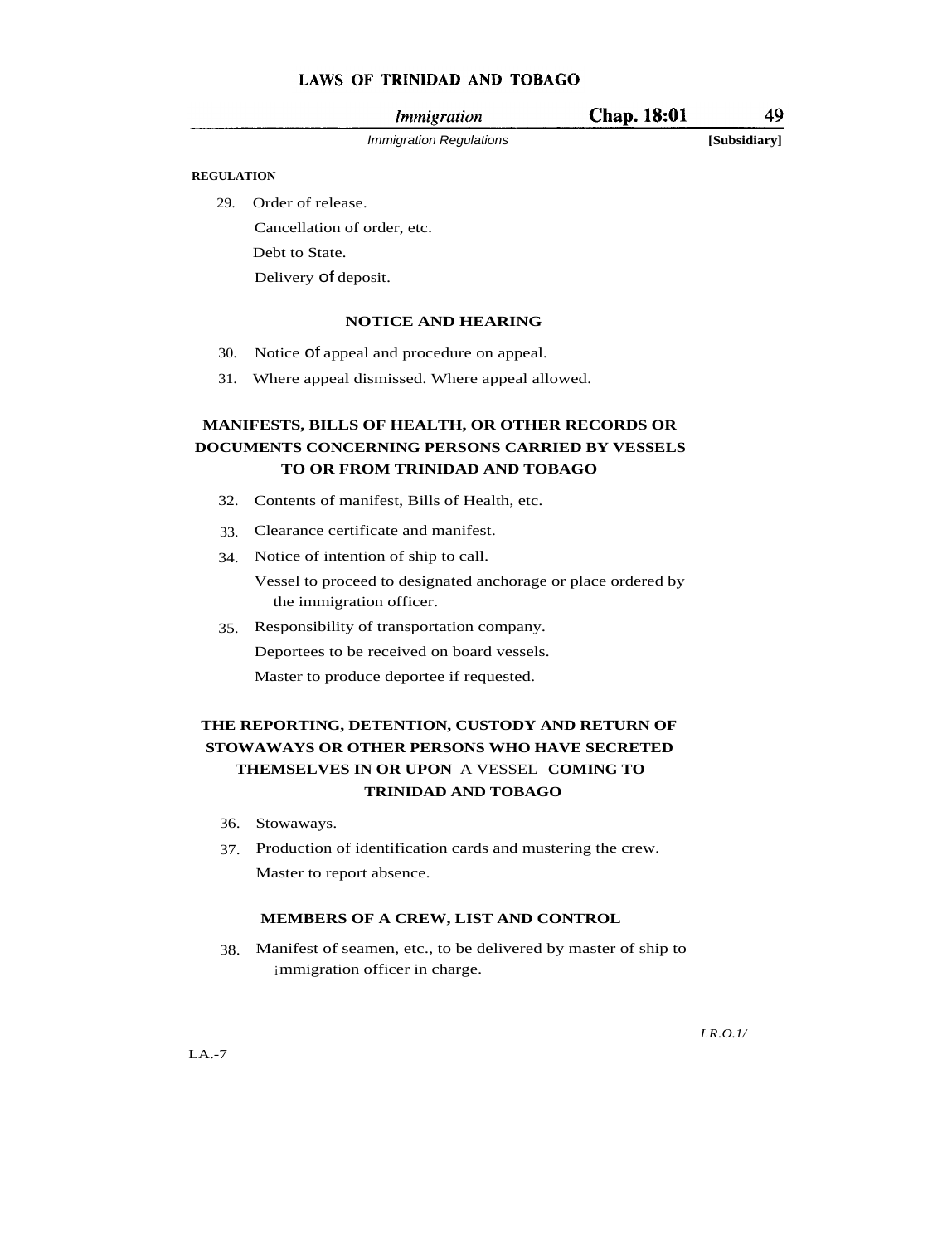| Immigration                    | <b>Chap. 18:01</b> | 49           |
|--------------------------------|--------------------|--------------|
| <i>Immigration Regulations</i> |                    | [Subsidiary] |

49

### **REGULATION**

29. Order of release.

Cancellation of order, etc. Debt to State.

Delivery of deposit.

### **NOTICE AND HEARING**

- 30. Notice of appeal and procedure on appeal.
- 31. Where appeal dismissed. Where appeal allowed.

### **MANIFESTS, BILLS OF HEALTH, OR OTHER RECORDS OR DOCUMENTS CONCERNING PERSONS CARRIED BY VESSELS TO OR FROM TRINIDAD AND TOBAGO**

- 32. Contents of manifest, Bills of Health, etc.
- 33. Clearance certificate and manifest.
- 34. Notice of intention of ship to call.

Vessel to proceed to designated anchorage or place ordered by the immigration officer.

35. Responsibility of transportation company. Deportees to be received on board vessels. Master to produce deportee if requested.

### **THE REPORTING, DETENTION, CUSTODY AND RETURN OF STOWAWAYS OR OTHER PERSONS WHO HAVE SECRETED THEMSELVES IN OR UPON** A VESSEL **COMING TO TRINIDAD AND TOBAGO**

- 36. Stowaways.
- 37. Production of identification cards and mustering the crew. Master to report absence.

### **MEMBERS OF A CREW, LIST AND CONTROL**

38. Manifest of seamen, etc., to be delivered by master of ship to immigration officer in charge.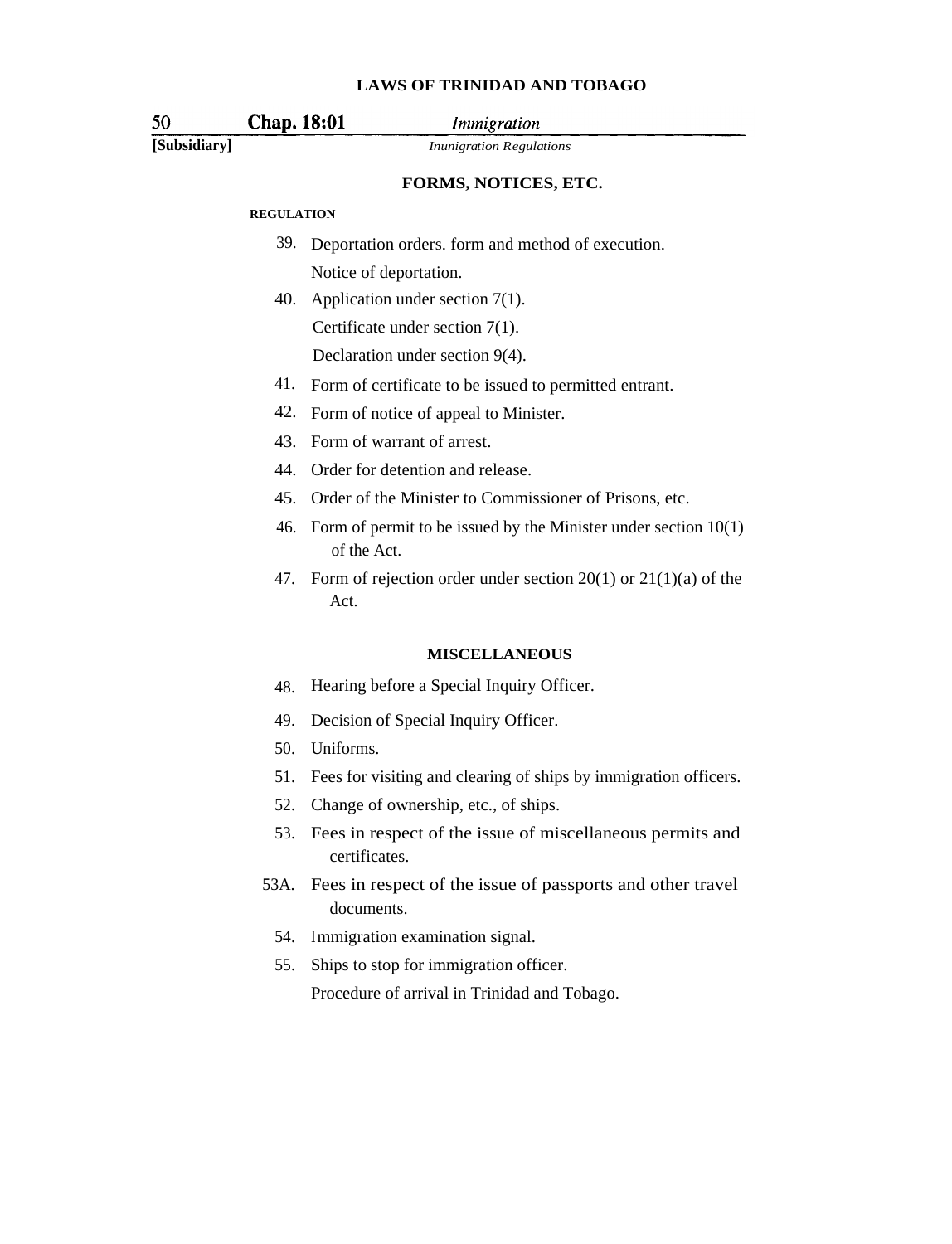**Chap. 18:01** 

*Immigration* 

50

**[Subsidiary]** *Inunigration Regulations*

### **FORMS, NOTICES, ETC.**

#### **REGULATION**

- 39. Deportation orders. form and method of execution. Notice of deportation.
- 40. Application under section 7(1). Certificate under section 7(1).

Declaration under section 9(4).

- 41. Form of certificate to be issued to permitted entrant.
- 42. Form of notice of appeal to Minister.
- 43. Form of warrant of arrest.
- 44. Order for detention and release.
- 45. Order of the Minister to Commissioner of Prisons, etc.
- 46. Form of permit to be issued by the Minister under section 10(1) of the Act.
- 47. Form of rejection order under section 20(1) or 21(1)(a) of the Act.

#### **MISCELLANEOUS**

- 48. Hearing before a Special Inquiry Officer.
- 49. Decision of Special Inquiry Officer.
- 50. Uniforms.
- 51. Fees for visiting and clearing of ships by immigration officers.
- 52. Change of ownership, etc., of ships.
- 53. Fees in respect of the issue of miscellaneous permits and certificates.
- 53A. Fees in respect of the issue of passports and other travel documents.
	- 54. Immigration examination signal.
	- 55. Ships to stop for immigration officer. Procedure of arrival in Trinidad and Tobago.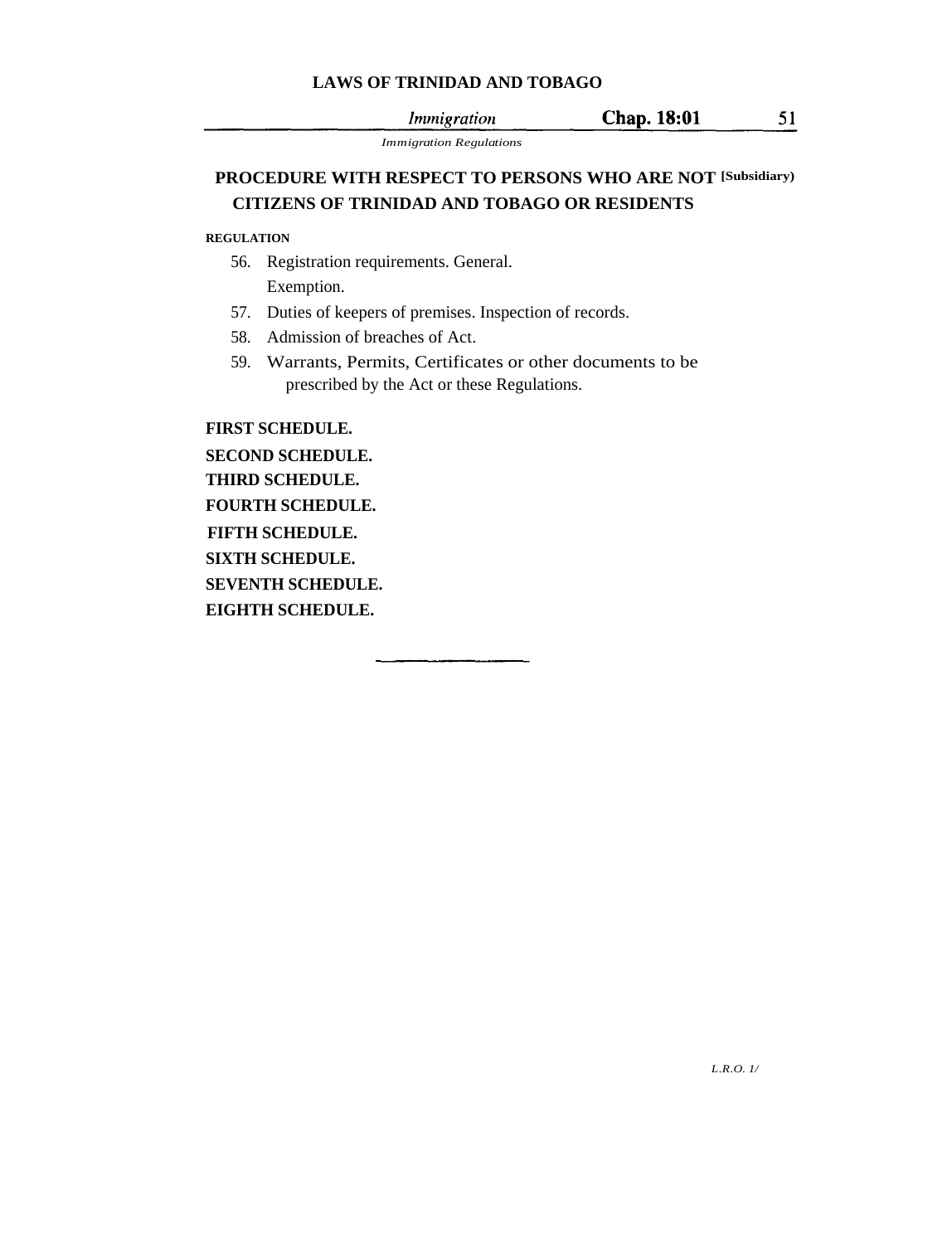**Chap. 18:01** *Immigration* 

51

*Immigration Regulations*

## **PROCEDURE WITH RESPECT TO PERSONS WHO ARE NOT [Subsidiary)CITIZENS OF TRINIDAD AND TOBAGO OR RESIDENTS**

### **REGULATION**

- 56. Registration requirements. General. Exemption.
- 57. Duties of keepers of premises. Inspection of records.
- 58. Admission of breaches of Act.
- 59. Warrants, Permits, Certificates or other documents to be prescribed by the Act or these Regulations.

**FIRST SCHEDULE.**

**SECOND SCHEDULE. THIRD SCHEDULE. FOURTH SCHEDULE. FIFTH SCHEDULE. SIXTH SCHEDULE. SEVENTH SCHEDULE. EIGHTH SCHEDULE.**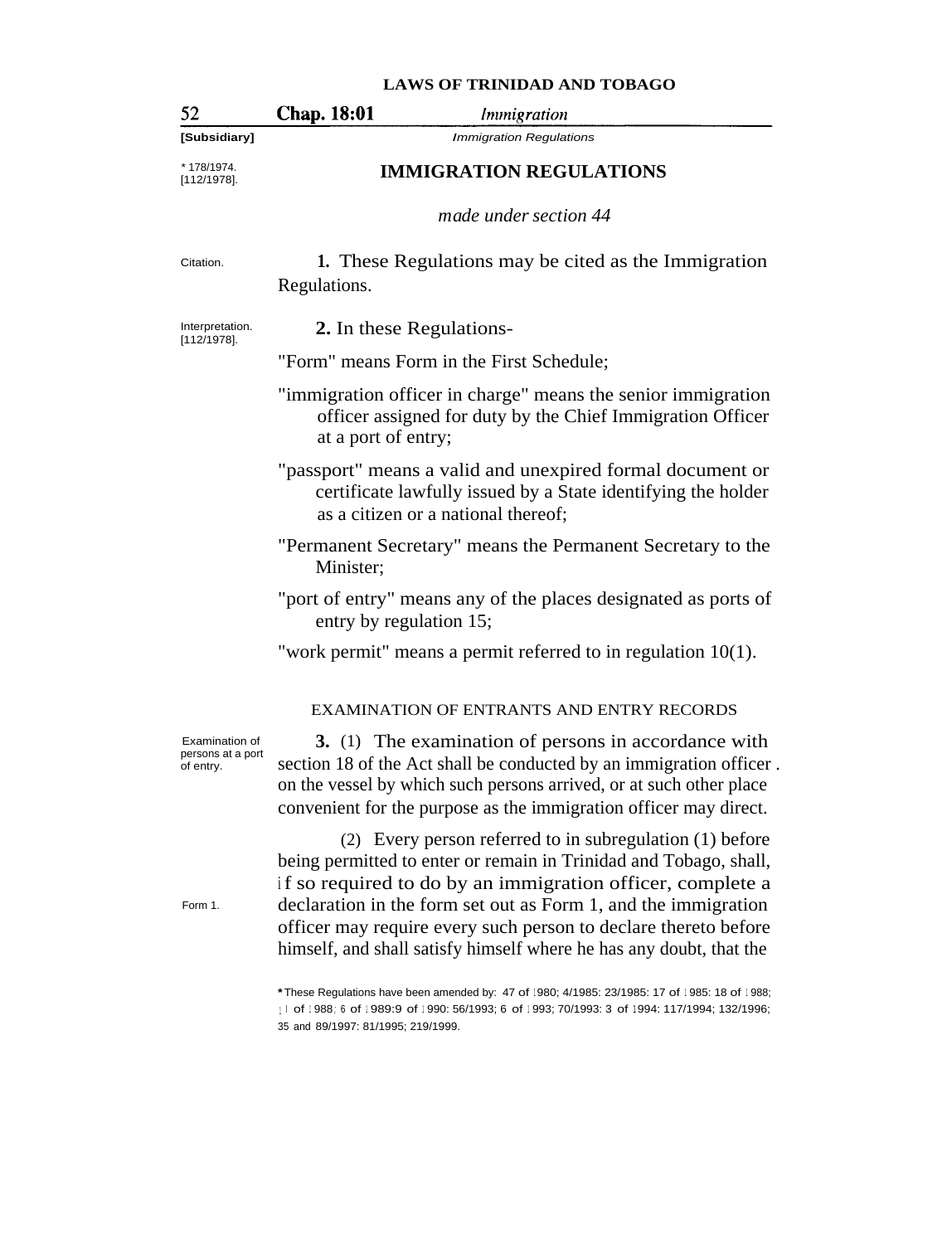# 52 Chap. 18:01 *Immigration* **[Subsidiary]** Immigration Regulations \* 178/1974.<br>[112/1978]. [112/1978]. **IMMIGRATION REGULATIONS** *made under section 44* Citation. **1.** These Regulations may be cited as the Immigration Regulations. Interpretation. **2.** In these Regulations- [112/1978]. "Form" means Form in the First Schedule; "immigration officer in charge" means the senior immigration officer assigned for duty by the Chief Immigration Officer at a port of entry; "passport" means a valid and unexpired formal document or certificate lawfully issued by a State identifying the holder as a citizen or a national thereof; "Permanent Secretary" means the Permanent Secretary to the Minister; "port of entry" means any of the places designated as ports of entry by regulation 15; "work permit" means a permit referred to in regulation 10(1). EXAMINATION OF ENTRANTS AND ENTRY RECORDS **3.** (1) The examination of persons in accordance with Examination of persons at a port section 18 of the Act shall be conducted by an immigration officer . of entry. on the vessel by which such persons arrived, or at such other place convenient for the purpose as the immigration officer may direct. (2) Every person referred to in subregulation (1) before being permitted to enter or remain in Trinidad and Tobago, shall, if so required to do by an immigration officer, complete a Form 1. declaration in the form set out as Form 1, and the immigration officer may require every such person to declare thereto before himself, and shall satisfy himself where he has any doubt, that the **\***These Regulations have been amended by: 47 of <sup>1</sup> 980; 4/1985: 23/1985: 17 of <sup>1</sup> 985: 18 of <sup>1</sup> 988; <sup>1</sup> <sup>I</sup> of <sup>1</sup> 988 ; <sup>6</sup> of <sup>1</sup> 989:9 of <sup>1</sup> 990: 56/1993; 6 of <sup>1</sup> 993; 70/1993: 3 of <sup>1</sup> 994: 117/1994; 132/1996; 35 and 89/1997: 81/1995; 219/1999.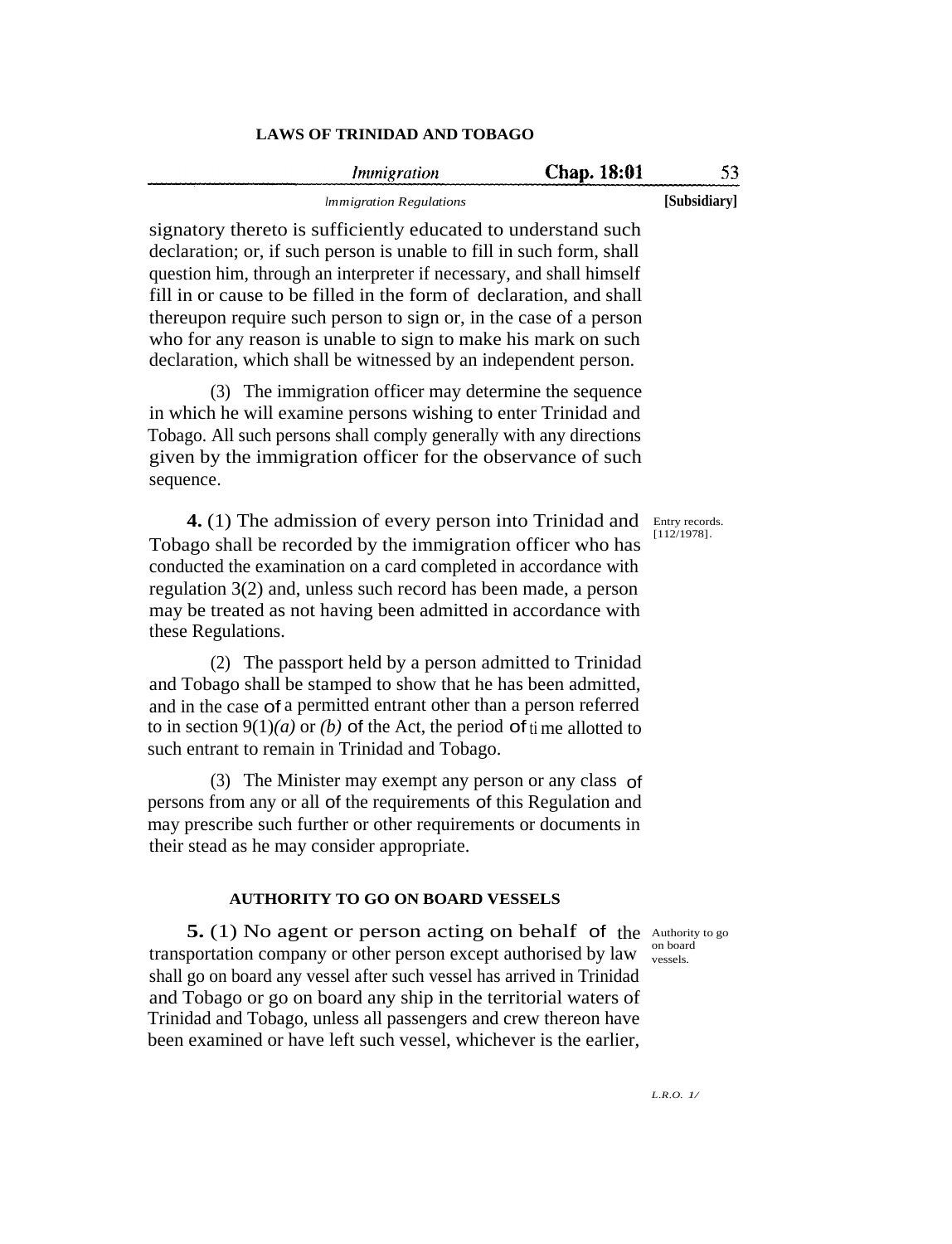|              | Chap. 18:01 | <i>Immigration</i>             |
|--------------|-------------|--------------------------------|
| [Subsidiary] |             | <i>Immigration Regulations</i> |

signatory thereto is sufficiently educated to understand such declaration; or, if such person is unable to fill in such form, shall question him, through an interpreter if necessary, and shall himself fill in or cause to be filled in the form of declaration, and shall thereupon require such person to sign or, in the case of a person who for any reason is unable to sign to make his mark on such declaration, which shall be witnessed by an independent person.

(3) The immigration officer may determine the sequence in which he will examine persons wishing to enter Trinidad and Tobago. All such persons shall comply generally with any directions given by the immigration officer for the observance of such sequence.

4. (1) The admission of every person into Trinidad and Entry records. Tobago shall be recorded by the immigration officer who has conducted the examination on a card completed in accordance with regulation 3(2) and, unless such record has been made, a person may be treated as not having been admitted in accordance with these Regulations. [112/1978]**.**

(2) The passport held by a person admitted to Trinidad and Tobago shall be stamped to show that he has been admitted, and in the case of a permitted entrant other than a person referred to in section  $9(1)(a)$  or *(b)* of the Act, the period of time allotted to such entrant to remain in Trinidad and Tobago.

(3) The Minister may exempt any person or any class of persons from any or all of the requirements of this Regulation and may prescribe such further or other requirements or documents in their stead as he may consider appropriate.

### **AUTHORITY TO GO ON BOARD VESSELS**

on board vessels.

**5.** (1) No agent or person acting on behalf of the Authority to go transportation company or other person except authorised by law shall go on board any vessel after such vessel has arrived in Trinidad and Tobago or go on board any ship in the territorial waters of Trinidad and Tobago, unless all passengers and crew thereon have been examined or have left such vessel, whichever is the earlier,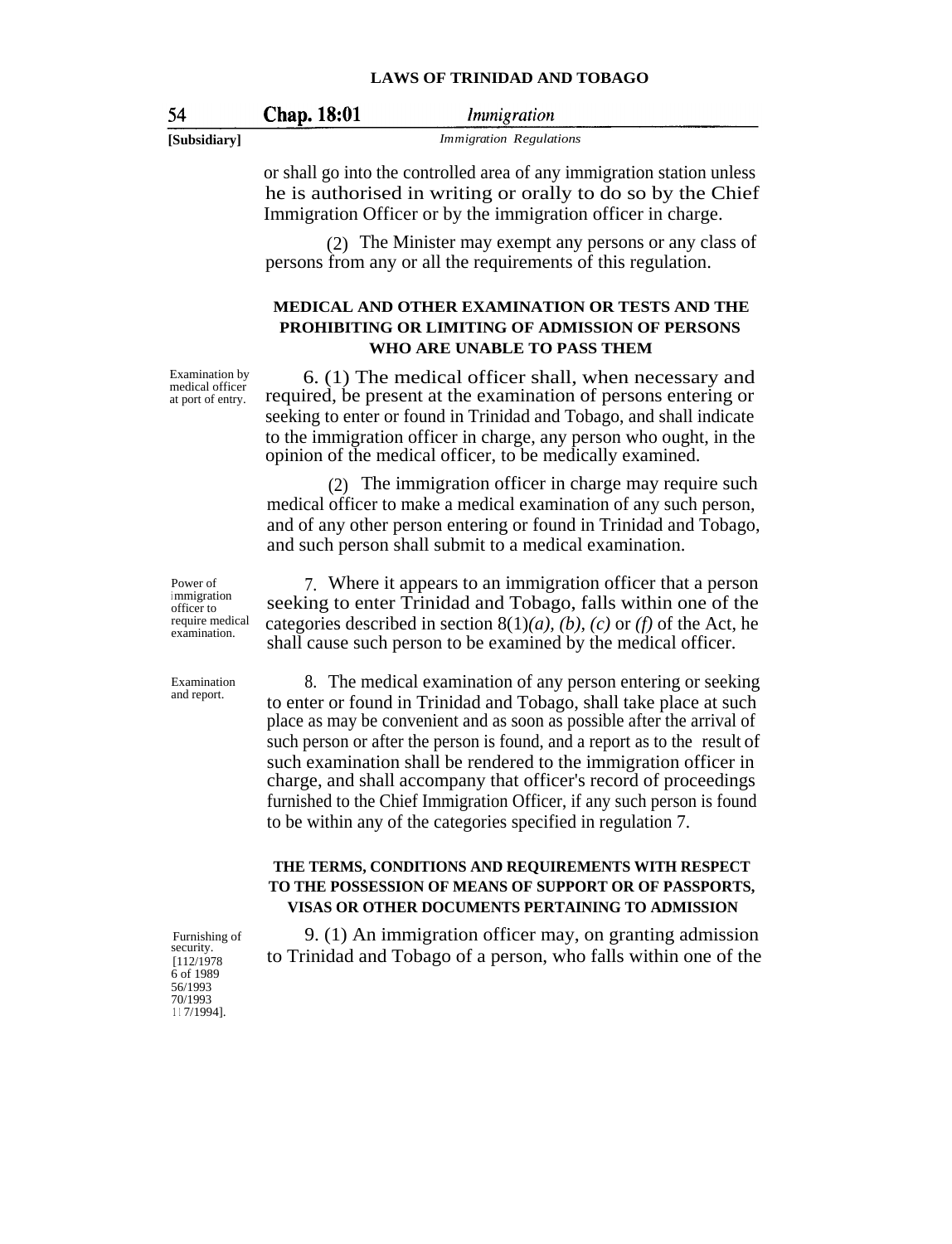| n |  |
|---|--|
|   |  |

Immigration

Chap. 18:01

**[Subsidiary]** *Immigration Regulations*

or shall go into the controlled area of any immigration station unless he is authorised in writing or orally to do so by the Chief Immigration Officer or by the immigration officer in charge.

(2) The Minister may exempt any persons or any class of persons from any or all the requirements of this regulation.

### **MEDICAL AND OTHER EXAMINATION OR TESTS AND THE PROHIBITING OR LIMITING OF ADMISSION OF PERSONS WHO ARE UNABLE TO PASS THEM**

Examination by medical officer at port of entry.

6. (1) The medical officer shall, when necessary and required, be present at the examination of persons entering or seeking to enter or found in Trinidad and Tobago, and shall indicate to the immigration officer in charge, any person who ought, in the opinion of the medical officer, to be medically examined.

(2) The immigration officer in charge may require such medical officer to make a medical examination of any such person, and of any other person entering or found in Trinidad and Tobago, and such person shall submit to a medical examination.

Power of <sup>i</sup> mmigration officer to require medical examination.

7. Where it appears to an immigration officer that a person seeking to enter Trinidad and Tobago, falls within one of the categories described in section  $8(1)(a)$ , *(b)*, *(c)* or *(f)* of the Act, he shall cause such person to be examined by the medical officer.

8. The medical examination of any person entering or seeking to enter or found in Trinidad and Tobago, shall take place at such place as may be convenient and as soon as possible after the arrival of such person or after the person is found, and a report as to the result of such examination shall be rendered to the immigration officer in charge, and shall accompany that officer's record of proceedings furnished to the Chief Immigration Officer, if any such person is found to be within any of the categories specified in regulation 7.

### **THE TERMS, CONDITIONS AND REQUIREMENTS WITH RESPECT TO THE POSSESSION OF MEANS OF SUPPORT OR OF PASSPORTS, VISAS OR OTHER DOCUMENTS PERTAINING TO ADMISSION**

9. (1) An immigration officer may, on granting admission to Trinidad and Tobago of a person, who falls within one of the

Examination

and report.

Furnishing of security. [112/1978 6 of 1989 56/1993 70/1993 <sup>1</sup> <sup>1</sup> 7/1994].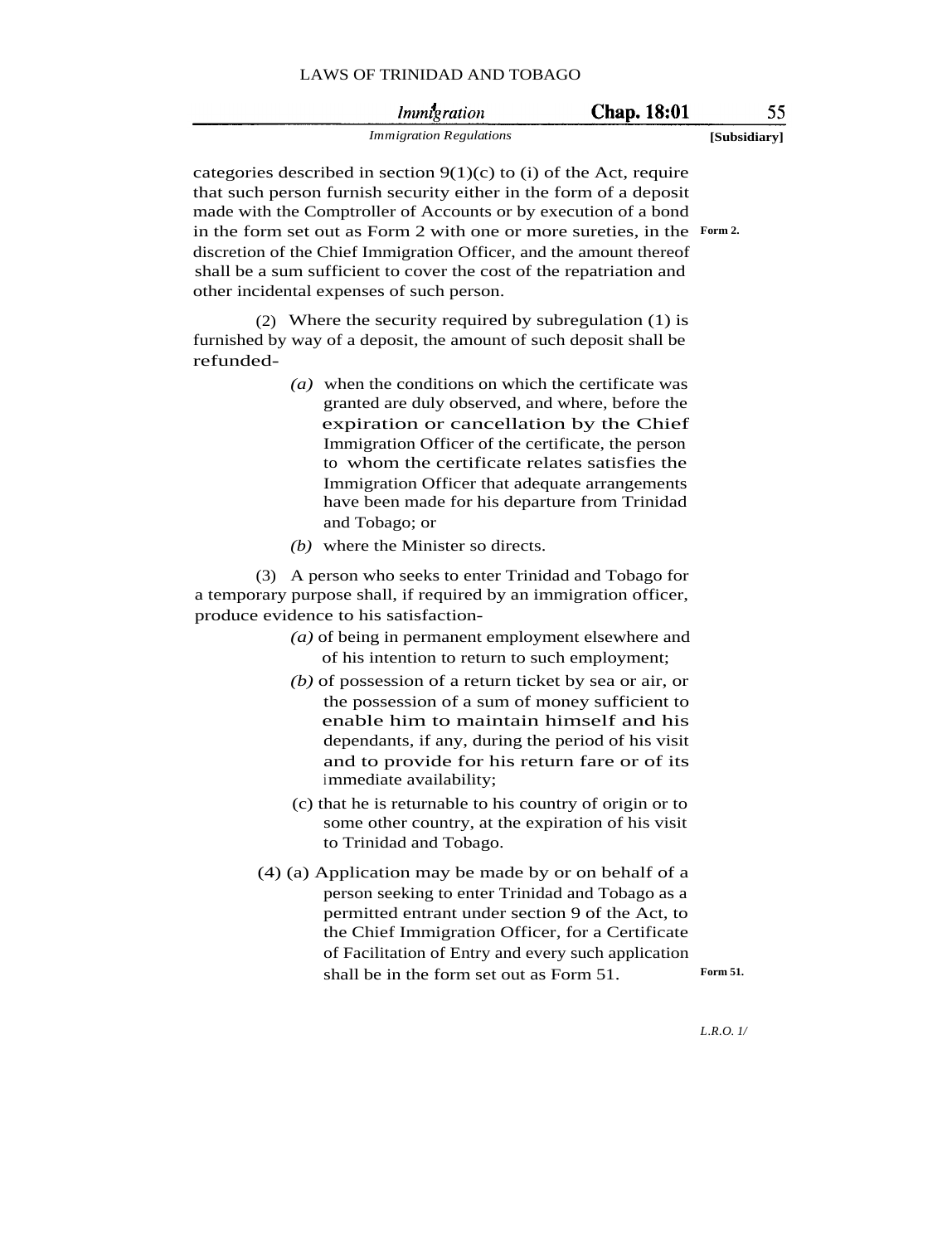|  | LAWS OF TRINIDAD AND TOBAGO |  |  |
|--|-----------------------------|--|--|
|--|-----------------------------|--|--|

| <i>Immigration</i>             | <b>Chap.</b> 18:01 |              |
|--------------------------------|--------------------|--------------|
| <b>Immigration Regulations</b> |                    | [Subsidiary] |

categories described in section  $9(1)(c)$  to (i) of the Act, require that such person furnish security either in the form of a deposit made with the Comptroller of Accounts or by execution of a bond in the form set out as Form 2 with one or more sureties, in the **Form 2.**discretion of the Chief Immigration Officer, and the amount thereof shall be a sum sufficient to cover the cost of the repatriation and other incidental expenses of such person.

(2) Where the security required by subregulation (1) is furnished by way of a deposit, the amount of such deposit shall be refunded-

- *(a)* when the conditions on which the certificate was granted are duly observed, and where, before the expiration or cancellation by the Chief Immigration Officer of the certificate, the person to whom the certificate relates satisfies the Immigration Officer that adequate arrangements have been made for his departure from Trinidad and Tobago; or
- *(b)* where the Minister so directs.

(3) A person who seeks to enter Trinidad and Tobago for a temporary purpose shall, if required by an immigration officer, produce evidence to his satisfaction-

- *(a)* of being in permanent employment elsewhere and of his intention to return to such employment;
- *(b)* of possession of a return ticket by sea or air, or the possession of a sum of money sufficient to enable him to maintain himself and his dependants, if any, during the period of his visit and to provide for his return fare or of its immediate availability;
- (c) that he is returnable to his country of origin or to some other country, at the expiration of his visit to Trinidad and Tobago.
- (4) (a) Application may be made by or on behalf of a person seeking to enter Trinidad and Tobago as a permitted entrant under section 9 of the Act, to the Chief Immigration Officer, for a Certificate of Facilitation of Entry and every such application shall be in the form set out as Form 51. Form 51.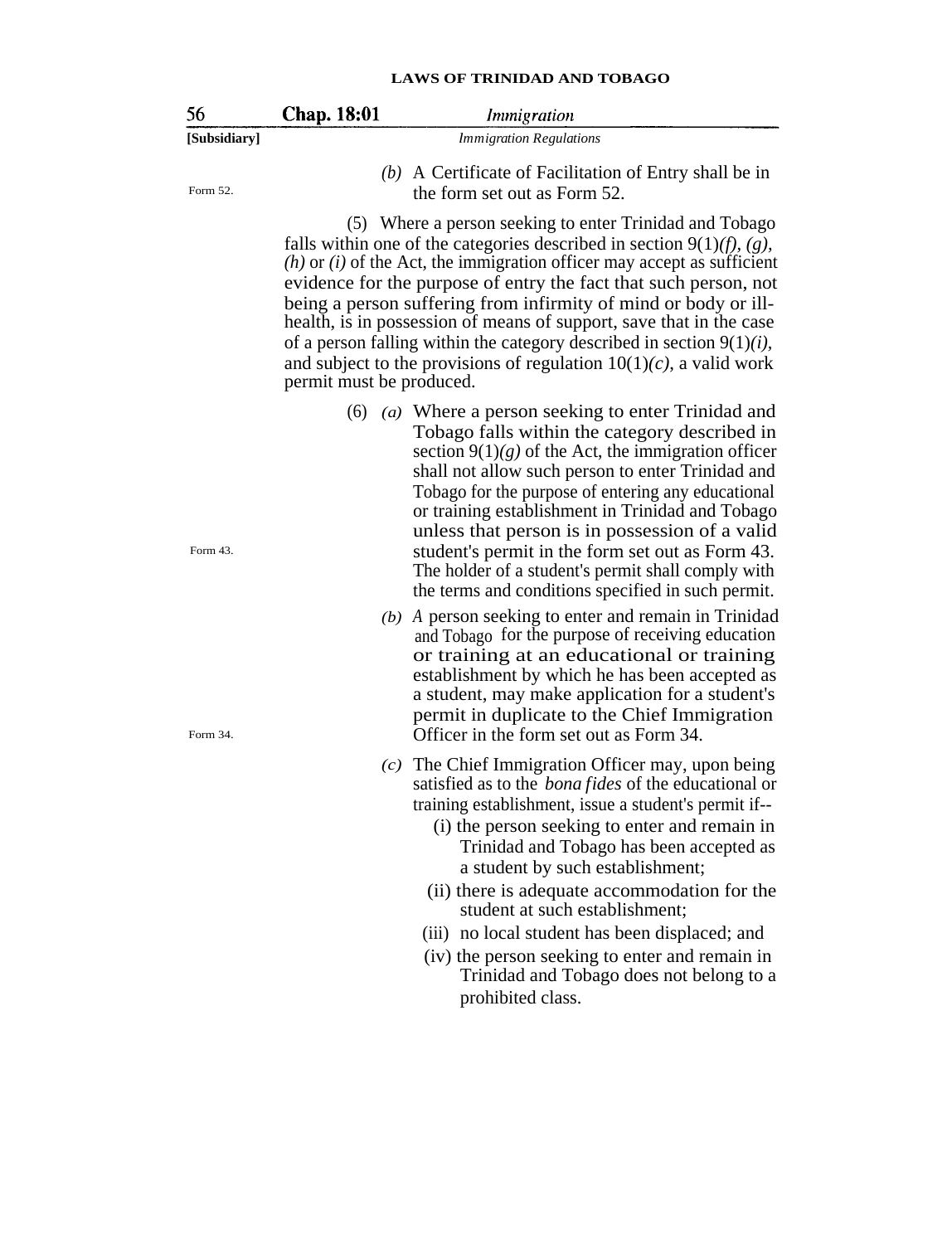| 56           | <b>Chap. 18:01</b>       | <i>Immigration</i>                                                                                                                                                                                                                                                                                                                                                                                                                                                                                                                                                                    |
|--------------|--------------------------|---------------------------------------------------------------------------------------------------------------------------------------------------------------------------------------------------------------------------------------------------------------------------------------------------------------------------------------------------------------------------------------------------------------------------------------------------------------------------------------------------------------------------------------------------------------------------------------|
| [Subsidiary] |                          | <b>Immigration Regulations</b>                                                                                                                                                                                                                                                                                                                                                                                                                                                                                                                                                        |
| Form 52.     |                          | (b) A Certificate of Facilitation of Entry shall be in<br>the form set out as Form 52.                                                                                                                                                                                                                                                                                                                                                                                                                                                                                                |
|              | permit must be produced. | (5) Where a person seeking to enter Trinidad and Tobago<br>falls within one of the categories described in section $9(1)(f)$ , (g),<br>$(h)$ or $(i)$ of the Act, the immigration officer may accept as sufficient<br>evidence for the purpose of entry the fact that such person, not<br>being a person suffering from infirmity of mind or body or ill-<br>health, is in possession of means of support, save that in the case<br>of a person falling within the category described in section $9(1)(i)$ ,<br>and subject to the provisions of regulation $10(1)(c)$ , a valid work |
| Form 43.     |                          | $(6)$ ( <i>a</i> ) Where a person seeking to enter Trinidad and<br>Tobago falls within the category described in<br>section $9(1)(g)$ of the Act, the immigration officer<br>shall not allow such person to enter Trinidad and<br>Tobago for the purpose of entering any educational<br>or training establishment in Trinidad and Tobago<br>unless that person is in possession of a valid<br>student's permit in the form set out as Form 43.<br>The holder of a student's permit shall comply with<br>the terms and conditions specified in such permit.                            |
| Form 34.     | (b)                      | A person seeking to enter and remain in Trinidad<br>and Tobago for the purpose of receiving education<br>or training at an educational or training<br>establishment by which he has been accepted as<br>a student, may make application for a student's<br>permit in duplicate to the Chief Immigration<br>Officer in the form set out as Form 34.                                                                                                                                                                                                                                    |
|              | (c)                      | The Chief Immigration Officer may, upon being<br>satisfied as to the <i>bona fides</i> of the educational or<br>training establishment, issue a student's permit if--<br>(i) the person seeking to enter and remain in<br>Trinidad and Tobago has been accepted as<br>a student by such establishment;<br>(ii) there is adequate accommodation for the                                                                                                                                                                                                                                |
|              |                          | student at such establishment;<br>(iii) no local student has been displaced; and                                                                                                                                                                                                                                                                                                                                                                                                                                                                                                      |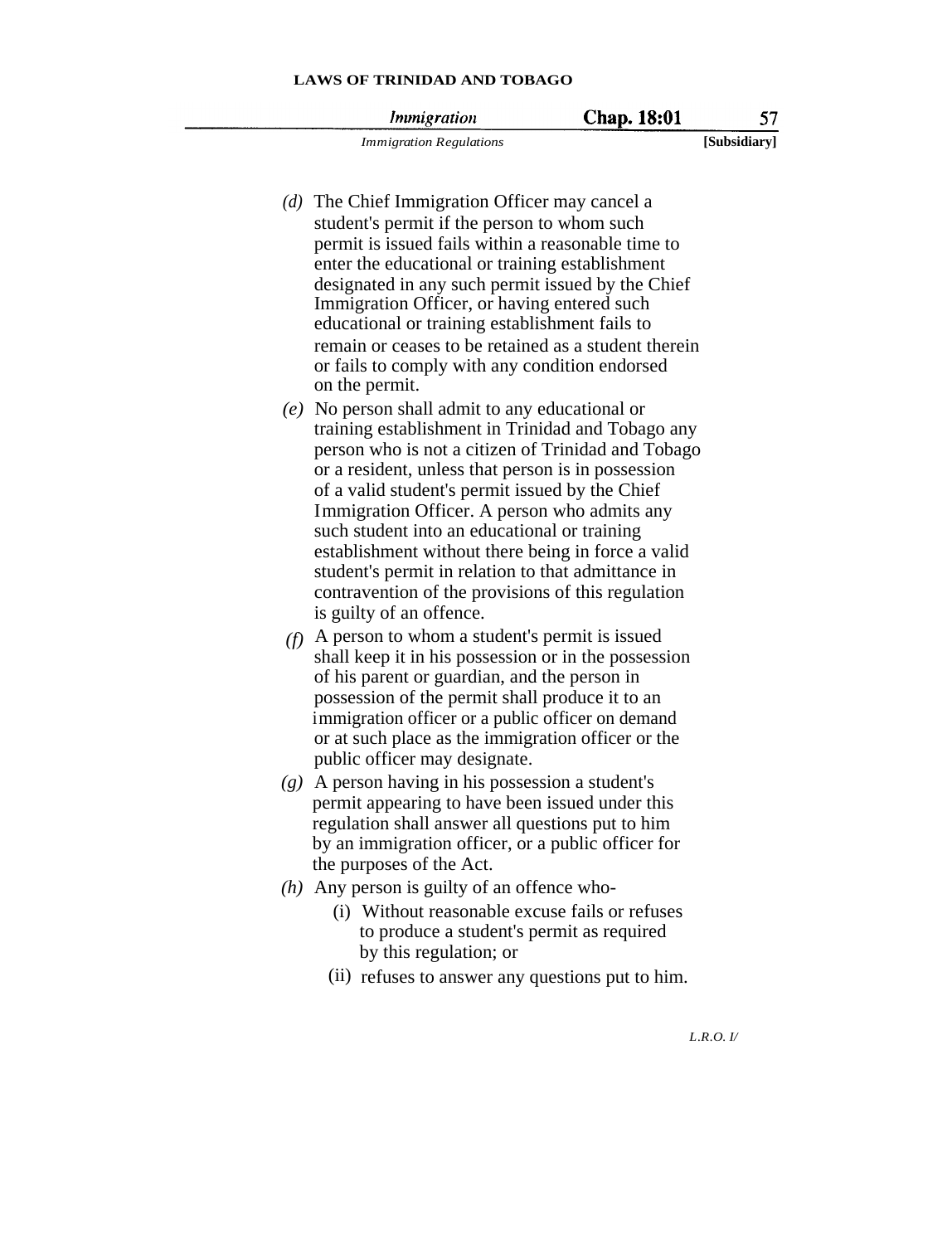*Invingration* 

57

Chap. 18:01

*Immigration Regulations* **[Subsidiary]**

- *(d)* The Chief Immigration Officer may cancel a student's permit if the person to whom such permit is issued fails within a reasonable time to enter the educational or training establishment designated in any such permit issued by the Chief Immigration Officer, or having entered such
- educational or training establishment fails to remain or ceases to be retained as a student therein or fails to comply with any condition endorsed on the permit. *(e)* No person shall admit to any educational or
- training establishment in Trinidad and Tobago any person who is not a citizen of Trinidad and Tobago or a resident, unless that person is in possession of a valid student's permit issued by the Chief Immigration Officer. A person who admits any such student into an educational or training establishment without there being in force a valid student's permit in relation to that admittance in contravention of the provisions of this regulation is guilty of an offence.
- *(f)* A person to whom a student's permit is issued shall keep it in his possession or in the possession of his parent or guardian, and the person in possession of the permit shall produce it to an immigration officer or a public officer on demand or at such place as the immigration officer or the public officer may designate.
- *(g)* A person having in his possession a student's permit appearing to have been issued under this regulation shall answer all questions put to him by an immigration officer, or a public officer for the purposes of the Act.
- *(h)* Any person is guilty of an offence who-
	- (i) Without reasonable excuse fails or refuses to produce a student's permit as required by this regulation; or
	- (ii) refuses to answer any questions put to him.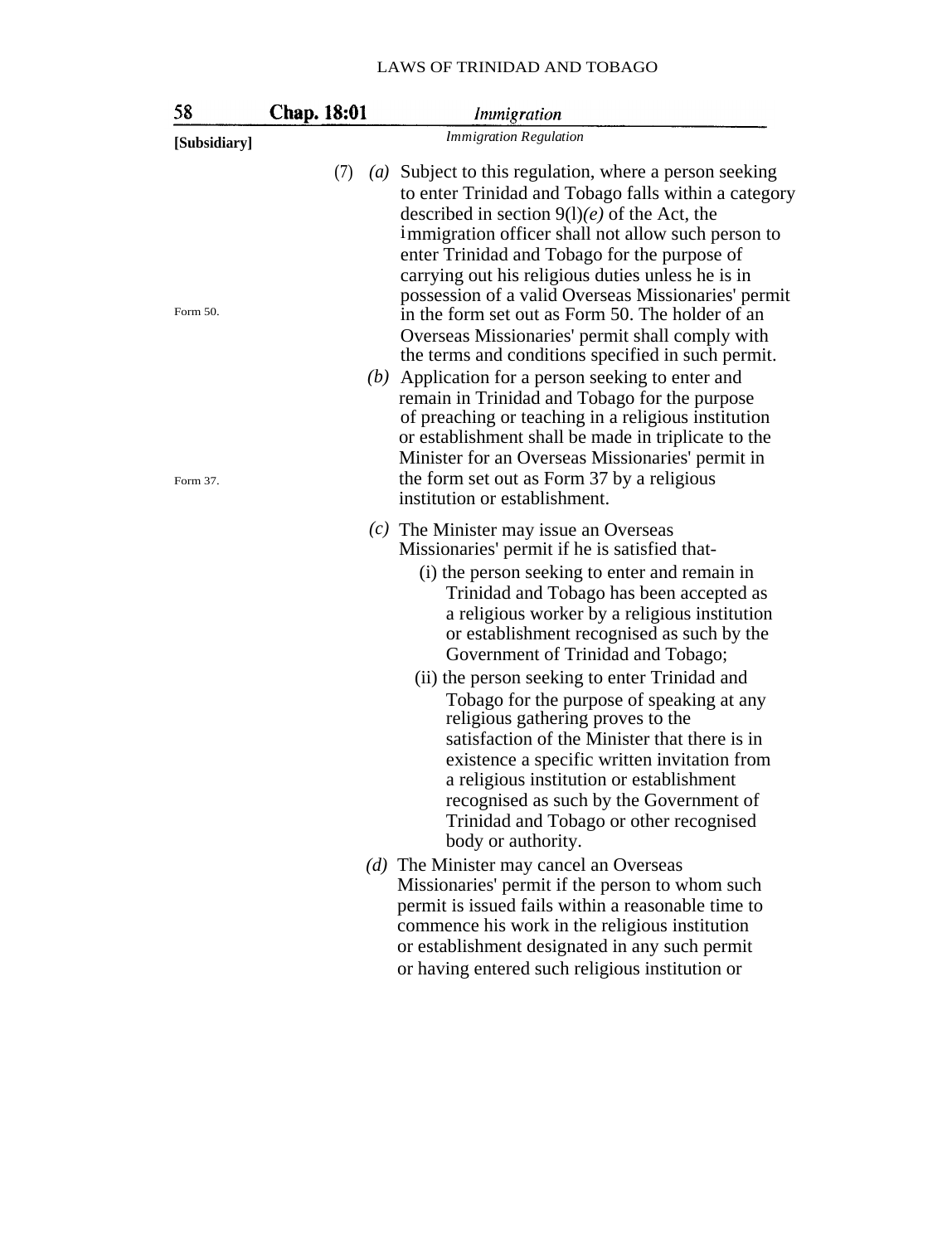| 58           | Chap. 18:01              | Immigration                                                                                                                                                                                                                                                                                                                                                                                                                                                                                                                                                                                                                                                                                                             |
|--------------|--------------------------|-------------------------------------------------------------------------------------------------------------------------------------------------------------------------------------------------------------------------------------------------------------------------------------------------------------------------------------------------------------------------------------------------------------------------------------------------------------------------------------------------------------------------------------------------------------------------------------------------------------------------------------------------------------------------------------------------------------------------|
| [Subsidiary] |                          | <b>Immigration Regulation</b>                                                                                                                                                                                                                                                                                                                                                                                                                                                                                                                                                                                                                                                                                           |
| Form 50.     | (7)<br>$\left( a\right)$ | Subject to this regulation, where a person seeking<br>to enter Trinidad and Tobago falls within a category<br>described in section $9(1)(e)$ of the Act, the<br>immigration officer shall not allow such person to<br>enter Trinidad and Tobago for the purpose of<br>carrying out his religious duties unless he is in<br>possession of a valid Overseas Missionaries' permit                                                                                                                                                                                                                                                                                                                                          |
| Form 37.     | (b)                      | in the form set out as Form 50. The holder of an<br>Overseas Missionaries' permit shall comply with<br>the terms and conditions specified in such permit.<br>Application for a person seeking to enter and<br>remain in Trinidad and Tobago for the purpose<br>of preaching or teaching in a religious institution<br>or establishment shall be made in triplicate to the<br>Minister for an Overseas Missionaries' permit in<br>the form set out as Form 37 by a religious<br>institution or establishment.                                                                                                                                                                                                            |
|              |                          | $(c)$ The Minister may issue an Overseas<br>Missionaries' permit if he is satisfied that-<br>(i) the person seeking to enter and remain in<br>Trinidad and Tobago has been accepted as<br>a religious worker by a religious institution<br>or establishment recognised as such by the<br>Government of Trinidad and Tobago;<br>(ii) the person seeking to enter Trinidad and<br>Tobago for the purpose of speaking at any<br>religious gathering proves to the<br>satisfaction of the Minister that there is in<br>existence a specific written invitation from<br>a religious institution or establishment<br>recognised as such by the Government of<br>Trinidad and Tobago or other recognised<br>body or authority. |
|              |                          | (d) The Minister may cancel an Overseas<br>Missionaries' permit if the person to whom such<br>permit is issued fails within a reasonable time to<br>commence his work in the religious institution<br>or establishment designated in any such permit<br>or having entered such religious institution or                                                                                                                                                                                                                                                                                                                                                                                                                 |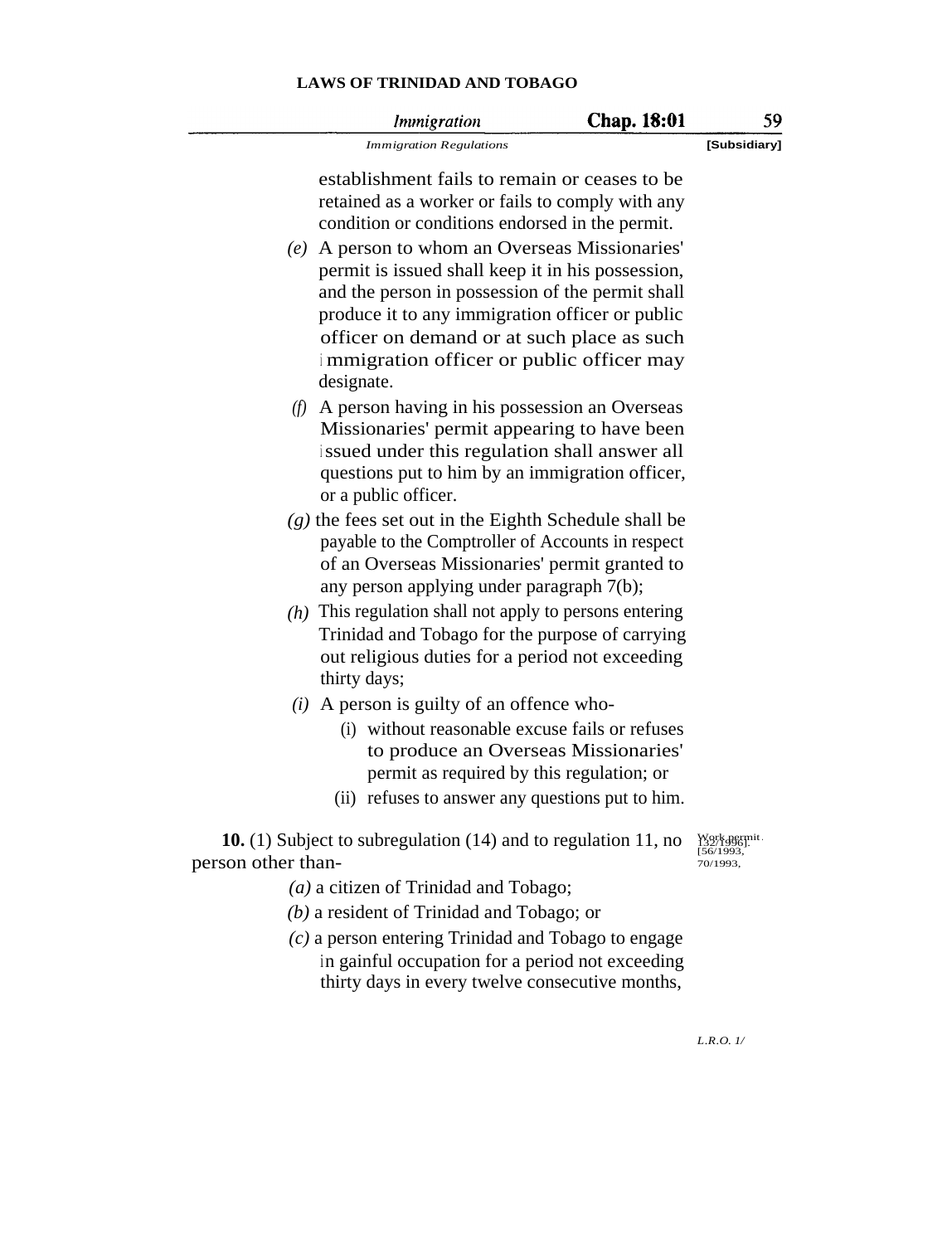| <b>Chap. 18:01</b> |  |
|--------------------|--|
|                    |  |

*Immigration Immigration Regulations* **[Subsidiary]**

59

establishment fails to remain or ceases to be retained as a worker or fails to comply with any condition or conditions endorsed in the permit.

- *(e)* A person to whom an Overseas Missionaries' permit is issued shall keep it in his possession, and the person in possession of the permit shall produce it to any immigration officer or public officer on demand or at such place as such <sup>i</sup> mmigration officer or public officer may designate.
- *(f)* A person having in his possession an Overseas Missionaries' permit appearing to have been <sup>i</sup> ssued under this regulation shall answer all questions put to him by an immigration officer, or a public officer.
- *(g)* the fees set out in the Eighth Schedule shall be payable to the Comptroller of Accounts in respect of an Overseas Missionaries' permit granted to any person applying under paragraph 7(b);
- *(h)* This regulation shall not apply to persons entering Trinidad and Tobago for the purpose of carrying out religious duties for a period not exceeding thirty days;
- *(i)* A person is guilty of an offence who-
	- (i) without reasonable excuse fails or refuses to produce an Overseas Missionaries' permit as required by this regulation; or
	- (ii) refuses to answer any questions put to him.

**10.** (1) Subject to subregulation (14) and to regulation 11, no person other than-

Work permit. 132/1996].<br>[56/1993, -<br>70/1993

- *(a)* a citizen of Trinidad and Tobago;
- *(b)* a resident of Trinidad and Tobago; or
- *(c)* a person entering Trinidad and Tobago to engage in gainful occupation for a period not exceeding thirty days in every twelve consecutive months,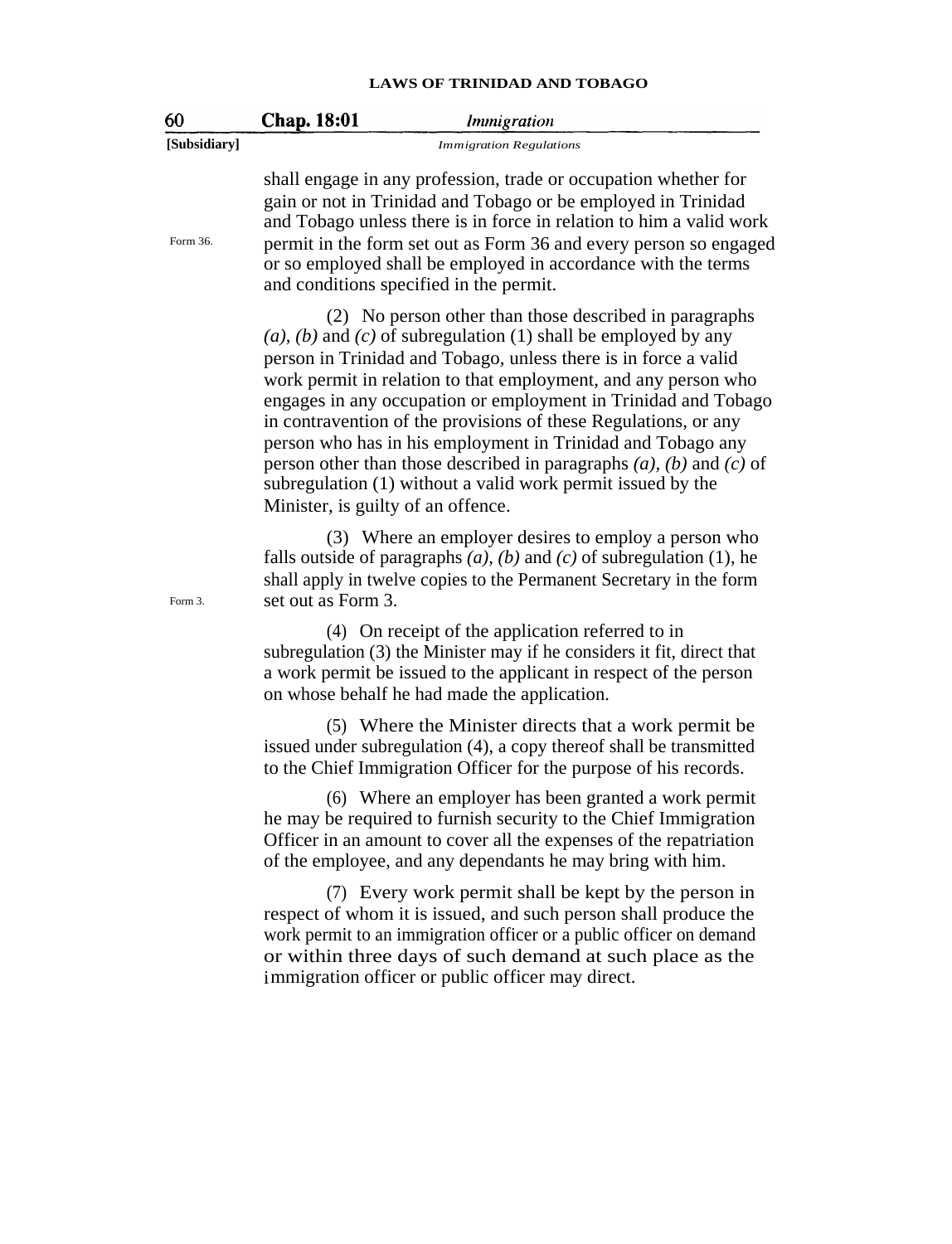| 60           | Chap. 18:01<br><i>Immigration</i>                                                                                                                                                                                                                                                                                                                                                                                                                                                                                                                                                                                                                           |
|--------------|-------------------------------------------------------------------------------------------------------------------------------------------------------------------------------------------------------------------------------------------------------------------------------------------------------------------------------------------------------------------------------------------------------------------------------------------------------------------------------------------------------------------------------------------------------------------------------------------------------------------------------------------------------------|
| [Subsidiary] | <b>Immigration Regulations</b>                                                                                                                                                                                                                                                                                                                                                                                                                                                                                                                                                                                                                              |
| Form 36.     | shall engage in any profession, trade or occupation whether for<br>gain or not in Trinidad and Tobago or be employed in Trinidad<br>and Tobago unless there is in force in relation to him a valid work<br>permit in the form set out as Form 36 and every person so engaged<br>or so employed shall be employed in accordance with the terms<br>and conditions specified in the permit.                                                                                                                                                                                                                                                                    |
|              | (2) No person other than those described in paragraphs<br>$(a)$ , $(b)$ and $(c)$ of subregulation (1) shall be employed by any<br>person in Trinidad and Tobago, unless there is in force a valid<br>work permit in relation to that employment, and any person who<br>engages in any occupation or employment in Trinidad and Tobago<br>in contravention of the provisions of these Regulations, or any<br>person who has in his employment in Trinidad and Tobago any<br>person other than those described in paragraphs $(a)$ , $(b)$ and $(c)$ of<br>subregulation (1) without a valid work permit issued by the<br>Minister, is guilty of an offence. |
| Form 3.      | (3) Where an employer desires to employ a person who<br>falls outside of paragraphs $(a)$ , $(b)$ and $(c)$ of subregulation (1), he<br>shall apply in twelve copies to the Permanent Secretary in the form<br>set out as Form 3.                                                                                                                                                                                                                                                                                                                                                                                                                           |
|              | (4) On receipt of the application referred to in<br>subregulation (3) the Minister may if he considers it fit, direct that<br>a work permit be issued to the applicant in respect of the person<br>on whose behalf he had made the application.                                                                                                                                                                                                                                                                                                                                                                                                             |
|              | (5) Where the Minister directs that a work permit be<br>issued under subregulation (4), a copy thereof shall be transmitted<br>to the Chief Immigration Officer for the purpose of his records.                                                                                                                                                                                                                                                                                                                                                                                                                                                             |
|              | (6) Where an employer has been granted a work permit<br>he may be required to furnish security to the Chief Immigration<br>Officer in an amount to cover all the expenses of the repatriation<br>of the employee, and any dependants he may bring with him.                                                                                                                                                                                                                                                                                                                                                                                                 |
|              | (7) Every work permit shall be kept by the person in<br>respect of whom it is issued, and such person shall produce the<br>work permit to an immigration officer or a public officer on demand<br>or within three days of such demand at such place as the<br>immigration officer or public officer may direct.                                                                                                                                                                                                                                                                                                                                             |
|              |                                                                                                                                                                                                                                                                                                                                                                                                                                                                                                                                                                                                                                                             |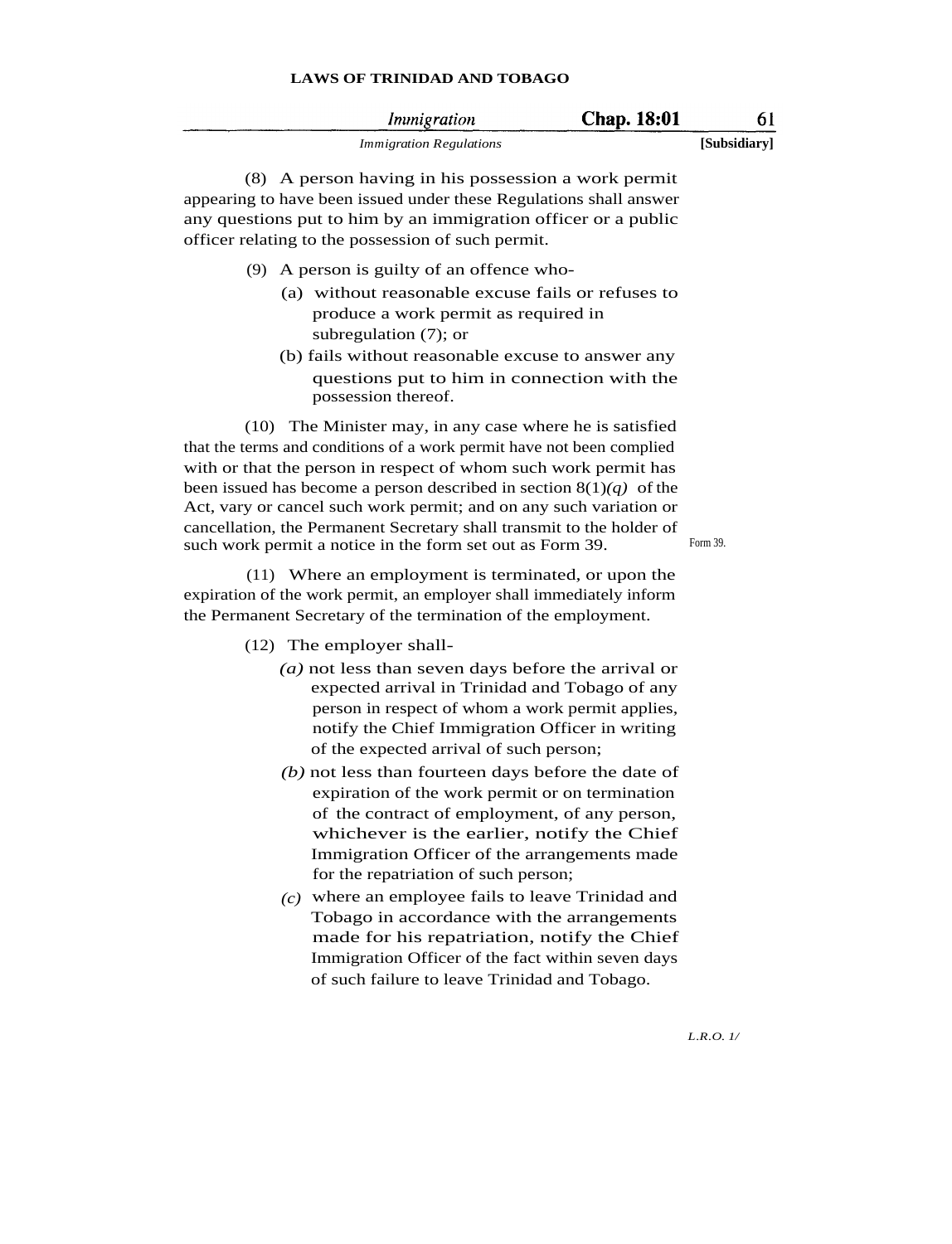| Immigration                    | <b>Chap. 18:01</b> |              |
|--------------------------------|--------------------|--------------|
| <i>Immigration Regulations</i> |                    | [Subsidiary] |

(8) A person having in his possession a work permit appearing to have been issued under these Regulations shall answer any questions put to him by an immigration officer or a public officer relating to the possession of such permit.

- (9) A person is guilty of an offence who-
	- (a) without reasonable excuse fails or refuses to produce a work permit as required in subregulation (7); or
	- (b) fails without reasonable excuse to answer any questions put to him in connection with the possession thereof.

(10) The Minister may, in any case where he is satisfied that the terms and conditions of a work permit have not been complied with or that the person in respect of whom such work permit has been issued has become a person described in section  $8(1)(q)$  of the Act, vary or cancel such work permit; and on any such variation or cancellation, the Permanent Secretary shall transmit to the holder of such work permit a notice in the form set out as Form 39. Form 39.

(11) Where an employment is terminated, or upon the expiration of the work permit, an employer shall immediately inform the Permanent Secretary of the termination of the employment.

- (12) The employer shall-
	- *(a)* not less than seven days before the arrival or expected arrival in Trinidad and Tobago of any person in respect of whom a work permit applies, notify the Chief Immigration Officer in writing of the expected arrival of such person;
	- *(b)* not less than fourteen days before the date of expiration of the work permit or on termination of the contract of employment, of any person, whichever is the earlier, notify the Chief Immigration Officer of the arrangements made for the repatriation of such person;
	- *(c)* where an employee fails to leave Trinidad and Tobago in accordance with the arrangements made for his repatriation, notify the Chief Immigration Officer of the fact within seven days of such failure to leave Trinidad and Tobago.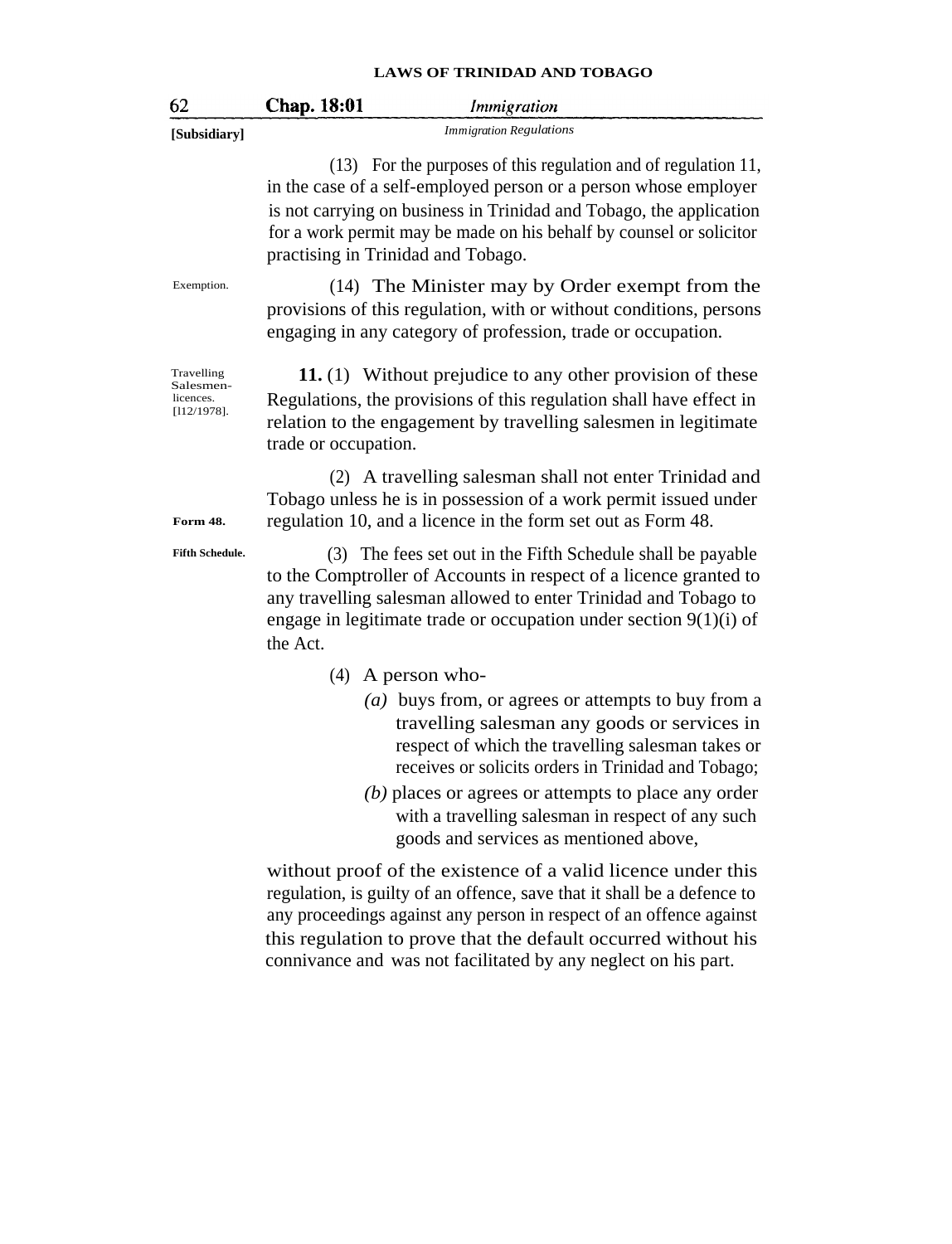| 62                                                     | Chap. 18:01<br>Immigration                                                                                                                                                                                                                                                                                                                                           |
|--------------------------------------------------------|----------------------------------------------------------------------------------------------------------------------------------------------------------------------------------------------------------------------------------------------------------------------------------------------------------------------------------------------------------------------|
| [Subsidiary]                                           | <b>Immigration Regulations</b>                                                                                                                                                                                                                                                                                                                                       |
|                                                        | (13) For the purposes of this regulation and of regulation 11,<br>in the case of a self-employed person or a person whose employer<br>is not carrying on business in Trinidad and Tobago, the application<br>for a work permit may be made on his behalf by counsel or solicitor<br>practising in Trinidad and Tobago.                                               |
| Exemption.                                             | (14) The Minister may by Order exempt from the<br>provisions of this regulation, with or without conditions, persons<br>engaging in any category of profession, trade or occupation.                                                                                                                                                                                 |
| Travelling<br>Salesmen-<br>licences.<br>$[112/1978]$ . | 11. (1) Without prejudice to any other provision of these<br>Regulations, the provisions of this regulation shall have effect in<br>relation to the engagement by travelling salesmen in legitimate<br>trade or occupation.                                                                                                                                          |
| <b>Form 48.</b>                                        | (2) A travelling salesman shall not enter Trinidad and<br>Tobago unless he is in possession of a work permit issued under<br>regulation 10, and a licence in the form set out as Form 48.                                                                                                                                                                            |
| <b>Fifth Schedule.</b>                                 | (3) The fees set out in the Fifth Schedule shall be payable<br>to the Comptroller of Accounts in respect of a licence granted to<br>any travelling salesman allowed to enter Trinidad and Tobago to<br>engage in legitimate trade or occupation under section $9(1)(i)$ of<br>the Act.                                                                               |
|                                                        | $(4)$ A person who-                                                                                                                                                                                                                                                                                                                                                  |
|                                                        | (a) buys from, or agrees or attempts to buy from a<br>travelling salesman any goods or services in<br>respect of which the travelling salesman takes or<br>receives or solicits orders in Trinidad and Tobago;<br>(b) places or agrees or attempts to place any order<br>with a travelling salesman in respect of any such<br>goods and services as mentioned above, |
|                                                        | without proof of the existence of a valid licence under this<br>regulation, is guilty of an offence, save that it shall be a defence to<br>any proceedings against any person in respect of an offence against<br>this regulation to prove that the default occurred without his<br>connivance and was not facilitated by any neglect on his part.                   |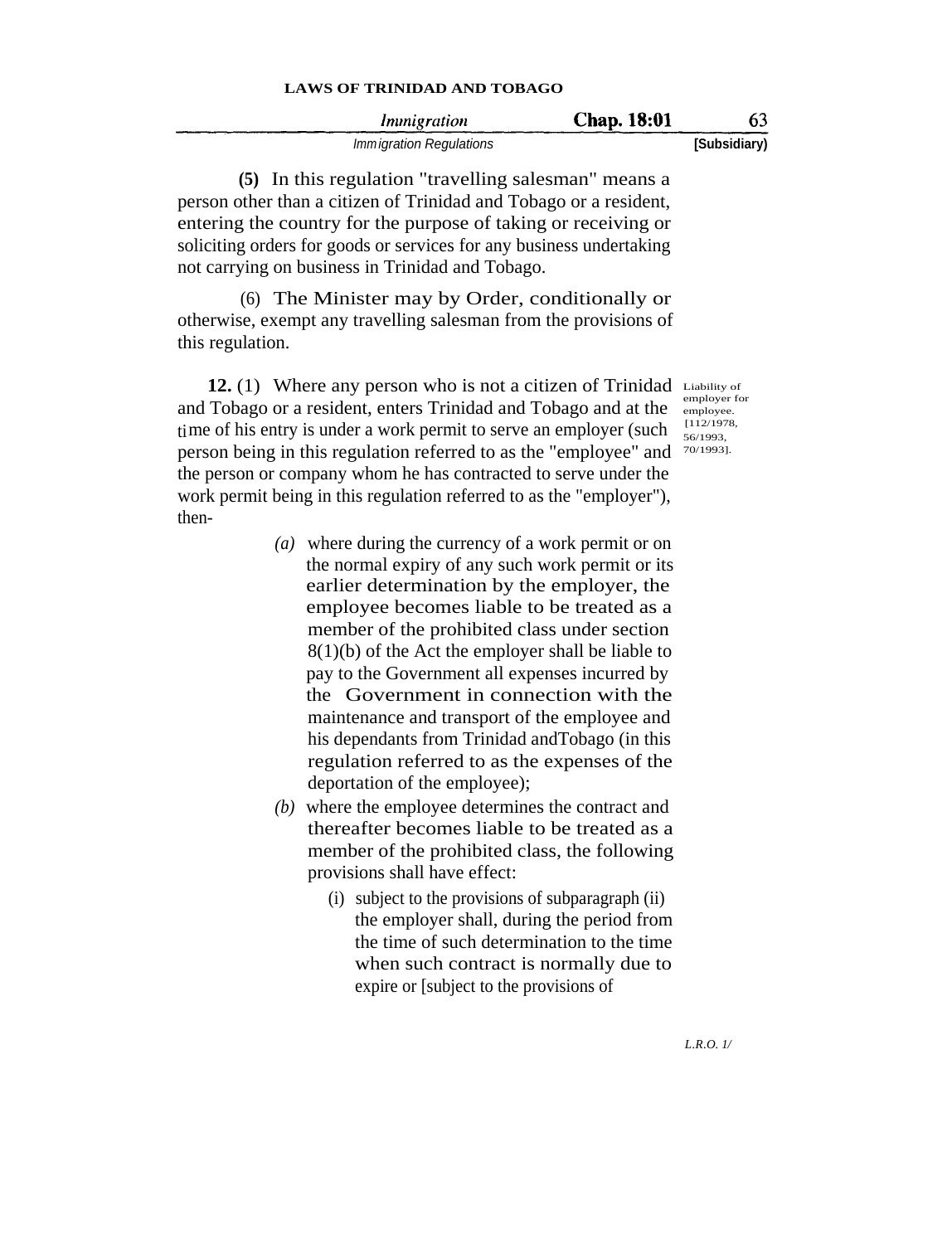| Immigration              | Chap. 18:01 | 63           |
|--------------------------|-------------|--------------|
| Imm igration Regulations |             | [Subsidiary) |

**(5)** In this regulation "travelling salesman" means a person other than a citizen of Trinidad and Tobago or a resident, entering the country for the purpose of taking or receiving or soliciting orders for goods or services for any business undertaking not carrying on business in Trinidad and Tobago.

(6) The Minister may by Order, conditionally or otherwise, exempt any travelling salesman from the provisions of this regulation.

**12.** (1) Where any person who is not a citizen of Trinidad Liability of and Tobago or a resident, enters Trinidad and Tobago and at the time of his entry is under a work permit to serve an employer (such person being in this regulation referred to as the "employee" and 70/1993]. the person or company whom he has contracted to serve under the work permit being in this regulation referred to as the "employer"), then-

- *(a)* where during the currency of a work permit or on the normal expiry of any such work permit or its earlier determination by the employer, the employee becomes liable to be treated as a member of the prohibited class under section 8(1)(b) of the Act the employer shall be liable to pay to the Government all expenses incurred by the Government in connection with the maintenance and transport of the employee and his dependants from Trinidad andTobago (in this regulation referred to as the expenses of the deportation of the employee);
- *(b)* where the employee determines the contract and thereafter becomes liable to be treated as a member of the prohibited class, the following provisions shall have effect:
	- (i) subject to the provisions of subparagraph (ii) the employer shall, during the period from the time of such determination to the time when such contract is normally due to expire or [subject to the provisions of

employer for employee. [112/1978, 56/1993,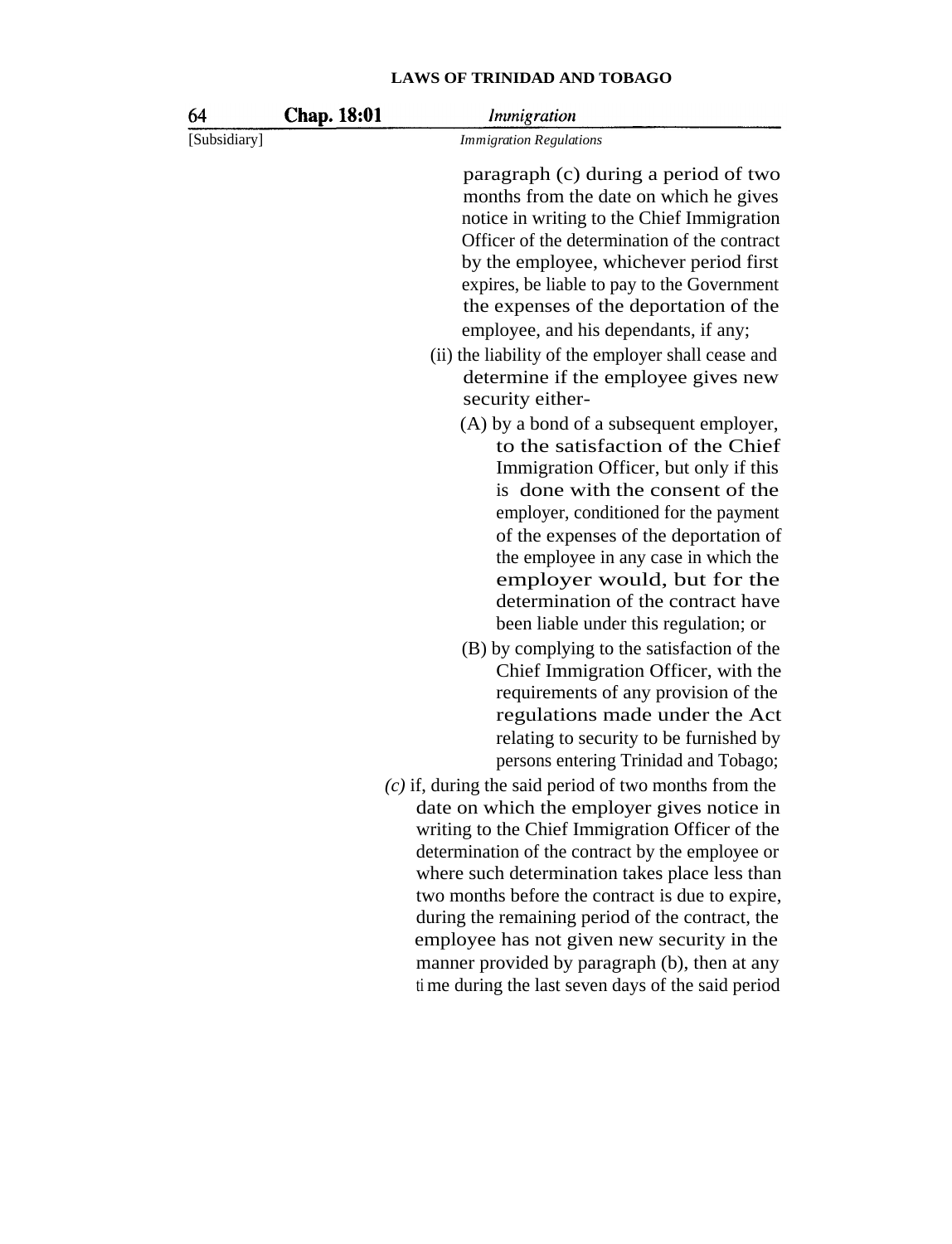| 64           | Chap. 18:01 | <i>Immigration</i>                                                                                                                                                                                                                                                                                                                                                                                                                                                                                                                                                                                                                                                                                                                                                                                                                                                                                                                                                                                                                                                                                                                                                                            |
|--------------|-------------|-----------------------------------------------------------------------------------------------------------------------------------------------------------------------------------------------------------------------------------------------------------------------------------------------------------------------------------------------------------------------------------------------------------------------------------------------------------------------------------------------------------------------------------------------------------------------------------------------------------------------------------------------------------------------------------------------------------------------------------------------------------------------------------------------------------------------------------------------------------------------------------------------------------------------------------------------------------------------------------------------------------------------------------------------------------------------------------------------------------------------------------------------------------------------------------------------|
| [Subsidiary] |             | <b>Immigration Regulations</b>                                                                                                                                                                                                                                                                                                                                                                                                                                                                                                                                                                                                                                                                                                                                                                                                                                                                                                                                                                                                                                                                                                                                                                |
|              |             | paragraph (c) during a period of two<br>months from the date on which he gives<br>notice in writing to the Chief Immigration<br>Officer of the determination of the contract<br>by the employee, whichever period first<br>expires, be liable to pay to the Government<br>the expenses of the deportation of the<br>employee, and his dependants, if any;<br>(ii) the liability of the employer shall cease and<br>determine if the employee gives new<br>security either-<br>(A) by a bond of a subsequent employer,<br>to the satisfaction of the Chief<br>Immigration Officer, but only if this<br>is done with the consent of the<br>employer, conditioned for the payment<br>of the expenses of the deportation of<br>the employee in any case in which the<br>employer would, but for the<br>determination of the contract have<br>been liable under this regulation; or<br>(B) by complying to the satisfaction of the<br>Chief Immigration Officer, with the<br>requirements of any provision of the<br>regulations made under the Act<br>relating to security to be furnished by<br>persons entering Trinidad and Tobago;<br>$(c)$ if, during the said period of two months from the |
|              |             | date on which the employer gives notice in<br>writing to the Chief Immigration Officer of the<br>determination of the contract by the employee or<br>where such determination takes place less than                                                                                                                                                                                                                                                                                                                                                                                                                                                                                                                                                                                                                                                                                                                                                                                                                                                                                                                                                                                           |
|              |             | two months before the contract is due to expire,<br>during the remaining period of the contract, the<br>employee has not given new security in the<br>manner provided by paragraph (b), then at any<br>ti me during the last seven days of the said period                                                                                                                                                                                                                                                                                                                                                                                                                                                                                                                                                                                                                                                                                                                                                                                                                                                                                                                                    |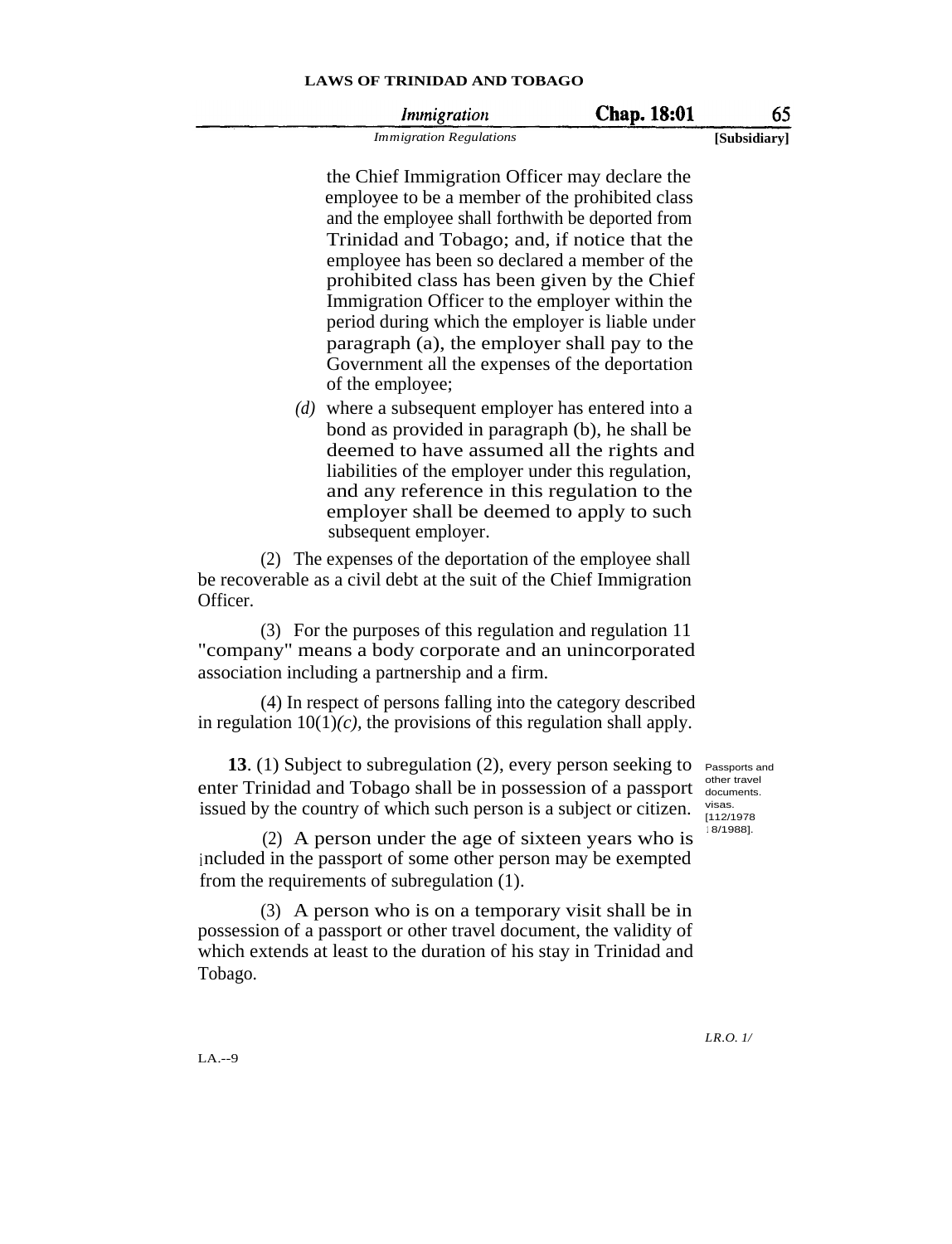#### **Chap. 18:01** 65 *Immigration*

*Immigration Regulations* **[Subsidiary]**

the Chief Immigration Officer may declare the employee to be a member of the prohibited class and the employee shall forthwith be deported from Trinidad and Tobago; and, if notice that the employee has been so declared a member of the prohibited class has been given by the Chief Immigration Officer to the employer within the period during which the employer is liable under paragraph (a), the employer shall pay to the Government all the expenses of the deportation of the employee;

*(d)* where a subsequent employer has entered into a bond as provided in paragraph (b), he shall be deemed to have assumed all the rights and liabilities of the employer under this regulation, and any reference in this regulation to the employer shall be deemed to apply to such subsequent employer.

(2) The expenses of the deportation of the employee shall be recoverable as a civil debt at the suit of the Chief Immigration Officer.

(3) For the purposes of this regulation and regulation 11 "company" means a body corporate and an unincorporated association including a partnership and a firm.

(4) In respect of persons falling into the category described in regulation  $10(1)(c)$ , the provisions of this regulation shall apply.

**13**. (1) Subject to subregulation (2), every person seeking to enter Trinidad and Tobago shall be in possession of a passport issued by the country of which such person is a subject or citizen.

Passports and other travel documents. visas. [112/1978 <sup>1</sup> 8/1988].

(2) A person under the age of sixteen years who is included in the passport of some other person may be exempted from the requirements of subregulation (1).

(3) A person who is on a temporary visit shall be in possession of a passport or other travel document, the validity of which extends at least to the duration of his stay in Trinidad and Tobago.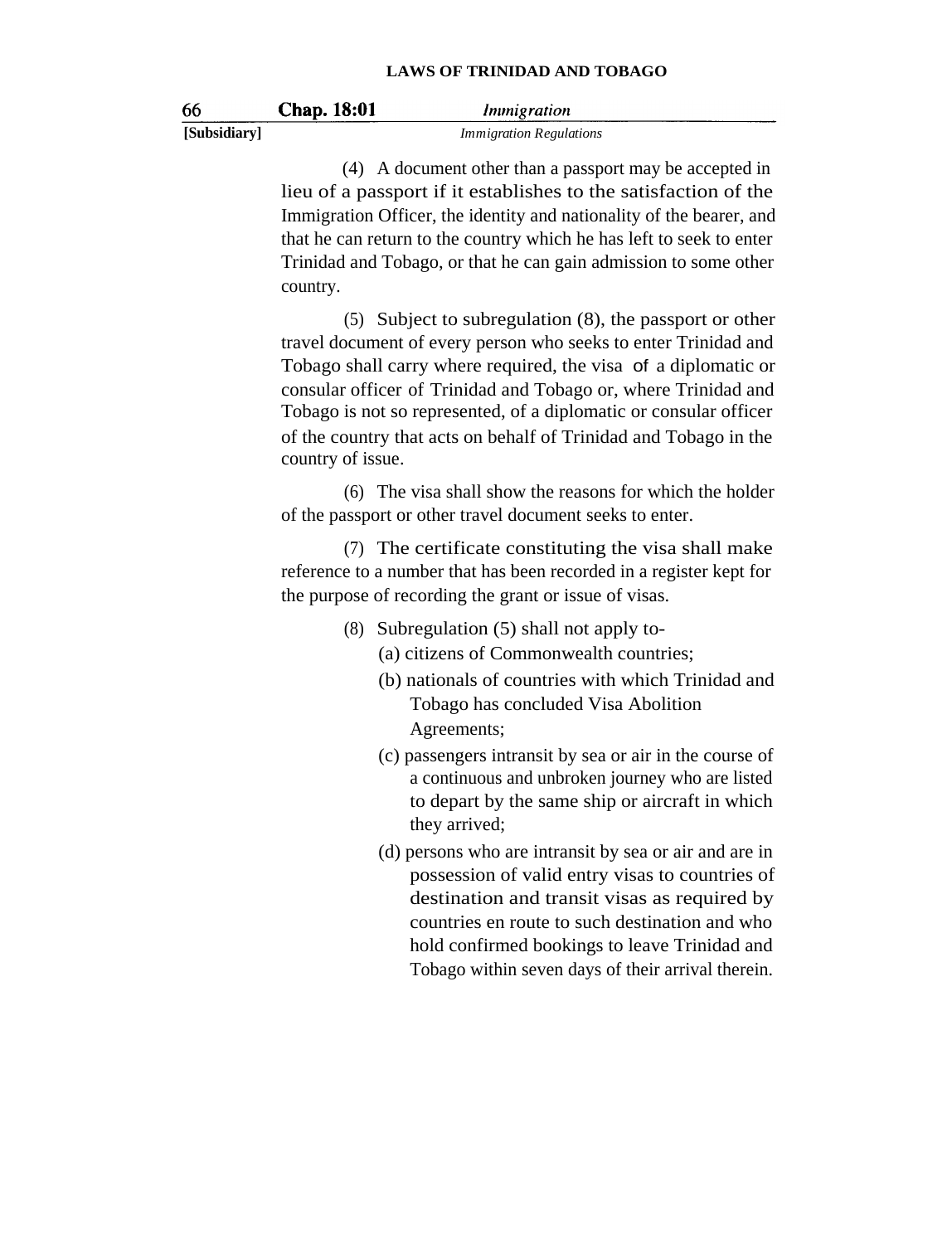| 66           | Chap. 18:01 | Immigration                    |
|--------------|-------------|--------------------------------|
| [Subsidiary] |             | <b>Immigration Regulations</b> |

(4) A document other than a passport may be accepted in lieu of a passport if it establishes to the satisfaction of the Immigration Officer, the identity and nationality of the bearer, and that he can return to the country which he has left to seek to enter Trinidad and Tobago, or that he can gain admission to some other country.

(5) Subject to subregulation (8), the passport or other travel document of every person who seeks to enter Trinidad and Tobago shall carry where required, the visa of a diplomatic or consular officer of Trinidad and Tobago or, where Trinidad and Tobago is not so represented, of a diplomatic or consular officer of the country that acts on behalf of Trinidad and Tobago in the country of issue.

(6) The visa shall show the reasons for which the holder of the passport or other travel document seeks to enter.

(7) The certificate constituting the visa shall make reference to a number that has been recorded in a register kept for the purpose of recording the grant or issue of visas.

- (8) Subregulation (5) shall not apply to-
	- (a) citizens of Commonwealth countries;
	- (b) nationals of countries with which Trinidad and Tobago has concluded Visa Abolition Agreements;
	- (c) passengers intransit by sea or air in the course of a continuous and unbroken journey who are listed to depart by the same ship or aircraft in which they arrived;
	- (d) persons who are intransit by sea or air and are in possession of valid entry visas to countries of destination and transit visas as required by countries en route to such destination and who hold confirmed bookings to leave Trinidad and Tobago within seven days of their arrival therein.

66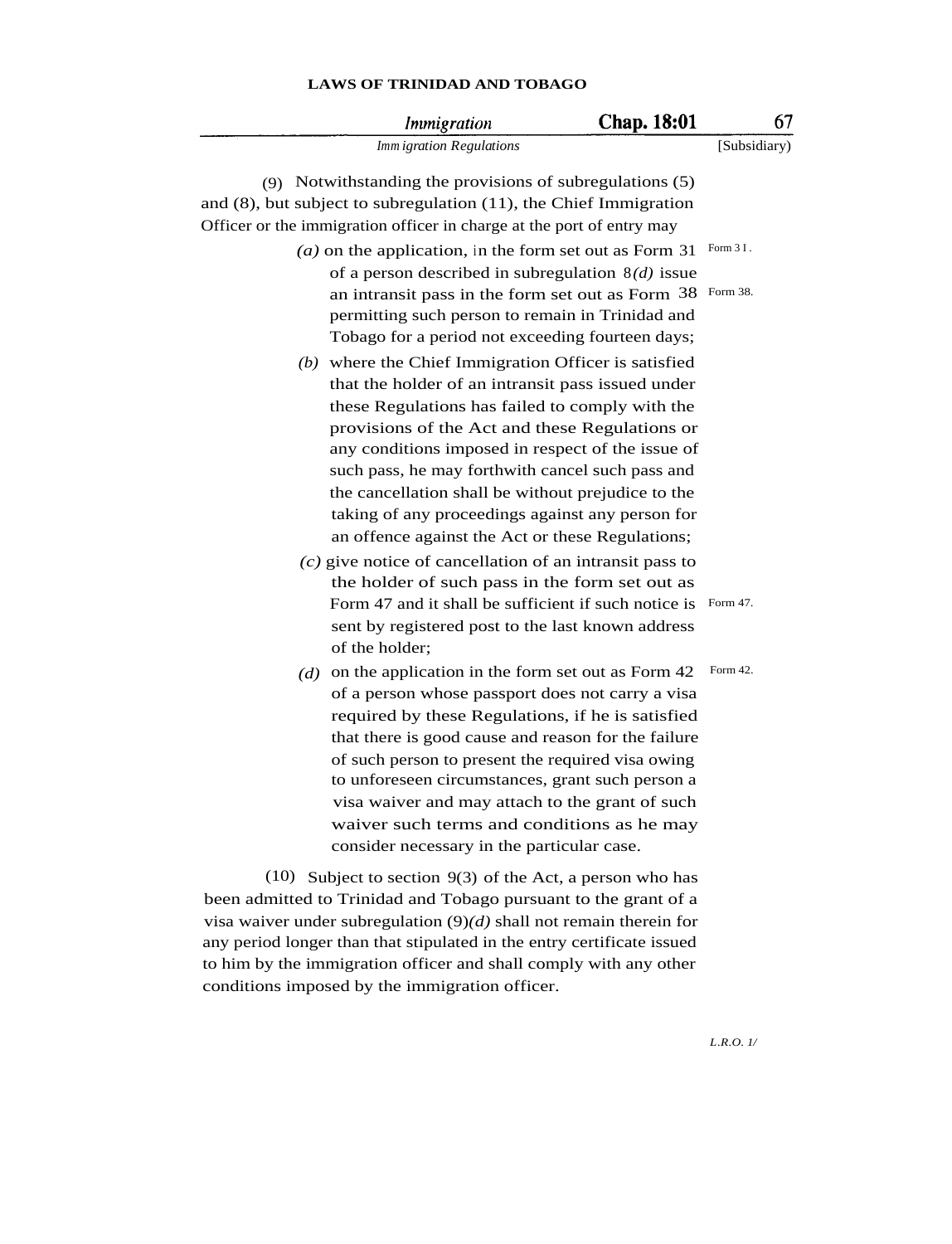|      | <i>Immigration</i>                                                                                                                                                                                                                                                                                                                                                                                                                                                                      | <b>Chap. 18:01</b> | 67           |
|------|-----------------------------------------------------------------------------------------------------------------------------------------------------------------------------------------------------------------------------------------------------------------------------------------------------------------------------------------------------------------------------------------------------------------------------------------------------------------------------------------|--------------------|--------------|
|      | Imm igration Regulations                                                                                                                                                                                                                                                                                                                                                                                                                                                                |                    | [Subsidiary) |
|      | (9) Notwithstanding the provisions of subregulations (5)<br>and $(8)$ , but subject to subregulation $(11)$ , the Chief Immigration<br>Officer or the immigration officer in charge at the port of entry may                                                                                                                                                                                                                                                                            |                    |              |
|      | $(a)$ on the application, in the form set out as Form 31                                                                                                                                                                                                                                                                                                                                                                                                                                |                    | Form 3 I.    |
|      | of a person described in subregulation $8(d)$ issue<br>an intransit pass in the form set out as Form 38<br>permitting such person to remain in Trinidad and<br>Tobago for a period not exceeding fourteen days;                                                                                                                                                                                                                                                                         |                    | Form 38.     |
|      | $(b)$ where the Chief Immigration Officer is satisfied<br>that the holder of an intransit pass issued under<br>these Regulations has failed to comply with the<br>provisions of the Act and these Regulations or<br>any conditions imposed in respect of the issue of<br>such pass, he may forthwith cancel such pass and<br>the cancellation shall be without prejudice to the<br>taking of any proceedings against any person for<br>an offence against the Act or these Regulations; |                    |              |
|      | $(c)$ give notice of cancellation of an intransit pass to                                                                                                                                                                                                                                                                                                                                                                                                                               |                    |              |
|      | the holder of such pass in the form set out as<br>Form 47 and it shall be sufficient if such notice is<br>sent by registered post to the last known address<br>of the holder;                                                                                                                                                                                                                                                                                                           |                    | Form 47.     |
|      | (d) on the application in the form set out as Form $42$<br>of a person whose passport does not carry a visa<br>required by these Regulations, if he is satisfied<br>that there is good cause and reason for the failure<br>of such person to present the required visa owing<br>to unforeseen circumstances, grant such person a<br>visa waiver and may attach to the grant of such<br>waiver such terms and conditions as he may<br>consider necessary in the particular case.         |                    | Form 42.     |
| (10) | Subject to section $9(3)$ of the Act, a person who has<br>been admitted to Trinidad and Tobago pursuant to the grant of a<br>visa waiver under subregulation $(9)(d)$ shall not remain therein for<br>any period longer than that stipulated in the entry certificate issued<br>to him by the immigration officer and shall comply with any other<br>conditions imposed by the immigration officer.                                                                                     |                    |              |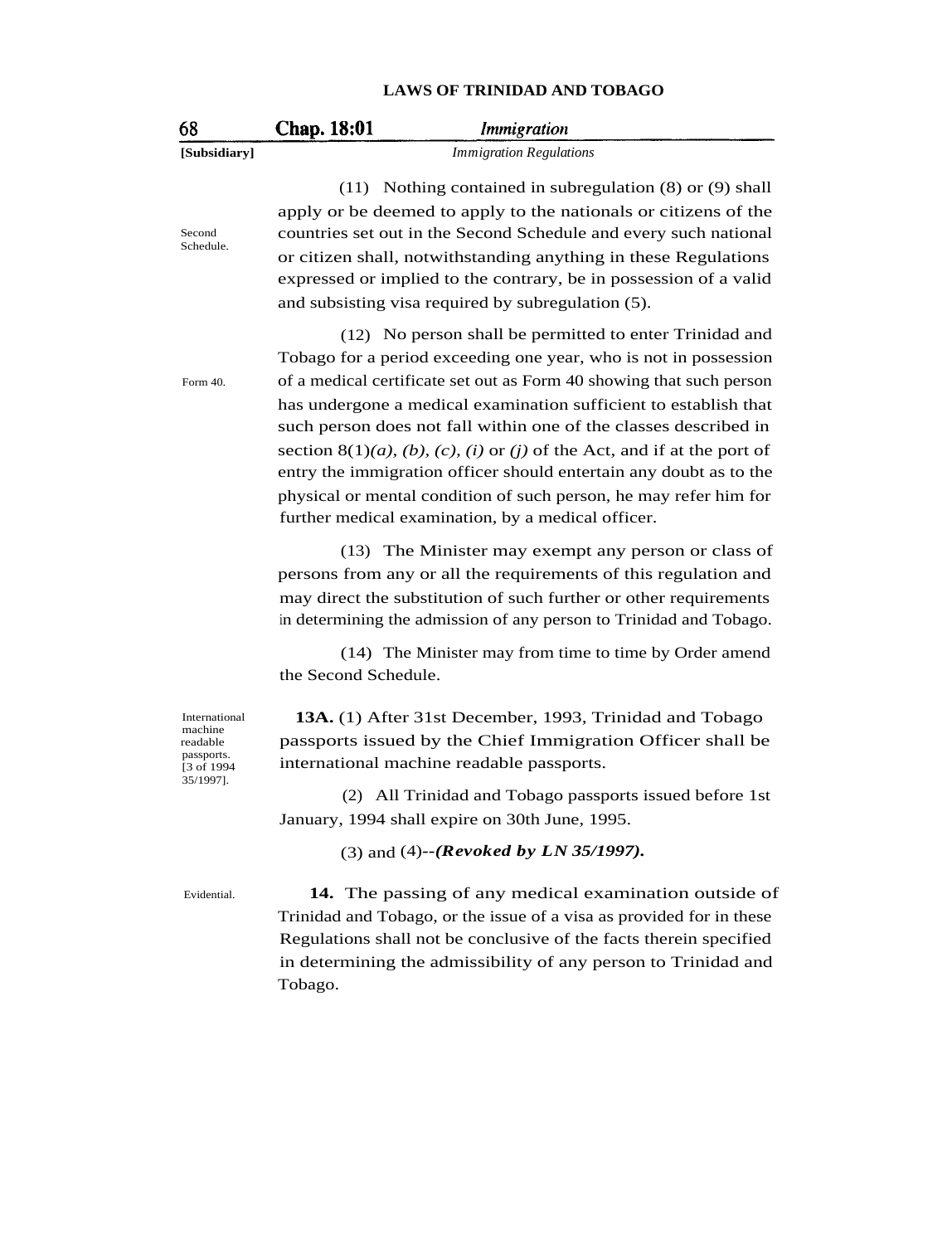| 68                                                                | <b>Chap. 18:01</b><br><i>Immigration</i>                                                                                                                                                                                                                                                                                                                                                                                                                      |
|-------------------------------------------------------------------|---------------------------------------------------------------------------------------------------------------------------------------------------------------------------------------------------------------------------------------------------------------------------------------------------------------------------------------------------------------------------------------------------------------------------------------------------------------|
| [Subsidiary]                                                      | <b>Immigration Regulations</b>                                                                                                                                                                                                                                                                                                                                                                                                                                |
| Second<br>Schedule.                                               | $(11)$ Nothing contained in subregulation $(8)$ or $(9)$ shall<br>apply or be deemed to apply to the nationals or citizens of the<br>countries set out in the Second Schedule and every such national<br>or citizen shall, notwithstanding anything in these Regulations<br>expressed or implied to the contrary, be in possession of a valid<br>and subsisting visa required by subregulation (5).                                                           |
|                                                                   | (12) No person shall be permitted to enter Trinidad and<br>Tobago for a period exceeding one year, who is not in possession<br>of a medical certificate set out as Form 40 showing that such person                                                                                                                                                                                                                                                           |
| Form 40.                                                          | has undergone a medical examination sufficient to establish that<br>such person does not fall within one of the classes described in<br>section 8(1)( <i>a</i> ), ( <i>b</i> ), ( <i>c</i> ), ( <i>i</i> ) or ( <i>j</i> ) of the Act, and if at the port of<br>entry the immigration officer should entertain any doubt as to the<br>physical or mental condition of such person, he may refer him for<br>further medical examination, by a medical officer. |
|                                                                   | (13) The Minister may exempt any person or class of<br>persons from any or all the requirements of this regulation and<br>may direct the substitution of such further or other requirements<br>in determining the admission of any person to Trinidad and Tobago.                                                                                                                                                                                             |
|                                                                   | (14) The Minister may from time to time by Order amend<br>the Second Schedule.                                                                                                                                                                                                                                                                                                                                                                                |
| International<br>machine<br>readable<br>passports.<br>[3 of 1994] | 13A. (1) After 31st December, 1993, Trinidad and Tobago<br>passports issued by the Chief Immigration Officer shall be<br>international machine readable passports.                                                                                                                                                                                                                                                                                            |
| 35/1997].                                                         | (2) All Trinidad and Tobago passports issued before 1st<br>January, 1994 shall expire on 30th June, 1995.                                                                                                                                                                                                                                                                                                                                                     |
|                                                                   | (3) and (4)--( <i>Revoked by LN 35/1997</i> ).                                                                                                                                                                                                                                                                                                                                                                                                                |
| Evidential.                                                       | 14. The passing of any medical examination outside of<br>Trinidad and Tobago, or the issue of a visa as provided for in these<br>Regulations shall not be conclusive of the facts therein specified<br>in determining the admissibility of any person to Trinidad and<br>Tobago.                                                                                                                                                                              |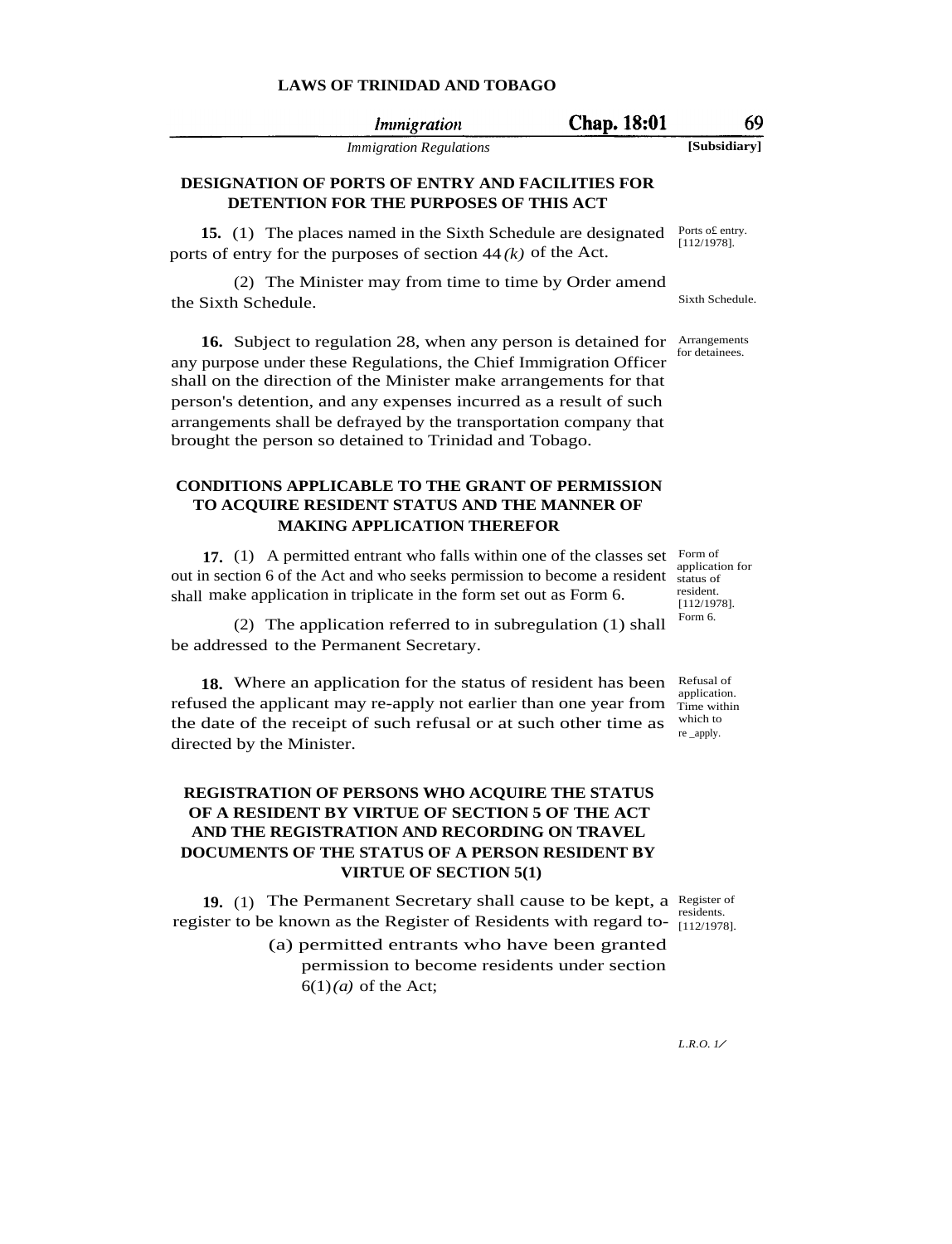| Immigration                    | Chap. 18:01 | 69           |
|--------------------------------|-------------|--------------|
| <i>Immigration Regulations</i> |             | [Subsidiary] |

### **DESIGNATION OF PORTS OF ENTRY AND FACILITIES FOR DETENTION FOR THE PURPOSES OF THIS ACT**

**15.** (1) The places named in the Sixth Schedule are designated ports of entry for the purposes of section 44 *(k)* of the Act.

(2) The Minister may from time to time by Order amend the Sixth Schedule. Sixth Schedule.

**16.** Subject to regulation 28, when any person is detained for any purpose under these Regulations, the Chief Immigration Officer shall on the direction of the Minister make arrangements for that person's detention, and any expenses incurred as a result of such arrangements shall be defrayed by the transportation company that brought the person so detained to Trinidad and Tobago.

### **CONDITIONS APPLICABLE TO THE GRANT OF PERMISSION TO ACQUIRE RESIDENT STATUS AND THE MANNER OF MAKING APPLICATION THEREFOR**

**17.** (1) A permitted entrant who falls within one of the classes set Form of out in section 6 of the Act and who seeks permission to become a resident status of shall make application in triplicate in the form set out as Form 6.

(2) The application referred to in subregulation (1) shall be addressed to the Permanent Secretary.

18. Where an application for the status of resident has been Refusal of refused the applicant may re-apply not earlier than one year from the date of the receipt of such refusal or at such other time as directed by the Minister.

### **REGISTRATION OF PERSONS WHO ACQUIRE THE STATUS OF A RESIDENT BY VIRTUE OF SECTION 5 OF THE ACT AND THE REGISTRATION AND RECORDING ON TRAVEL DOCUMENTS OF THE STATUS OF A PERSON RESIDENT BY VIRTUE OF SECTION 5(1)**

**19.** (1) The Permanent Secretary shall cause to be kept, a Register of register to be known as the Register of Residents with regard to- $\frac{residents}{[112/1978]}$ 

Ports o£ entry. [112/1978].

Arrangements for detainees.

application for resident. [112/1978]. Form 6.

application. Time within which to re \_apply.

[112/1978].

<sup>(</sup>a) permitted entrants who have been granted permission to become residents under section  $6(1)(a)$  of the Act;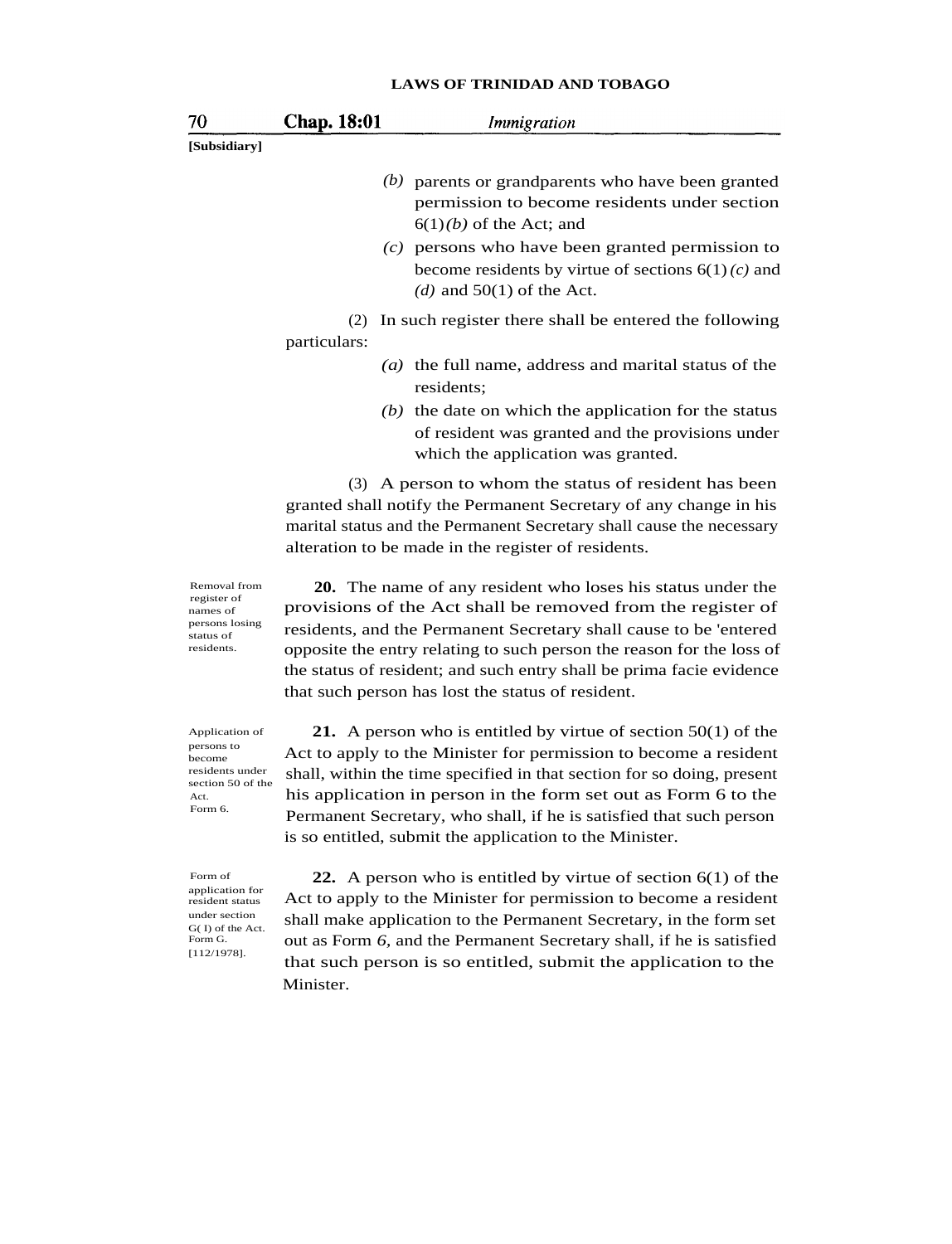|                                                                                      |                     | LAWS OF TRINIDAD AND TOBAGO                                                                                                                                                                                                                                                                                                                                                                           |
|--------------------------------------------------------------------------------------|---------------------|-------------------------------------------------------------------------------------------------------------------------------------------------------------------------------------------------------------------------------------------------------------------------------------------------------------------------------------------------------------------------------------------------------|
| 70                                                                                   | Chap. 18:01         | <i>Immigration</i>                                                                                                                                                                                                                                                                                                                                                                                    |
| [Subsidiary]                                                                         |                     |                                                                                                                                                                                                                                                                                                                                                                                                       |
|                                                                                      |                     | $(b)$ parents or grandparents who have been granted<br>permission to become residents under section<br>$6(1)(b)$ of the Act; and                                                                                                                                                                                                                                                                      |
|                                                                                      |                     | $(c)$ persons who have been granted permission to<br>become residents by virtue of sections $6(1)(c)$ and<br>(d) and $50(1)$ of the Act.                                                                                                                                                                                                                                                              |
|                                                                                      | (2)<br>particulars: | In such register there shall be entered the following                                                                                                                                                                                                                                                                                                                                                 |
|                                                                                      |                     | $(a)$ the full name, address and marital status of the<br>residents;                                                                                                                                                                                                                                                                                                                                  |
|                                                                                      |                     | $(b)$ the date on which the application for the status<br>of resident was granted and the provisions under<br>which the application was granted.                                                                                                                                                                                                                                                      |
|                                                                                      |                     | (3) A person to whom the status of resident has been<br>granted shall notify the Permanent Secretary of any change in his<br>marital status and the Permanent Secretary shall cause the necessary<br>alteration to be made in the register of residents.                                                                                                                                              |
| Removal from<br>register of<br>names of<br>persons losing<br>status of<br>residents. |                     | 20. The name of any resident who loses his status under the<br>provisions of the Act shall be removed from the register of<br>residents, and the Permanent Secretary shall cause to be 'entered<br>opposite the entry relating to such person the reason for the loss of<br>the status of resident; and such entry shall be prima facie evidence<br>that such person has lost the status of resident. |
| Application of<br>persons to<br>become<br>residents under<br>section 50 of the       |                     | 21. A person who is entitled by virtue of section $50(1)$ of the<br>Act to apply to the Minister for permission to become a resident<br>shall, within the time specified in that section for so doing, present                                                                                                                                                                                        |

Form of application for resident status under section G( I) of the Act. Form G. [112/1978].

Act. Form 6. his application in person in the form set out as Form 6 to the Permanent Secretary, who shall, if he is satisfied that such person is so entitled, submit the application to the Minister. **22.** A person who is entitled by virtue of section 6(1) of the Act to apply to the Minister for permission to become a resident

shall make application to the Permanent Secretary, in the form set out as Form *6,* and the Permanent Secretary shall, if he is satisfied that such person is so entitled, submit the application to the Minister.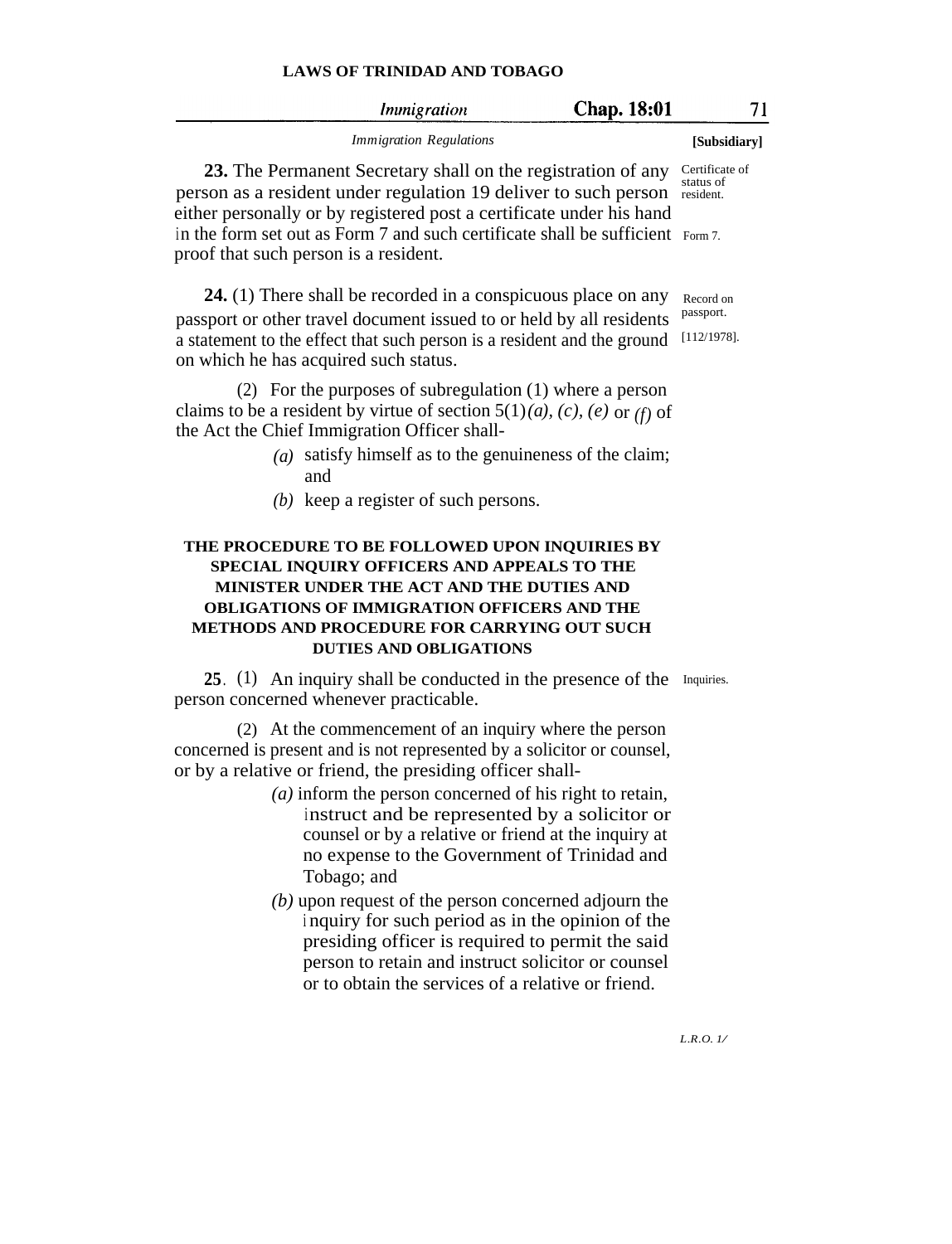| Immigration                    | <b>Chap. 18:01</b> |              |
|--------------------------------|--------------------|--------------|
| <i>Immigration Regulations</i> |                    | [Subsidiary] |

**23.** The Permanent Secretary shall on the registration of any Certificate of person as a resident under regulation 19 deliver to such person resident. either personally or by registered post a certificate under his hand in the form set out as Form 7 and such certificate shall be sufficient Form 7. proof that such person is a resident.

**24.** (1) There shall be recorded in a conspicuous place on any passport or other travel document issued to or held by all residents a statement to the effect that such person is a resident and the ground [112/1978]. on which he has acquired such status.

(2) For the purposes of subregulation (1) where a person claims to be a resident by virtue of section  $5(1)(a)$ ,  $(c)$ ,  $(e)$  or  $(f)$  of the Act the Chief Immigration Officer shall-

- *(a)* satisfy himself as to the genuineness of the claim; and
- *(b)* keep a register of such persons.

### **THE PROCEDURE TO BE FOLLOWED UPON INQUIRIES BY SPECIAL INQUIRY OFFICERS AND APPEALS TO THE MINISTER UNDER THE ACT AND THE DUTIES AND OBLIGATIONS OF IMMIGRATION OFFICERS AND THE METHODS AND PROCEDURE FOR CARRYING OUT SUCH DUTIES AND OBLIGATIONS**

25. (1) An inquiry shall be conducted in the presence of the Inquiries. person concerned whenever practicable.

(2) At the commencement of an inquiry where the person concerned is present and is not represented by a solicitor or counsel, or by a relative or friend, the presiding officer shall-

- *(a)* inform the person concerned of his right to retain, instruct and be represented by a solicitor or counsel or by a relative or friend at the inquiry at no expense to the Government of Trinidad and Tobago; and
- *(b)* upon request of the person concerned adjourn the <sup>i</sup> nquiry for such period as in the opinion of the presiding officer is required to permit the said person to retain and instruct solicitor or counsel or to obtain the services of a relative or friend.

status of

Record on passport.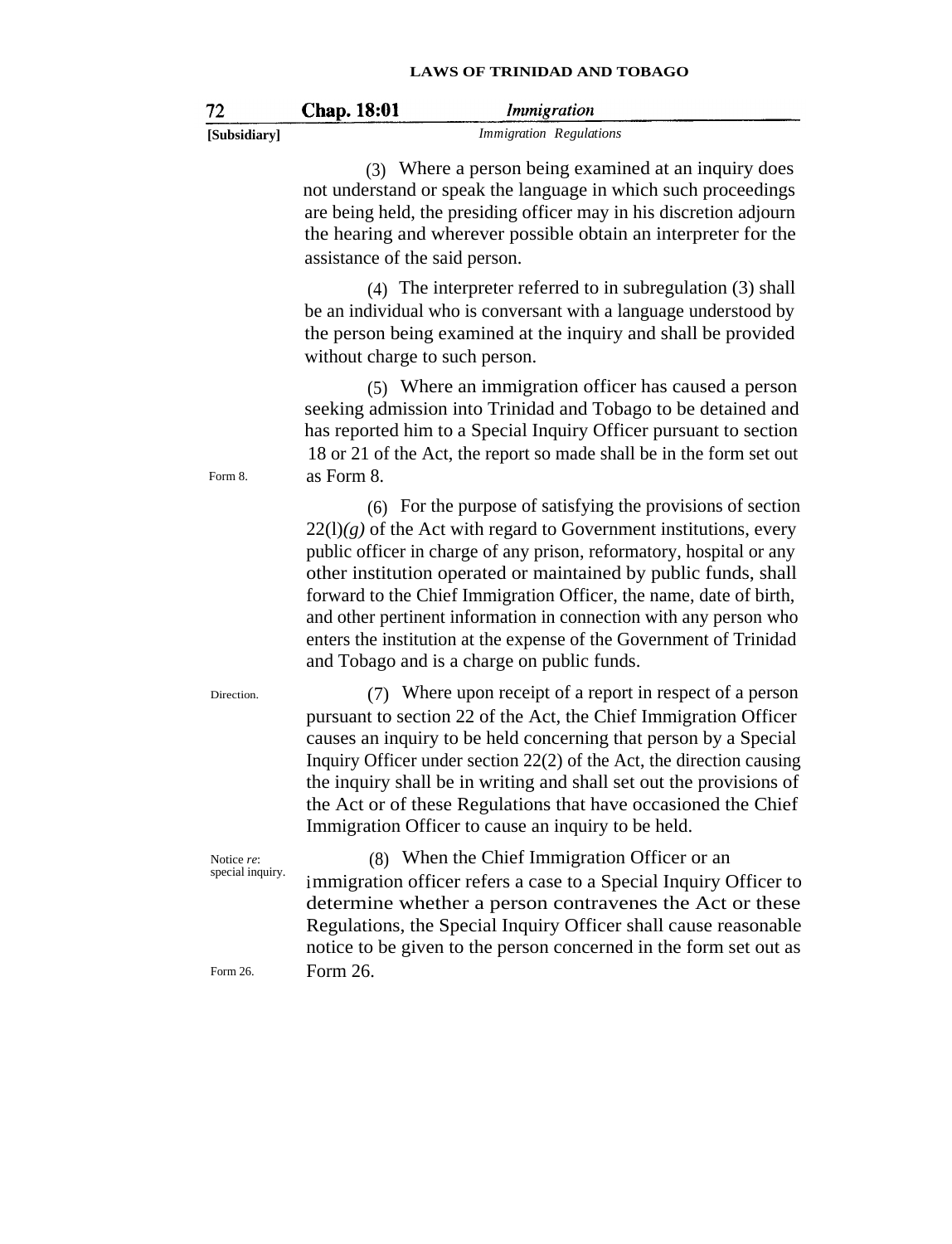| 72                             | <b>Chap. 18:01</b><br><i>Immigration</i>                                                                                                                                                                                                                                                                                                                                                                                                                                                                                                       |
|--------------------------------|------------------------------------------------------------------------------------------------------------------------------------------------------------------------------------------------------------------------------------------------------------------------------------------------------------------------------------------------------------------------------------------------------------------------------------------------------------------------------------------------------------------------------------------------|
| [Subsidiary]                   | <b>Immigration Regulations</b>                                                                                                                                                                                                                                                                                                                                                                                                                                                                                                                 |
|                                | (3) Where a person being examined at an inquiry does<br>not understand or speak the language in which such proceedings<br>are being held, the presiding officer may in his discretion adjourn<br>the hearing and wherever possible obtain an interpreter for the<br>assistance of the said person.                                                                                                                                                                                                                                             |
|                                | $(4)$ The interpreter referred to in subregulation $(3)$ shall<br>be an individual who is conversant with a language understood by<br>the person being examined at the inquiry and shall be provided<br>without charge to such person.                                                                                                                                                                                                                                                                                                         |
| Form 8.                        | (5) Where an immigration officer has caused a person<br>seeking admission into Trinidad and Tobago to be detained and<br>has reported him to a Special Inquiry Officer pursuant to section<br>18 or 21 of the Act, the report so made shall be in the form set out<br>as Form 8.                                                                                                                                                                                                                                                               |
|                                | (6) For the purpose of satisfying the provisions of section<br>$22(1)(g)$ of the Act with regard to Government institutions, every<br>public officer in charge of any prison, reformatory, hospital or any<br>other institution operated or maintained by public funds, shall<br>forward to the Chief Immigration Officer, the name, date of birth,<br>and other pertinent information in connection with any person who<br>enters the institution at the expense of the Government of Trinidad<br>and Tobago and is a charge on public funds. |
| Direction.                     | (7) Where upon receipt of a report in respect of a person<br>pursuant to section 22 of the Act, the Chief Immigration Officer<br>causes an inquiry to be held concerning that person by a Special<br>Inquiry Officer under section $22(2)$ of the Act, the direction causing<br>the inquiry shall be in writing and shall set out the provisions of<br>the Act or of these Regulations that have occasioned the Chief<br>Immigration Officer to cause an inquiry to be held.                                                                   |
| Notice re:<br>special inquiry. | (8) When the Chief Immigration Officer or an<br>immigration officer refers a case to a Special Inquiry Officer to<br>determine whether a person contravenes the Act or these<br>Regulations, the Special Inquiry Officer shall cause reasonable<br>notice to be given to the person concerned in the form set out as                                                                                                                                                                                                                           |
| Form 26.                       | Form 26.                                                                                                                                                                                                                                                                                                                                                                                                                                                                                                                                       |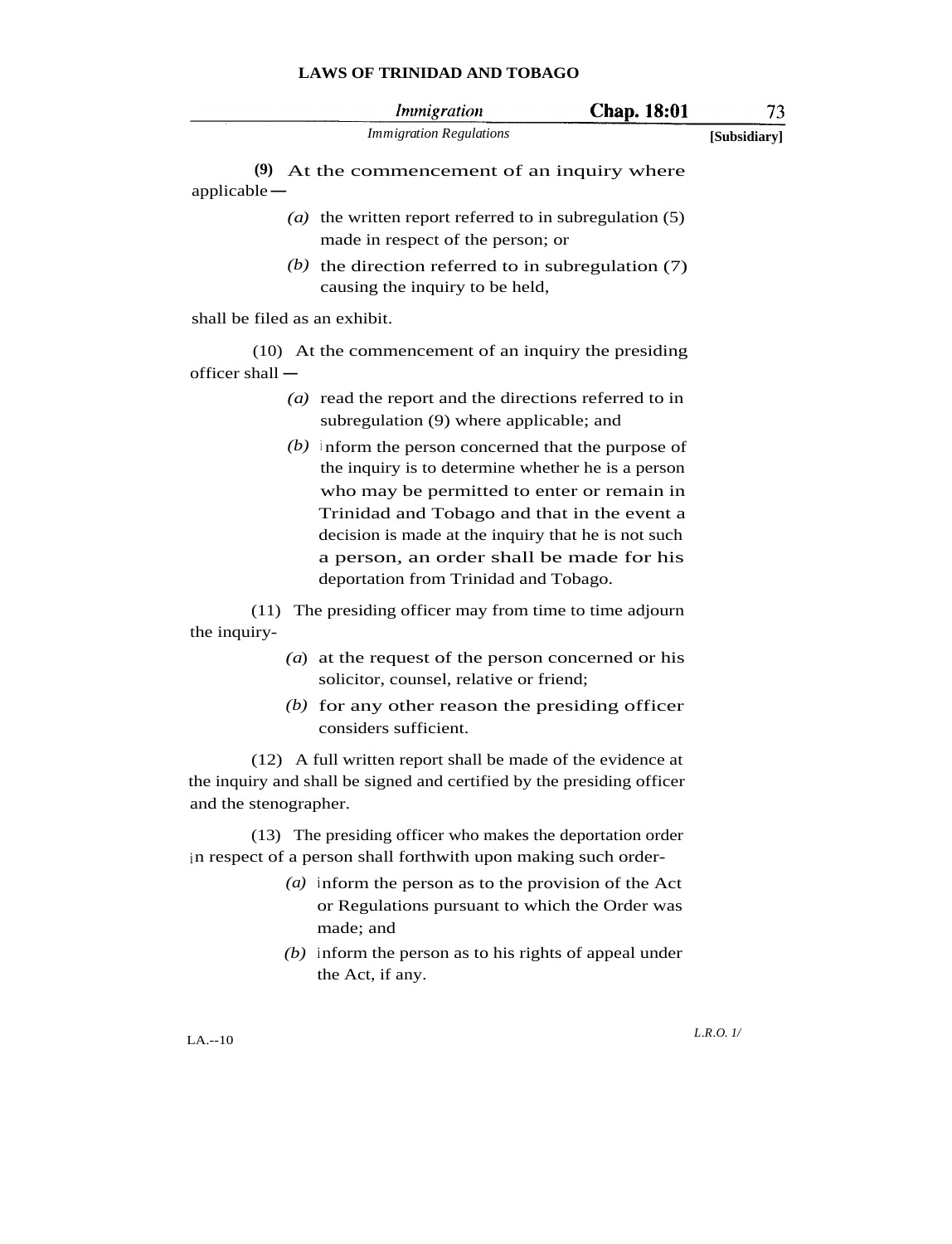|                               | <i>Immigration</i>                                                                                                                                                                                                                                                                                                                                   | <b>Chap.</b> 18:01 | 73           |
|-------------------------------|------------------------------------------------------------------------------------------------------------------------------------------------------------------------------------------------------------------------------------------------------------------------------------------------------------------------------------------------------|--------------------|--------------|
|                               | <b>Immigration Regulations</b>                                                                                                                                                                                                                                                                                                                       |                    | [Subsidiary] |
| $applicable -$                | $(9)$ At the commencement of an inquiry where                                                                                                                                                                                                                                                                                                        |                    |              |
|                               | ( <i>a</i> ) the written report referred to in subregulation $(5)$<br>made in respect of the person; or                                                                                                                                                                                                                                              |                    |              |
|                               | (b) the direction referred to in subregulation $(7)$<br>causing the inquiry to be held,                                                                                                                                                                                                                                                              |                    |              |
| shall be filed as an exhibit. |                                                                                                                                                                                                                                                                                                                                                      |                    |              |
| officer shall $-$             | (10) At the commencement of an inquiry the presiding                                                                                                                                                                                                                                                                                                 |                    |              |
|                               | ( $a$ ) read the report and the directions referred to in<br>subregulation (9) where applicable; and                                                                                                                                                                                                                                                 |                    |              |
|                               | $(b)$ inform the person concerned that the purpose of<br>the inquiry is to determine whether he is a person<br>who may be permitted to enter or remain in<br>Trinidad and Tobago and that in the event a<br>decision is made at the inquiry that he is not such<br>a person, an order shall be made for his<br>deportation from Trinidad and Tobago. |                    |              |
|                               | (11) The presiding officer may from time to time adjourn                                                                                                                                                                                                                                                                                             |                    |              |

the inquiry-

- *(a*) at the request of the person concerned or his solicitor, counsel, relative or friend;
- *(b)* for any other reason the presiding officer considers sufficient.

(12) A full written report shall be made of the evidence at the inquiry and shall be signed and certified by the presiding officer and the stenographer.

(13) The presiding officer who makes the deportation order in respect of a person shall forthwith upon making such order-

- *(a)* inform the person as to the provision of the Act or Regulations pursuant to which the Order was made; and
- *(b)* inform the person as to his rights of appeal under the Act, if any.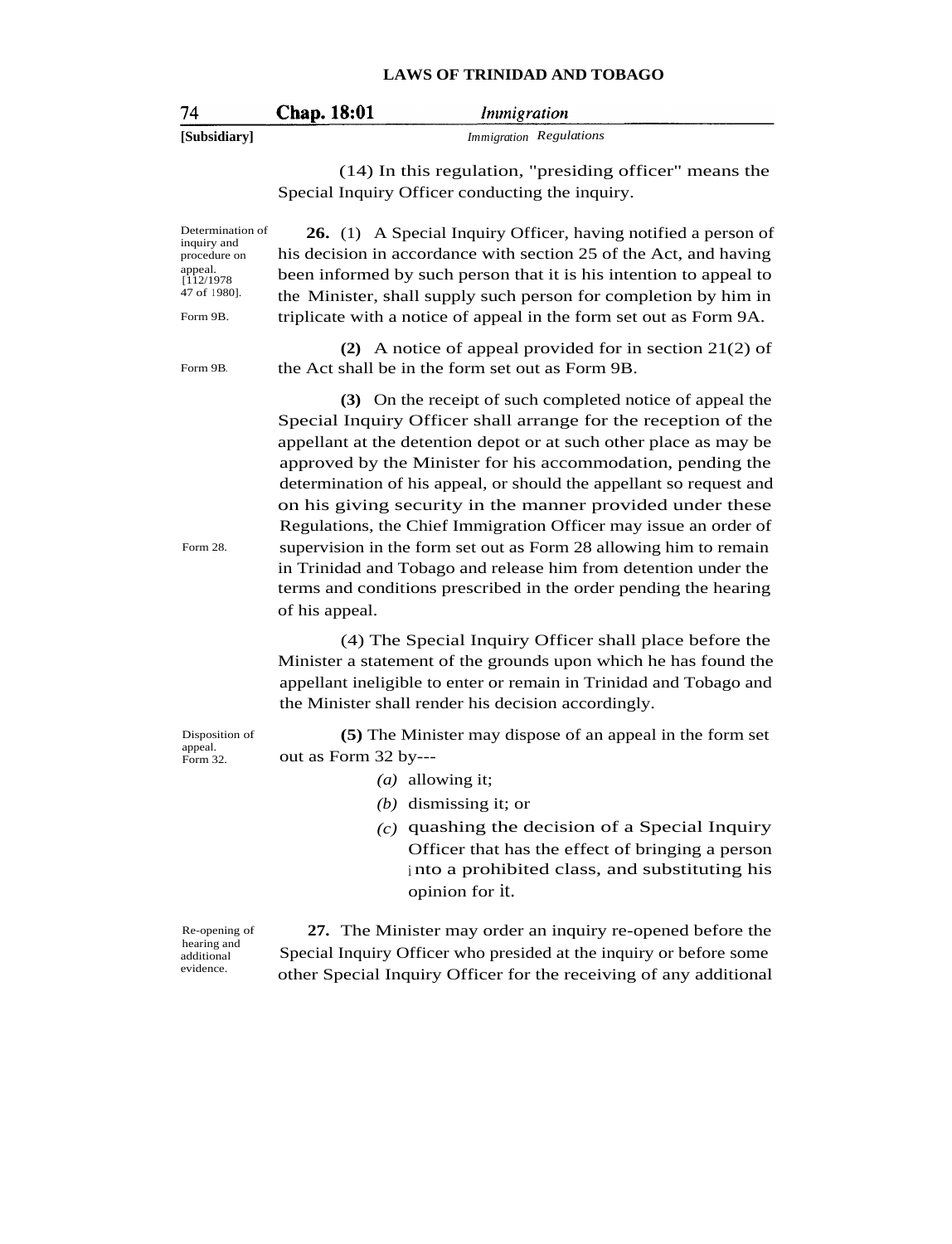| -74          | <b>Chap. 18:01</b> | Immigration                    |
|--------------|--------------------|--------------------------------|
| [Subsidiary] |                    | <i>Immigration Regulations</i> |

(14) In this regulation, "presiding officer" means the Special Inquiry Officer conducting the inquiry.

Determination of inquiry and procedure on appeal. [112/1978 47 of <sup>1</sup> 980]. Form 9B. **26.** (1) A Special Inquiry Officer, having notified a person of his decision in accordance with section 25 of the Act, and having been informed by such person that it is his intention to appeal to the Minister, shall supply such person for completion by him in triplicate with a notice of appeal in the form set out as Form 9A. Form 9B. **(2)** A notice of appeal provided for in section 21(2) of the Act shall be in the form set out as Form 9B. Form 28. **(3)** On the receipt of such completed notice of appeal the Special Inquiry Officer shall arrange for the reception of the appellant at the detention depot or at such other place as may be approved by the Minister for his accommodation, pending the determination of his appeal, or should the appellant so request and on his giving security in the manner provided under these Regulations, the Chief Immigration Officer may issue an order of supervision in the form set out as Form 28 allowing him to remain in Trinidad and Tobago and release him from detention under the terms and conditions prescribed in the order pending the hearing of his appeal. (4) The Special Inquiry Officer shall place before the Minister a statement of the grounds upon which he has found the appellant ineligible to enter or remain in Trinidad and Tobago and the Minister shall render his decision accordingly. Disposition of appeal. Form 32. **(5)** The Minister may dispose of an appeal in the form set out as Form 32 by--- *(a)* allowing it; *(b)* dismissing it; or *(c)* quashing the decision of a Special Inquiry Officer that has the effect of bringing a person <sup>i</sup> nto a prohibited class, and substituting his opinion for it. Re-opening of hearing and additional evidence. **27.** The Minister may order an inquiry re-opened before the Special Inquiry Officer who presided at the inquiry or before some other Special Inquiry Officer for the receiving of any additional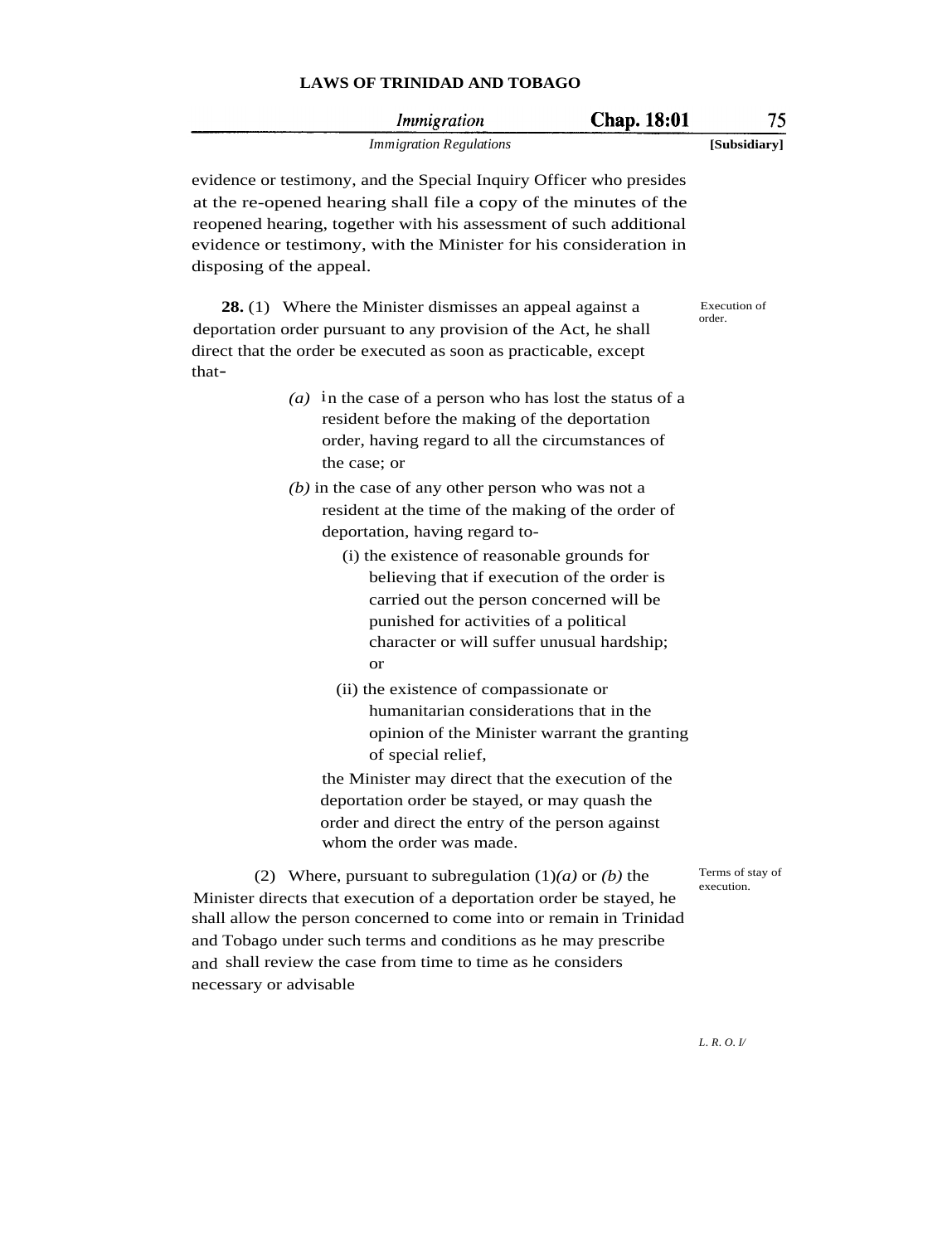|                          | Immigration                                                                                                                                                                                                                                                                                                                                | <b>Chap.</b> 18:01 | 75                             |
|--------------------------|--------------------------------------------------------------------------------------------------------------------------------------------------------------------------------------------------------------------------------------------------------------------------------------------------------------------------------------------|--------------------|--------------------------------|
|                          | <b>Immigration Regulations</b>                                                                                                                                                                                                                                                                                                             |                    | [Subsidiary]                   |
| disposing of the appeal. | evidence or testimony, and the Special Inquiry Officer who presides<br>at the re-opened hearing shall file a copy of the minutes of the<br>reopened hearing, together with his assessment of such additional<br>evidence or testimony, with the Minister for his consideration in                                                          |                    |                                |
| that-                    | <b>28.</b> (1) Where the Minister dismisses an appeal against a<br>deportation order pursuant to any provision of the Act, he shall<br>direct that the order be executed as soon as practicable, except                                                                                                                                    |                    | Execution of<br>order.         |
|                          | (a) in the case of a person who has lost the status of a<br>resident before the making of the deportation<br>order, having regard to all the circumstances of<br>the case; or                                                                                                                                                              |                    |                                |
|                          | $(b)$ in the case of any other person who was not a<br>resident at the time of the making of the order of<br>deportation, having regard to-                                                                                                                                                                                                |                    |                                |
|                          | (i) the existence of reasonable grounds for<br>believing that if execution of the order is<br>carried out the person concerned will be<br>punished for activities of a political                                                                                                                                                           |                    |                                |
|                          | character or will suffer unusual hardship;<br><b>or</b>                                                                                                                                                                                                                                                                                    |                    |                                |
|                          | (ii) the existence of compassionate or<br>humanitarian considerations that in the<br>opinion of the Minister warrant the granting<br>of special relief,                                                                                                                                                                                    |                    |                                |
|                          | the Minister may direct that the execution of the<br>deportation order be stayed, or may quash the<br>order and direct the entry of the person against<br>whom the order was made.                                                                                                                                                         |                    |                                |
| necessary or advisable   | (2) Where, pursuant to subregulation $(1)(a)$ or $(b)$ the<br>Minister directs that execution of a deportation order be stayed, he<br>shall allow the person concerned to come into or remain in Trinidad<br>and Tobago under such terms and conditions as he may prescribe<br>and shall review the case from time to time as he considers |                    | Terms of stay of<br>execution. |

*L. R. O. I/*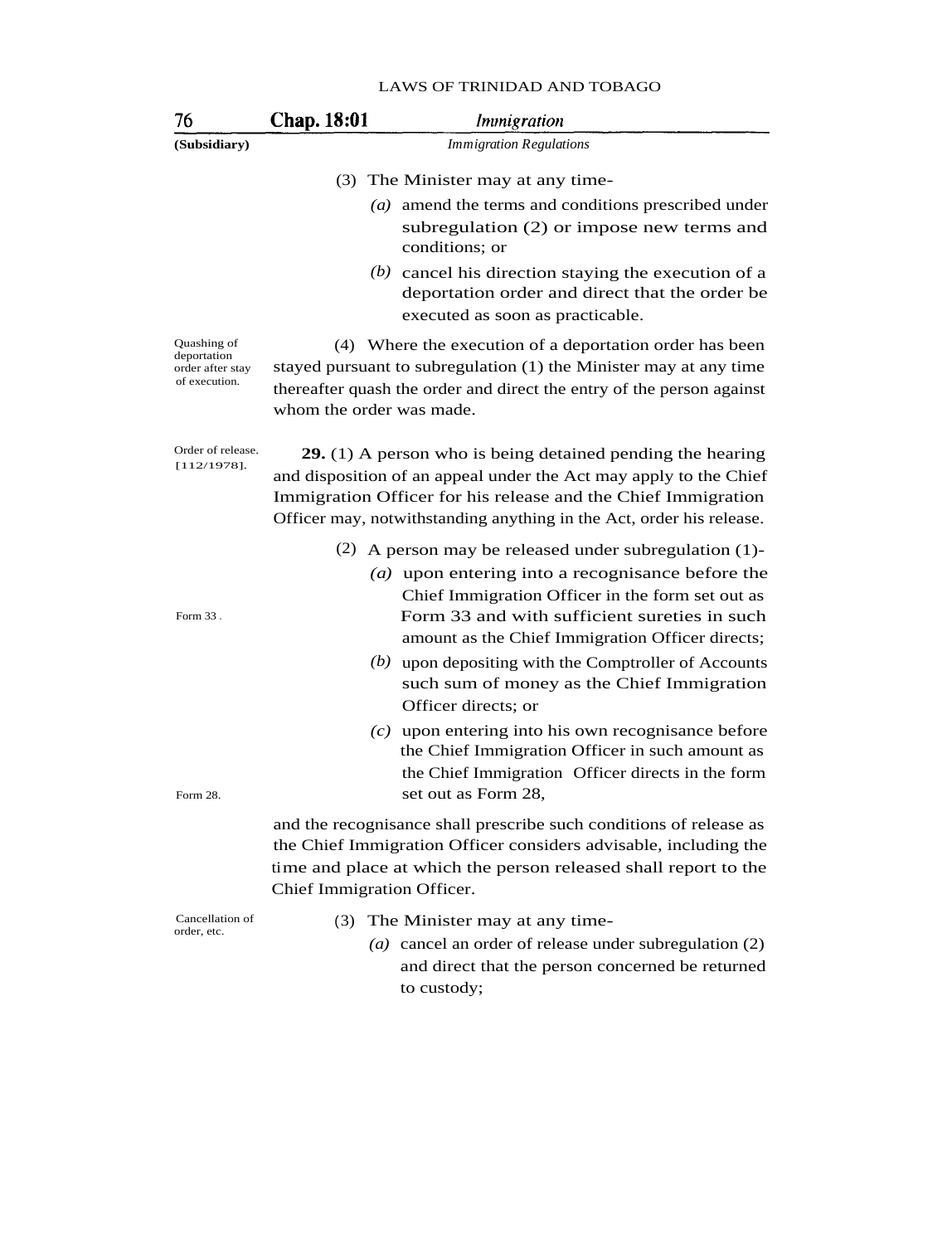| 76                                                              | Chap. 18:01                | Immigration                                                                                                                                                                                                                                                                     |
|-----------------------------------------------------------------|----------------------------|---------------------------------------------------------------------------------------------------------------------------------------------------------------------------------------------------------------------------------------------------------------------------------|
| (Subsidiary)                                                    |                            | <b>Immigration Regulations</b>                                                                                                                                                                                                                                                  |
|                                                                 |                            | (3) The Minister may at any time-                                                                                                                                                                                                                                               |
|                                                                 |                            | $(a)$ amend the terms and conditions prescribed under<br>subregulation (2) or impose new terms and<br>conditions; or                                                                                                                                                            |
|                                                                 |                            | $(b)$ cancel his direction staying the execution of a<br>deportation order and direct that the order be<br>executed as soon as practicable.                                                                                                                                     |
| Quashing of<br>deportation<br>order after stay<br>of execution. | whom the order was made.   | (4) Where the execution of a deportation order has been<br>stayed pursuant to subregulation (1) the Minister may at any time<br>thereafter quash the order and direct the entry of the person against                                                                           |
| Order of release.<br>$[112/1978]$ .                             |                            | <b>29.</b> (1) A person who is being detained pending the hearing<br>and disposition of an appeal under the Act may apply to the Chief<br>Immigration Officer for his release and the Chief Immigration<br>Officer may, notwithstanding anything in the Act, order his release. |
| Form 33.                                                        |                            | (2) A person may be released under subregulation $(1)$ -<br>( $a$ ) upon entering into a recognisance before the<br>Chief Immigration Officer in the form set out as<br>Form 33 and with sufficient sureties in such<br>amount as the Chief Immigration Officer directs;        |
|                                                                 |                            | $(b)$ upon depositing with the Comptroller of Accounts<br>such sum of money as the Chief Immigration<br>Officer directs; or                                                                                                                                                     |
| Form 28.                                                        |                            | $(c)$ upon entering into his own recognisance before<br>the Chief Immigration Officer in such amount as<br>the Chief Immigration Officer directs in the form<br>set out as Form 28,                                                                                             |
|                                                                 | Chief Immigration Officer. | and the recognisance shall prescribe such conditions of release as<br>the Chief Immigration Officer considers advisable, including the<br>time and place at which the person released shall report to the                                                                       |
| Cancellation of<br>order, etc.                                  |                            | (3) The Minister may at any time-<br>$(a)$ cancel on order of release under subragulation $(2)$                                                                                                                                                                                 |

*(a)* cancel an order of release under subregulation (2) and direct that the person concerned be returned to custody;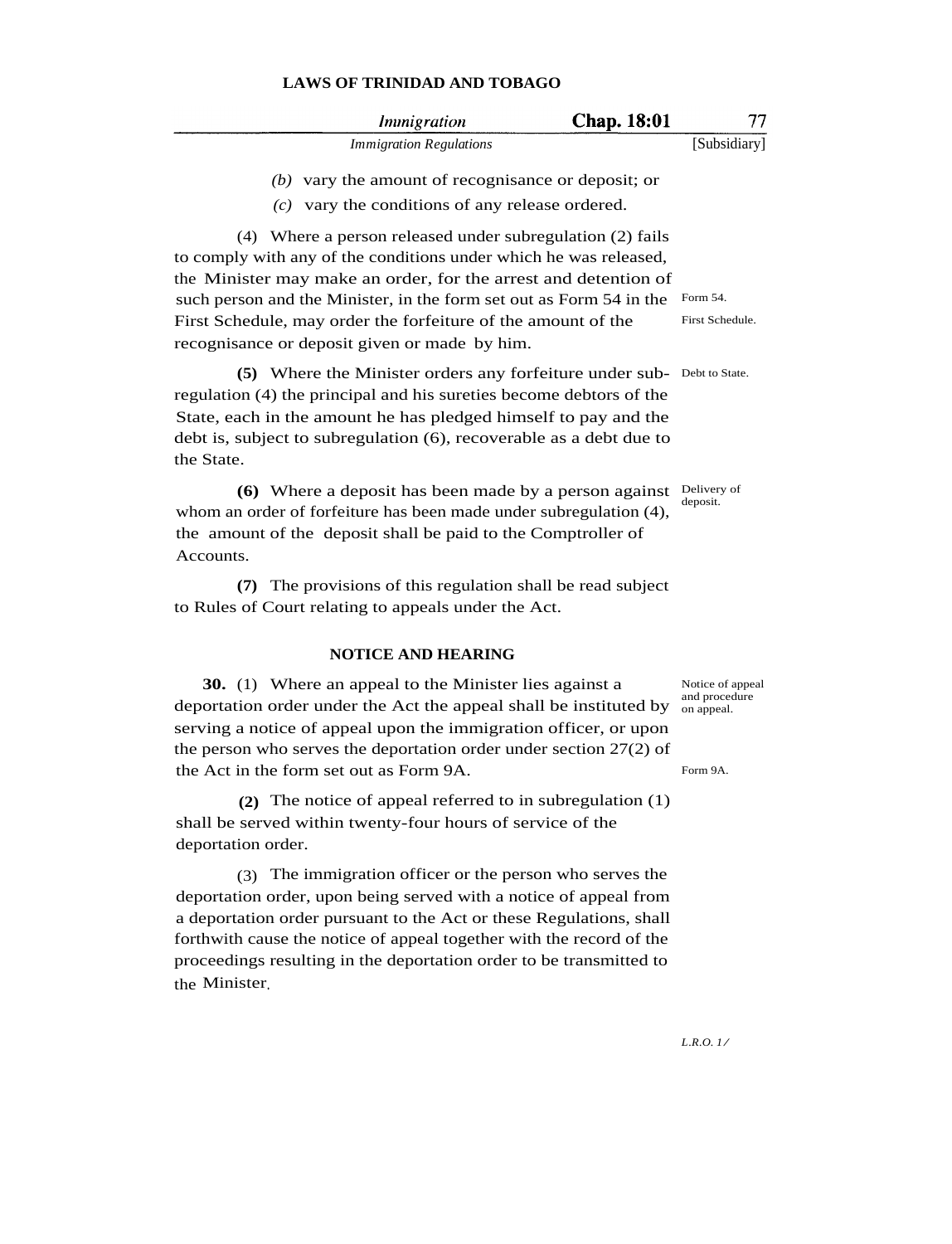|     | Immigration                                                                                         | <b>Chap.</b> 18:01 |              |
|-----|-----------------------------------------------------------------------------------------------------|--------------------|--------------|
|     | <i><b>Immigration Regulations</b></i>                                                               |                    | [Subsidiary] |
| (c) | $(b)$ vary the amount of recognisance or deposit; or<br>vary the conditions of any release ordered. |                    |              |

(4) Where a person released under subregulation (2) fails to comply with any of the conditions under which he was released, the Minister may make an order, for the arrest and detention of such person and the Minister, in the form set out as Form 54 in the Form 54. First Schedule, may order the forfeiture of the amount of the recognisance or deposit given or made by him. First Schedule.

**(5)** Where the Minister orders any forfeiture under sub-Debt to State. regulation (4) the principal and his sureties become debtors of the State, each in the amount he has pledged himself to pay and the debt is, subject to subregulation (6), recoverable as a debt due to the State.

**(6)** Where a deposit has been made by a person against Delivery of whom an order of forfeiture has been made under subregulation (4), the amount of the deposit shall be paid to the Comptroller of Accounts.

**(7)** The provisions of this regulation shall be read subject to Rules of Court relating to appeals under the Act.

### **NOTICE AND HEARING**

**30.** (1) Where an appeal to the Minister lies against a deportation order under the Act the appeal shall be instituted by  $\frac{^{60}}{^{60}}$  and proced serving a notice of appeal upon the immigration officer, or upon the person who serves the deportation order under section 27(2) of the Act in the form set out as Form 9A.

**(2)** The notice of appeal referred to in subregulation (1) shall be served within twenty-four hours of service of the deportation order.

(3) The immigration officer or the person who serves the deportation order, upon being served with a notice of appeal from a deportation order pursuant to the Act or these Regulations, shall forthwith cause the notice of appeal together with the record of the proceedings resulting in the deportation order to be transmitted to the Minister.

deposit.

Notice of appeal and procedure

Form 9A.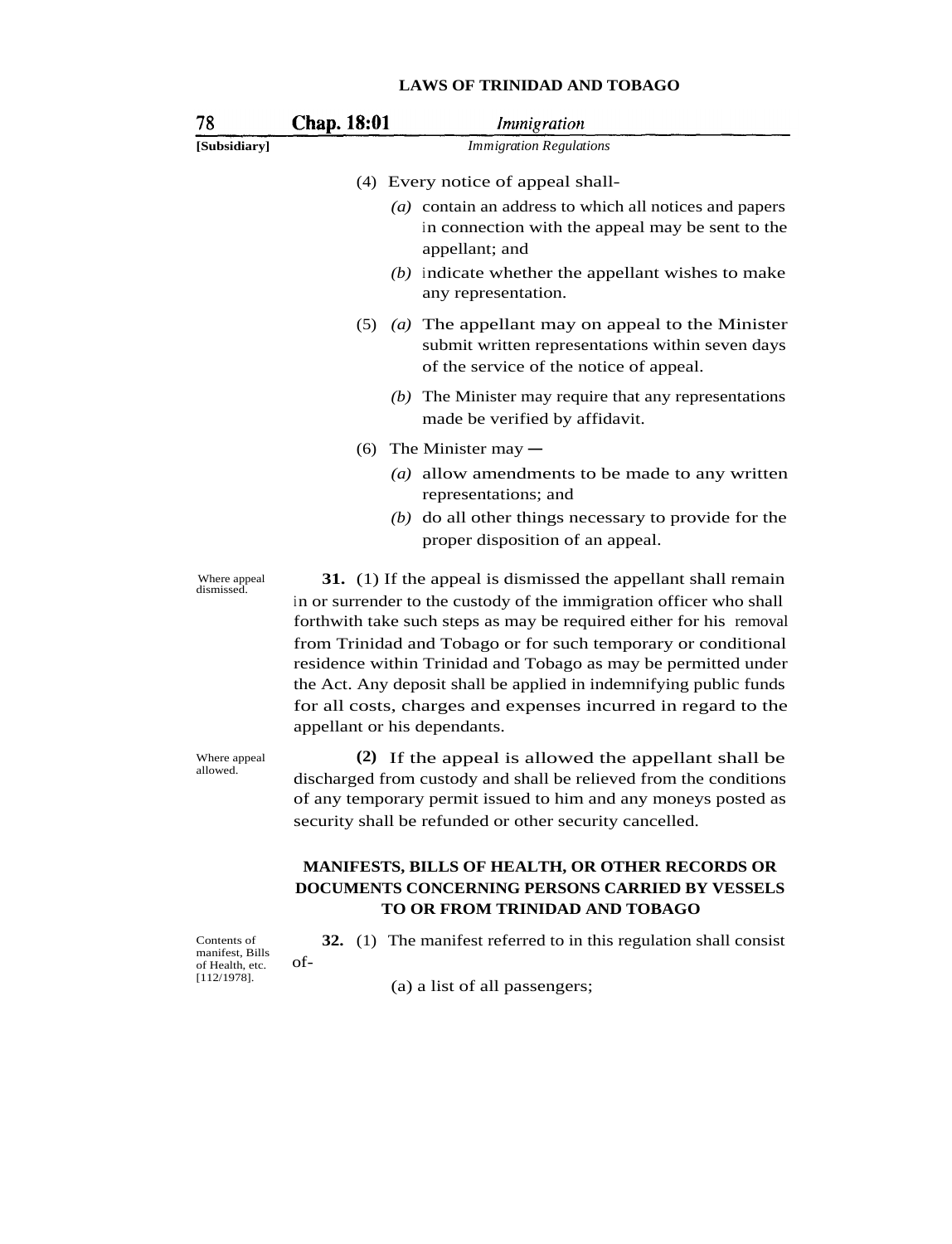| 78                         | <b>Chap. 18:01</b>           | <i>Immigration</i>                                                                                                                                                                                                                                                                                                                                                                                                                                                                    |
|----------------------------|------------------------------|---------------------------------------------------------------------------------------------------------------------------------------------------------------------------------------------------------------------------------------------------------------------------------------------------------------------------------------------------------------------------------------------------------------------------------------------------------------------------------------|
| [Subsidiary]               |                              | <b>Immigration Regulations</b>                                                                                                                                                                                                                                                                                                                                                                                                                                                        |
|                            |                              | (4) Every notice of appeal shall-                                                                                                                                                                                                                                                                                                                                                                                                                                                     |
|                            |                              | (a) contain an address to which all notices and papers<br>in connection with the appeal may be sent to the<br>appellant; and                                                                                                                                                                                                                                                                                                                                                          |
|                            |                              | $(b)$ indicate whether the appellant wishes to make<br>any representation.                                                                                                                                                                                                                                                                                                                                                                                                            |
|                            |                              | $(5)$ (a) The appellant may on appeal to the Minister<br>submit written representations within seven days<br>of the service of the notice of appeal.                                                                                                                                                                                                                                                                                                                                  |
|                            |                              | $(b)$ The Minister may require that any representations<br>made be verified by affidavit.                                                                                                                                                                                                                                                                                                                                                                                             |
|                            | (6)                          | The Minister may $-$                                                                                                                                                                                                                                                                                                                                                                                                                                                                  |
|                            |                              | (a) allow amendments to be made to any written<br>representations; and                                                                                                                                                                                                                                                                                                                                                                                                                |
|                            |                              | $(b)$ do all other things necessary to provide for the<br>proper disposition of an appeal.                                                                                                                                                                                                                                                                                                                                                                                            |
| Where appeal<br>dismissed. | appellant or his dependants. | 31. (1) If the appeal is dismissed the appellant shall remain<br>in or surrender to the custody of the immigration officer who shall<br>forthwith take such steps as may be required either for his removal<br>from Trinidad and Tobago or for such temporary or conditional<br>residence within Trinidad and Tobago as may be permitted under<br>the Act. Any deposit shall be applied in indemnifying public funds<br>for all costs, charges and expenses incurred in regard to the |
| Where appeal<br>allowed.   |                              | (2) If the appeal is allowed the appellant shall be<br>discharged from custody and shall be relieved from the conditions<br>of any temporary permit issued to him and any moneys posted as<br>security shall be refunded or other security cancelled.                                                                                                                                                                                                                                 |
|                            |                              | MANIFESTS, BILLS OF HEALTH, OR OTHER RECORDS OR<br>DOCUMENTS CONCERNING PERSONS CARRIED BY VESSELS<br>TO OR FROM TRINIDAD AND TOBAGO                                                                                                                                                                                                                                                                                                                                                  |

Contents of manifest, Bills of Health, etc. [112/1978].

of-

**32.** (1) The manifest referred to in this regulation shall consist

(a) a list of all passengers;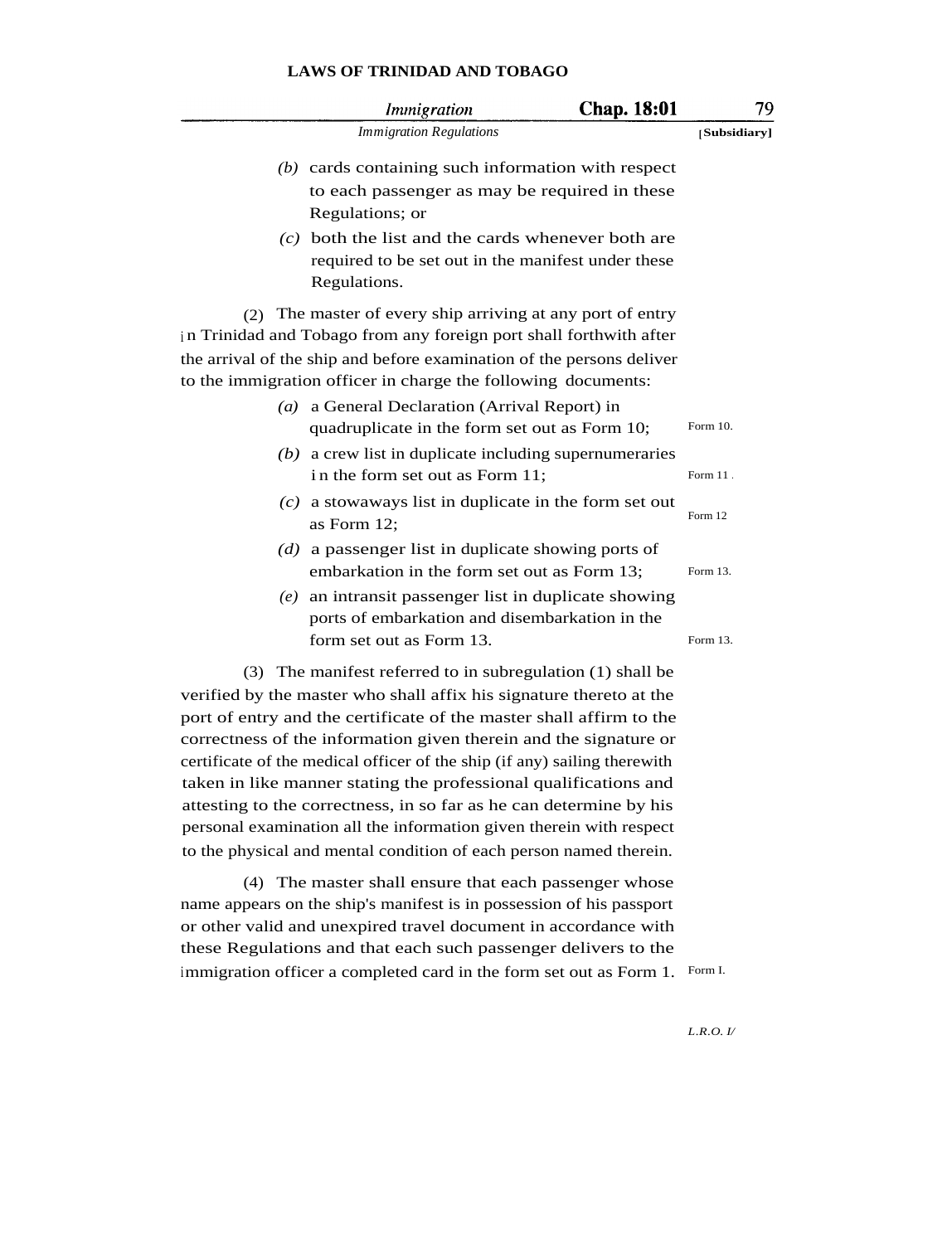|                   | <i>Immigration</i>                                                                                                                                                                                                                                                            | <b>Chap. 18:01</b> | 79           |
|-------------------|-------------------------------------------------------------------------------------------------------------------------------------------------------------------------------------------------------------------------------------------------------------------------------|--------------------|--------------|
|                   | <b>Immigration Regulations</b>                                                                                                                                                                                                                                                |                    | [Subsidiary] |
|                   | $(b)$ cards containing such information with respect<br>to each passenger as may be required in these<br>Regulations; or                                                                                                                                                      |                    |              |
|                   | $(c)$ both the list and the cards whenever both are<br>required to be set out in the manifest under these<br>Regulations.                                                                                                                                                     |                    |              |
| (2)               | The master of every ship arriving at any port of entry<br>in Trinidad and Tobago from any foreign port shall forthwith after<br>the arrival of the ship and before examination of the persons deliver<br>to the immigration officer in charge the following documents:        |                    |              |
| $\left( a\right)$ | a General Declaration (Arrival Report) in<br>quadruplicate in the form set out as Form 10;                                                                                                                                                                                    |                    | Form 10.     |
|                   | $(b)$ a crew list in duplicate including supernumeraries<br>in the form set out as Form 11;                                                                                                                                                                                   |                    | Form 11.     |
|                   | $(c)$ a stowaways list in duplicate in the form set out<br>as Form 12;                                                                                                                                                                                                        |                    | Form 12      |
|                   | $(d)$ a passenger list in duplicate showing ports of<br>embarkation in the form set out as Form 13;                                                                                                                                                                           |                    | Form 13.     |
| (e)               | an intransit passenger list in duplicate showing<br>ports of embarkation and disembarkation in the<br>form set out as Form 13.                                                                                                                                                |                    | Form 13.     |
|                   | (3) The manifest referred to in subregulation (1) shall be<br>verified by the master who shall affix his signature thereto at the<br>port of entry and the certificate of the master shall affirm to the<br>correctness of the information given therein and the signature or |                    |              |

certificate of the medical officer of the ship (if any) sailing therewith taken in like manner stating the professional qualifications and attesting to the correctness, in so far as he can determine by his personal examination all the information given therein with respect to the physical and mental condition of each person named therein.

(4) The master shall ensure that each passenger whose name appears on the ship's manifest is in possession of his passport or other valid and unexpired travel document in accordance with these Regulations and that each such passenger delivers to the immigration officer a completed card in the form set out as Form 1. Form I.

*L.R.O. I/*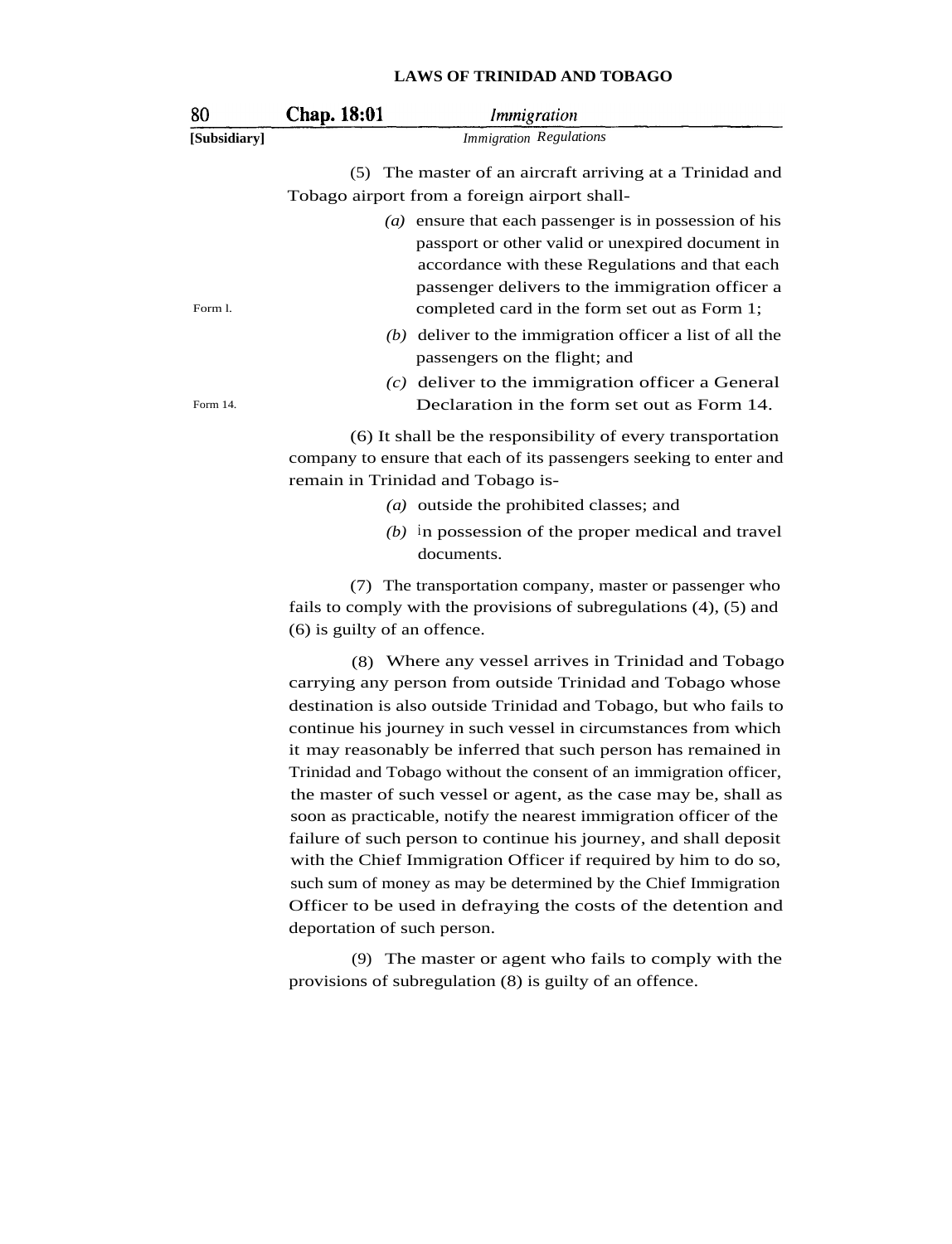| 80           | Chap. 18:01                    | Immigration                                                                                                                                                                                                                                                           |  |
|--------------|--------------------------------|-----------------------------------------------------------------------------------------------------------------------------------------------------------------------------------------------------------------------------------------------------------------------|--|
| [Subsidiary] | <b>Immigration Regulations</b> |                                                                                                                                                                                                                                                                       |  |
|              |                                | (5) The master of an aircraft arriving at a Trinidad and                                                                                                                                                                                                              |  |
|              |                                | Tobago airport from a foreign airport shall-                                                                                                                                                                                                                          |  |
| Form 1.      |                                | ( $a$ ) ensure that each passenger is in possession of his<br>passport or other valid or unexpired document in<br>accordance with these Regulations and that each<br>passenger delivers to the immigration officer a<br>completed card in the form set out as Form 1; |  |
|              |                                | $(b)$ deliver to the immigration officer a list of all the<br>passengers on the flight; and                                                                                                                                                                           |  |
| Form 14.     |                                | $(c)$ deliver to the immigration officer a General<br>Declaration in the form set out as Form 14.                                                                                                                                                                     |  |
|              |                                | (6) It shall be the responsibility of every transportation<br>company to ensure that each of its passengers seeking to enter and<br>remain in Trinidad and Tobago is-                                                                                                 |  |
|              |                                | (a) outside the prohibited classes; and                                                                                                                                                                                                                               |  |
|              |                                | $(b)$ in possession of the proper medical and travel<br>documents.                                                                                                                                                                                                    |  |

(7) The transportation company, master or passenger who fails to comply with the provisions of subregulations (4), (5) and (6) is guilty of an offence.

(8) Where any vessel arrives in Trinidad and Tobago carrying any person from outside Trinidad and Tobago whose destination is also outside Trinidad and Tobago, but who fails to continue his journey in such vessel in circumstances from which it may reasonably be inferred that such person has remained in Trinidad and Tobago without the consent of an immigration officer, the master of such vessel or agent, as the case may be, shall as soon as practicable, notify the nearest immigration officer of the failure of such person to continue his journey, and shall deposit with the Chief Immigration Officer if required by him to do so, such sum of money as may be determined by the Chief Immigration Officer to be used in defraying the costs of the detention and deportation of such person.

(9) The master or agent who fails to comply with the provisions of subregulation (8) is guilty of an offence.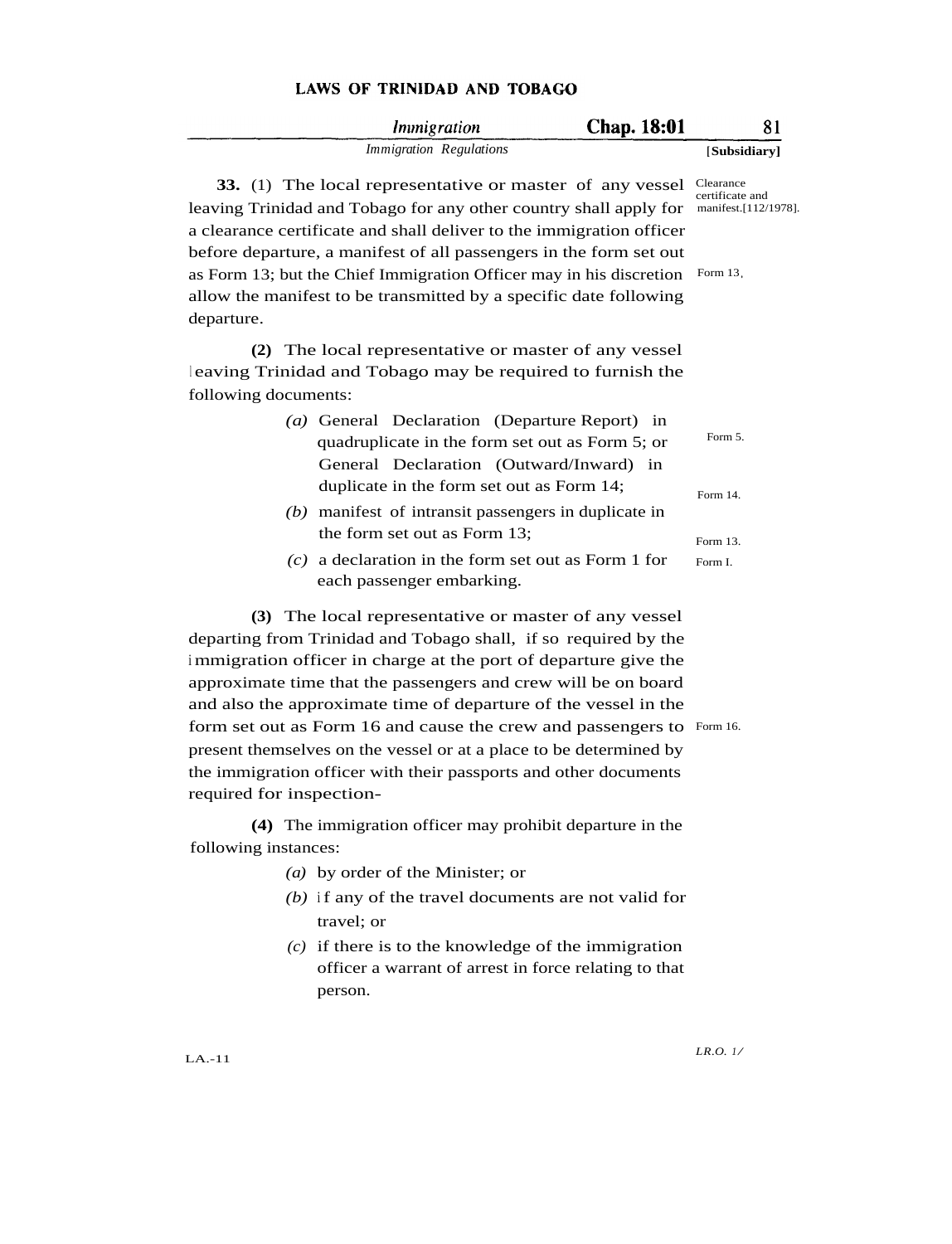|                          | Immigration                                                                                                                                                                                                                                                                                                                                                                                                                                                                                                                                        | Chap. 18:01 | 81                                                                  |
|--------------------------|----------------------------------------------------------------------------------------------------------------------------------------------------------------------------------------------------------------------------------------------------------------------------------------------------------------------------------------------------------------------------------------------------------------------------------------------------------------------------------------------------------------------------------------------------|-------------|---------------------------------------------------------------------|
|                          | <b>Immigration Regulations</b>                                                                                                                                                                                                                                                                                                                                                                                                                                                                                                                     |             | [Subsidiary]                                                        |
| departure.               | 33. (1) The local representative or master of any vessel<br>leaving Trinidad and Tobago for any other country shall apply for<br>a clearance certificate and shall deliver to the immigration officer<br>before departure, a manifest of all passengers in the form set out<br>as Form 13; but the Chief Immigration Officer may in his discretion<br>allow the manifest to be transmitted by a specific date following                                                                                                                            |             | Clearance<br>certificate and<br>manifest.[112/1978].<br>Form $13$ , |
| following documents:     | (2) The local representative or master of any vessel<br>leaving Trinidad and Tobago may be required to furnish the                                                                                                                                                                                                                                                                                                                                                                                                                                 |             |                                                                     |
|                          | (a) General Declaration (Departure Report) in<br>quadruplicate in the form set out as Form 5; or<br>General Declaration (Outward/Inward) in                                                                                                                                                                                                                                                                                                                                                                                                        |             | Form 5.                                                             |
|                          | duplicate in the form set out as Form 14;<br>$(b)$ manifest of intransit passengers in duplicate in                                                                                                                                                                                                                                                                                                                                                                                                                                                |             | Form 14.                                                            |
|                          | the form set out as Form 13;<br>$(c)$ a declaration in the form set out as Form 1 for<br>each passenger embarking.                                                                                                                                                                                                                                                                                                                                                                                                                                 |             | Form 13.<br>Form I.                                                 |
| required for inspection- | (3) The local representative or master of any vessel<br>departing from Trinidad and Tobago shall, if so required by the<br>immigration officer in charge at the port of departure give the<br>approximate time that the passengers and crew will be on board<br>and also the approximate time of departure of the vessel in the<br>form set out as Form 16 and cause the crew and passengers to Form 16.<br>present themselves on the vessel or at a place to be determined by<br>the immigration officer with their passports and other documents |             |                                                                     |
| following instances:     | (4) The immigration officer may prohibit departure in the                                                                                                                                                                                                                                                                                                                                                                                                                                                                                          |             |                                                                     |
|                          | (a) by order of the Minister; or<br>$(b)$ if any of the travel documents are not valid for<br>travel; or<br>$(c)$ if there is to the knowledge of the immigration<br>officer a warrant of arrest in force relating to that<br>person.                                                                                                                                                                                                                                                                                                              |             |                                                                     |

LA.-11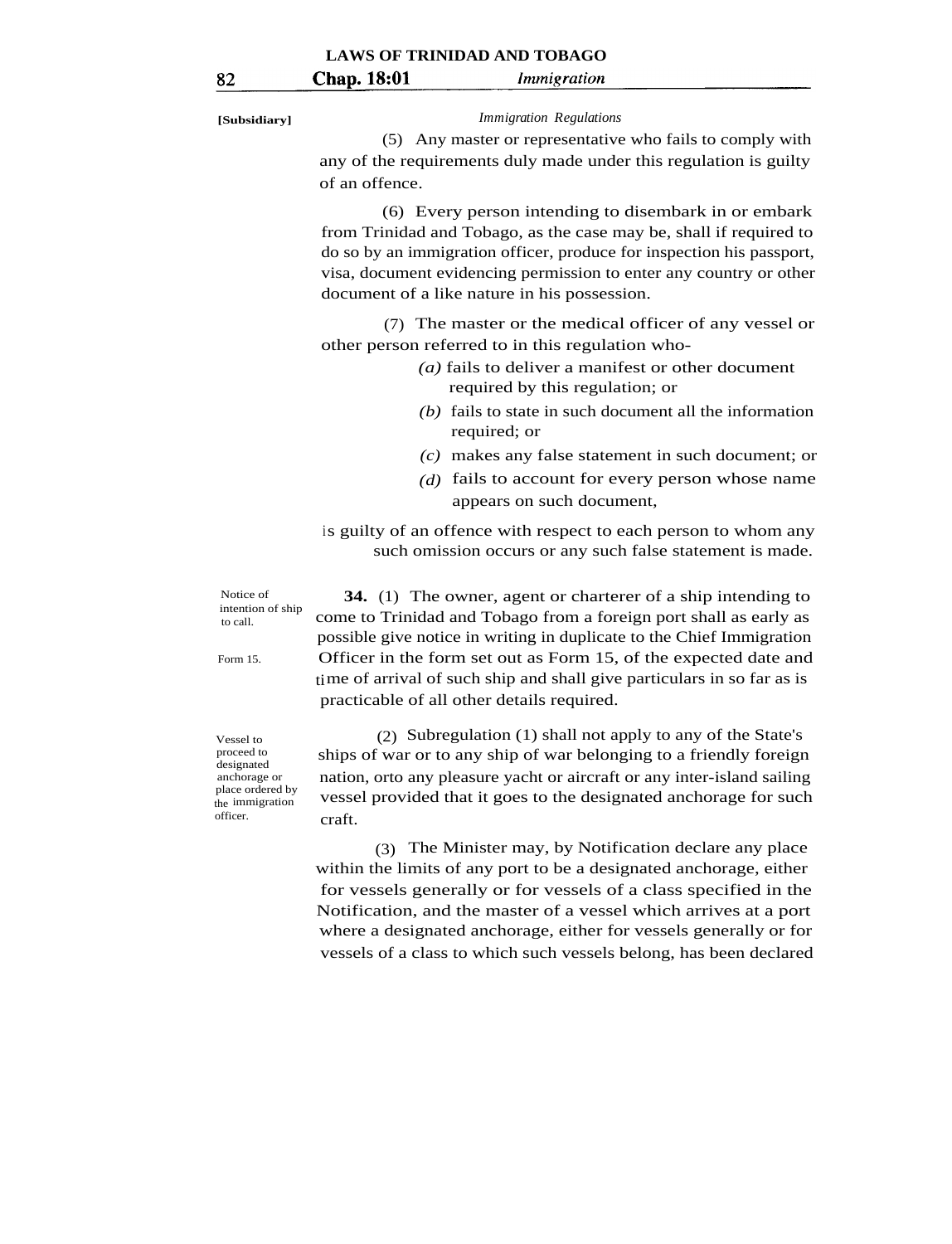### **[Subsidiary]** *Immigration Regulations*

(5) Any master or representative who fails to comply with any of the requirements duly made under this regulation is guilty of an offence.

(6) Every person intending to disembark in or embark from Trinidad and Tobago, as the case may be, shall if required to do so by an immigration officer, produce for inspection his passport, visa, document evidencing permission to enter any country or other document of a like nature in his possession.

(7) The master or the medical officer of any vessel or other person referred to in this regulation who-

- *(a)* fails to deliver a manifest or other document required by this regulation; or
- *(b)* fails to state in such document all the information required; or
- *(c)* makes any false statement in such document; or
- *(d)* fails to account for every person whose name appears on such document,

 is guilty of an offence with respect to each person to whom any such omission occurs or any such false statement is made.

 Notice of intention of ship to call.

Form 15.

 **34.** (1) The owner, agent or charterer of a ship intending to come to Trinidad and Tobago from a foreign port shall as early as possible give notice in writing in duplicate to the Chief Immigration Officer in the form set out as Form 15, of the expected date and time of arrival of such ship and shall give particulars in so far as is practicable of all other details required.

 Vessel to proceed to designated anchorage or place ordered by the immigration officer.

 (2) Subregulation (1) shall not apply to any of the State's ships of war or to any ship of war belonging to a friendly foreign nation, orto any pleasure yacht or aircraft or any inter-island sailing vessel provided that it goes to the designated anchorage for such craft.

 (3) The Minister may, by Notification declare any place within the limits of any port to be a designated anchorage, either for vessels generally or for vessels of a class specified in the Notification, and the master of a vessel which arrives at a port where a designated anchorage, either for vessels generally or for vessels of a class to which such vessels belong, has been declared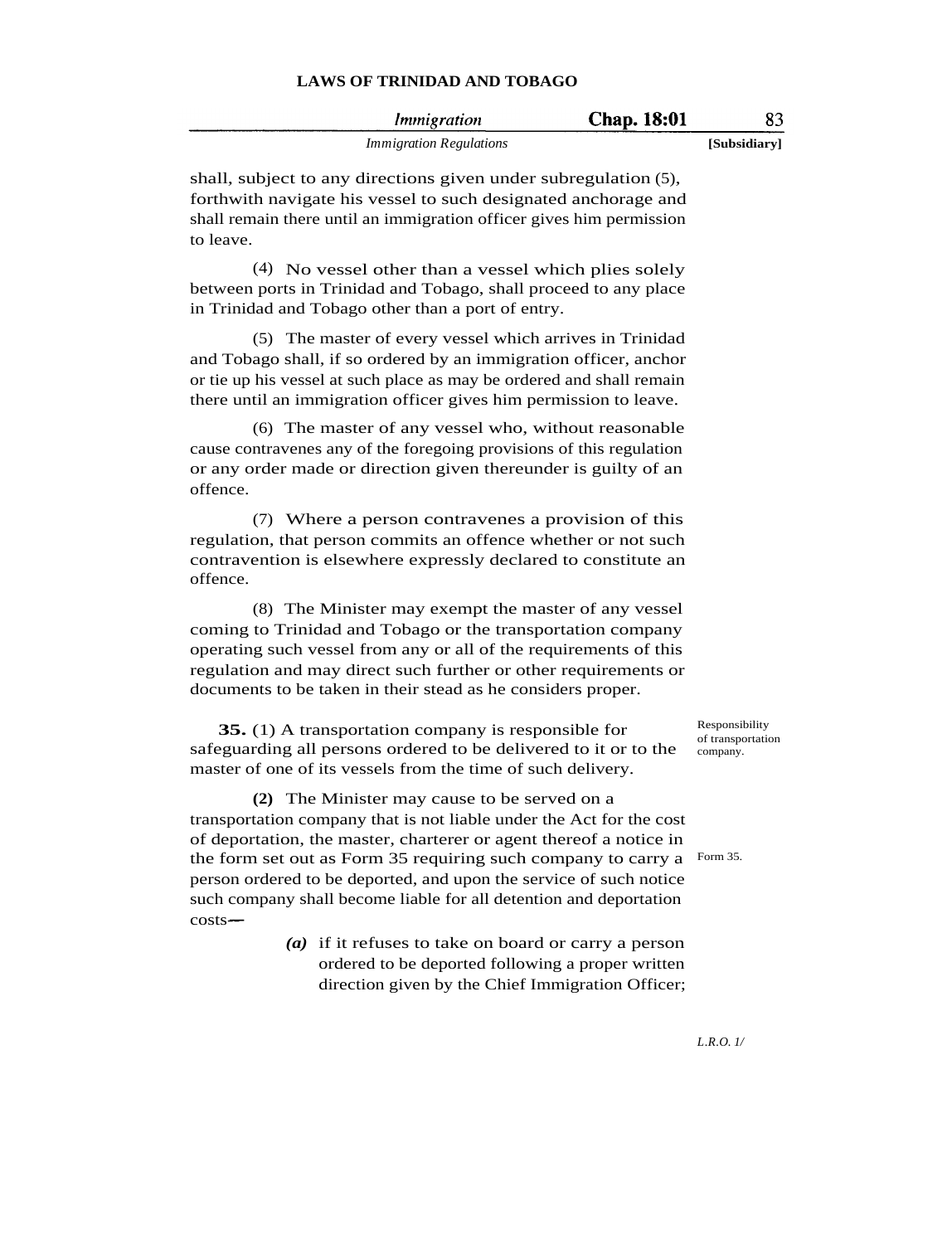| Immigration                    | Chap. 18:01 | 83           |
|--------------------------------|-------------|--------------|
| <i>Immigration Regulations</i> |             | [Subsidiary] |

shall, subject to any directions given under subregulation (5), forthwith navigate his vessel to such designated anchorage and shall remain there until an immigration officer gives him permission to leave.

(4) No vessel other than a vessel which plies solely between ports in Trinidad and Tobago, shall proceed to any place in Trinidad and Tobago other than a port of entry.

(5) The master of every vessel which arrives in Trinidad and Tobago shall, if so ordered by an immigration officer, anchor or tie up his vessel at such place as may be ordered and shall remain there until an immigration officer gives him permission to leave.

(6) The master of any vessel who, without reasonable cause contravenes any of the foregoing provisions of this regulation or any order made or direction given thereunder is guilty of an offence.

(7) Where a person contravenes a provision of this regulation, that person commits an offence whether or not such contravention is elsewhere expressly declared to constitute an offence.

(8) The Minister may exempt the master of any vessel coming to Trinidad and Tobago or the transportation company operating such vessel from any or all of the requirements of this regulation and may direct such further or other requirements or documents to be taken in their stead as he considers proper.

**35.** (1) A transportation company is responsible for safeguarding all persons ordered to be delivered to it or to the master of one of its vessels from the time of such delivery.

**(2)** The Minister may cause to be served on a transportation company that is not liable under the Act for the cost of deportation, the master, charterer or agent thereof a notice in the form set out as Form 35 requiring such company to carry a Form 35. person ordered to be deported, and upon the service of such notice such company shall become liable for all detention and deportation  $costs$ --

> *(a)* if it refuses to take on board or carry a person ordered to be deported following a proper written direction given by the Chief Immigration Officer;

Responsibility of transportation company.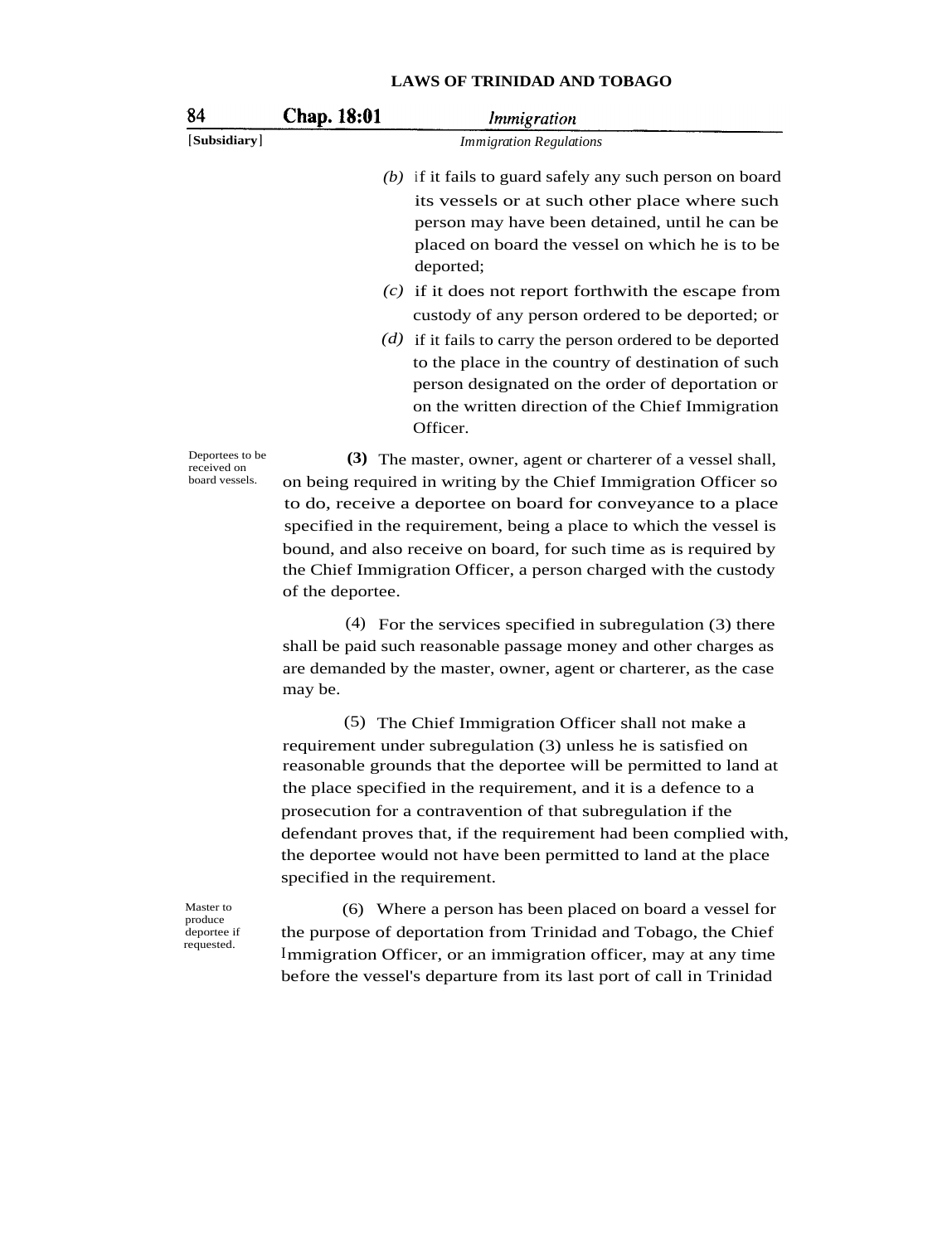| 84                                               | Chap. 18:01 | <i>Immigration</i>                                                                                                                                                                                                                                                                                                                                                                                              |
|--------------------------------------------------|-------------|-----------------------------------------------------------------------------------------------------------------------------------------------------------------------------------------------------------------------------------------------------------------------------------------------------------------------------------------------------------------------------------------------------------------|
| [Subsidiary]                                     |             | <b>Immigration Regulations</b>                                                                                                                                                                                                                                                                                                                                                                                  |
|                                                  |             | $(b)$ if it fails to guard safely any such person on board<br>its vessels or at such other place where such<br>person may have been detained, until he can be<br>placed on board the vessel on which he is to be<br>deported;                                                                                                                                                                                   |
|                                                  |             | $(c)$ if it does not report forthwith the escape from<br>custody of any person ordered to be deported; or                                                                                                                                                                                                                                                                                                       |
|                                                  |             | $(d)$ if it fails to carry the person ordered to be deported<br>to the place in the country of destination of such<br>person designated on the order of deportation or<br>on the written direction of the Chief Immigration<br>Officer.                                                                                                                                                                         |
| Deportees to be<br>received on<br>board vessels. |             | (3) The master, owner, agent or charterer of a vessel shall,<br>on being required in writing by the Chief Immigration Officer so<br>to do, receive a deportee on board for conveyance to a place<br>specified in the requirement, being a place to which the vessel is<br>bound, and also receive on board, for such time as is required by<br>the Chief Immigration Officer, a person charged with the custody |

(4) For the services specified in subregulation (3) there shall be paid such reasonable passage money and other charges as are demanded by the master, owner, agent or charterer, as the case may be.

(5) The Chief Immigration Officer shall not make a requirement under subregulation (3) unless he is satisfied on reasonable grounds that the deportee will be permitted to land at the place specified in the requirement, and it is a defence to a prosecution for a contravention of that subregulation if the defendant proves that, if the requirement had been complied with, the deportee would not have been permitted to land at the place specified in the requirement.

Master to produce deportee if requested.

of the deportee.

(6) Where a person has been placed on board a vessel for the purpose of deportation from Trinidad and Tobago, the Chief Immigration Officer, or an immigration officer, may at any time before the vessel's departure from its last port of call in Trinidad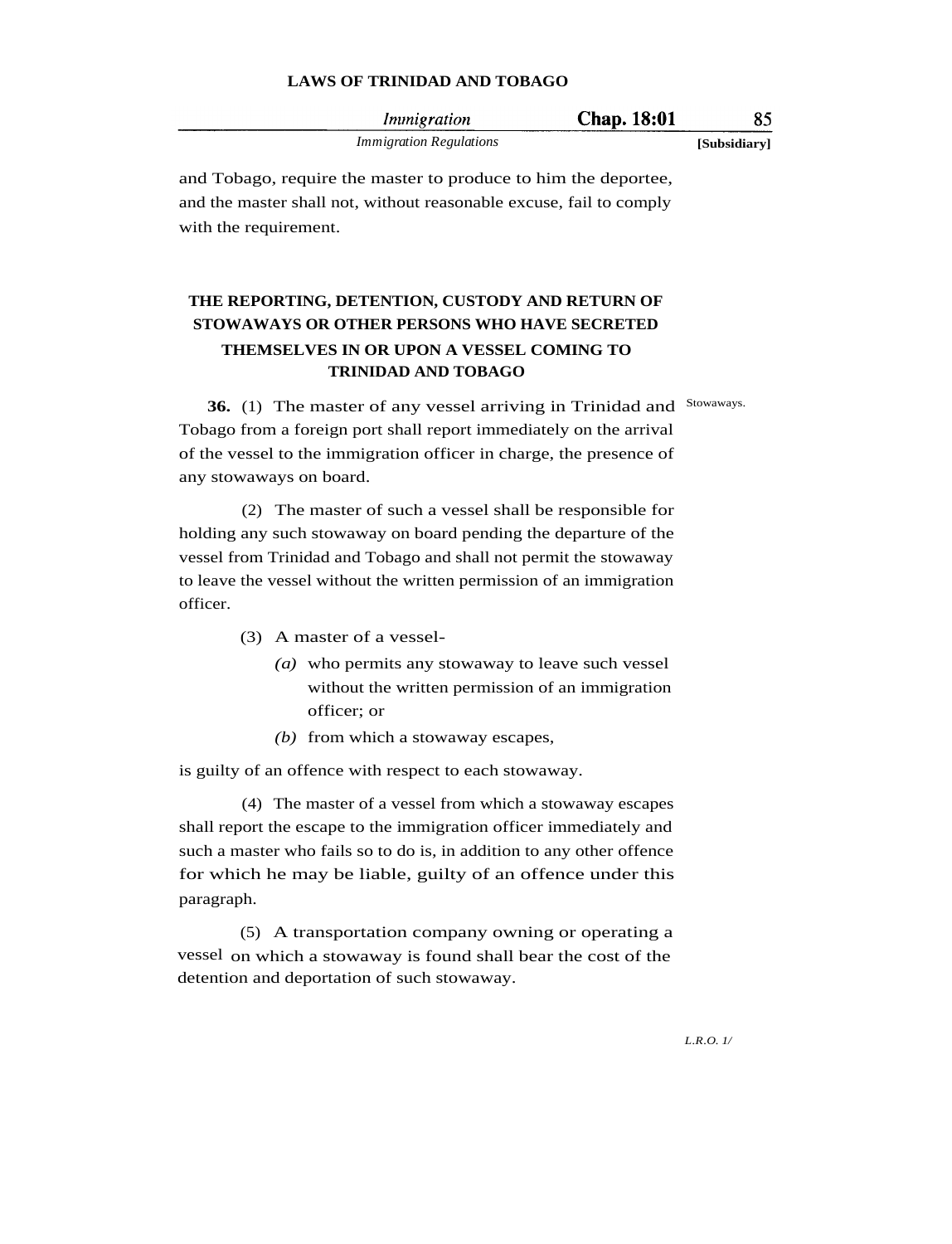| <i>Immigration</i>             | Chap. 18:01 |              |
|--------------------------------|-------------|--------------|
| <i>Immigration Regulations</i> |             | [Subsidiary] |

and Tobago, require the master to produce to him the deportee, and the master shall not, without reasonable excuse, fail to comply with the requirement.

# **THE REPORTING, DETENTION, CUSTODY AND RETURN OF STOWAWAYS OR OTHER PERSONS WHO HAVE SECRETED THEMSELVES IN OR UPON A VESSEL COMING TO TRINIDAD AND TOBAGO**

**36.** (1) The master of any vessel arriving in Trinidad and Stowaways. Tobago from a foreign port shall report immediately on the arrival of the vessel to the immigration officer in charge, the presence of any stowaways on board.

(2) The master of such a vessel shall be responsible for holding any such stowaway on board pending the departure of the vessel from Trinidad and Tobago and shall not permit the stowaway to leave the vessel without the written permission of an immigration officer.

- (3) A master of a vessel-
	- *(a)* who permits any stowaway to leave such vessel without the written permission of an immigration officer; or
	- *(b)* from which a stowaway escapes,

is guilty of an offence with respect to each stowaway.

(4) The master of a vessel from which a stowaway escapes shall report the escape to the immigration officer immediately and such a master who fails so to do is, in addition to any other offence for which he may be liable, guilty of an offence under this paragraph.

(5) A transportation company owning or operating a vessel on which a stowaway is found shall bear the cost of the detention and deportation of such stowaway.

*L.R.O. 1/*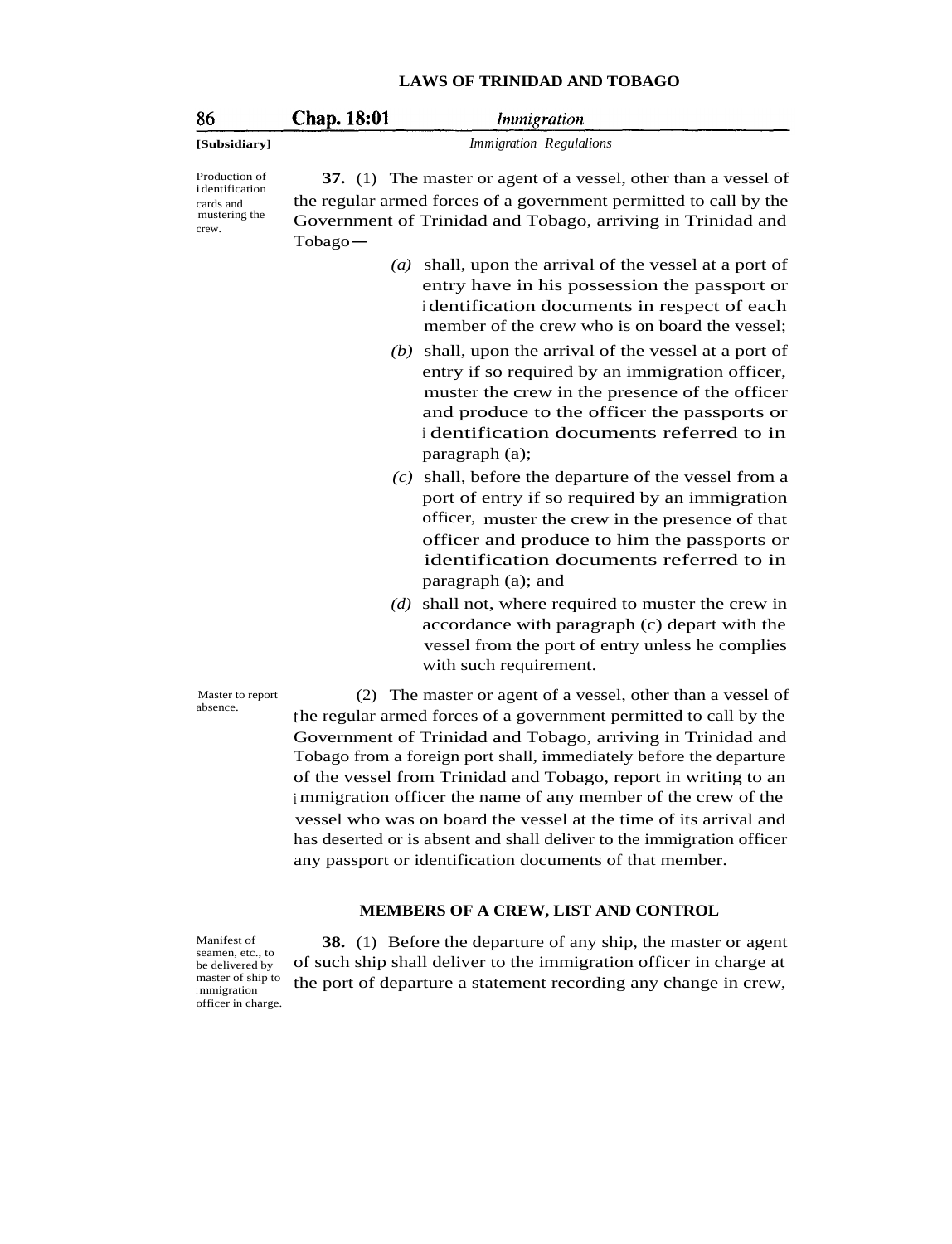| 86                                                                     | <b>Chap. 18:01</b><br><i>Immigration</i>                                                                                                                                                                                                                                     |  |  |  |
|------------------------------------------------------------------------|------------------------------------------------------------------------------------------------------------------------------------------------------------------------------------------------------------------------------------------------------------------------------|--|--|--|
| [Subsidiary]                                                           | Immigration Regulalions                                                                                                                                                                                                                                                      |  |  |  |
| Production of<br>identification<br>cards and<br>mustering the<br>crew. | 37. (1) The master or agent of a vessel, other than a vessel of<br>the regular armed forces of a government permitted to call by the<br>Government of Trinidad and Tobago, arriving in Trinidad and<br>$Tobago -$                                                            |  |  |  |
|                                                                        | shall, upon the arrival of the vessel at a port of<br>(a)<br>entry have in his possession the passport or<br>identification documents in respect of each<br>member of the crew who is on board the vessel;                                                                   |  |  |  |
|                                                                        | $(b)$ shall, upon the arrival of the vessel at a port of<br>entry if so required by an immigration officer,<br>muster the crew in the presence of the officer<br>and produce to the officer the passports or<br>i dentification documents referred to in<br>paragraph (a);   |  |  |  |
|                                                                        | $(c)$ shall, before the departure of the vessel from a<br>port of entry if so required by an immigration<br>officer, muster the crew in the presence of that<br>officer and produce to him the passports or<br>identification documents referred to in<br>paragraph (a); and |  |  |  |
|                                                                        | shall not, where required to muster the crew in<br>(d)<br>accordance with paragraph (c) depart with the<br>vessel from the port of entry unless he complies<br>with such requirement.                                                                                        |  |  |  |
| Master to report<br>absence.                                           | The master or agent of a vessel, other than a vessel of<br>(2)<br>the regular armed forces of a government permitted to call by the                                                                                                                                          |  |  |  |

the regular armed forces of a government permitted to cal Government of Trinidad and Tobago, arriving in Trinidad and Tobago from a foreign port shall, immediately before the departure of the vessel from Trinidad and Tobago, report in writing to an <sup>i</sup> mmigration officer the name of any member of the crew of the vessel who was on board the vessel at the time of its arrival and has deserted or is absent and shall deliver to the immigration officer any passport or identification documents of that member.

## **MEMBERS OF A CREW, LIST AND CONTROL**

Manifest of seamen, etc., to be delivered by master of ship to immigration officer in charge.

**38.** (1) Before the departure of any ship, the master or agent of such ship shall deliver to the immigration officer in charge at the port of departure a statement recording any change in crew,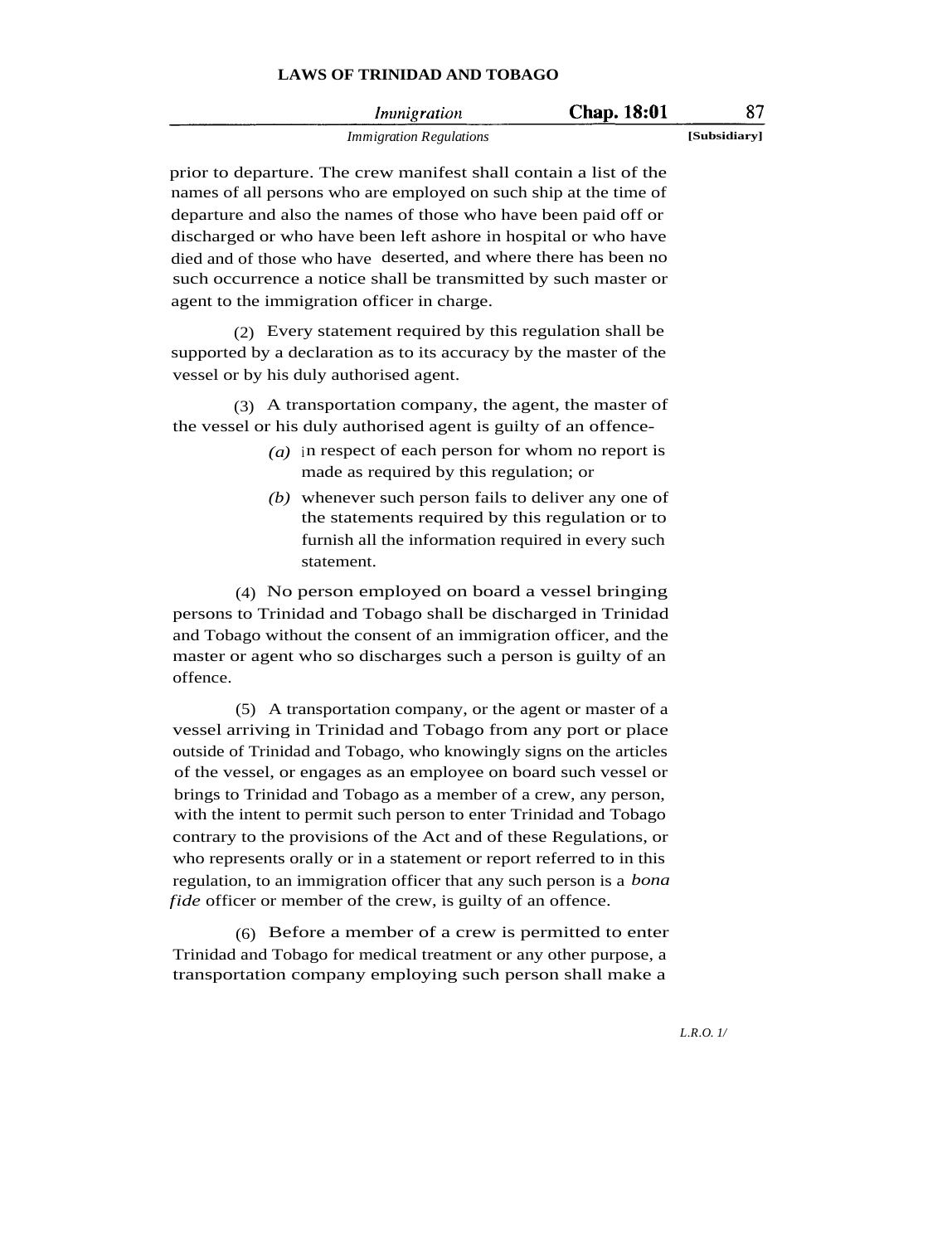| Immigration                    | Chap. 18:01 | 87           |
|--------------------------------|-------------|--------------|
| <i>Immigration Regulations</i> |             | [Subsidiary] |

prior to departure. The crew manifest shall contain a list of the names of all persons who are employed on such ship at the time of departure and also the names of those who have been paid off or discharged or who have been left ashore in hospital or who have died and of those who have deserted, and where there has been no such occurrence a notice shall be transmitted by such master or agent to the immigration officer in charge.

(2) Every statement required by this regulation shall be supported by a declaration as to its accuracy by the master of the vessel or by his duly authorised agent.

(3) A transportation company, the agent, the master of the vessel or his duly authorised agent is guilty of an offence-

- *(a)* in respect of each person for whom no report is made as required by this regulation; or
- *(b)* whenever such person fails to deliver any one of the statements required by this regulation or to furnish all the information required in every such statement.

(4) No person employed on board a vessel bringing persons to Trinidad and Tobago shall be discharged in Trinidad and Tobago without the consent of an immigration officer, and the master or agent who so discharges such a person is guilty of an offence.

(5) A transportation company, or the agent or master of a vessel arriving in Trinidad and Tobago from any port or place outside of Trinidad and Tobago, who knowingly signs on the articles of the vessel, or engages as an employee on board such vessel or brings to Trinidad and Tobago as a member of a crew, any person, with the intent to permit such person to enter Trinidad and Tobago contrary to the provisions of the Act and of these Regulations, or who represents orally or in a statement or report referred to in this regulation, to an immigration officer that any such person is a *bona fide* officer or member of the crew, is guilty of an offence.

(6) Before a member of a crew is permitted to enter Trinidad and Tobago for medical treatment or any other purpose, a transportation company employing such person shall make a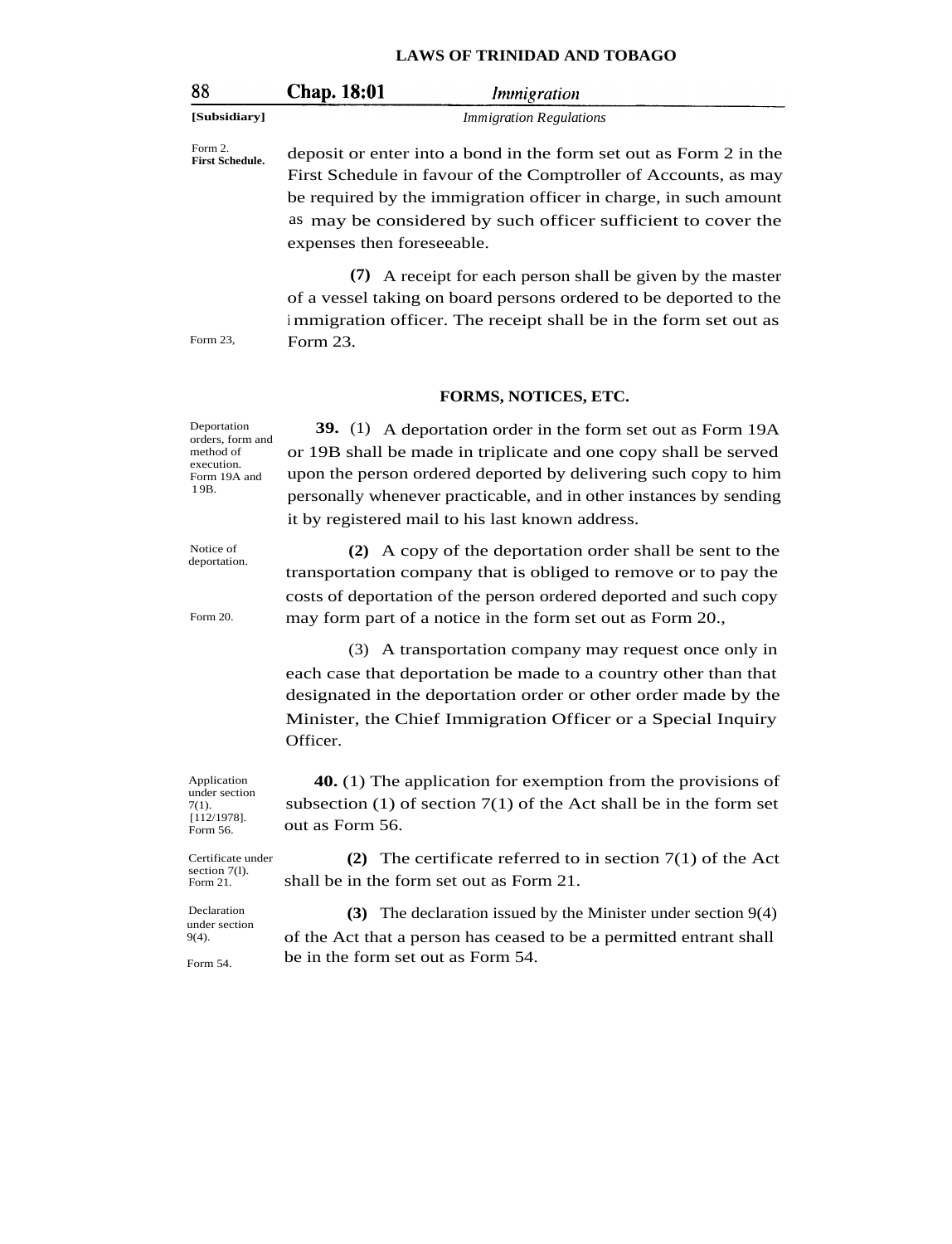| 88                                                                                 | Chap. 18:01                                                                                                                                                                                                                                                                                                                 | Immigration                                                                                                                                                                                         |  |  |
|------------------------------------------------------------------------------------|-----------------------------------------------------------------------------------------------------------------------------------------------------------------------------------------------------------------------------------------------------------------------------------------------------------------------------|-----------------------------------------------------------------------------------------------------------------------------------------------------------------------------------------------------|--|--|
| [Subsidiary]                                                                       | <b>Immigration Regulations</b>                                                                                                                                                                                                                                                                                              |                                                                                                                                                                                                     |  |  |
| Form 2.<br><b>First Schedule.</b>                                                  | deposit or enter into a bond in the form set out as Form 2 in the<br>First Schedule in favour of the Comptroller of Accounts, as may<br>be required by the immigration officer in charge, in such amount<br>as may be considered by such officer sufficient to cover the<br>expenses then foreseeable.                      |                                                                                                                                                                                                     |  |  |
| Form 23,                                                                           | Form 23.                                                                                                                                                                                                                                                                                                                    | (7) A receipt for each person shall be given by the master<br>of a vessel taking on board persons ordered to be deported to the<br>immigration officer. The receipt shall be in the form set out as |  |  |
|                                                                                    |                                                                                                                                                                                                                                                                                                                             | FORMS, NOTICES, ETC.                                                                                                                                                                                |  |  |
| Deportation<br>orders, form and<br>method of<br>execution.<br>Form 19A and<br>19B. | 39. (1) A deportation order in the form set out as Form 19A<br>or 19B shall be made in triplicate and one copy shall be served<br>upon the person ordered deported by delivering such copy to him<br>personally whenever practicable, and in other instances by sending<br>it by registered mail to his last known address. |                                                                                                                                                                                                     |  |  |

Notice of deportation.

Form 20.

**(2)** A copy of the deportation order shall be sent to the transportation company that is obliged to remove or to pay the costs of deportation of the person ordered deported and such copy may form part of a notice in the form set out as Form 20.,

(3) A transportation company may request once only in each case that deportation be made to a country other than that designated in the deportation order or other order made by the Minister, the Chief Immigration Officer or a Special Inquiry Officer.

**40.** (1) The application for exemption from the provisions of subsection (1) of section 7(1) of the Act shall be in the form set out as Form 56.

Certificate under

**(2)** The certificate referred to in section 7(1) of the Act shall be in the form set out as Form 21.

**(3)** The declaration issued by the Minister under section 9(4) of the Act that a person has ceased to be a permitted entrant shall be in the form set out as Form 54.

under section 7(1).  $[112/1978]$ . Form 56.

Application

section 7(l). Form 21.

**Declaration** under section 9(4).

Form 54.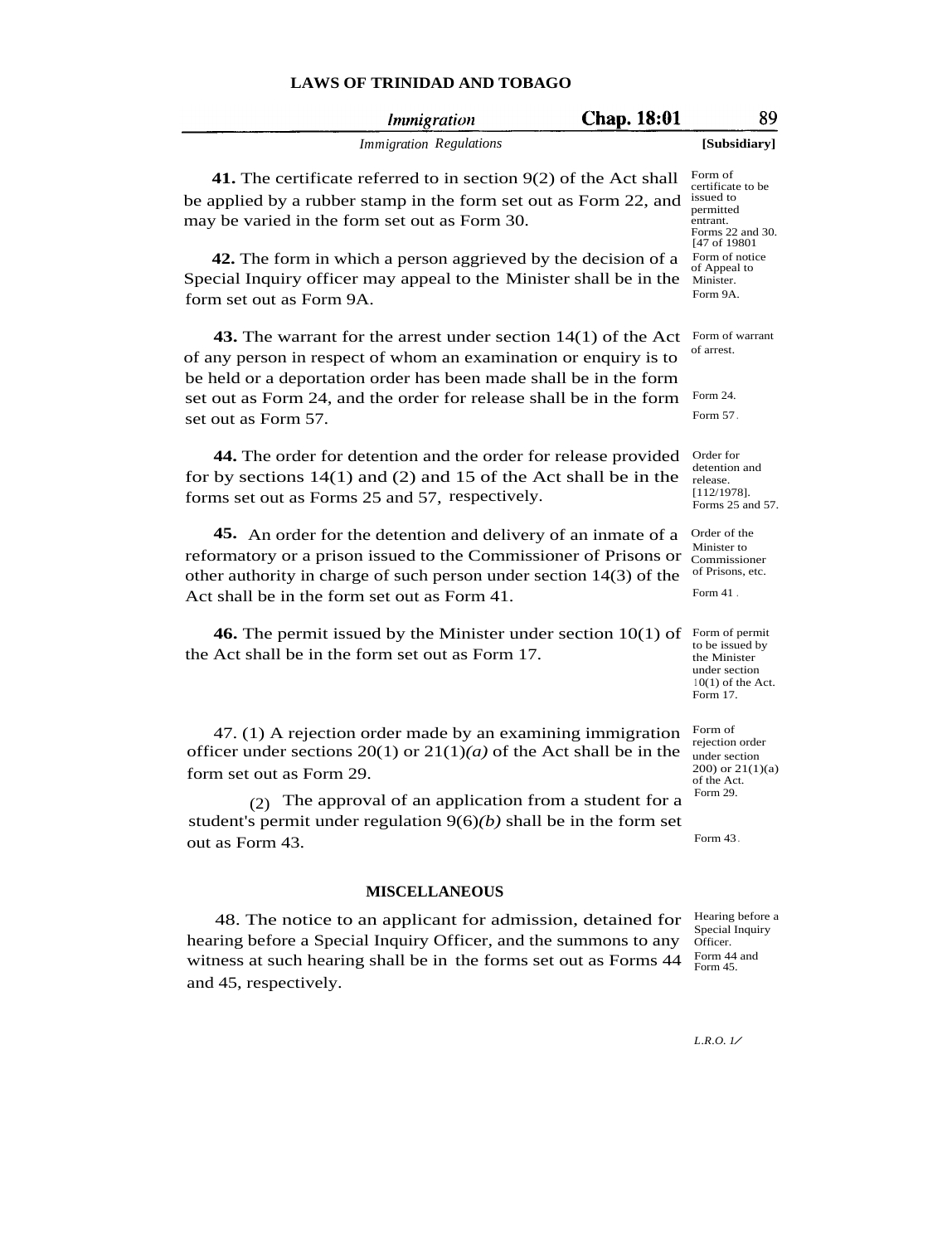|                          | <i>Immigration</i>                                                                                                                                                                                                                                                | <b>Chap. 18:01</b> | 89                                                                                                      |  |  |
|--------------------------|-------------------------------------------------------------------------------------------------------------------------------------------------------------------------------------------------------------------------------------------------------------------|--------------------|---------------------------------------------------------------------------------------------------------|--|--|
|                          | <b>Immigration Regulations</b>                                                                                                                                                                                                                                    |                    | [Subsidiary]                                                                                            |  |  |
|                          | 41. The certificate referred to in section $9(2)$ of the Act shall<br>be applied by a rubber stamp in the form set out as Form 22, and<br>may be varied in the form set out as Form 30.                                                                           |                    | Form of<br>certificate to be<br>issued to<br>permitted<br>entrant.<br>Forms 22 and 30.<br>[47 of 19801] |  |  |
| form set out as Form 9A. | 42. The form in which a person aggrieved by the decision of a<br>Special Inquiry officer may appeal to the Minister shall be in the                                                                                                                               |                    | Form of notice<br>of Appeal to<br>Minister.<br>Form 9A.                                                 |  |  |
|                          | 43. The warrant for the arrest under section $14(1)$ of the Act<br>of any person in respect of whom an examination or enquiry is to<br>be held or a deportation order has been made shall be in the form                                                          |                    | Form of warrant<br>of arrest.                                                                           |  |  |
| set out as Form 57.      | set out as Form 24, and the order for release shall be in the form                                                                                                                                                                                                |                    | Form 24.<br>Form 57.                                                                                    |  |  |
|                          | 44. The order for detention and the order for release provided<br>for by sections $14(1)$ and (2) and 15 of the Act shall be in the<br>forms set out as Forms 25 and 57, respectively.                                                                            |                    | Order for<br>detention and<br>release.<br>$[112/1978]$ .<br>Forms 25 and 57.                            |  |  |
|                          | <b>45.</b> An order for the detention and delivery of an inmate of a<br>reformatory or a prison issued to the Commissioner of Prisons or<br>other authority in charge of such person under section $14(3)$ of the<br>Act shall be in the form set out as Form 41. |                    | Order of the<br>Minister to<br>Commissioner<br>of Prisons, etc.<br>Form $41$ .                          |  |  |
|                          | <b>46.</b> The permit issued by the Minister under section $10(1)$ of<br>the Act shall be in the form set out as Form 17.                                                                                                                                         |                    | Form of permit<br>to be issued by<br>the Minister<br>under section<br>$10(1)$ of the Act.<br>Form 17.   |  |  |
| form set out as Form 29. | $47.$ (1) A rejection order made by an examining immigration<br>officer under sections 20(1) or $21(1)(a)$ of the Act shall be in the                                                                                                                             |                    | Form of<br>rejection order<br>under section<br>$(200)$ or $21(1)(a)$<br>of the Act.<br>Form 29.         |  |  |
| (2)<br>out as Form 43.   | The approval of an application from a student for a<br>student's permit under regulation $9(6)(b)$ shall be in the form set                                                                                                                                       |                    | Form 43.                                                                                                |  |  |
| <b>MISCELLANEOUS</b>     |                                                                                                                                                                                                                                                                   |                    |                                                                                                         |  |  |
| and 45, respectively.    | 48. The notice to an applicant for admission, detained for<br>hearing before a Special Inquiry Officer, and the summons to any<br>witness at such hearing shall be in the forms set out as Forms 44                                                               |                    | Hearing before a<br>Special Inquiry<br>Officer.<br>Form 44 and<br>Form 45.                              |  |  |
|                          |                                                                                                                                                                                                                                                                   |                    |                                                                                                         |  |  |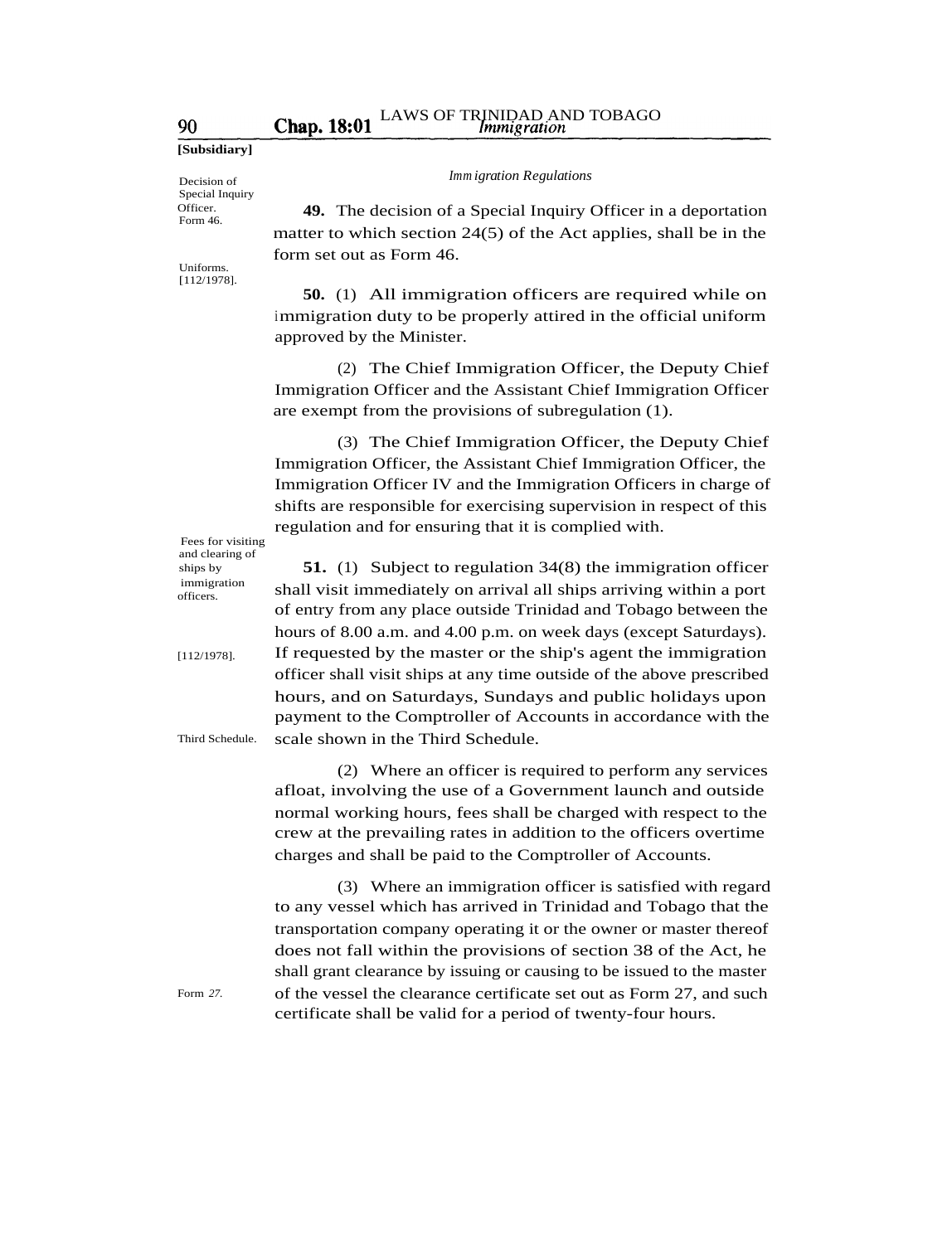**[Subsidiary]**

90

Decision of Special Inquiry Officer. Form 46.

Uniforms. [112/1978]. *Immigration Regulations*

**49.** The decision of a Special Inquiry Officer in a deportation matter to which section 24(5) of the Act applies, shall be in the form set out as Form 46.

**50.** (1) All immigration officers are required while on immigration duty to be properly attired in the official uniform approved by the Minister.

(2) The Chief Immigration Officer, the Deputy Chief Immigration Officer and the Assistant Chief Immigration Officer are exempt from the provisions of subregulation (1).

(3) The Chief Immigration Officer, the Deputy Chief Immigration Officer, the Assistant Chief Immigration Officer, the Immigration Officer IV and the Immigration Officers in charge of shifts are responsible for exercising supervision in respect of this regulation and for ensuring that it is complied with.

**51.** (1) Subject to regulation 34(8) the immigration officer shall visit immediately on arrival all ships arriving within a port of entry from any place outside Trinidad and Tobago between the hours of 8.00 a.m. and 4.00 p.m. on week days (except Saturdays). If requested by the master or the ship's agent the immigration officer shall visit ships at any time outside of the above prescribed hours, and on Saturdays, Sundays and public holidays upon payment to the Comptroller of Accounts in accordance with the

(2) Where an officer is required to perform any services

(3) Where an immigration officer is satisfied with regard

afloat, involving the use of a Government launch and outside normal working hours, fees shall be charged with respect to the crew at the prevailing rates in addition to the officers overtime

to any vessel which has arrived in Trinidad and Tobago that the transportation company operating it or the owner or master thereof does not fall within the provisions of section 38 of the Act, he shall grant clearance by issuing or causing to be issued to the master of the vessel the clearance certificate set out as Form 27, and such

charges and shall be paid to the Comptroller of Accounts.

certificate shall be valid for a period of twenty-four hours.

scale shown in the Third Schedule.

Fees for visiting officers.

Third Schedule.

and clearing of ships by immigration

[112/1978].

Form *27.*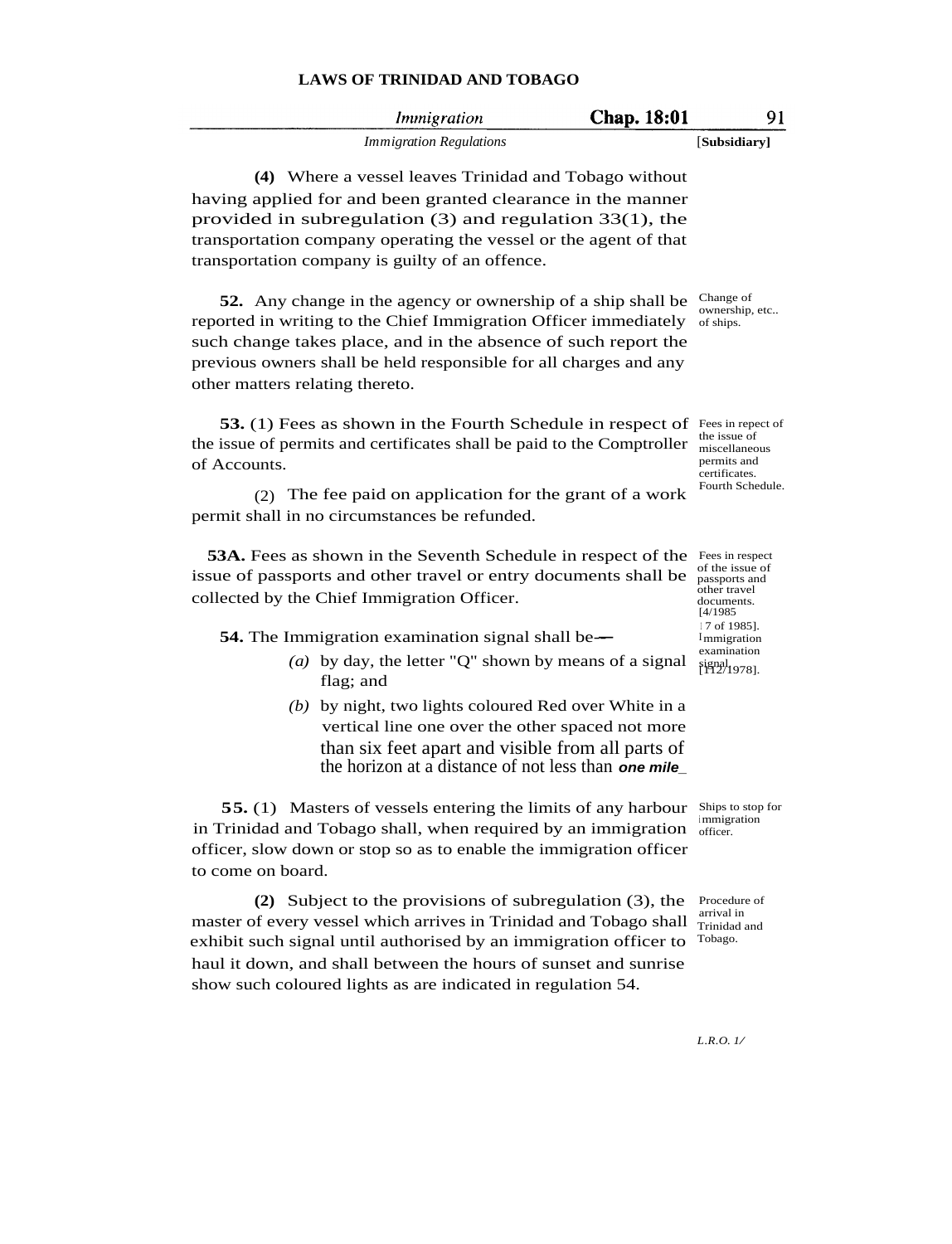| Chap. 18:01<br><i>Immigration</i>                                                                                                                                                                                                                                                                                                    | 91                                                                         |
|--------------------------------------------------------------------------------------------------------------------------------------------------------------------------------------------------------------------------------------------------------------------------------------------------------------------------------------|----------------------------------------------------------------------------|
| <b>Immigration Regulations</b>                                                                                                                                                                                                                                                                                                       | [Subsidiary]                                                               |
| (4) Where a vessel leaves Trinidad and Tobago without                                                                                                                                                                                                                                                                                |                                                                            |
| having applied for and been granted clearance in the manner<br>provided in subregulation $(3)$ and regulation 33 $(1)$ , the<br>transportation company operating the vessel or the agent of that<br>transportation company is guilty of an offence.                                                                                  |                                                                            |
| <b>52.</b> Any change in the agency or ownership of a ship shall be<br>reported in writing to the Chief Immigration Officer immediately<br>such change takes place, and in the absence of such report the<br>previous owners shall be held responsible for all charges and any<br>other matters relating thereto.                    | Change of<br>ownership, etc<br>of ships.                                   |
| <b>53.</b> (1) Fees as shown in the Fourth Schedule in respect of Fees in repect of<br>the issue of permits and certificates shall be paid to the Comptroller<br>of Accounts.                                                                                                                                                        | the issue of<br>miscellaneous<br>permits and<br>certificates.              |
| The fee paid on application for the grant of a work<br>(2)<br>permit shall in no circumstances be refunded.                                                                                                                                                                                                                          | Fourth Schedule.                                                           |
| <b>53A.</b> Fees as shown in the Seventh Schedule in respect of the Fees in respect<br>issue of passports and other travel or entry documents shall be<br>collected by the Chief Immigration Officer.                                                                                                                                | of the issue of<br>passports and<br>other travel<br>documents.<br>[4/1985] |
| 54. The Immigration examination signal shall be—                                                                                                                                                                                                                                                                                     | 17 of 1985].<br>Immigration                                                |
| (a) by day, the letter "Q" shown by means of a signal<br>flag; and                                                                                                                                                                                                                                                                   | examination<br>$\frac{1}{1}$ [ $\frac{1}{2}$ ] [1978].                     |
| (b) by night, two lights coloured Red over White in a<br>vertical line one over the other spaced not more<br>than six feet apart and visible from all parts of<br>the horizon at a distance of not less than one mile                                                                                                                |                                                                            |
| <b>55.</b> (1) Masters of vessels entering the limits of any harbour<br>in Trinidad and Tobago shall, when required by an immigration<br>officer, slow down or stop so as to enable the immigration officer<br>to come on board.                                                                                                     | Ships to stop for<br>immigration<br>officer.                               |
| (2) Subject to the provisions of subregulation (3), the<br>master of every vessel which arrives in Trinidad and Tobago shall<br>exhibit such signal until authorised by an immigration officer to<br>haul it down, and shall between the hours of sunset and sunrise<br>show such coloured lights as are indicated in regulation 54. | Procedure of<br>arrival in<br>Trinidad and<br>Tobago.                      |
|                                                                                                                                                                                                                                                                                                                                      | L.R.O. 1/                                                                  |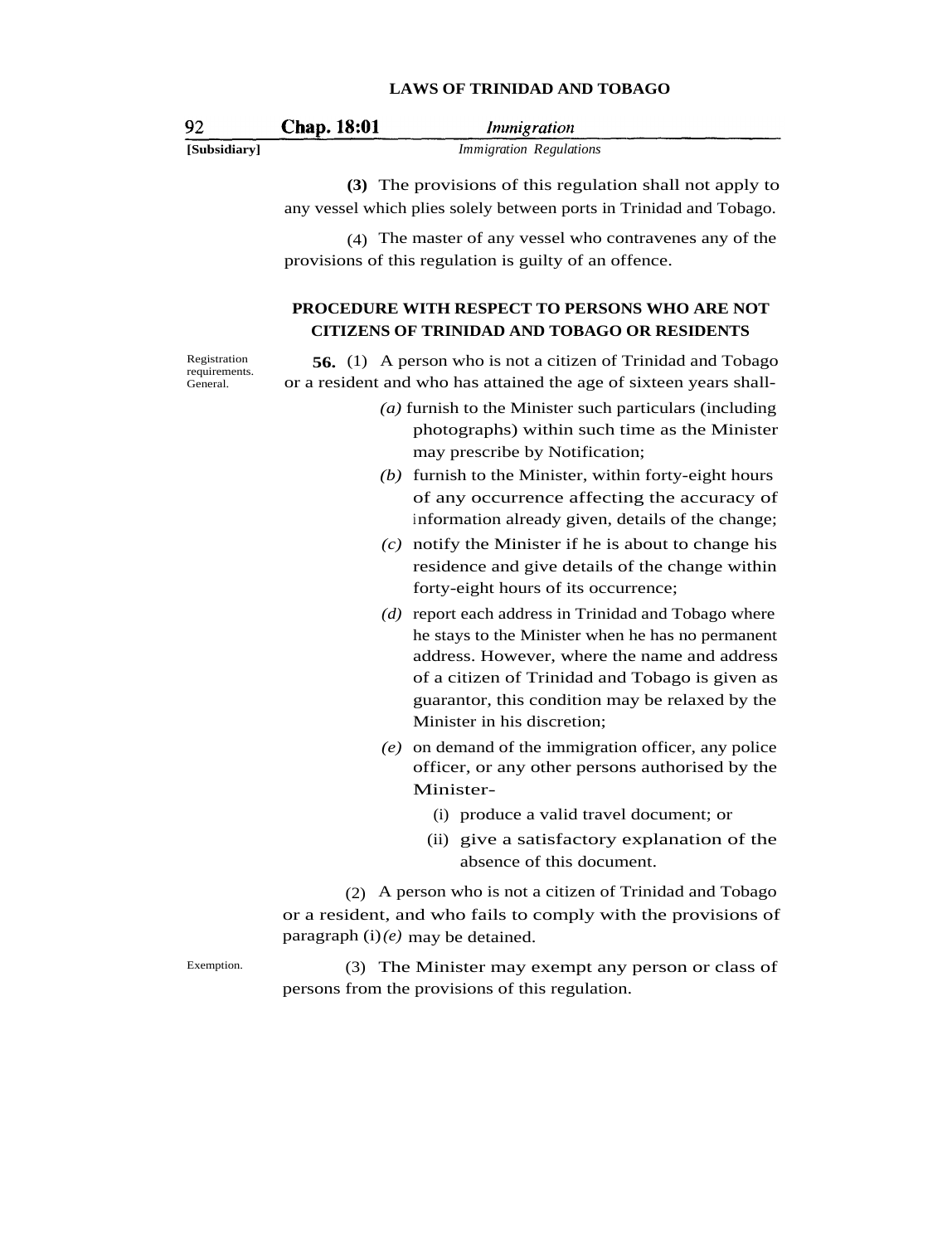| -92          | <b>Chap. 18:01</b> | <i>Immigration</i>             |
|--------------|--------------------|--------------------------------|
| [Subsidiary] |                    | <i>Immigration Regulations</i> |

**(3)** The provisions of this regulation shall not apply to any vessel which plies solely between ports in Trinidad and Tobago.

(4) The master of any vessel who contravenes any of the provisions of this regulation is guilty of an offence.

## **PROCEDURE WITH RESPECT TO PERSONS WHO ARE NOT CITIZENS OF TRINIDAD AND TOBAGO OR RESIDENTS**

Registration requirements. General.

Exemption.

**56.** (1) A person who is not a citizen of Trinidad and Tobago or a resident and who has attained the age of sixteen years shall-

- *(a)* furnish to the Minister such particulars (including photographs) within such time as the Minister may prescribe by Notification;
- *(b)* furnish to the Minister, within forty-eight hours of any occurrence affecting the accuracy of information already given, details of the change;
- *(c)* notify the Minister if he is about to change his residence and give details of the change within forty-eight hours of its occurrence;
- *(d)* report each address in Trinidad and Tobago where he stays to the Minister when he has no permanent address. However, where the name and address of a citizen of Trinidad and Tobago is given as guarantor, this condition may be relaxed by the Minister in his discretion;
- *(e)* on demand of the immigration officer, any police officer, or any other persons authorised by the Minister-
	- (i) produce a valid travel document; or
	- (ii) give a satisfactory explanation of the absence of this document.

(2) A person who is not a citizen of Trinidad and Tobago or a resident, and who fails to comply with the provisions of paragraph (i)*(e)* may be detained.

(3) The Minister may exempt any person or class of persons from the provisions of this regulation.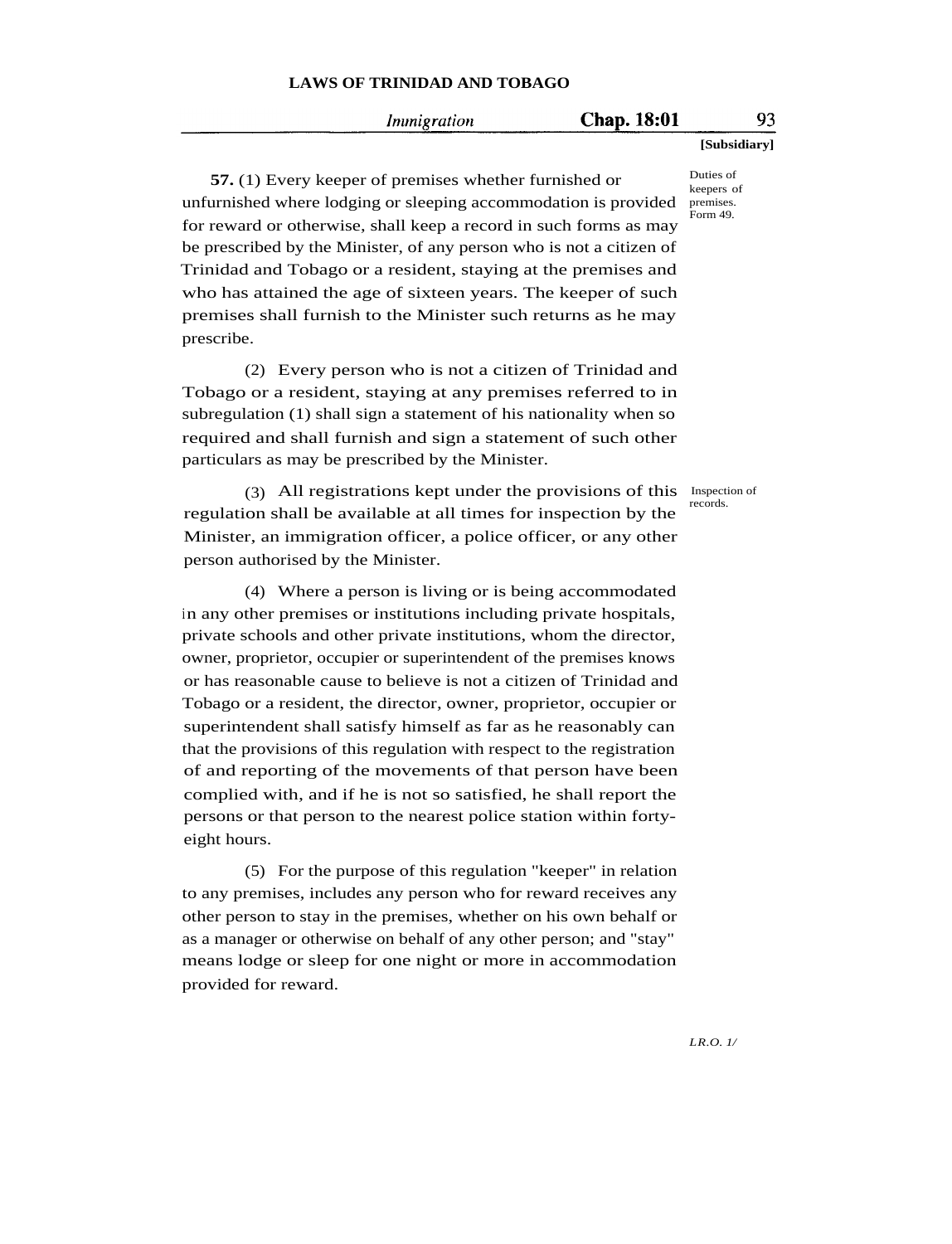#### Immigration

## Chap. 18:01

**[Subsidiary]**

**57.** (1) Every keeper of premises whether furnished or unfurnished where lodging or sleeping accommodation is provided for reward or otherwise, shall keep a record in such forms as may be prescribed by the Minister, of any person who is not a citizen of Trinidad and Tobago or a resident, staying at the premises and who has attained the age of sixteen years. The keeper of such premises shall furnish to the Minister such returns as he may prescribe.

(2) Every person who is not a citizen of Trinidad and Tobago or a resident, staying at any premises referred to in subregulation (1) shall sign a statement of his nationality when so required and shall furnish and sign a statement of such other particulars as may be prescribed by the Minister.

(3) All registrations kept under the provisions of this Inspection of regulation shall be available at all times for inspection by the Minister, an immigration officer, a police officer, or any other person authorised by the Minister.

(4) Where a person is living or is being accommodated in any other premises or institutions including private hospitals, private schools and other private institutions, whom the director, owner, proprietor, occupier or superintendent of the premises knows or has reasonable cause to believe is not a citizen of Trinidad and Tobago or a resident, the director, owner, proprietor, occupier or superintendent shall satisfy himself as far as he reasonably can that the provisions of this regulation with respect to the registration of and reporting of the movements of that person have been complied with, and if he is not so satisfied, he shall report the persons or that person to the nearest police station within fortyeight hours.

(5) For the purpose of this regulation "keeper" in relation to any premises, includes any person who for reward receives any other person to stay in the premises, whether on his own behalf or as a manager or otherwise on behalf of any other person; and "stay" means lodge or sleep for one night or more in accommodation provided for reward.

Duties of keepers of premises. .<br>Form 49.

records.

*LR.O. 1/*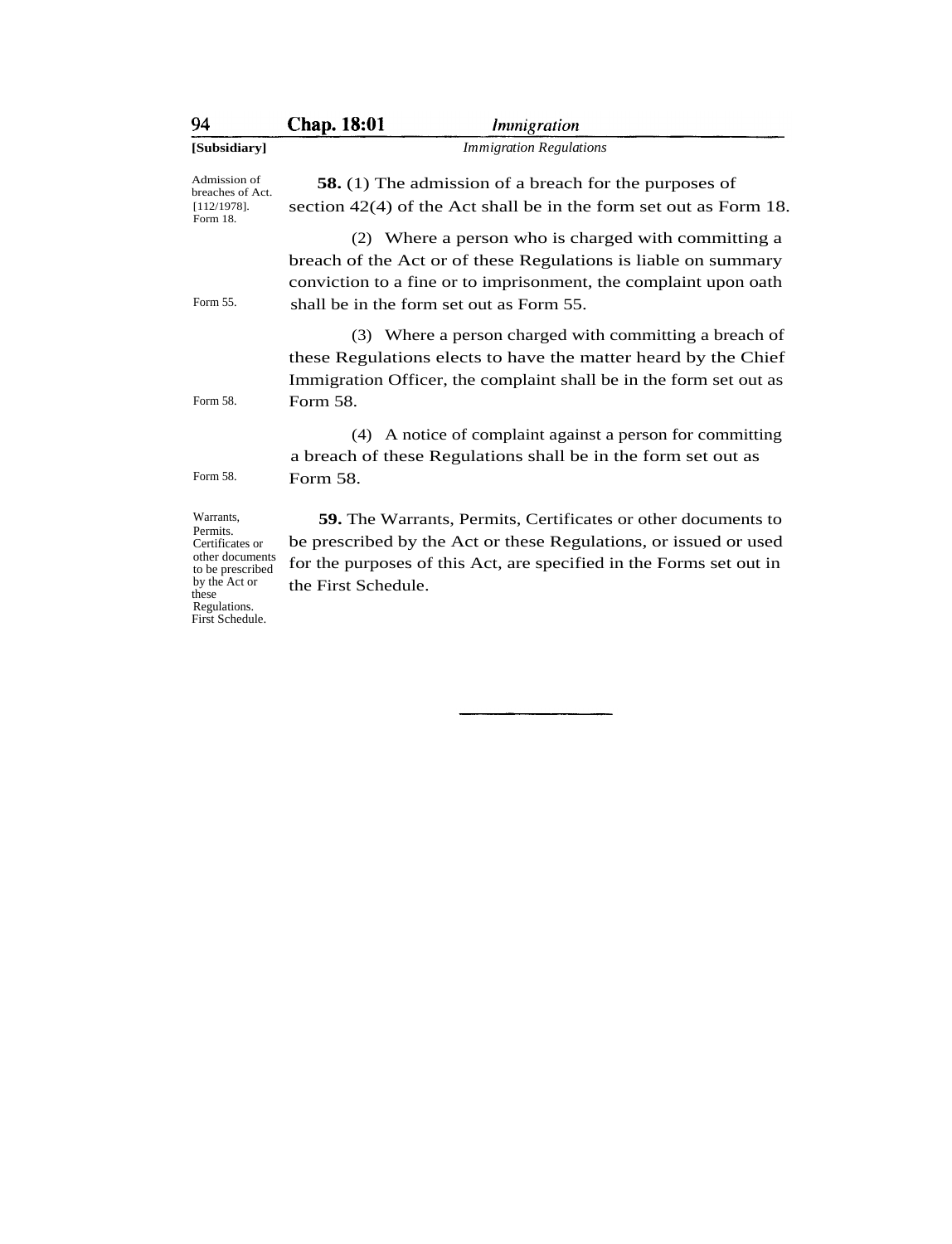| 94                                  | <b>Chap. 18:01</b><br><i>Immigration</i>                             |  |  |
|-------------------------------------|----------------------------------------------------------------------|--|--|
| [Subsidiary]                        | <b>Immigration Regulations</b>                                       |  |  |
| Admission of<br>breaches of Act.    | <b>58.</b> (1) The admission of a breach for the purposes of         |  |  |
| $[112/1978]$ .<br>Form 18.          | section $42(4)$ of the Act shall be in the form set out as Form 18.  |  |  |
|                                     | (2) Where a person who is charged with committing a                  |  |  |
|                                     | breach of the Act or of these Regulations is liable on summary       |  |  |
|                                     | conviction to a fine or to imprisonment, the complaint upon oath     |  |  |
| Form 55.                            | shall be in the form set out as Form 55.                             |  |  |
|                                     | (3) Where a person charged with committing a breach of               |  |  |
|                                     | these Regulations elects to have the matter heard by the Chief       |  |  |
|                                     | Immigration Officer, the complaint shall be in the form set out as   |  |  |
| Form 58.                            | Form 58.                                                             |  |  |
|                                     | (4) A notice of complaint against a person for committing            |  |  |
|                                     | a breach of these Regulations shall be in the form set out as        |  |  |
| Form 58.                            | Form 58.                                                             |  |  |
| Warrants,                           | <b>59.</b> The Warrants, Permits, Certificates or other documents to |  |  |
| Permits.<br>Certificates or         | be prescribed by the Act or these Regulations, or issued or used     |  |  |
| other documents<br>to be prescribed | for the purposes of this Act, are specified in the Forms set out in  |  |  |
| by the Act or<br>those.             | the First Schedule.                                                  |  |  |

by the Act or these Regulations. First Schedule.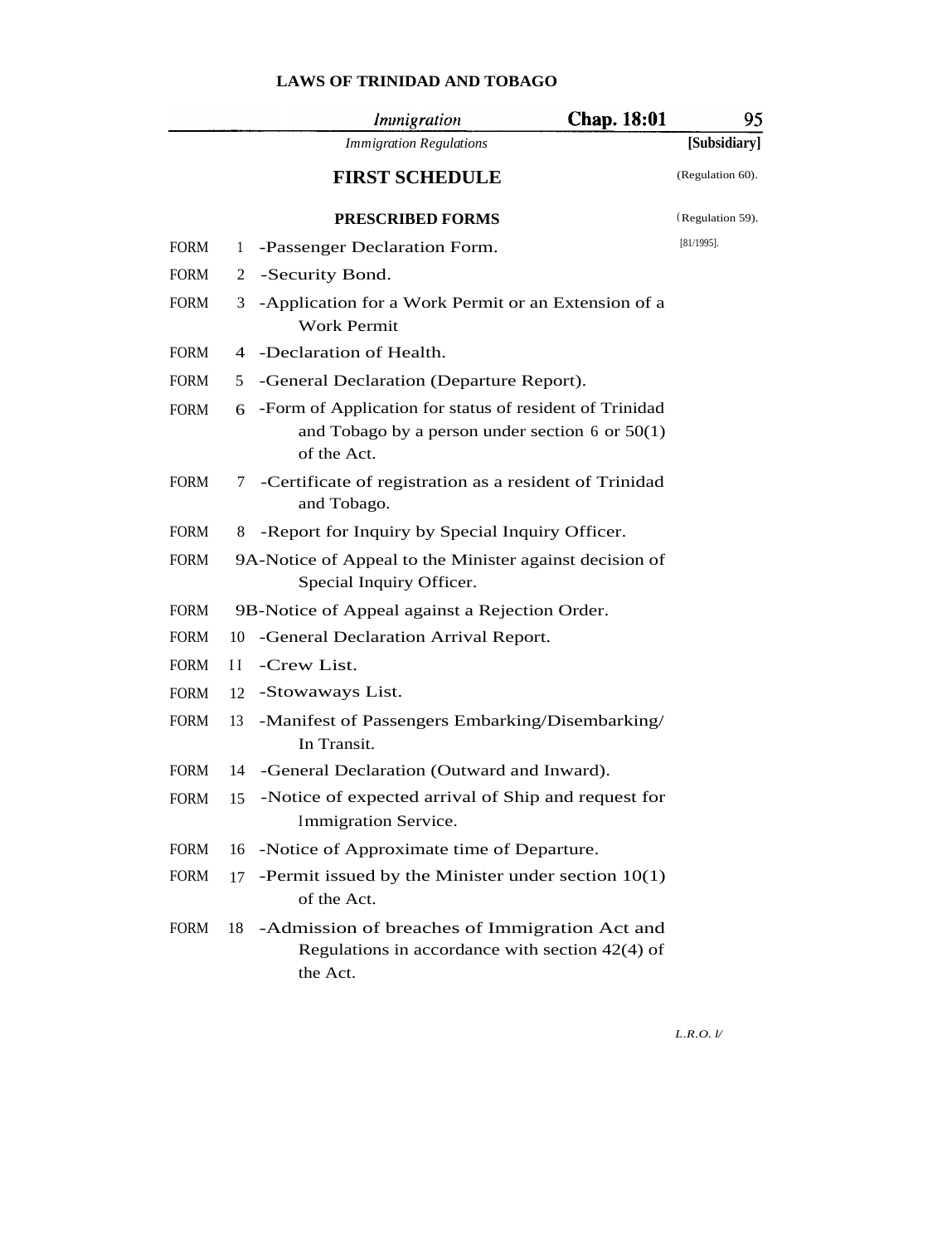|             |     | Immigration                                                                                                                   | Chap. 18:01 | 95               |
|-------------|-----|-------------------------------------------------------------------------------------------------------------------------------|-------------|------------------|
|             |     | <b>Immigration Regulations</b>                                                                                                |             | [Subsidiary]     |
|             |     | <b>FIRST SCHEDULE</b>                                                                                                         |             | (Regulation 60). |
|             |     | <b>PRESCRIBED FORMS</b>                                                                                                       |             | (Regulation 59). |
| <b>FORM</b> | 1   | -Passenger Declaration Form.                                                                                                  |             | $[81/1995]$ .    |
| <b>FORM</b> | 2   | -Security Bond.                                                                                                               |             |                  |
| <b>FORM</b> | 3   | -Application for a Work Permit or an Extension of a<br><b>Work Permit</b>                                                     |             |                  |
| <b>FORM</b> |     | 4 -Declaration of Health.                                                                                                     |             |                  |
| <b>FORM</b> | 5   | -General Declaration (Departure Report).                                                                                      |             |                  |
| <b>FORM</b> | 6   | -Form of Application for status of resident of Trinidad<br>and Tobago by a person under section $6$ or $50(1)$<br>of the Act. |             |                  |
| <b>FORM</b> | 7   | -Certificate of registration as a resident of Trinidad<br>and Tobago.                                                         |             |                  |
| <b>FORM</b> | 8   | -Report for Inquiry by Special Inquiry Officer.                                                                               |             |                  |
| <b>FORM</b> |     | 9A-Notice of Appeal to the Minister against decision of<br>Special Inquiry Officer.                                           |             |                  |
| <b>FORM</b> |     | 9B-Notice of Appeal against a Rejection Order.                                                                                |             |                  |
| <b>FORM</b> | 10  | -General Declaration Arrival Report.                                                                                          |             |                  |
| <b>FORM</b> | Н   | -Crew List.                                                                                                                   |             |                  |
| <b>FORM</b> | 12  | -Stowaways List.                                                                                                              |             |                  |
| <b>FORM</b> | 13  | -Manifest of Passengers Embarking/Disembarking/<br>In Transit.                                                                |             |                  |
| <b>FORM</b> | 14  | -General Declaration (Outward and Inward).                                                                                    |             |                  |
| <b>FORM</b> | 15  | -Notice of expected arrival of Ship and request for<br>Immigration Service.                                                   |             |                  |
| <b>FORM</b> | 16  | -Notice of Approximate time of Departure.                                                                                     |             |                  |
| <b>FORM</b> | 17  | -Permit issued by the Minister under section $10(1)$<br>of the Act.                                                           |             |                  |
| <b>FORM</b> | 18. | -Admission of breaches of Immigration Act and<br>Regulations in accordance with section $42(4)$ of<br>the Act.                |             |                  |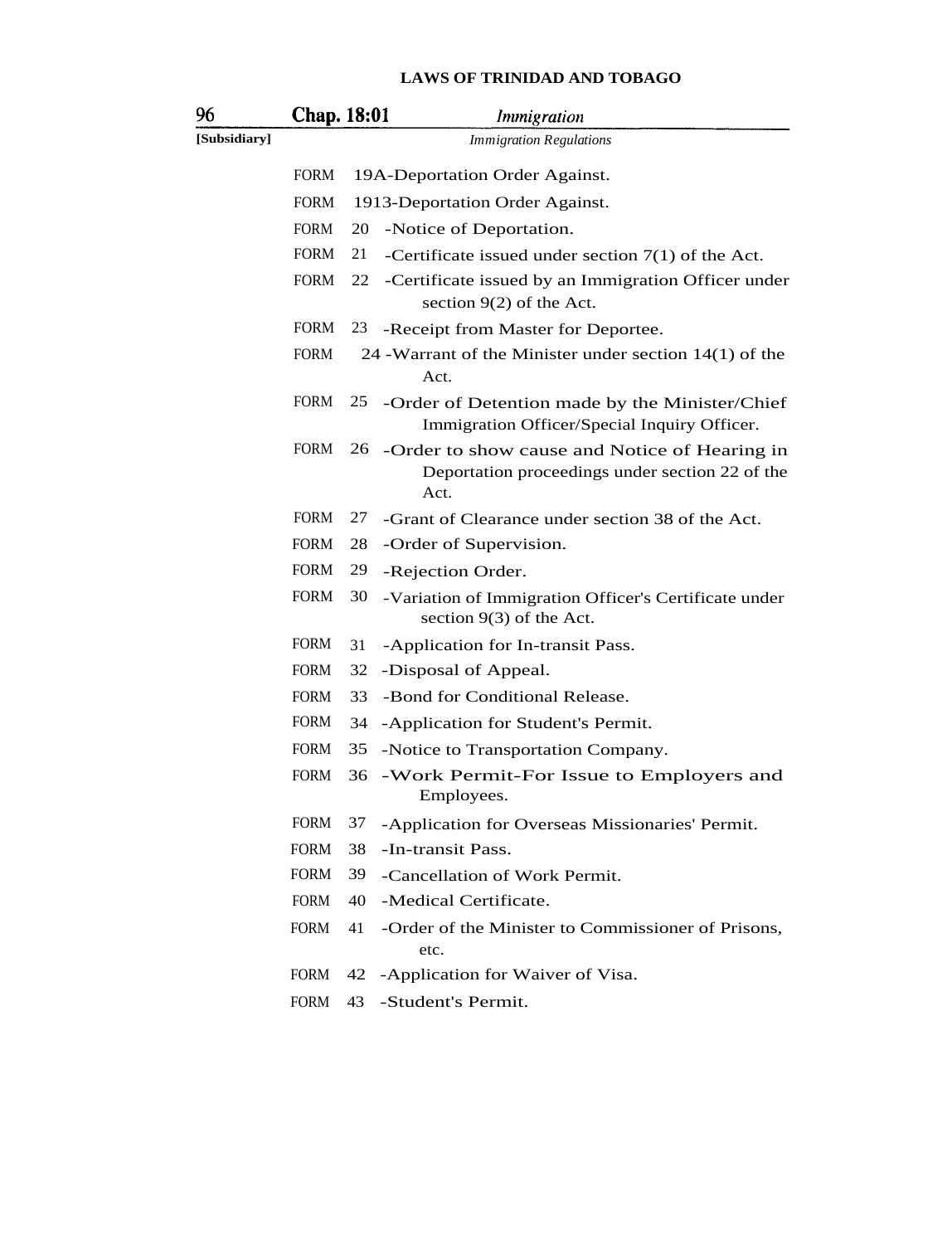| 96           | <b>Chap.</b> 18:01 |    | Immigration                                                                                                 |
|--------------|--------------------|----|-------------------------------------------------------------------------------------------------------------|
| [Subsidiary] |                    |    | <b>Immigration Regulations</b>                                                                              |
|              | <b>FORM</b>        |    | 19A-Deportation Order Against.                                                                              |
|              | <b>FORM</b>        |    | 1913-Deportation Order Against.                                                                             |
|              | <b>FORM</b>        | 20 | -Notice of Deportation.                                                                                     |
|              | <b>FORM</b>        | 21 | -Certificate issued under section $7(1)$ of the Act.                                                        |
|              | <b>FORM</b>        | 22 | -Certificate issued by an Immigration Officer under<br>section $9(2)$ of the Act.                           |
|              | <b>FORM</b>        | 23 | -Receipt from Master for Deportee.                                                                          |
|              | <b>FORM</b>        |    | 24 - Warrant of the Minister under section $14(1)$ of the<br>Act.                                           |
|              | <b>FORM</b>        |    | 25 -Order of Detention made by the Minister/Chief<br>Immigration Officer/Special Inquiry Officer.           |
|              | <b>FORM</b>        |    | 26 -Order to show cause and Notice of Hearing in<br>Deportation proceedings under section 22 of the<br>Act. |
|              | <b>FORM</b>        | 27 | -Grant of Clearance under section 38 of the Act.                                                            |
|              | <b>FORM</b>        | 28 | -Order of Supervision.                                                                                      |
|              | <b>FORM</b>        | 29 | -Rejection Order.                                                                                           |
|              | <b>FORM</b>        | 30 | -Variation of Immigration Officer's Certificate under<br>section $9(3)$ of the Act.                         |
|              | <b>FORM</b>        | 31 | -Application for In-transit Pass.                                                                           |
|              | <b>FORM</b>        | 32 | -Disposal of Appeal.                                                                                        |
|              | <b>FORM</b>        | 33 | -Bond for Conditional Release.                                                                              |
|              | <b>FORM</b>        | 34 | -Application for Student's Permit.                                                                          |
|              | <b>FORM</b>        | 35 | -Notice to Transportation Company.                                                                          |
|              | <b>FORM</b>        | 36 | -Work Permit-For Issue to Employers and<br>Employees.                                                       |
|              | <b>FORM</b>        | 37 | -Application for Overseas Missionaries' Permit.                                                             |
|              | <b>FORM</b>        | 38 | -In-transit Pass.                                                                                           |
|              | <b>FORM</b>        | 39 | -Cancellation of Work Permit.                                                                               |
|              | <b>FORM</b>        | 40 | -Medical Certificate.                                                                                       |
|              | <b>FORM</b>        | 41 | -Order of the Minister to Commissioner of Prisons,<br>etc.                                                  |
|              | FORM               | 42 | -Application for Waiver of Visa.                                                                            |
|              | <b>FORM</b>        | 43 | -Student's Permit.                                                                                          |